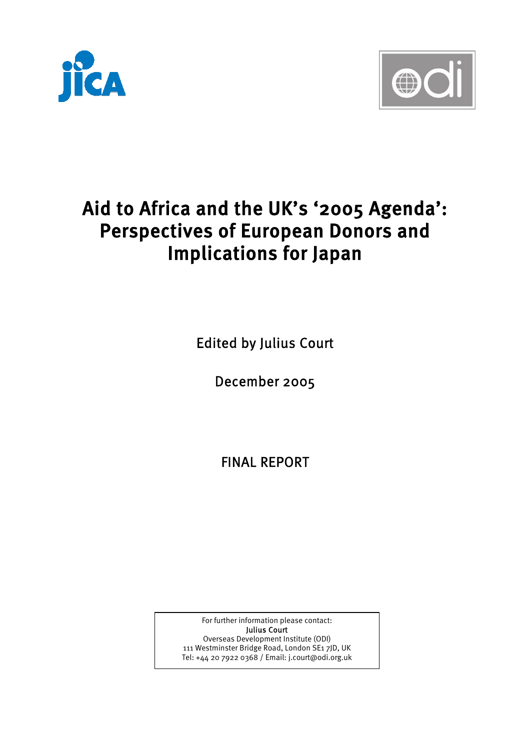



# Aid to Africa and the UK's '2005 Agenda': Perspectives of European Donors and Implications for Japan

Edited by Julius Court

December 2005

FINAL REPORT

For further information please contact: Julius Court Overseas Development Institute (ODI) 111 Westminster Bridge Road, London SE1 7JD, UK Tel: +44 20 7922 0368 / Email: j.court@odi.org.uk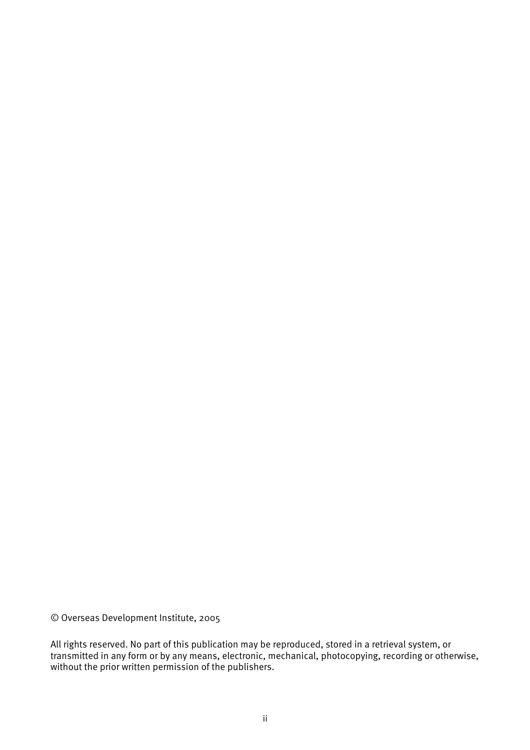© Overseas Development Institute, 2005

All rights reserved. No part of this publication may be reproduced, stored in a retrieval system, or transmitted in any form or by any means, electronic, mechanical, photocopying, recording or otherwise, without the prior written permission of the publishers.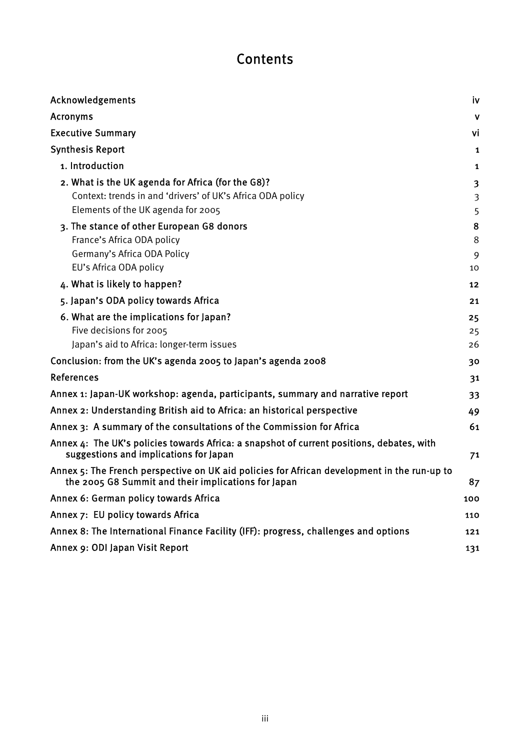## **Contents**

| Acknowledgements                                                                                                                                   | iv             |
|----------------------------------------------------------------------------------------------------------------------------------------------------|----------------|
| <b>Acronyms</b>                                                                                                                                    | $\mathbf{V}$   |
| <b>Executive Summary</b>                                                                                                                           | vi             |
| <b>Synthesis Report</b>                                                                                                                            | $\mathbf{1}$   |
| 1. Introduction                                                                                                                                    | 1              |
| 2. What is the UK agenda for Africa (for the G8)?                                                                                                  | 3              |
| Context: trends in and 'drivers' of UK's Africa ODA policy                                                                                         | 3              |
| Elements of the UK agenda for 2005                                                                                                                 | 5              |
| 3. The stance of other European G8 donors                                                                                                          | 8              |
| France's Africa ODA policy                                                                                                                         | 8              |
| Germany's Africa ODA Policy                                                                                                                        | 9              |
| EU's Africa ODA policy                                                                                                                             | 10             |
| 4. What is likely to happen?                                                                                                                       | 12             |
| 5. Japan's ODA policy towards Africa                                                                                                               | 21             |
| 6. What are the implications for Japan?                                                                                                            | 25             |
| Five decisions for 2005                                                                                                                            | 25             |
| Japan's aid to Africa: longer-term issues                                                                                                          | 26             |
| Conclusion: from the UK's agenda 2005 to Japan's agenda 2008                                                                                       | 30             |
| <b>References</b>                                                                                                                                  | 31             |
| Annex 1: Japan-UK workshop: agenda, participants, summary and narrative report                                                                     | 33             |
| Annex 2: Understanding British aid to Africa: an historical perspective                                                                            | 49             |
| Annex 3: A summary of the consultations of the Commission for Africa                                                                               | 61             |
| Annex 4: The UK's policies towards Africa: a snapshot of current positions, debates, with<br>suggestions and implications for Japan                | 7 <sup>1</sup> |
| Annex 5: The French perspective on UK aid policies for African development in the run-up to<br>the 2005 G8 Summit and their implications for Japan | 87             |
| Annex 6: German policy towards Africa                                                                                                              | 100            |
| Annex 7: EU policy towards Africa                                                                                                                  | 110            |
| Annex 8: The International Finance Facility (IFF): progress, challenges and options                                                                | 121            |
| Annex 9: ODI Japan Visit Report                                                                                                                    | 131            |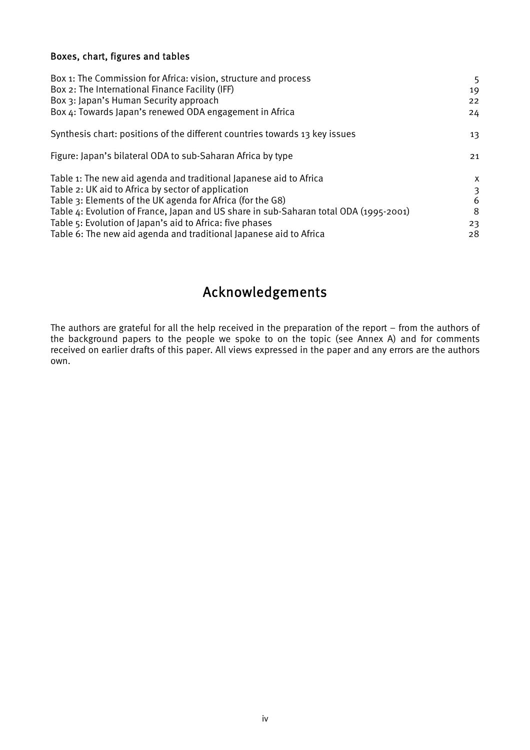#### Boxes, chart, figures and tables

| Box 1: The Commission for Africa: vision, structure and process                       | 5  |
|---------------------------------------------------------------------------------------|----|
| Box 2: The International Finance Facility (IFF)                                       | 19 |
| Box 3: Japan's Human Security approach                                                | 22 |
| Box 4: Towards Japan's renewed ODA engagement in Africa                               | 24 |
| Synthesis chart: positions of the different countries towards 13 key issues           | 13 |
| Figure: Japan's bilateral ODA to sub-Saharan Africa by type                           | 21 |
| Table 1: The new aid agenda and traditional Japanese aid to Africa                    | X  |
| Table 2: UK aid to Africa by sector of application                                    | 3  |
| Table 3: Elements of the UK agenda for Africa (for the G8)                            | 6  |
| Table 4: Evolution of France, Japan and US share in sub-Saharan total ODA (1995-2001) | 8  |
| Table 5: Evolution of Japan's aid to Africa: five phases                              | 23 |
| Table 6: The new aid agenda and traditional Japanese aid to Africa                    | 28 |

## Acknowledgements

The authors are grateful for all the help received in the preparation of the report – from the authors of the background papers to the people we spoke to on the topic (see Annex A) and for comments received on earlier drafts of this paper. All views expressed in the paper and any errors are the authors own.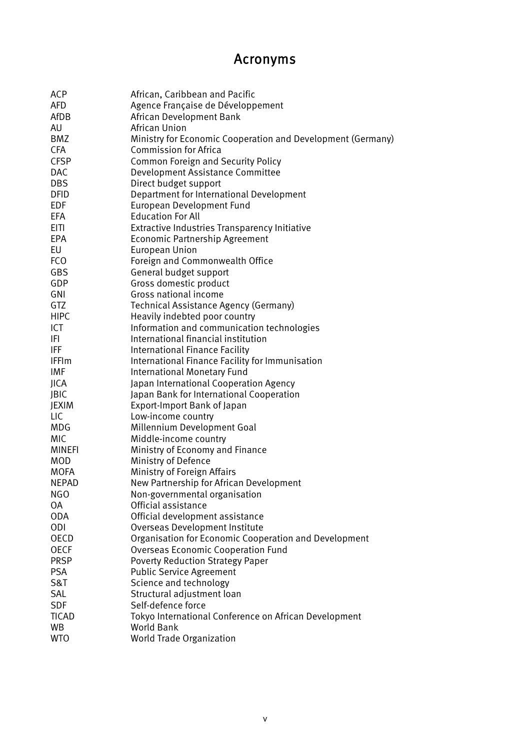## Acronyms

| <b>ACP</b>     | African, Caribbean and Pacific                                                    |
|----------------|-----------------------------------------------------------------------------------|
| <b>AFD</b>     | Agence Française de Développement                                                 |
| AfDB           | African Development Bank                                                          |
| AU             | African Union                                                                     |
| <b>BMZ</b>     | Ministry for Economic Cooperation and Development (Germany)                       |
| <b>CFA</b>     | <b>Commission for Africa</b>                                                      |
| <b>CFSP</b>    | <b>Common Foreign and Security Policy</b>                                         |
| <b>DAC</b>     | Development Assistance Committee                                                  |
| <b>DBS</b>     | Direct budget support                                                             |
| <b>DFID</b>    | Department for International Development                                          |
| <b>EDF</b>     | European Development Fund                                                         |
| EFA            | <b>Education For All</b>                                                          |
| <b>EITI</b>    | Extractive Industries Transparency Initiative                                     |
| <b>EPA</b>     | <b>Economic Partnership Agreement</b>                                             |
| EU             | <b>European Union</b>                                                             |
| FCO            | Foreign and Commonwealth Office                                                   |
| <b>GBS</b>     | General budget support                                                            |
| GDP            | Gross domestic product                                                            |
| GNI            | Gross national income                                                             |
| GTZ            | Technical Assistance Agency (Germany)                                             |
| <b>HIPC</b>    |                                                                                   |
| ICT            | Heavily indebted poor country                                                     |
| IFI            | Information and communication technologies<br>International financial institution |
|                |                                                                                   |
| <b>IFF</b>     | International Finance Facility                                                    |
| <b>IFFIm</b>   | International Finance Facility for Immunisation                                   |
| IMF            | <b>International Monetary Fund</b>                                                |
| <b>JICA</b>    | Japan International Cooperation Agency                                            |
| <b>JBIC</b>    | Japan Bank for International Cooperation                                          |
| JEXIM          | Export-Import Bank of Japan                                                       |
| LIC            | Low-income country                                                                |
| MDG            | Millennium Development Goal                                                       |
| <b>MIC</b>     | Middle-income country                                                             |
| MINEFI         | Ministry of Economy and Finance                                                   |
| <b>MOD</b>     | Ministry of Defence                                                               |
| <b>MOFA</b>    | Ministry of Foreign Affairs                                                       |
| <b>NEPAD</b>   | New Partnership for African Development                                           |
| <b>NGO</b>     | Non-governmental organisation                                                     |
| 0A             | Official assistance                                                               |
| <b>ODA</b>     | Official development assistance                                                   |
| <b>ODI</b>     | Overseas Development Institute                                                    |
| <b>OECD</b>    | Organisation for Economic Cooperation and Development                             |
| <b>OECF</b>    | <b>Overseas Economic Cooperation Fund</b>                                         |
| <b>PRSP</b>    | <b>Poverty Reduction Strategy Paper</b>                                           |
| <b>PSA</b>     | <b>Public Service Agreement</b>                                                   |
| <b>S&amp;T</b> | Science and technology                                                            |
| SAL            | Structural adjustment loan                                                        |
| <b>SDF</b>     | Self-defence force                                                                |
| <b>TICAD</b>   | Tokyo International Conference on African Development                             |
| WB             | <b>World Bank</b>                                                                 |
| <b>WTO</b>     | <b>World Trade Organization</b>                                                   |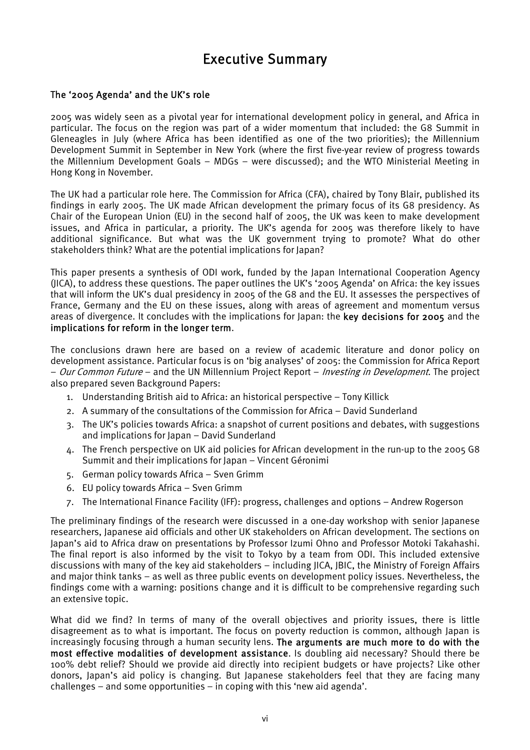## Executive Summary

#### The '2005 Agenda' and the UK's role

2005 was widely seen as a pivotal year for international development policy in general, and Africa in particular. The focus on the region was part of a wider momentum that included: the G8 Summit in Gleneagles in July (where Africa has been identified as one of the two priorities); the Millennium Development Summit in September in New York (where the first five-year review of progress towards the Millennium Development Goals – MDGs – were discussed); and the WTO Ministerial Meeting in Hong Kong in November.

The UK had a particular role here. The Commission for Africa (CFA), chaired by Tony Blair, published its findings in early 2005. The UK made African development the primary focus of its G8 presidency. As Chair of the European Union (EU) in the second half of 2005, the UK was keen to make development issues, and Africa in particular, a priority. The UK's agenda for 2005 was therefore likely to have additional significance. But what was the UK government trying to promote? What do other stakeholders think? What are the potential implications for Japan?

This paper presents a synthesis of ODI work, funded by the Japan International Cooperation Agency (JICA), to address these questions. The paper outlines the UK's '2005 Agenda' on Africa: the key issues that will inform the UK's dual presidency in 2005 of the G8 and the EU. It assesses the perspectives of France, Germany and the EU on these issues, along with areas of agreement and momentum versus areas of divergence. It concludes with the implications for Japan: the key decisions for 2005 and the implications for reform in the longer term.

The conclusions drawn here are based on a review of academic literature and donor policy on development assistance. Particular focus is on 'big analyses' of 2005: the Commission for Africa Report – Our Common Future – and the UN Millennium Project Report – Investing in Development. The project also prepared seven Background Papers:

- 1. Understanding British aid to Africa: an historical perspective Tony Killick
- 2. A summary of the consultations of the Commission for Africa David Sunderland
- 3. The UK's policies towards Africa: a snapshot of current positions and debates, with suggestions and implications for Japan – David Sunderland
- 4. The French perspective on UK aid policies for African development in the run-up to the 2005 G8 Summit and their implications for Japan – Vincent Géronimi
- 5. German policy towards Africa Sven Grimm
- 6. EU policy towards Africa Sven Grimm
- 7. The International Finance Facility (IFF): progress, challenges and options Andrew Rogerson

The preliminary findings of the research were discussed in a one-day workshop with senior Japanese researchers, Japanese aid officials and other UK stakeholders on African development. The sections on Japan's aid to Africa draw on presentations by Professor Izumi Ohno and Professor Motoki Takahashi. The final report is also informed by the visit to Tokyo by a team from ODI. This included extensive discussions with many of the key aid stakeholders – including JICA, JBIC, the Ministry of Foreign Affairs and major think tanks – as well as three public events on development policy issues. Nevertheless, the findings come with a warning: positions change and it is difficult to be comprehensive regarding such an extensive topic.

What did we find? In terms of many of the overall objectives and priority issues, there is little disagreement as to what is important. The focus on poverty reduction is common, although Japan is increasingly focusing through a human security lens. The arguments are much more to do with the most effective modalities of development assistance. Is doubling aid necessary? Should there be 100% debt relief? Should we provide aid directly into recipient budgets or have projects? Like other donors, Japan's aid policy is changing. But Japanese stakeholders feel that they are facing many challenges – and some opportunities – in coping with this 'new aid agenda'.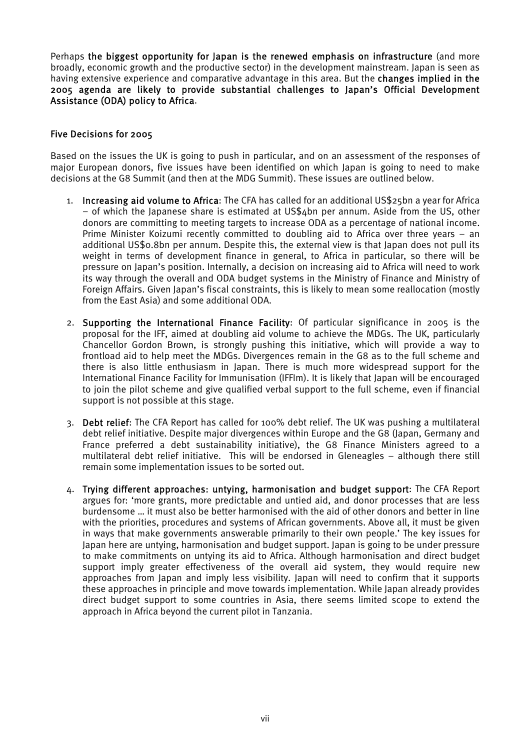Perhaps the biggest opportunity for Japan is the renewed emphasis on infrastructure (and more broadly, economic growth and the productive sector) in the development mainstream. Japan is seen as having extensive experience and comparative advantage in this area. But the changes implied in the 2005 agenda are likely to provide substantial challenges to Japan's Official Development Assistance (ODA) policy to Africa.

#### Five Decisions for 2005

Based on the issues the UK is going to push in particular, and on an assessment of the responses of major European donors, five issues have been identified on which Japan is going to need to make decisions at the G8 Summit (and then at the MDG Summit). These issues are outlined below.

- 1. Increasing aid volume to Africa: The CFA has called for an additional US\$25bn a year for Africa – of which the Japanese share is estimated at US\$4bn per annum. Aside from the US, other donors are committing to meeting targets to increase ODA as a percentage of national income. Prime Minister Koizumi recently committed to doubling aid to Africa over three years – an additional US\$0.8bn per annum. Despite this, the external view is that Japan does not pull its weight in terms of development finance in general, to Africa in particular, so there will be pressure on Japan's position. Internally, a decision on increasing aid to Africa will need to work its way through the overall and ODA budget systems in the Ministry of Finance and Ministry of Foreign Affairs. Given Japan's fiscal constraints, this is likely to mean some reallocation (mostly from the East Asia) and some additional ODA.
- 2. Supporting the International Finance Facility: Of particular significance in 2005 is the proposal for the IFF, aimed at doubling aid volume to achieve the MDGs. The UK, particularly Chancellor Gordon Brown, is strongly pushing this initiative, which will provide a way to frontload aid to help meet the MDGs. Divergences remain in the G8 as to the full scheme and there is also little enthusiasm in Japan. There is much more widespread support for the International Finance Facility for Immunisation (IFFIm). It is likely that Japan will be encouraged to join the pilot scheme and give qualified verbal support to the full scheme, even if financial support is not possible at this stage.
- 3. Debt relief: The CFA Report has called for 100% debt relief. The UK was pushing a multilateral debt relief initiative. Despite major divergences within Europe and the G8 (Japan, Germany and France preferred a debt sustainability initiative), the G8 Finance Ministers agreed to a multilateral debt relief initiative. This will be endorsed in Gleneagles – although there still remain some implementation issues to be sorted out.
- 4. Trying different approaches: untying, harmonisation and budget support: The CFA Report argues for: 'more grants, more predictable and untied aid, and donor processes that are less burdensome … it must also be better harmonised with the aid of other donors and better in line with the priorities, procedures and systems of African governments. Above all, it must be given in ways that make governments answerable primarily to their own people.' The key issues for Japan here are untying, harmonisation and budget support. Japan is going to be under pressure to make commitments on untying its aid to Africa. Although harmonisation and direct budget support imply greater effectiveness of the overall aid system, they would require new approaches from Japan and imply less visibility. Japan will need to confirm that it supports these approaches in principle and move towards implementation. While Japan already provides direct budget support to some countries in Asia, there seems limited scope to extend the approach in Africa beyond the current pilot in Tanzania.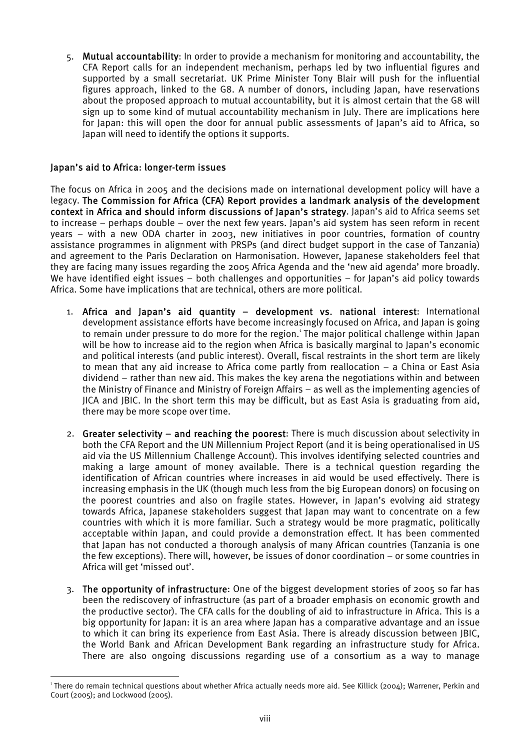5. Mutual accountability: In order to provide a mechanism for monitoring and accountability, the CFA Report calls for an independent mechanism, perhaps led by two influential figures and supported by a small secretariat. UK Prime Minister Tony Blair will push for the influential figures approach, linked to the G8. A number of donors, including Japan, have reservations about the proposed approach to mutual accountability, but it is almost certain that the G8 will sign up to some kind of mutual accountability mechanism in July. There are implications here for Japan: this will open the door for annual public assessments of Japan's aid to Africa, so Japan will need to identify the options it supports.

#### Japan's aid to Africa: longer-term issues

 $\overline{\phantom{a}}$ 

The focus on Africa in 2005 and the decisions made on international development policy will have a legacy. The Commission for Africa (CFA) Report provides a landmark analysis of the development context in Africa and should inform discussions of Japan's strategy. Japan's aid to Africa seems set to increase – perhaps double – over the next few years. Japan's aid system has seen reform in recent years – with a new ODA charter in 2003, new initiatives in poor countries, formation of country assistance programmes in alignment with PRSPs (and direct budget support in the case of Tanzania) and agreement to the Paris Declaration on Harmonisation. However, Japanese stakeholders feel that they are facing many issues regarding the 2005 Africa Agenda and the 'new aid agenda' more broadly. We have identified eight issues – both challenges and opportunities – for lapan's aid policy towards Africa. Some have implications that are technical, others are more political.

- 1. Africa and Japan's aid quantity development vs. national interest: International development assistance efforts have become increasingly focused on Africa, and Japan is going to remain under pressure to do more for the region.<sup>1</sup> The major political challenge within Japan will be how to increase aid to the region when Africa is basically marginal to Japan's economic and political interests (and public interest). Overall, fiscal restraints in the short term are likely to mean that any aid increase to Africa come partly from reallocation – a China or East Asia dividend – rather than new aid. This makes the key arena the negotiations within and between the Ministry of Finance and Ministry of Foreign Affairs – as well as the implementing agencies of JICA and JBIC. In the short term this may be difficult, but as East Asia is graduating from aid, there may be more scope over time.
- 2. Greater selectivity and reaching the poorest: There is much discussion about selectivity in both the CFA Report and the UN Millennium Project Report (and it is being operationalised in US aid via the US Millennium Challenge Account). This involves identifying selected countries and making a large amount of money available. There is a technical question regarding the identification of African countries where increases in aid would be used effectively. There is increasing emphasis in the UK (though much less from the big European donors) on focusing on the poorest countries and also on fragile states. However, in Japan's evolving aid strategy towards Africa, Japanese stakeholders suggest that Japan may want to concentrate on a few countries with which it is more familiar. Such a strategy would be more pragmatic, politically acceptable within Japan, and could provide a demonstration effect. It has been commented that Japan has not conducted a thorough analysis of many African countries (Tanzania is one the few exceptions). There will, however, be issues of donor coordination – or some countries in Africa will get 'missed out'.
- 3. The opportunity of infrastructure: One of the biggest development stories of 2005 so far has been the rediscovery of infrastructure (as part of a broader emphasis on economic growth and the productive sector). The CFA calls for the doubling of aid to infrastructure in Africa. This is a big opportunity for Japan: it is an area where Japan has a comparative advantage and an issue to which it can bring its experience from East Asia. There is already discussion between JBIC, the World Bank and African Development Bank regarding an infrastructure study for Africa. There are also ongoing discussions regarding use of a consortium as a way to manage

<sup>1</sup> There do remain technical questions about whether Africa actually needs more aid. See Killick (2004); Warrener, Perkin and Court (2005); and Lockwood (2005).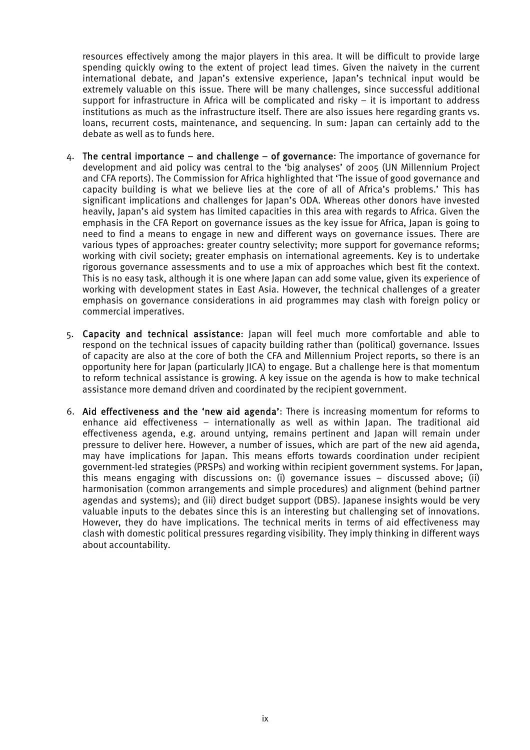resources effectively among the major players in this area. It will be difficult to provide large spending quickly owing to the extent of project lead times. Given the naivety in the current international debate, and Japan's extensive experience, Japan's technical input would be extremely valuable on this issue. There will be many challenges, since successful additional support for infrastructure in Africa will be complicated and risky – it is important to address institutions as much as the infrastructure itself. There are also issues here regarding grants vs. loans, recurrent costs, maintenance, and sequencing. In sum: Japan can certainly add to the debate as well as to funds here.

- 4. The central importance and challenge of governance: The importance of governance for development and aid policy was central to the 'big analyses' of 2005 (UN Millennium Project and CFA reports). The Commission for Africa highlighted that 'The issue of good governance and capacity building is what we believe lies at the core of all of Africa's problems.' This has significant implications and challenges for Japan's ODA. Whereas other donors have invested heavily, Japan's aid system has limited capacities in this area with regards to Africa. Given the emphasis in the CFA Report on governance issues as the key issue for Africa, Japan is going to need to find a means to engage in new and different ways on governance issues. There are various types of approaches: greater country selectivity; more support for governance reforms; working with civil society; greater emphasis on international agreements. Key is to undertake rigorous governance assessments and to use a mix of approaches which best fit the context. This is no easy task, although it is one where Japan can add some value, given its experience of working with development states in East Asia. However, the technical challenges of a greater emphasis on governance considerations in aid programmes may clash with foreign policy or commercial imperatives.
- 5. Capacity and technical assistance: Japan will feel much more comfortable and able to respond on the technical issues of capacity building rather than (political) governance. Issues of capacity are also at the core of both the CFA and Millennium Project reports, so there is an opportunity here for Japan (particularly JICA) to engage. But a challenge here is that momentum to reform technical assistance is growing. A key issue on the agenda is how to make technical assistance more demand driven and coordinated by the recipient government.
- 6. Aid effectiveness and the 'new aid agenda': There is increasing momentum for reforms to enhance aid effectiveness – internationally as well as within Japan. The traditional aid effectiveness agenda, e.g. around untying, remains pertinent and Japan will remain under pressure to deliver here. However, a number of issues, which are part of the new aid agenda, may have implications for Japan. This means efforts towards coordination under recipient government-led strategies (PRSPs) and working within recipient government systems. For Japan, this means engaging with discussions on: (i) governance issues – discussed above; (ii) harmonisation (common arrangements and simple procedures) and alignment (behind partner agendas and systems); and (iii) direct budget support (DBS). Japanese insights would be very valuable inputs to the debates since this is an interesting but challenging set of innovations. However, they do have implications. The technical merits in terms of aid effectiveness may clash with domestic political pressures regarding visibility. They imply thinking in different ways about accountability.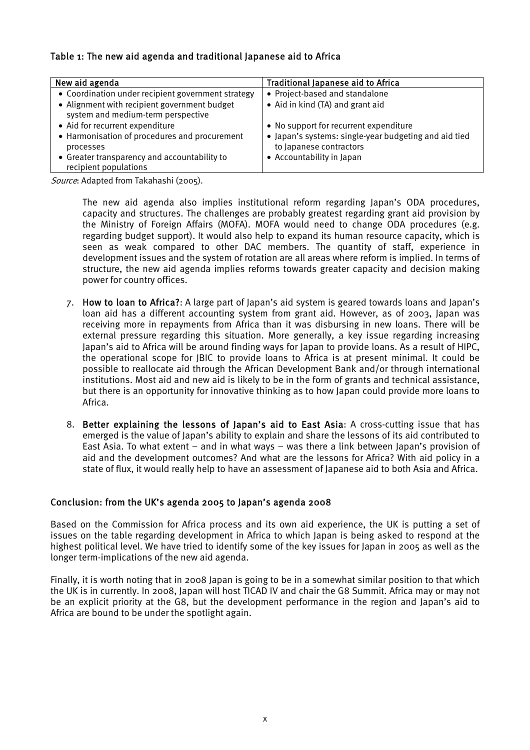#### Table 1: The new aid agenda and traditional Japanese aid to Africa

| New aid agenda                                                                     | <b>Traditional Japanese aid to Africa</b>                                        |
|------------------------------------------------------------------------------------|----------------------------------------------------------------------------------|
| • Coordination under recipient government strategy                                 | • Project-based and standalone                                                   |
| • Alignment with recipient government budget<br>system and medium-term perspective | • Aid in kind (TA) and grant aid                                                 |
| • Aid for recurrent expenditure                                                    | • No support for recurrent expenditure                                           |
| • Harmonisation of procedures and procurement<br>processes                         | • Japan's systems: single-year budgeting and aid tied<br>to Japanese contractors |
| • Greater transparency and accountability to<br>recipient populations              | • Accountability in Japan                                                        |

Source: Adapted from Takahashi (2005).

The new aid agenda also implies institutional reform regarding Japan's ODA procedures, capacity and structures. The challenges are probably greatest regarding grant aid provision by the Ministry of Foreign Affairs (MOFA). MOFA would need to change ODA procedures (e.g. regarding budget support). It would also help to expand its human resource capacity, which is seen as weak compared to other DAC members. The quantity of staff, experience in development issues and the system of rotation are all areas where reform is implied. In terms of structure, the new aid agenda implies reforms towards greater capacity and decision making power for country offices.

- 7. How to loan to Africa?: A large part of Japan's aid system is geared towards loans and Japan's loan aid has a different accounting system from grant aid. However, as of 2003, Japan was receiving more in repayments from Africa than it was disbursing in new loans. There will be external pressure regarding this situation. More generally, a key issue regarding increasing Japan's aid to Africa will be around finding ways for Japan to provide loans. As a result of HIPC, the operational scope for JBIC to provide loans to Africa is at present minimal. It could be possible to reallocate aid through the African Development Bank and/or through international institutions. Most aid and new aid is likely to be in the form of grants and technical assistance, but there is an opportunity for innovative thinking as to how Japan could provide more loans to Africa.
- 8. Better explaining the lessons of Japan's aid to East Asia: A cross-cutting issue that has emerged is the value of Japan's ability to explain and share the lessons of its aid contributed to East Asia. To what extent – and in what ways – was there a link between Japan's provision of aid and the development outcomes? And what are the lessons for Africa? With aid policy in a state of flux, it would really help to have an assessment of Japanese aid to both Asia and Africa.

#### Conclusion: from the UK's agenda 2005 to Japan's agenda 2008

Based on the Commission for Africa process and its own aid experience, the UK is putting a set of issues on the table regarding development in Africa to which Japan is being asked to respond at the highest political level. We have tried to identify some of the key issues for Japan in 2005 as well as the longer term-implications of the new aid agenda.

Finally, it is worth noting that in 2008 Japan is going to be in a somewhat similar position to that which the UK is in currently. In 2008, Japan will host TICAD IV and chair the G8 Summit. Africa may or may not be an explicit priority at the G8, but the development performance in the region and Japan's aid to Africa are bound to be under the spotlight again.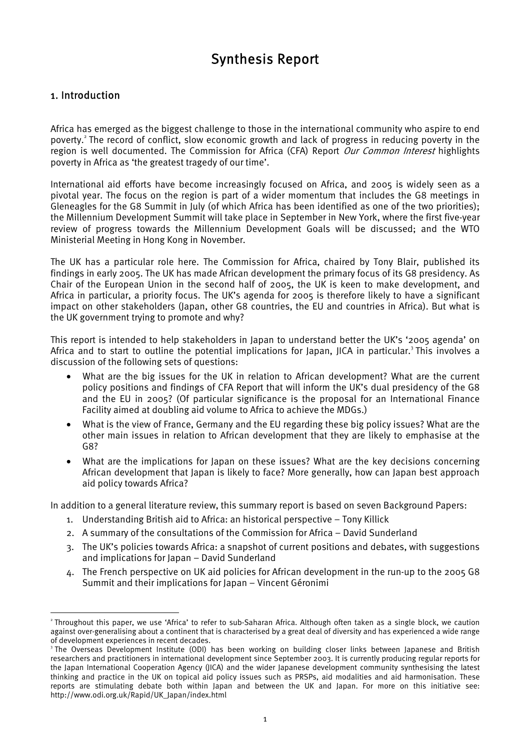## Synthesis Report

### 1. Introduction

 $\overline{a}$ 

Africa has emerged as the biggest challenge to those in the international community who aspire to end poverty.<sup>2</sup> The record of conflict, slow economic growth and lack of progress in reducing poverty in the region is well documented. The Commission for Africa (CFA) Report Our Common Interest highlights poverty in Africa as 'the greatest tragedy of our time'.

International aid efforts have become increasingly focused on Africa, and 2005 is widely seen as a pivotal year. The focus on the region is part of a wider momentum that includes the G8 meetings in Gleneagles for the G8 Summit in July (of which Africa has been identified as one of the two priorities); the Millennium Development Summit will take place in September in New York, where the first five-year review of progress towards the Millennium Development Goals will be discussed; and the WTO Ministerial Meeting in Hong Kong in November.

The UK has a particular role here. The Commission for Africa, chaired by Tony Blair, published its findings in early 2005. The UK has made African development the primary focus of its G8 presidency. As Chair of the European Union in the second half of 2005, the UK is keen to make development, and Africa in particular, a priority focus. The UK's agenda for 2005 is therefore likely to have a significant impact on other stakeholders (Japan, other G8 countries, the EU and countries in Africa). But what is the UK government trying to promote and why?

This report is intended to help stakeholders in Japan to understand better the UK's '2005 agenda' on Africa and to start to outline the potential implications for Japan, JICA in particular.<sup>3</sup> This involves a discussion of the following sets of questions:

- What are the big issues for the UK in relation to African development? What are the current policy positions and findings of CFA Report that will inform the UK's dual presidency of the G8 and the EU in 2005? (Of particular significance is the proposal for an International Finance Facility aimed at doubling aid volume to Africa to achieve the MDGs.)
- What is the view of France, Germany and the EU regarding these big policy issues? What are the other main issues in relation to African development that they are likely to emphasise at the G8?
- What are the implications for Japan on these issues? What are the key decisions concerning African development that Japan is likely to face? More generally, how can Japan best approach aid policy towards Africa?

In addition to a general literature review, this summary report is based on seven Background Papers:

- 1. Understanding British aid to Africa: an historical perspective Tony Killick
- 2. A summary of the consultations of the Commission for Africa David Sunderland
- 3. The UK's policies towards Africa: a snapshot of current positions and debates, with suggestions and implications for Japan – David Sunderland
- 4. The French perspective on UK aid policies for African development in the run-up to the 2005 G8 Summit and their implications for Japan – Vincent Géronimi

<sup>2</sup> Throughout this paper, we use 'Africa' to refer to sub-Saharan Africa. Although often taken as a single block, we caution against over-generalising about a continent that is characterised by a great deal of diversity and has experienced a wide range of development experiences in recent decades.

<sup>&</sup>lt;sup>3</sup> The Overseas Development Institute (ODI) has been working on building closer links between Japanese and British researchers and practitioners in international development since September 2003. It is currently producing regular reports for the Japan International Cooperation Agency (JICA) and the wider Japanese development community synthesising the latest thinking and practice in the UK on topical aid policy issues such as PRSPs, aid modalities and aid harmonisation. These reports are stimulating debate both within Japan and between the UK and Japan. For more on this initiative see: http://www.odi.org.uk/Rapid/UK\_Japan/index.html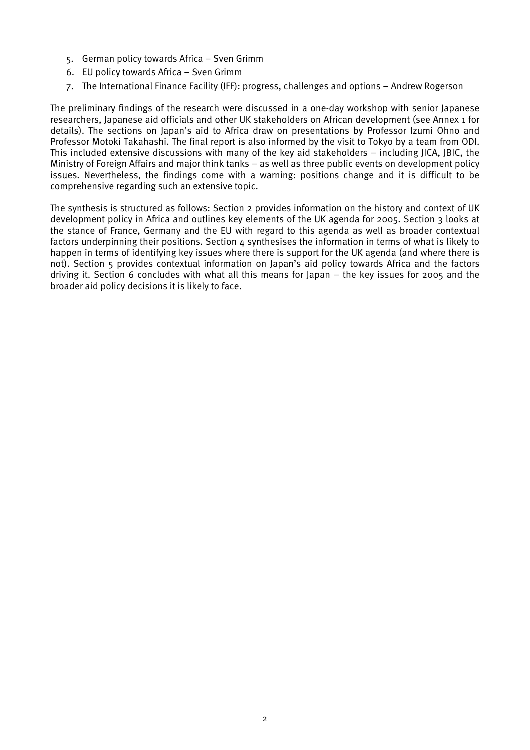- 5. German policy towards Africa Sven Grimm
- 6. EU policy towards Africa Sven Grimm
- 7. The International Finance Facility (IFF): progress, challenges and options Andrew Rogerson

The preliminary findings of the research were discussed in a one-day workshop with senior Japanese researchers, Japanese aid officials and other UK stakeholders on African development (see Annex 1 for details). The sections on Japan's aid to Africa draw on presentations by Professor Izumi Ohno and Professor Motoki Takahashi. The final report is also informed by the visit to Tokyo by a team from ODI. This included extensive discussions with many of the key aid stakeholders – including JICA, JBIC, the Ministry of Foreign Affairs and major think tanks – as well as three public events on development policy issues. Nevertheless, the findings come with a warning: positions change and it is difficult to be comprehensive regarding such an extensive topic.

The synthesis is structured as follows: Section 2 provides information on the history and context of UK development policy in Africa and outlines key elements of the UK agenda for 2005. Section 3 looks at the stance of France, Germany and the EU with regard to this agenda as well as broader contextual factors underpinning their positions. Section  $\mu$  synthesises the information in terms of what is likely to happen in terms of identifying key issues where there is support for the UK agenda (and where there is not). Section 5 provides contextual information on Japan's aid policy towards Africa and the factors driving it. Section 6 concludes with what all this means for Japan – the key issues for 2005 and the broader aid policy decisions it is likely to face.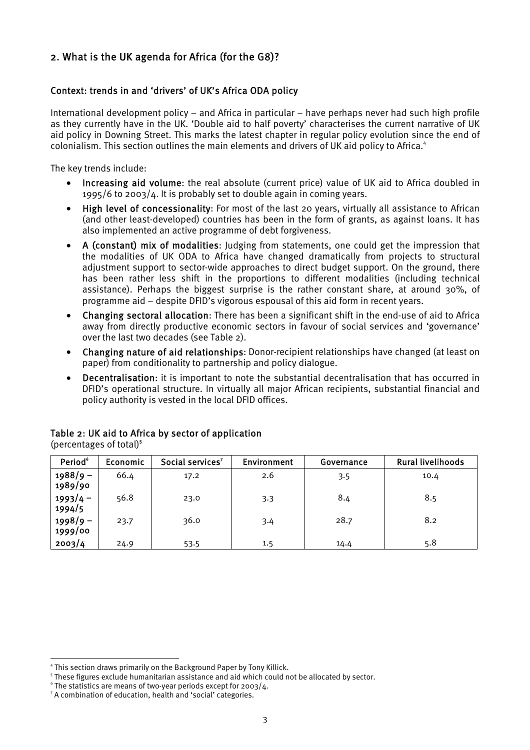## 2. What is the UK agenda for Africa (for the G8)?

### Context: trends in and 'drivers' of UK's Africa ODA policy

International development policy – and Africa in particular – have perhaps never had such high profile as they currently have in the UK. 'Double aid to half poverty' characterises the current narrative of UK aid policy in Downing Street. This marks the latest chapter in regular policy evolution since the end of colonialism. This section outlines the main elements and drivers of UK aid policy to Africa.<sup>4</sup>

The key trends include:

- Increasing aid volume: the real absolute (current price) value of UK aid to Africa doubled in 1995/6 to 2003/4. It is probably set to double again in coming years.
- High level of concessionality: For most of the last 20 years, virtually all assistance to African (and other least-developed) countries has been in the form of grants, as against loans. It has also implemented an active programme of debt forgiveness.
- A (constant) mix of modalities: Judging from statements, one could get the impression that the modalities of UK ODA to Africa have changed dramatically from projects to structural adjustment support to sector-wide approaches to direct budget support. On the ground, there has been rather less shift in the proportions to different modalities (including technical assistance). Perhaps the biggest surprise is the rather constant share, at around 30%, of programme aid – despite DFID's vigorous espousal of this aid form in recent years.
- Changing sectoral allocation: There has been a significant shift in the end-use of aid to Africa away from directly productive economic sectors in favour of social services and 'governance' over the last two decades (see Table 2).
- Changing nature of aid relationships: Donor-recipient relationships have changed (at least on paper) from conditionality to partnership and policy dialogue.
- Decentralisation: it is important to note the substantial decentralisation that has occurred in DFID's operational structure. In virtually all major African recipients, substantial financial and policy authority is vested in the local DFID offices.

| Period <sup>6</sup>   | <b>Economic</b> | Social services <sup>7</sup> | Environment | Governance | <b>Rural livelihoods</b> |
|-----------------------|-----------------|------------------------------|-------------|------------|--------------------------|
| $1988/9 -$<br>1989/90 | 66.4            | 17.2                         | 2.6         | 3.5        | 10.4                     |
| $1993/4 -$<br>1994/5  | 56.8            | 23.0                         | 3.3         | 8.4        | 8.5                      |
| $1998/9 -$<br>1999/00 | 23.7            | 36.0                         | 3.4         | 28.7       | 8.2                      |
| 2003/4                | 24.9            | 53.5                         | $1.5\,$     | 14.4       | 5.8                      |

### Table 2: UK aid to Africa by sector of application

(percentages of total)<sup>5</sup>

 $\overline{a}$  $^4$  This section draws primarily on the Background Paper by Tony Killick.<br> $^5$  These figures evalude burnenitation assistance and sid which sould n

<sup>&</sup>lt;sup>5</sup> These figures exclude humanitarian assistance and aid which could not be allocated by sector.

 $^6$  The statistics are means of two-year periods except for 2003/4.

<sup>&</sup>lt;sup>7</sup> A combination of education, health and 'social' categories.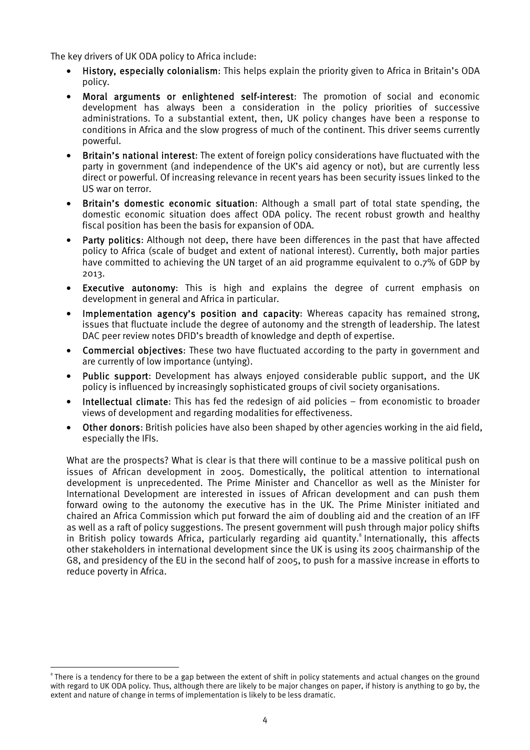The key drivers of UK ODA policy to Africa include:

- History, especially colonialism: This helps explain the priority given to Africa in Britain's ODA policy.
- Moral arguments or enlightened self-interest: The promotion of social and economic development has always been a consideration in the policy priorities of successive administrations. To a substantial extent, then, UK policy changes have been a response to conditions in Africa and the slow progress of much of the continent. This driver seems currently powerful.
- Britain's national interest: The extent of foreign policy considerations have fluctuated with the party in government (and independence of the UK's aid agency or not), but are currently less direct or powerful. Of increasing relevance in recent years has been security issues linked to the US war on terror.
- Britain's domestic economic situation: Although a small part of total state spending, the domestic economic situation does affect ODA policy. The recent robust growth and healthy fiscal position has been the basis for expansion of ODA.
- Party politics: Although not deep, there have been differences in the past that have affected policy to Africa (scale of budget and extent of national interest). Currently, both major parties have committed to achieving the UN target of an aid programme equivalent to 0.7% of GDP by 2013.
- Executive autonomy: This is high and explains the degree of current emphasis on development in general and Africa in particular.
- Implementation agency's position and capacity: Whereas capacity has remained strong, issues that fluctuate include the degree of autonomy and the strength of leadership. The latest DAC peer review notes DFID's breadth of knowledge and depth of expertise.
- Commercial objectives: These two have fluctuated according to the party in government and are currently of low importance (untying).
- Public support: Development has always enjoyed considerable public support, and the UK policy is influenced by increasingly sophisticated groups of civil society organisations.
- Intellectual climate: This has fed the redesign of aid policies from economistic to broader views of development and regarding modalities for effectiveness.
- Other donors: British policies have also been shaped by other agencies working in the aid field, especially the IFIs.

What are the prospects? What is clear is that there will continue to be a massive political push on issues of African development in 2005. Domestically, the political attention to international development is unprecedented. The Prime Minister and Chancellor as well as the Minister for International Development are interested in issues of African development and can push them forward owing to the autonomy the executive has in the UK. The Prime Minister initiated and chaired an Africa Commission which put forward the aim of doubling aid and the creation of an IFF as well as a raft of policy suggestions. The present government will push through major policy shifts in British policy towards Africa, particularly regarding aid quantity.<sup>8</sup> Internationally, this affects other stakeholders in international development since the UK is using its 2005 chairmanship of the G8, and presidency of the EU in the second half of 2005, to push for a massive increase in efforts to reduce poverty in Africa.

 $\overline{a}$ 

<sup>&</sup>lt;sup>8</sup> There is a tendency for there to be a gap between the extent of shift in policy statements and actual changes on the ground with regard to UK ODA policy. Thus, although there are likely to be major changes on paper, if history is anything to go by, the extent and nature of change in terms of implementation is likely to be less dramatic.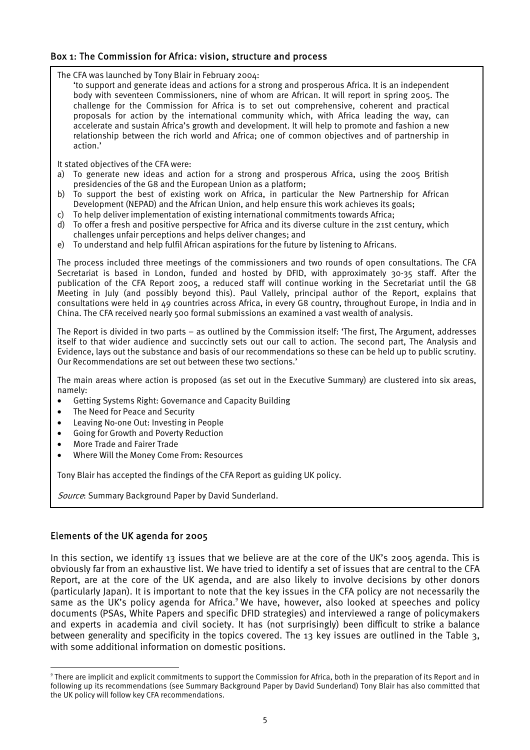#### Box 1: The Commission for Africa: vision, structure and process

The CFA was launched by Tony Blair in February 2004:

'to support and generate ideas and actions for a strong and prosperous Africa. It is an independent body with seventeen Commissioners, nine of whom are African. It will report in spring 2005. The challenge for the Commission for Africa is to set out comprehensive, coherent and practical proposals for action by the international community which, with Africa leading the way, can accelerate and sustain Africa's growth and development. It will help to promote and fashion a new relationship between the rich world and Africa; one of common objectives and of partnership in action.'

It stated objectives of the CFA were:

- a) To generate new ideas and action for a strong and prosperous Africa, using the 2005 British presidencies of the G8 and the European Union as a platform;
- b) To support the best of existing work on Africa, in particular the New Partnership for African Development (NEPAD) and the African Union, and help ensure this work achieves its goals;
- c) To help deliver implementation of existing international commitments towards Africa;
- d) To offer a fresh and positive perspective for Africa and its diverse culture in the 21st century, which challenges unfair perceptions and helps deliver changes; and
- e) To understand and help fulfil African aspirations for the future by listening to Africans.

The process included three meetings of the commissioners and two rounds of open consultations. The CFA Secretariat is based in London, funded and hosted by DFID, with approximately 30-35 staff. After the publication of the CFA Report 2005, a reduced staff will continue working in the Secretariat until the G8 Meeting in July (and possibly beyond this). Paul Vallely, principal author of the Report, explains that consultations were held in 49 countries across Africa, in every G8 country, throughout Europe, in India and in China. The CFA received nearly 500 formal submissions an examined a vast wealth of analysis.

The Report is divided in two parts – as outlined by the Commission itself: 'The first, The Argument, addresses itself to that wider audience and succinctly sets out our call to action. The second part, The Analysis and Evidence, lays out the substance and basis of our recommendations so these can be held up to public scrutiny. Our Recommendations are set out between these two sections.'

The main areas where action is proposed (as set out in the Executive Summary) are clustered into six areas, namely:

- Getting Systems Right: Governance and Capacity Building
- The Need for Peace and Security
- Leaving No-one Out: Investing in People
- Going for Growth and Poverty Reduction
- More Trade and Fairer Trade
- Where Will the Money Come From: Resources

Tony Blair has accepted the findings of the CFA Report as guiding UK policy.

Source: Summary Background Paper by David Sunderland.

#### Elements of the UK agenda for 2005

 $\overline{a}$ 

In this section, we identify 13 issues that we believe are at the core of the UK's 2005 agenda. This is obviously far from an exhaustive list. We have tried to identify a set of issues that are central to the CFA Report, are at the core of the UK agenda, and are also likely to involve decisions by other donors (particularly Japan). It is important to note that the key issues in the CFA policy are not necessarily the same as the UK's policy agenda for Africa.<sup>9</sup> We have, however, also looked at speeches and policy documents (PSAs, White Papers and specific DFID strategies) and interviewed a range of policymakers and experts in academia and civil society. It has (not surprisingly) been difficult to strike a balance between generality and specificity in the topics covered. The 13 key issues are outlined in the Table 3, with some additional information on domestic positions.

 $^9$  There are implicit and explicit commitments to support the Commission for Africa, both in the preparation of its Report and in following up its recommendations (see Summary Background Paper by David Sunderland) Tony Blair has also committed that the UK policy will follow key CFA recommendations.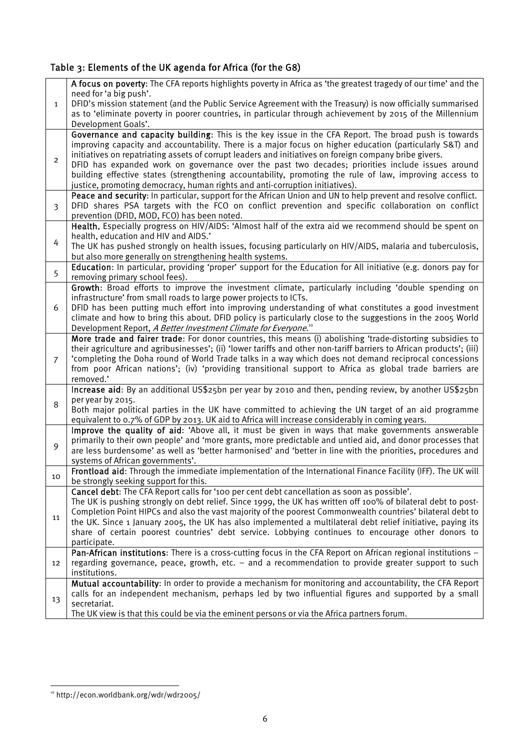#### Table 3: Elements of the UK agenda for Africa (for the G8)

|                | A focus on poverty: The CFA reports highlights poverty in Africa as 'the greatest tragedy of our time' and the                                                                                                   |
|----------------|------------------------------------------------------------------------------------------------------------------------------------------------------------------------------------------------------------------|
|                | need for 'a big push'.                                                                                                                                                                                           |
| $\mathbf{1}$   | DFID's mission statement (and the Public Service Agreement with the Treasury) is now officially summarised                                                                                                       |
|                | as to 'eliminate poverty in poorer countries, in particular through achievement by 2015 of the Millennium                                                                                                        |
|                | Development Goals'.                                                                                                                                                                                              |
|                | Governance and capacity building: This is the key issue in the CFA Report. The broad push is towards<br>improving capacity and accountability. There is a major focus on higher education (particularly S&T) and |
|                | initiatives on repatriating assets of corrupt leaders and initiatives on foreign company bribe givers.                                                                                                           |
| $\overline{2}$ | DFID has expanded work on governance over the past two decades; priorities include issues around                                                                                                                 |
|                | building effective states (strengthening accountability, promoting the rule of law, improving access to                                                                                                          |
|                | justice, promoting democracy, human rights and anti-corruption initiatives).                                                                                                                                     |
|                | Peace and security: In particular, support for the African Union and UN to help prevent and resolve conflict.                                                                                                    |
| 3              | DFID shares PSA targets with the FCO on conflict prevention and specific collaboration on conflict                                                                                                               |
|                | prevention (DFID, MOD, FCO) has been noted.                                                                                                                                                                      |
|                | Health, Especially progress on HIV/AIDS: 'Almost half of the extra aid we recommend should be spent on                                                                                                           |
| 4              | health, education and HIV and AIDS.'                                                                                                                                                                             |
|                | The UK has pushed strongly on health issues, focusing particularly on HIV/AIDS, malaria and tuberculosis,                                                                                                        |
|                | but also more generally on strengthening health systems.<br>Education: In particular, providing 'proper' support for the Education for All initiative (e.g. donors pay for                                       |
| 5              | removing primary school fees).                                                                                                                                                                                   |
|                | Growth: Broad efforts to improve the investment climate, particularly including 'double spending on                                                                                                              |
|                | infrastructure' from small roads to large power projects to ICTs.                                                                                                                                                |
| 6              | DFID has been putting much effort into improving understanding of what constitutes a good investment                                                                                                             |
|                | climate and how to bring this about. DFID policy is particularly close to the suggestions in the 2005 World                                                                                                      |
|                | Development Report, A Better Investment Climate for Everyone. <sup>10</sup>                                                                                                                                      |
|                | More trade and fairer trade: For donor countries, this means (i) abolishing 'trade-distorting subsidies to                                                                                                       |
|                | their agriculture and agribusinesses'; (ii) 'lower tariffs and other non-tariff barriers to African products'; (iii)                                                                                             |
| 7              | 'completing the Doha round of World Trade talks in a way which does not demand reciprocal concessions                                                                                                            |
|                | from poor African nations'; (iv) 'providing transitional support to Africa as global trade barriers are<br>removed.'                                                                                             |
|                | Increase aid: By an additional US\$25bn per year by 2010 and then, pending review, by another US\$25bn                                                                                                           |
|                | per year by 2015.                                                                                                                                                                                                |
| 8              | Both major political parties in the UK have committed to achieving the UN target of an aid programme                                                                                                             |
|                | equivalent to 0.7% of GDP by 2013. UK aid to Africa will increase considerably in coming years.                                                                                                                  |
|                | Improve the quality of aid: 'Above all, it must be given in ways that make governments answerable                                                                                                                |
| 9              | primarily to their own people' and 'more grants, more predictable and untied aid, and donor processes that                                                                                                       |
|                | are less burdensome' as well as 'better harmonised' and 'better in line with the priorities, procedures and                                                                                                      |
|                | systems of African governments'.                                                                                                                                                                                 |
| 10             | Frontload aid: Through the immediate implementation of the International Finance Facility (IFF). The UK will                                                                                                     |
|                | be strongly seeking support for this.<br>Cancel debt: The CFA Report calls for '100 per cent debt cancellation as soon as possible'.                                                                             |
|                | The UK is pushing strongly on debt relief. Since 1999, the UK has written off 100% of bilateral debt to post-                                                                                                    |
|                | Completion Point HIPCs and also the vast majority of the poorest Commonwealth countries' bilateral debt to                                                                                                       |
| 11             | the UK. Since 1 January 2005, the UK has also implemented a multilateral debt relief initiative, paying its                                                                                                      |
|                | share of certain poorest countries' debt service. Lobbying continues to encourage other donors to                                                                                                                |
|                | participate.                                                                                                                                                                                                     |
|                | Pan-African institutions: There is a cross-cutting focus in the CFA Report on African regional institutions -                                                                                                    |
| 12             | regarding governance, peace, growth, etc. - and a recommendation to provide greater support to such                                                                                                              |
|                | institutions.                                                                                                                                                                                                    |
|                | Mutual accountability: In order to provide a mechanism for monitoring and accountability, the CFA Report                                                                                                         |
| 13             | calls for an independent mechanism, perhaps led by two influential figures and supported by a small<br>secretariat.                                                                                              |
|                | The UK view is that this could be via the eminent persons or via the Africa partners forum.                                                                                                                      |
|                |                                                                                                                                                                                                                  |

 $\overline{a}$ 

<sup>10</sup> http://econ.worldbank.org/wdr/wdr2005/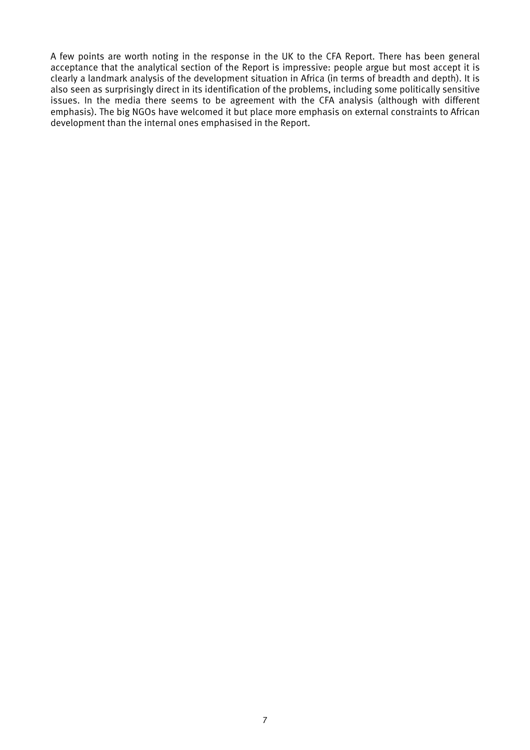A few points are worth noting in the response in the UK to the CFA Report. There has been general acceptance that the analytical section of the Report is impressive: people argue but most accept it is clearly a landmark analysis of the development situation in Africa (in terms of breadth and depth). It is also seen as surprisingly direct in its identification of the problems, including some politically sensitive issues. In the media there seems to be agreement with the CFA analysis (although with different emphasis). The big NGOs have welcomed it but place more emphasis on external constraints to African development than the internal ones emphasised in the Report.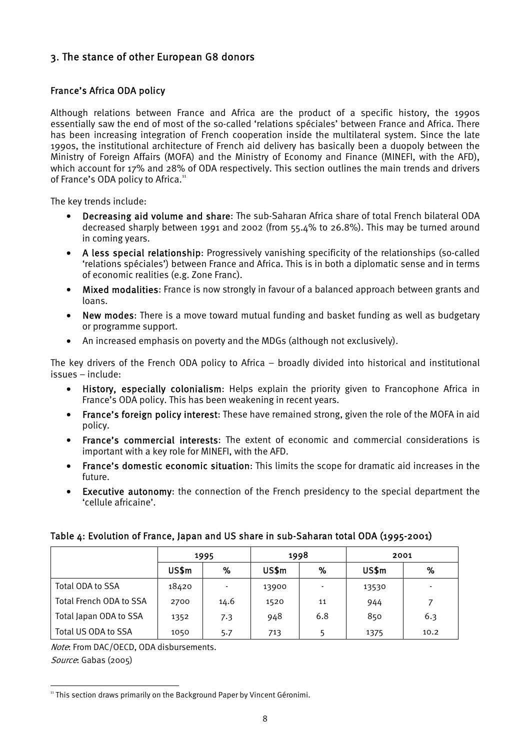## 3. The stance of other European G8 donors

### France's Africa ODA policy

Although relations between France and Africa are the product of a specific history, the 1990s essentially saw the end of most of the so-called 'relations spéciales' between France and Africa. There has been increasing integration of French cooperation inside the multilateral system. Since the late 1990s, the institutional architecture of French aid delivery has basically been a duopoly between the Ministry of Foreign Affairs (MOFA) and the Ministry of Economy and Finance (MINEFI, with the AFD), which account for 17% and 28% of ODA respectively. This section outlines the main trends and drivers of France's ODA policy to Africa.<sup>11</sup>

The key trends include:

- Decreasing aid volume and share: The sub-Saharan Africa share of total French bilateral ODA decreased sharply between 1991 and 2002 (from 55.4% to 26.8%). This may be turned around in coming years.
- A less special relationship: Progressively vanishing specificity of the relationships (so-called 'relations spéciales') between France and Africa. This is in both a diplomatic sense and in terms of economic realities (e.g. Zone Franc).
- Mixed modalities: France is now strongly in favour of a balanced approach between grants and loans.
- New modes: There is a move toward mutual funding and basket funding as well as budgetary or programme support.
- An increased emphasis on poverty and the MDGs (although not exclusively).

The key drivers of the French ODA policy to Africa – broadly divided into historical and institutional issues – include:

- History, especially colonialism: Helps explain the priority given to Francophone Africa in France's ODA policy. This has been weakening in recent years.
- France's foreign policy interest: These have remained strong, given the role of the MOFA in aid policy.
- France's commercial interests: The extent of economic and commercial considerations is important with a key role for MINEFI, with the AFD.
- France's domestic economic situation: This limits the scope for dramatic aid increases in the future.
- Executive autonomy: the connection of the French presidency to the special department the 'cellule africaine'.

#### Table 4: Evolution of France, Japan and US share in sub-Saharan total ODA (1995-2001)

|                         |       | 1995 | 1998  |     | 2001  |      |
|-------------------------|-------|------|-------|-----|-------|------|
|                         | US\$m | %    | US\$m | %   | US\$m | %    |
| Total ODA to SSA        | 18420 | ٠    | 13900 |     | 13530 |      |
| Total French ODA to SSA | 2700  | 14.6 | 1520  | 11  | 944   |      |
| Total Japan ODA to SSA  | 1352  | 7.3  | 948   | 6.8 | 850   | 6.3  |
| Total US ODA to SSA     | 1050  | 5.7  | 713   |     | 1375  | 10.2 |

Note: From DAC/OECD, ODA disbursements.

Source: Gabas (2005)

 $\overline{a}$ <sup>11</sup> This section draws primarily on the Background Paper by Vincent Géronimi.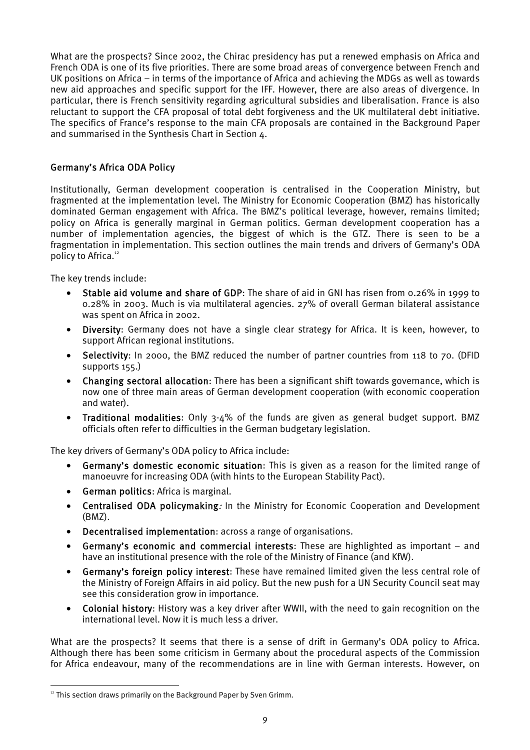What are the prospects? Since 2002, the Chirac presidency has put a renewed emphasis on Africa and French ODA is one of its five priorities. There are some broad areas of convergence between French and UK positions on Africa – in terms of the importance of Africa and achieving the MDGs as well as towards new aid approaches and specific support for the IFF. However, there are also areas of divergence. In particular, there is French sensitivity regarding agricultural subsidies and liberalisation. France is also reluctant to support the CFA proposal of total debt forgiveness and the UK multilateral debt initiative. The specifics of France's response to the main CFA proposals are contained in the Background Paper and summarised in the Synthesis Chart in Section  $\Delta$ .

#### Germany's Africa ODA Policy

Institutionally, German development cooperation is centralised in the Cooperation Ministry, but fragmented at the implementation level. The Ministry for Economic Cooperation (BMZ) has historically dominated German engagement with Africa. The BMZ's political leverage, however, remains limited; policy on Africa is generally marginal in German politics. German development cooperation has a number of implementation agencies, the biggest of which is the GTZ. There is seen to be a fragmentation in implementation. This section outlines the main trends and drivers of Germany's ODA policy to Africa.<sup>12</sup>

The key trends include:

- Stable aid volume and share of GDP: The share of aid in GNI has risen from 0.26% in 1999 to 0.28% in 2003. Much is via multilateral agencies. 27% of overall German bilateral assistance was spent on Africa in 2002.
- Diversity: Germany does not have a single clear strategy for Africa. It is keen, however, to support African regional institutions.
- Selectivity: In 2000, the BMZ reduced the number of partner countries from 118 to 70. (DFID supports 155.)
- Changing sectoral allocation: There has been a significant shift towards governance, which is now one of three main areas of German development cooperation (with economic cooperation and water).
- Traditional modalities: Only 3-4% of the funds are given as general budget support. BMZ officials often refer to difficulties in the German budgetary legislation.

The key drivers of Germany's ODA policy to Africa include:

- Germany's domestic economic situation: This is given as a reason for the limited range of manoeuvre for increasing ODA (with hints to the European Stability Pact).
- German politics: Africa is marginal.
- Centralised ODA policymaking: In the Ministry for Economic Cooperation and Development (BMZ).
- Decentralised implementation: across a range of organisations.
- Germany's economic and commercial interests: These are highlighted as important and have an institutional presence with the role of the Ministry of Finance (and KfW).
- Germany's foreign policy interest: These have remained limited given the less central role of the Ministry of Foreign Affairs in aid policy. But the new push for a UN Security Council seat may see this consideration grow in importance.
- Colonial history: History was a key driver after WWII, with the need to gain recognition on the international level. Now it is much less a driver.

What are the prospects? It seems that there is a sense of drift in Germany's ODA policy to Africa. Although there has been some criticism in Germany about the procedural aspects of the Commission for Africa endeavour, many of the recommendations are in line with German interests. However, on

 $\overline{a}$ <sup>12</sup> This section draws primarily on the Background Paper by Sven Grimm.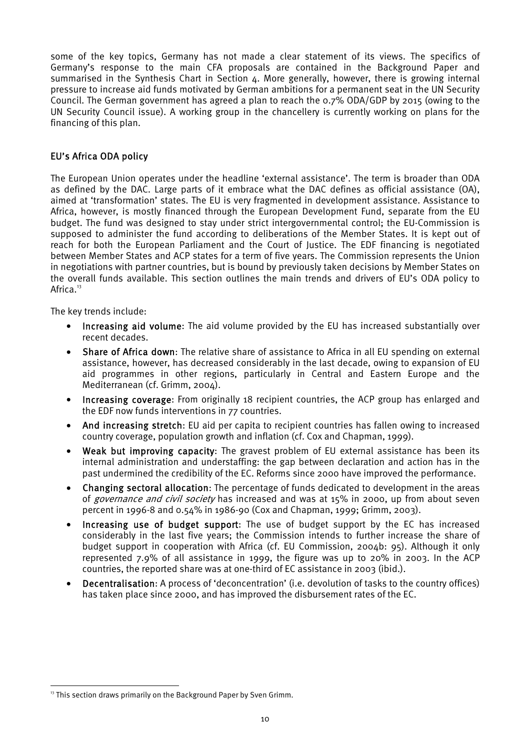some of the key topics, Germany has not made a clear statement of its views. The specifics of Germany's response to the main CFA proposals are contained in the Background Paper and summarised in the Synthesis Chart in Section 4. More generally, however, there is growing internal pressure to increase aid funds motivated by German ambitions for a permanent seat in the UN Security Council. The German government has agreed a plan to reach the 0.7% ODA/GDP by 2015 (owing to the UN Security Council issue). A working group in the chancellery is currently working on plans for the financing of this plan.

#### EU's Africa ODA policy

The European Union operates under the headline 'external assistance'. The term is broader than ODA as defined by the DAC. Large parts of it embrace what the DAC defines as official assistance (OA), aimed at 'transformation' states. The EU is very fragmented in development assistance. Assistance to Africa, however, is mostly financed through the European Development Fund, separate from the EU budget. The fund was designed to stay under strict intergovernmental control; the EU-Commission is supposed to administer the fund according to deliberations of the Member States. It is kept out of reach for both the European Parliament and the Court of Justice. The EDF financing is negotiated between Member States and ACP states for a term of five years. The Commission represents the Union in negotiations with partner countries, but is bound by previously taken decisions by Member States on the overall funds available. This section outlines the main trends and drivers of EU's ODA policy to Africa.<sup>13</sup>

The key trends include:

- Increasing aid volume: The aid volume provided by the EU has increased substantially over recent decades.
- Share of Africa down: The relative share of assistance to Africa in all EU spending on external assistance, however, has decreased considerably in the last decade, owing to expansion of EU aid programmes in other regions, particularly in Central and Eastern Europe and the Mediterranean (cf. Grimm, 2004).
- Increasing coverage: From originally 18 recipient countries, the ACP group has enlarged and the EDF now funds interventions in 77 countries.
- And increasing stretch: EU aid per capita to recipient countries has fallen owing to increased country coverage, population growth and inflation (cf. Cox and Chapman, 1999).
- Weak but improving capacity: The gravest problem of EU external assistance has been its internal administration and understaffing: the gap between declaration and action has in the past undermined the credibility of the EC. Reforms since 2000 have improved the performance.
- Changing sectoral allocation: The percentage of funds dedicated to development in the areas of *governance and civil society* has increased and was at 15% in 2000, up from about seven percent in 1996-8 and 0.54% in 1986-90 (Cox and Chapman, 1999; Grimm, 2003).
- Increasing use of budget support: The use of budget support by the EC has increased considerably in the last five years; the Commission intends to further increase the share of budget support in cooperation with Africa (cf. EU Commission, 2004b: 95). Although it only represented 7.9% of all assistance in 1999, the figure was up to 20% in 2003. In the ACP countries, the reported share was at one-third of EC assistance in 2003 (ibid.).
- Decentralisation: A process of 'deconcentration' (i.e. devolution of tasks to the country offices) has taken place since 2000, and has improved the disbursement rates of the EC.

 $\overline{a}$ 

<sup>&</sup>lt;sup>13</sup> This section draws primarily on the Background Paper by Sven Grimm.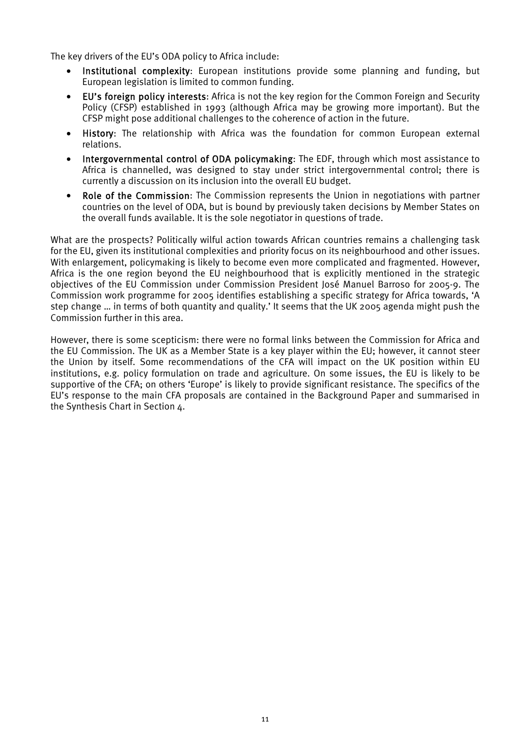The key drivers of the EU's ODA policy to Africa include:

- Institutional complexity: European institutions provide some planning and funding, but European legislation is limited to common funding.
- EU's foreign policy interests: Africa is not the key region for the Common Foreign and Security Policy (CFSP) established in 1993 (although Africa may be growing more important). But the CFSP might pose additional challenges to the coherence of action in the future.
- History: The relationship with Africa was the foundation for common European external relations.
- Intergovernmental control of ODA policymaking: The EDF, through which most assistance to Africa is channelled, was designed to stay under strict intergovernmental control; there is currently a discussion on its inclusion into the overall EU budget.
- Role of the Commission: The Commission represents the Union in negotiations with partner countries on the level of ODA, but is bound by previously taken decisions by Member States on the overall funds available. It is the sole negotiator in questions of trade.

What are the prospects? Politically wilful action towards African countries remains a challenging task for the EU, given its institutional complexities and priority focus on its neighbourhood and other issues. With enlargement, policymaking is likely to become even more complicated and fragmented. However, Africa is the one region beyond the EU neighbourhood that is explicitly mentioned in the strategic objectives of the EU Commission under Commission President José Manuel Barroso for 2005-9. The Commission work programme for 2005 identifies establishing a specific strategy for Africa towards, 'A step change … in terms of both quantity and quality.' It seems that the UK 2005 agenda might push the Commission further in this area.

However, there is some scepticism: there were no formal links between the Commission for Africa and the EU Commission. The UK as a Member State is a key player within the EU; however, it cannot steer the Union by itself. Some recommendations of the CFA will impact on the UK position within EU institutions, e.g. policy formulation on trade and agriculture. On some issues, the EU is likely to be supportive of the CFA; on others 'Europe' is likely to provide significant resistance. The specifics of the EU's response to the main CFA proposals are contained in the Background Paper and summarised in the Synthesis Chart in Section  $\Delta$ .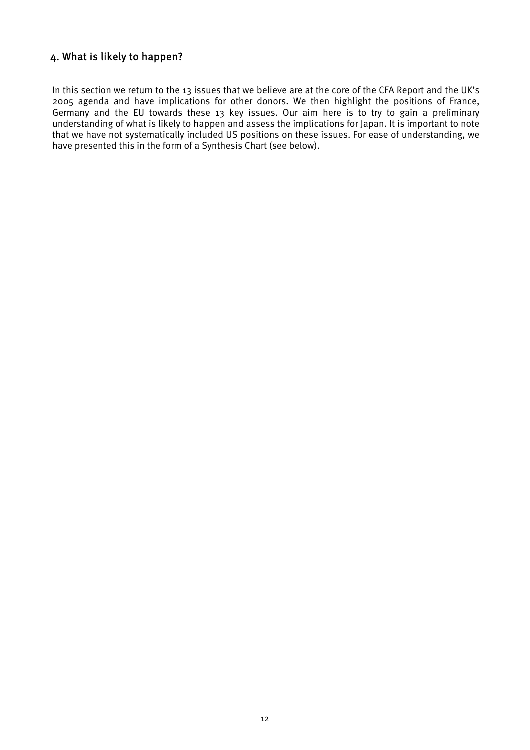## 4. What is likely to happen?

In this section we return to the 13 issues that we believe are at the core of the CFA Report and the UK's 2005 agenda and have implications for other donors. We then highlight the positions of France, Germany and the EU towards these 13 key issues. Our aim here is to try to gain a preliminary understanding of what is likely to happen and assess the implications for Japan. It is important to note that we have not systematically included US positions on these issues. For ease of understanding, we have presented this in the form of a Synthesis Chart (see below).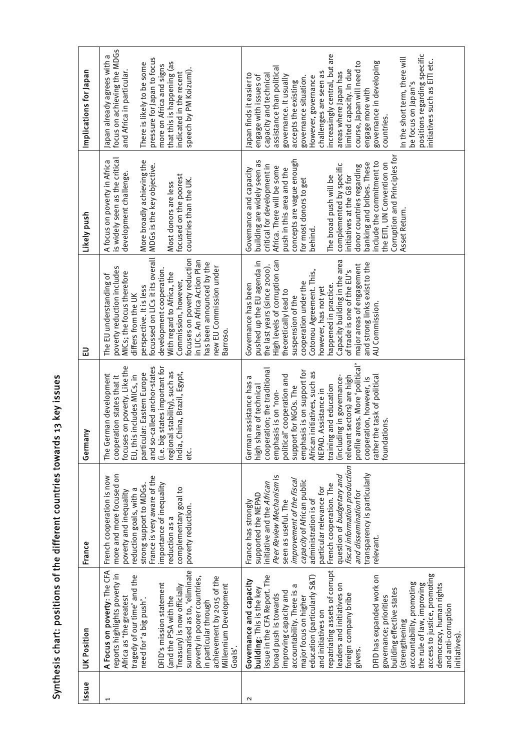| Issue  | UK Position                                                                                                                                                                                                                                                                                                                                                                                                                                                                                                                                                                                                                     | France                                                                                                                                                                                                                                                                                                                                                                                                          | Germany                                                                                                                                                                                                                                                                                                                                                                                                                                                        | 旵                                                                                                                                                                                                                                                                                                                                                                                                                      | Likely push                                                                                                                                                                                                                                                                                                                                                                                                                                                                  | Implications for Japan                                                                                                                                                                                                                                                                                                                                                                                                                                                                                                                          |
|--------|---------------------------------------------------------------------------------------------------------------------------------------------------------------------------------------------------------------------------------------------------------------------------------------------------------------------------------------------------------------------------------------------------------------------------------------------------------------------------------------------------------------------------------------------------------------------------------------------------------------------------------|-----------------------------------------------------------------------------------------------------------------------------------------------------------------------------------------------------------------------------------------------------------------------------------------------------------------------------------------------------------------------------------------------------------------|----------------------------------------------------------------------------------------------------------------------------------------------------------------------------------------------------------------------------------------------------------------------------------------------------------------------------------------------------------------------------------------------------------------------------------------------------------------|------------------------------------------------------------------------------------------------------------------------------------------------------------------------------------------------------------------------------------------------------------------------------------------------------------------------------------------------------------------------------------------------------------------------|------------------------------------------------------------------------------------------------------------------------------------------------------------------------------------------------------------------------------------------------------------------------------------------------------------------------------------------------------------------------------------------------------------------------------------------------------------------------------|-------------------------------------------------------------------------------------------------------------------------------------------------------------------------------------------------------------------------------------------------------------------------------------------------------------------------------------------------------------------------------------------------------------------------------------------------------------------------------------------------------------------------------------------------|
|        | A Focus on poverty: The CFA<br>summarised as to, 'eliminate<br>reports highlights poverty in<br>tragedy of our time' and the<br>achievement by 2015 of the<br>poverty in poorer countries,<br>DFID's mission statement<br>Millennium Development<br>Treasury) is now officially<br>Africa as 'the greatest<br>(and the PSA with the<br>need for 'a big push'.<br>in particular through<br>Goals'.                                                                                                                                                                                                                               | more and more focused on<br>France is very aware of the<br>French cooperation is now<br>importance of inequality<br>strong support to MDGs.<br>complementary goal to<br>reduction goals, with a<br>poverty and inequality<br>poverty reduction.<br>reduction as a                                                                                                                                               | focuses on poverty. Like the<br>so-called anchor-states<br>big states important for<br>regional stability), such as<br>particular: Eastern Europe<br>India, China, Brazil, Egypt,<br>German development<br>EU, this includes MICs, in<br>cooperation states that it<br>Thе<br>and<br>نه<br>ټ<br>etc.                                                                                                                                                           | focussed on LICs it its overall<br>focuses on poverty reduction<br>in LICs. An Africa Action Plan<br>has been announced by the<br>new EU Commission under<br>poverty reduction includes<br>development cooperation.<br>MICs; the focus therefore<br>With regard to Africa, the<br>The EU understanding of<br>Commission, however,<br>perspective. It is less<br>differs from the UK<br>Barroso.                        | A focus on poverty in Africa<br>is widely seen as the critical<br>More broadly achieving the<br>MDGs is the key objective.<br>development challenge.<br>focused on the poorest<br>countries than the UK.<br>Most donors are less                                                                                                                                                                                                                                             | focus on achieving the MDGs<br>Japan already agrees with a<br>pressure for Japan to focus<br>that this is happening (as<br>There is likely to be some<br>more on Africa and signs<br>speech by PM Koizumi).<br>indicated in the recent<br>and Africa in particular                                                                                                                                                                                                                                                                              |
| $\sim$ | repatriating assets of corrupt<br>access to justice, promoting<br>issue in the CFA Report. The<br>education (particularly S&T)<br>DFID has expanded work on<br>Governance and capacity<br>accountability, promoting<br>the rule of law, improving<br>democracy, human rights<br>leaders and initiatives on<br>Б<br>building: This is the key<br>building effective states<br>accountability. There is<br>improving capacity and<br>foreign company bribe<br>broad push is towards<br>major focus on higher<br>governance; priorities<br>and anti-corruption<br>and initiatives on<br>(strengthening<br>initiatives).<br>givers. | fiscal information production<br>transparency is particularly<br>question of <i>budgetary and</i><br>Peer Review Mechanism is<br>improvement of the fiscal<br>capacity of African public<br>initiative and the African<br>French cooperation. The<br>particular relevance for<br>and dissemination for<br>supported the NEPAD<br>administration is of<br>seen as useful. The<br>France has strongly<br>elevant. | profile areas. More 'political'<br>cooperation; the traditional<br>emphasis is on support for<br>African initiatives, such as<br>political' cooperation and<br>relevant sectors) are high<br>rather the task of political<br>man assistance has a<br>(including in governance-<br>cooperation, however, is<br>training and education<br>high share of technical<br>support for NGOs. The<br>NEPAD. Assistance in<br>emphasis is on 'non-<br>foundations<br>Ger | Capacity building in the area<br>High levels of corruption can<br>pushed up the EU agenda in<br>and strong links exist to the<br>major areas of engagement<br>the last years (since 2000).<br>of trade is one of the EU's<br>Cotonou Agreement. This,<br>cooperation under the<br>Governance has been<br>happened in practice.<br>however, has not yet<br>theoretically lead to<br>suspension of the<br>AU Commission. | Corruption and Principles for<br>concepts are vague enough<br>building are widely seen as<br>include the commitment to<br>the EITI, UN Convention on<br>banking and bribes. These<br>complemented by specific<br>critical for development in<br>donor countries regarding<br>Africa. There will be some<br>Governance and capacity<br>push in this area and the<br>initiatives at the G8 for<br>The broad push will be<br>for most donors to get<br>Asset Return.<br>behind. | positions regarding specific<br>increasingly central, but are<br>In the short term, there will<br>initiatives such as EITI etc.<br>course, Japan will need to<br>governance in developing<br>assistance than political<br>limited capacity. In due<br>challenges are seen as<br>areas where Japan has<br>capacity and technical<br>Japan finds it easier to<br>governance. It usually<br>engage with issues of<br>governance situation.<br>However, governance<br>accepts the existing<br>be focus on Japan's<br>engage more with<br>countries. |

Synthesis chart: positions of the different countries towards 13 key issues Synthesis chart: positions of the different countries towards 13 key issues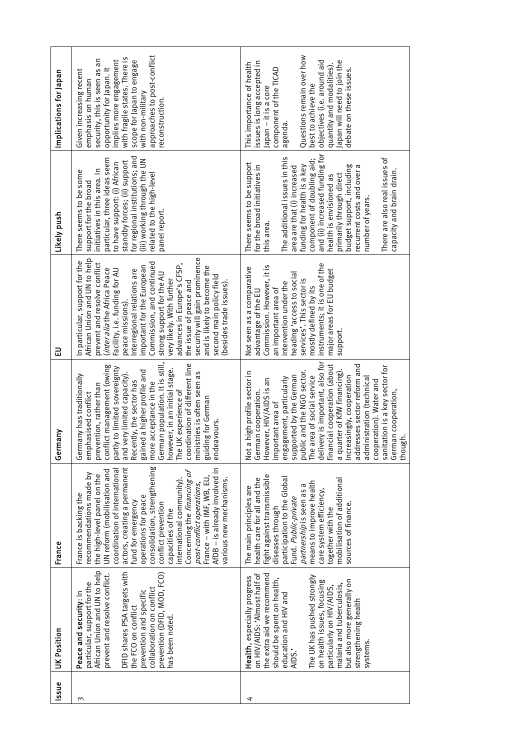| Implications for Japan | approaches to post-conflict<br>with fragile states. There is<br>security, this is seen as an<br>implies more engagement<br>scope for Japan to engage<br>opportunity for Japan. It<br>Given increasing recent<br>emphasis on human<br>with non-military<br>reconstruction.                                                                                                                                                                                                                                          | Questions remain over how<br>Japan will need to join the<br>objectives (i.e. around aid<br>issues is long accepted in<br>This importance of health<br>quantity and modalities).<br>component of the TICAD<br>debate on these issues.<br>best to achieve the<br>Japan - it is a core<br>agenda.                                                                                                                                                                                                                                     |
|------------------------|--------------------------------------------------------------------------------------------------------------------------------------------------------------------------------------------------------------------------------------------------------------------------------------------------------------------------------------------------------------------------------------------------------------------------------------------------------------------------------------------------------------------|------------------------------------------------------------------------------------------------------------------------------------------------------------------------------------------------------------------------------------------------------------------------------------------------------------------------------------------------------------------------------------------------------------------------------------------------------------------------------------------------------------------------------------|
| Likely push            | for regional institutions; and<br>particular, three ideas seem<br>(iii) working through the UN<br>standby forces; (ii) support<br>to have support: (i) African<br>initiatives in this area. In<br>There seems to be some<br>related to the high-level<br>support for the broad<br>panel report.                                                                                                                                                                                                                    | and (ii) increased funding for<br>The additional issues in this<br>There are also real issues of<br>component of doubling aid;<br>There seems to be support<br>funding for health is a key<br>budget support, including<br>recurrent costs and over a<br>for the broad initiatives in<br>area are that (i) increased<br>capacity and brain drain.<br>primarily through direct<br>health is envisioned as<br>number of years<br>this area.                                                                                          |
| 급                      | security will gain prominence<br>African Union and UN to help<br>In particular, support for the<br>Commission, and continued<br>prevent and resolve conflict<br>advances in Europe's CFSP,<br>important for the European<br>and is likely to become the<br>(inter alia the Africa Peace<br>Facility, i.e. funding for AU<br>nterregional relations are<br>strong support for the AU<br>second main policy field<br>very likely. With further<br>the issue of peace and<br>besides trade issues)<br>peace missions) | instruments; it is one of the<br>Commission. However, it is<br>Not seen as a comparative<br>major areas for EU budget<br>heading 'access to social<br>services'. This sector is<br>intervention under the<br>mostly defined by its<br>an important area of<br>advantage of the EU<br>support.                                                                                                                                                                                                                                      |
| Germany                | German population. It is still,<br>coordination of different line<br>conflict management (owing<br>partly to limited sovereignty<br>however, in an initial stage.<br>gained a higher profile and<br>ministries is often seen as<br>and very limited capacity).<br>many has traditionally<br>Recently, the sector has<br>more acceptance in the<br>prevention, rather than<br>The UK experience of<br>emphasised conflict<br>guiding for German<br>endeavours.<br>Ger                                               | very is important, also for<br>financial cooperation (about<br>addresses sector reform and<br>itation is a key sector for<br>public and the NGO sector.<br>a high profile sector in<br>a quarter of KfW financing)<br>supported by the German<br>area of social service<br>Increasingly, cooperation<br>administration (technical<br>engagement, particularly<br>However, HIV/AIDS is an<br>cooperation). Water and<br>German cooperation,<br>German cooperation<br>important area of<br>though.<br>Not<br>The<br>sani<br>ijə<br>b |
| France                 | consolidation, strengthening<br>actors, creating a permanent<br>AfDB - is already involved in<br>coordination of international<br>UN reform (mobilisation and<br>Concerning the financing of<br>ecommendations made by<br>the high-level panel on the<br>various new mechanisms.<br>France - with IMF, WB, EU<br>international community)<br>post-conflict operations,<br>France is backing the<br>operations for peace<br>fund for emergency<br>conflict prevention<br>capacities of the                          | fight against transmissible<br>participation to the Global<br>health care for all and the<br>mobilisation of additional<br>means to improve health<br>partnership is seen as a<br>The main principles are<br>care system efficiency,<br>Fund. Public-private<br>sources of finance<br>diseases through<br>together with the                                                                                                                                                                                                        |
| <b>UK Position</b>     | African Union and UN to help<br>DFID shares PSA targets with<br>prevention (DFID, MOD, FCO)<br>prevent and resolve conflict.<br>particular, support for the<br>collaboration on conflict<br>prevention and specific<br>Peace and security: In<br>the FCO on conflict<br>has been noted.                                                                                                                                                                                                                            | on HIV/AIDS: 'Almost half of<br>the extra aid we recommend<br>Health, especially progress<br>The UK has pushed strongly<br>should be spent on health,<br>but also more generally on<br>on health issues, focusing<br>malaria and tuberculosis,<br>particularly on HIV/AIDS,<br>education and HIV and<br>strengthening health<br>systems.<br>AIDS.'                                                                                                                                                                                 |
| Issue                  | ς                                                                                                                                                                                                                                                                                                                                                                                                                                                                                                                  | 4                                                                                                                                                                                                                                                                                                                                                                                                                                                                                                                                  |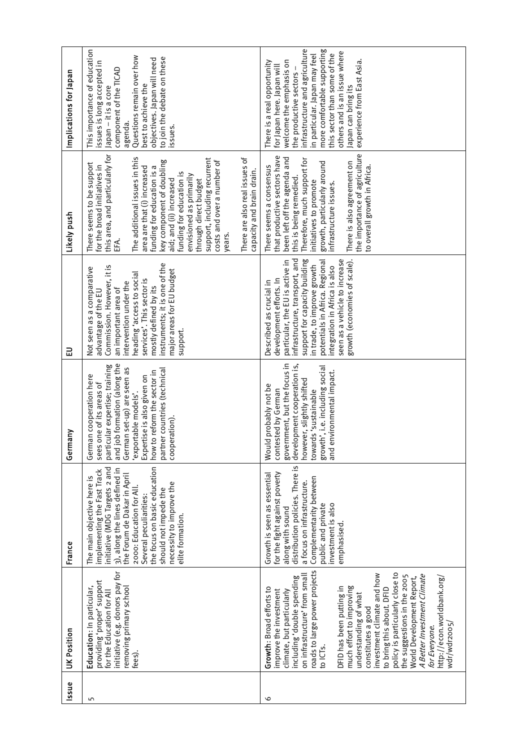| Issue   | <b>UK Position</b>                                                                                                                                                                                                                                                                                                                                                                                                                                                                                                                                             | France                                                                                                                                                                                                                                                                                                                     | Germany                                                                                                                                                                                                                                                                                   | 긆                                                                                                                                                                                                                                                                                                                           | Likely push                                                                                                                                                                                                                                                                                                                                                                                                                                                                      | Implications for Japan                                                                                                                                                                                                                                                                                                                  |
|---------|----------------------------------------------------------------------------------------------------------------------------------------------------------------------------------------------------------------------------------------------------------------------------------------------------------------------------------------------------------------------------------------------------------------------------------------------------------------------------------------------------------------------------------------------------------------|----------------------------------------------------------------------------------------------------------------------------------------------------------------------------------------------------------------------------------------------------------------------------------------------------------------------------|-------------------------------------------------------------------------------------------------------------------------------------------------------------------------------------------------------------------------------------------------------------------------------------------|-----------------------------------------------------------------------------------------------------------------------------------------------------------------------------------------------------------------------------------------------------------------------------------------------------------------------------|----------------------------------------------------------------------------------------------------------------------------------------------------------------------------------------------------------------------------------------------------------------------------------------------------------------------------------------------------------------------------------------------------------------------------------------------------------------------------------|-----------------------------------------------------------------------------------------------------------------------------------------------------------------------------------------------------------------------------------------------------------------------------------------------------------------------------------------|
| S       | initiative (e.g. donors pay for<br>providing 'proper' support<br>removing primary school<br>Education: In particular,<br>for the Education for All<br>fees).                                                                                                                                                                                                                                                                                                                                                                                                   | initiative (MDG Targets 2 and<br>the focus on basic education<br>3), along the lines defined in<br>implementing the Fast Track<br>the Forum de Dakar in April<br>The main objective here is<br>necessity to improve the<br>2000: Education for All.<br>should not impede the<br>Several peculiarities:<br>elite formation. | and job formation (along the<br>particular expertise; training<br>German set-up) are seen as<br>partner countries (technical<br>how to reform the sector in<br>German cooperation here<br>Expertise is also given on<br>sees one of its areas of<br>'exportable models'.<br>cooperation). | instruments; it is one of the<br>Commission. However, it is<br>Not seen as a comparative<br>major areas for EU budget<br>heading 'access to social<br>services'. This sector is<br>intervention under the<br>mostly defined by its<br>an important area of<br>advantage of the EU<br>support.                               | this area, and particularly for<br>The additional issues in this<br>There are also real issues of<br>support, including recurrent<br>costs and over a number of<br>key component of doubling<br>There seems to be support<br>for the broad initiatives in<br>area are that (i) increased<br>funding for education is a<br>capacity and brain drain.<br>funding for education is<br>envisioned as primarily<br>aid; and (ii) increased<br>through direct budget<br>years.<br>EFA. | This importance of education<br>Questions remain over how<br>to join the debate on these<br>objectives. Japan will need<br>issues is long accepted in<br>component of the TICAD<br>best to achieve the<br>Japan - it is a core<br>agenda.<br>issues.                                                                                    |
| $\circ$ | roads to large power projects<br>policy is particularly close to<br>investment climate and how<br>on infrastructure' from small<br>A Better Investment Climate<br>the suggestions in the 2005<br>World Development Report,<br>http://econ.worldbank.org/<br>including double spending<br>much effort to improving<br>DFID has been putting in<br>Growth: Broad efforts to<br>to bring this about. DFID<br>improve the investment<br>climate, but particularly<br>understanding of what<br>constitutes a good<br>wdr/wdr2005,<br>for Everyone.<br>$\frac{1}{2}$ | distribution policies. There is<br>for the fight against poverty<br>Growth is seen as essential<br>Complementarity between<br>a focus on infrastructure.<br>public and private<br>investment is also<br>along with sound<br>emphasised                                                                                     | government, but the focus in<br>development cooperation is,<br>growth', i.e. including social<br>environmental impact.<br>however, slightly shifted<br>Id probably not be<br>contested by German<br>towards 'sustainable<br>Woul<br>and                                                   | infrastructure, transport, and<br>growth (economies of scale).<br>support for capacity building<br>seen as a vehicle to increase<br>particular, the EU is active in<br>potentials in Africa. Regional<br>integration in Africa is also<br>in trade, to improve growth<br>development efforts. In<br>Described as crucial in | the importance of agriculture<br>that productive sectors have<br>been left off the agenda and<br>Therefore, much support for<br>growth, particularly around<br>There is also agreement on<br>to overall growth in Africa.<br>There seems a consensus<br>this is being remedied.<br>initiatives to promote<br>infrastructure issues.                                                                                                                                              | infrastructure and agriculture<br>more comfortable supporting<br>others and is an issue where<br>this sector than some of the<br>in particular. Japan may feel<br>experience from East Asia.<br>There is a real opportunity<br>welcome the emphasis on<br>for Japan here. Japan will<br>the productive sectors -<br>Japan can bring its |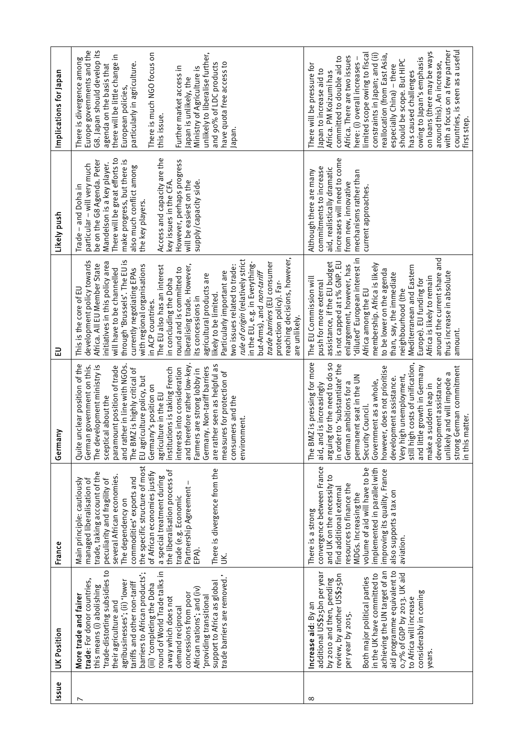| Issue | UK Position                                                                                                                                                                                                                                                                                                                                                                                                                                                                                               | France                                                                                                                                                                                                                                                                                                                                                                                                                                 | many<br>5ء<br>ق                                                                                                                                                                                                                                                                                                                                                                                                                                                                                                                                                         | 긊                                                                                                                                                                                                                                                                                                                                                                                                                                                                                                                                                                                                                                                                                                                                                     | Likely push                                                                                                                                                                                                                                                                                                                                                              | Implications for Japan                                                                                                                                                                                                                                                                                                                                                                                                                                                                                                                             |
|-------|-----------------------------------------------------------------------------------------------------------------------------------------------------------------------------------------------------------------------------------------------------------------------------------------------------------------------------------------------------------------------------------------------------------------------------------------------------------------------------------------------------------|----------------------------------------------------------------------------------------------------------------------------------------------------------------------------------------------------------------------------------------------------------------------------------------------------------------------------------------------------------------------------------------------------------------------------------------|-------------------------------------------------------------------------------------------------------------------------------------------------------------------------------------------------------------------------------------------------------------------------------------------------------------------------------------------------------------------------------------------------------------------------------------------------------------------------------------------------------------------------------------------------------------------------|-------------------------------------------------------------------------------------------------------------------------------------------------------------------------------------------------------------------------------------------------------------------------------------------------------------------------------------------------------------------------------------------------------------------------------------------------------------------------------------------------------------------------------------------------------------------------------------------------------------------------------------------------------------------------------------------------------------------------------------------------------|--------------------------------------------------------------------------------------------------------------------------------------------------------------------------------------------------------------------------------------------------------------------------------------------------------------------------------------------------------------------------|----------------------------------------------------------------------------------------------------------------------------------------------------------------------------------------------------------------------------------------------------------------------------------------------------------------------------------------------------------------------------------------------------------------------------------------------------------------------------------------------------------------------------------------------------|
|       | trade-distorting subsidies to<br>round of World Trade talks in<br>barriers to African products';<br>trade barriers are removed.'<br>trade: For donor countries,<br>agribusinesses'; (ii) 'lower<br>support to Africa as global<br>tariffs and other non-tariff<br>(iii) 'completing the Doha<br>this means (i) abolishing<br>African nations'; and (iv)<br>concessions from poor<br>providing transitional<br>More trade and fairer<br>a way which does not<br>their agriculture and<br>demand reciprocal | the specific structure of most<br>There is divergence from the<br>the liberalisation process of<br>of African economies justify<br>trade, taking account of the<br>several African economies.<br>a special treatment during<br>commodities' exports and<br>Main principle: cautiously<br>peculiarity and fragility of<br>managed liberalisation of<br>Partnership Agreement<br>trade (e.g. Economic<br>The dependency on<br>EPA).<br>š | and therefore rather low-key.<br>Quite unclear position of the<br>are rather seen as helpful as<br>and rather in line with NGOs.<br>The development ministry is<br>German government on this.<br>paramount position of trade<br>Germany. Non-tariff barriers<br>The BMZ is highly critical of<br>agriculture in the EU<br>institutions is taking French<br>interests into consideration<br>Farmers are strong lobby in<br>measures for protection of<br>EU agriculture policy, but<br>Germany's position on<br>sceptical about the<br>consumers and the<br>environment. | reaching decisions, however,<br>rule of origin (relatively strict<br>through 'Brussels'. The EU is<br>development policy towards<br>initiatives in this policy area<br>trade barriers (EU consumer<br>in the EU, e.g. in Everything-<br>Africa. All EU Member State<br>with regional organisations<br>liberalising trade. However,<br>two issues related to trade:<br>The EU also has an interest<br>round and is committed to<br>will have to be channelled<br>currently negotiating EPAs<br>Particularly important are<br>but-Arms), and non-tariff<br>agricultural products are<br>in concluding the Doha<br>protection policy). Far-<br>This is the core of EU<br>ikely to be limited<br>its concessions in<br>in ACP countries.<br>are unlikely. | There will be great efforts to<br>Access and capacity are the<br>make progress, but there is<br>However, perhaps progress<br>be on the G8 Agenda. Peter<br>Mandelson is a key player.<br>particular - will very much<br>also much conflict among<br>will be easiest on the<br>key issues in the CFA.<br>supply/capacity side.<br>Trade - and Doha in<br>the key players. | Europe governments and the<br>G8. Japan should develop its<br>unlikely to liberalise further,<br>There is much NGO focus on<br>there will be little change in<br>There is divergence among<br>particularly in agriculture.<br>have quota free access to<br>and 90% of LDC products<br>agenda on the basis that<br>Further market access in<br>Ministry of Agriculture is<br>Japan is unlikely, the<br>European policies,<br>this issue.<br>Japan.                                                                                                  |
|       | achieving the UN target of an<br>aid programme equivalent to<br>additional US\$25bn per year<br>in the UK have committed to<br>o.7% of GDP by 2013. UK aid<br>review, by another US\$25bn<br>Both major political parties<br>by 2010 and then, pending<br>considerably in coming<br>to Africa will increase<br>Increase aid: By an<br>per year by 2015.<br>years.                                                                                                                                         | convergence between France<br>volume of aid will have to be<br>implemented in parallel with<br>improving its quality. France<br>and UK on the necessity to<br>resources to finance the<br>find additional external<br>also supports a tax on<br>MDGs. Increasing the<br>There is a strong<br>aviation.                                                                                                                                 | BMZ is pressing for more<br>arguing for the need to do so<br>still high costs of unification,<br>in order to 'substantiate' the<br>strong German commitment<br>however, does not prioritise<br>and little growth in Germany<br>unlikely and will impede a<br>Very high unemployment,<br>permanent seat in the UN<br>Security Council.<br>development assistance.<br>development assistance<br>Government as a whole,<br>German ambitions for a<br>and is increasingly<br>make a sudden leap in<br>in this matter.<br>The I<br>aid,                                      | around the current share and<br>diluted' European interest in<br>is not capped at 1% GNP. EU<br>assistance, if the EU budget<br>enlargement, however, has<br>membership. Africa is likely<br>Mediterranean and Eastern<br>to be lower on the agenda<br>thus increase in absolute<br>than, say, the immediate<br>Africa is likely to remain<br>The EU Commission will<br>Europe). EU funding for<br>push for more external<br>Africa among the EU<br>neighbourhood (the<br>amount.                                                                                                                                                                                                                                                                     | increases will need to come<br>commitments to increase<br>aid, realistically dramatic<br>Although there are many<br>mechanisms rather than<br>from new, innovative<br>current approaches                                                                                                                                                                                 | with a focus on a few partner<br>countries, is seen as a useful<br>on loans (there may be ways<br>limited scope owing to fiscal<br>constraints in Japan; and (ii)<br>reallocation (from East Asia,<br>Africa. There are two issues<br>committed to double aid to<br>here: (i) overall increases -<br>owing to Japan's emphasis<br>should be scope. But HIPC<br>around this). An increase,<br>There will be pressure for<br>especially China) - there<br>lapan to increase aid to<br>has caused challenges<br>Africa. PM Koizumi has<br>first step. |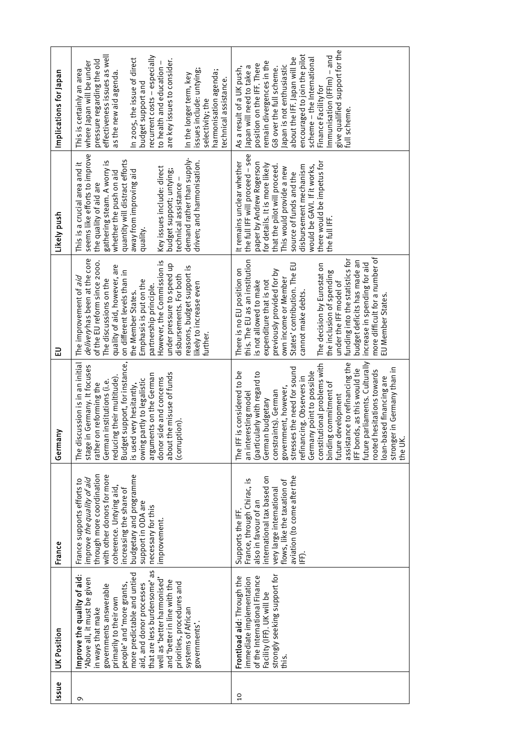| Issue          | UK Position                                                                                                                                                                                                                                                                                                                                                                                    | France                                                                                                                                                                                                                                                          | many<br>ت<br>ق                                                                                                                                                                                                                                                                                                                                                                                                                                                                                                                             | 긆                                                                                                                                                                                                                                                                                                                                                                                                                                                                            | Likely push                                                                                                                                                                                                                                                                                                                                                                 | Implications for Japan                                                                                                                                                                                                                                                                                                                                                                                                      |
|----------------|------------------------------------------------------------------------------------------------------------------------------------------------------------------------------------------------------------------------------------------------------------------------------------------------------------------------------------------------------------------------------------------------|-----------------------------------------------------------------------------------------------------------------------------------------------------------------------------------------------------------------------------------------------------------------|--------------------------------------------------------------------------------------------------------------------------------------------------------------------------------------------------------------------------------------------------------------------------------------------------------------------------------------------------------------------------------------------------------------------------------------------------------------------------------------------------------------------------------------------|------------------------------------------------------------------------------------------------------------------------------------------------------------------------------------------------------------------------------------------------------------------------------------------------------------------------------------------------------------------------------------------------------------------------------------------------------------------------------|-----------------------------------------------------------------------------------------------------------------------------------------------------------------------------------------------------------------------------------------------------------------------------------------------------------------------------------------------------------------------------|-----------------------------------------------------------------------------------------------------------------------------------------------------------------------------------------------------------------------------------------------------------------------------------------------------------------------------------------------------------------------------------------------------------------------------|
| Q              | that are less burdensome' as<br>more predictable and untied<br>mprove the quality of aid:<br>well as 'better harmonised'<br>Above all, it must be given<br>and 'better in line with the<br>priorities, procedures and<br>aid, and donor processes<br>people' and 'more grants,<br>governments answerable<br>primarily to their own<br>in ways that make<br>systems of African<br>governments'. | through more coordination<br>budgetary and programme<br>with other donors for more<br>improve the quality of aid<br>France supports efforts to<br>coherence. Untying aid,<br>increasing the share of<br>support in ODA are<br>necessary for this<br>mprovement. | discussion is in an initial<br>Budget support, for instance,<br>re in Germany. It focuses<br>about the misuse of funds<br>arguments on the German<br>reducing their multitude).<br>donor side and concerns<br>ng partly to legalistic<br>German institutions (i.e.<br>rather on reforming the<br>is used very hesitantly,<br>(corruption).<br>stag<br>Ъe<br>П<br>owir                                                                                                                                                                      | delivery has been at the core<br>of the EU reform since 2000.<br>partnership principle.<br>However, the Commission is<br>under pressure to speed up<br>quality of aid, however, are<br>reasons, budget support is<br>on different levels than in<br>disbursements. For both<br>The improvement of aid<br>The discussions on the<br>Emphasis is put on the<br>ikely to increase even<br>the Member States.<br>further.                                                        | seems like efforts to improve<br>demand rather than supply-<br>quantity will distract efforts<br>driven; and harmonisation.<br>gathering steam. A worry is<br>This is a crucial area and it<br>Key issues include: direct<br>budget support; untying;<br>away from improving aid<br>whether the push on aid<br>technical assistance -<br>the quality of aid are<br>quality. | effectiveness issues as well<br>recurrent costs - especially<br>n 2005, the issue of direct<br>are key issues to consider.<br>pressure regarding the old<br>where Japan will be under<br>to health and education -<br>This is certainly an area<br>issues include: untying;<br>harmonisation agenda;<br>as the new aid agenda<br>In the longer term, key<br>technical assistance.<br>budget support and<br>selectivity; the |
| $\overline{c}$ | strongly seeking support for<br>Frontload aid: Through the<br>of the International Finance<br>mmediate implementation<br>Facility (IFF). UK will be                                                                                                                                                                                                                                            | aviation (to come after the<br>international tax based on<br>France, through Chirac, is<br>flows, like the taxation of<br>very large international<br>also in favour of an<br>Supports the IFF<br>E                                                             | Germany point to possible<br>constitutional problems with<br>assistance to refinancing the<br>future parliaments. Culturally<br>stronger in Germany than in<br>stresses the need for sound<br>IFF bonds, as this would tie<br>rooted hesitations towards<br>IFF is considered to be<br>(particularly with regard to<br>refinancing. Observers in<br>loan-based financing are<br>binding commitment of<br>government, however,<br>constraints). German<br>an interesting model<br>future development<br>German budgetary<br>š<br>The<br>the | more difficult for a number of<br>this. The EU as an institution<br>funding into the statistics for<br>budget deficits has made an<br>States' contribution. The EU<br>increase in spending for aid<br>The decision by Eurostat on<br>There is no EU position on<br>previously provided for by<br>the inclusion of spending<br>own income or Member<br>expenditure that is not<br>is not allowed to make<br>under the IFF model of<br>cannot make debts.<br>EU Member States. | the full IFF will proceed - see<br>It remains unclear whether<br>there would be impetus for<br>paper by Andrew Rogerson<br>for details. It is more likely<br>that the pilot will proceed.<br>disbursement mechanism<br>would be GAVI. If it works,<br>This would provide a new<br>source of funds and the<br>the full IFF.                                                  | give qualified support for the<br>mmunisation (IFFIm) - and<br>encouraged to join the pilot<br>about the IFF. Japan will be<br>scheme - the International<br>remain divergences in the<br>position on the IFF. There<br>Japan is not enthusiastic<br>Japan will need to take a<br>As a result of a UK push,<br>G8 over the full scheme.<br>Finance Facility for<br>full scheme.                                             |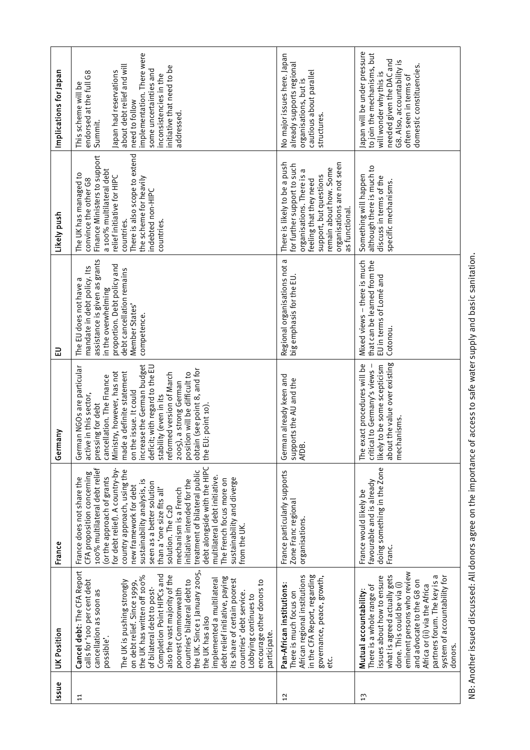| UK Position                                                                                                                                                                                                                                                                                                                                                                                                                                                                                                                                                                                                 | <b>France</b>                                                                                                                                                                                                                                                                                                                                                                                                                                                                                                                                                         | Germany                                                                                                                                                                                                                                                                                                                                                                                                                             | 긆                                                                                                                                                                                                          | Likely push                                                                                                                                                                                                                                          | Implications for Japan                                                                                                                                                                                                                                            |
|-------------------------------------------------------------------------------------------------------------------------------------------------------------------------------------------------------------------------------------------------------------------------------------------------------------------------------------------------------------------------------------------------------------------------------------------------------------------------------------------------------------------------------------------------------------------------------------------------------------|-----------------------------------------------------------------------------------------------------------------------------------------------------------------------------------------------------------------------------------------------------------------------------------------------------------------------------------------------------------------------------------------------------------------------------------------------------------------------------------------------------------------------------------------------------------------------|-------------------------------------------------------------------------------------------------------------------------------------------------------------------------------------------------------------------------------------------------------------------------------------------------------------------------------------------------------------------------------------------------------------------------------------|------------------------------------------------------------------------------------------------------------------------------------------------------------------------------------------------------------|------------------------------------------------------------------------------------------------------------------------------------------------------------------------------------------------------------------------------------------------------|-------------------------------------------------------------------------------------------------------------------------------------------------------------------------------------------------------------------------------------------------------------------|
| the UK. Since 1 January 2005,<br>Cancel debt: The CFA Report<br>Completion Point HIPCs and<br>also the vast majority of the<br>the UK has written off 100%<br>debt relief initiative, paying<br>implemented a multilateral<br>its share of certain poorest<br>calls for '100 per cent debt<br>countries' bilateral debt to<br>encourage other donors to<br>The UK is pushing strongly<br>on debt relief. Since 1999,<br>of bilateral debt to post-<br>poorest Commonwealth<br>cancellation as soon as<br>countries' debt service.<br>Lobbying continues to<br>the UK has also<br>participate.<br>possible'. | debt alongside with the HIPC<br>100% multilateral debt relief<br>for debt relief). A country-by-<br>country approach, using the<br>treatment of bilateral public<br>CFA proposition concerning<br>multilateral debt initiative.<br>(or the approach of grants<br>France does not share the<br>sustainability and diverge<br>The French focus more on<br>mechanism is a French<br>initiative intended for the<br>sustainability analysis, is<br>seen as a better solution<br>new framework for debt<br>than a 'one size fits all'<br>solution. The C2D<br>from the UK. | increase the German budget<br>German NGOs are particular<br>deficit; with regard to the EU<br>obtain (see point 8, and for<br>made a definite statement<br>position will be difficult to<br>Ministry, however, has not<br>reformed version of March<br>cancellation. The Finance<br>2005), a strong German<br>on the issue. It could<br>active in this sector,<br>stability (even in its<br>pressing for debt<br>the EU: point 10). | assistance is given as grants<br>proportion. Debt policy and<br>mandate in debt policy. Its<br>debt cancellation remains<br>The EU does not have a<br>in the overwhelming<br>Member States'<br>competence. | There is also scope to extend<br>Finance Ministers to support<br>a 100% multilateral debt<br>The UK has managed to<br>relief initiative for HIPC<br>the scheme for heavily<br>convince the other G8<br>indebted non-HIPC<br>countries.<br>countries. | implementation. There were<br>about debt relief and will<br>initiative that need to be<br>some uncertainties and<br>Japan had reservations<br>endorsed at the full G8<br>inconsistencies in the<br>This scheme will be<br>need to follow<br>addressed.<br>Summit. |
| in the CFA Report, regarding<br>African regional institutions<br>governance, peace, growth,<br>Pan-African institutions:<br>There is much focus on                                                                                                                                                                                                                                                                                                                                                                                                                                                          | France particularly supports<br>Zone Franc regional<br>organisations.                                                                                                                                                                                                                                                                                                                                                                                                                                                                                                 | German already keen and<br>supports the AU and the<br>AfDB.                                                                                                                                                                                                                                                                                                                                                                         | Regional organisations not a<br>big emphasis for the EU.                                                                                                                                                   | There is likely to be a push<br>organisations are not seen<br>for further support to such<br>remain about how. Some<br>organisations. There is a<br>support, but questions<br>feeling that they need<br>as functional.                               | No major issues here. Japan<br>already supports regional<br>cautious about parallel<br>organisations, but is<br>structures.                                                                                                                                       |
| eminent persons who review<br>what is agreed actually gets<br>partners forum. The key is a<br>issues about how to ensure<br>system of accountability for<br>and advocate to the G8 on<br>done. This could be via (i)<br>Africa or (ii) via the Africa<br>There is a whole range of<br>Mutual accountability:<br>donors.                                                                                                                                                                                                                                                                                     | doing something in the Zone<br>favourable and is already<br>France would likely be<br>Franc.                                                                                                                                                                                                                                                                                                                                                                                                                                                                          | about the value over existing<br>The exact procedures will be<br>critical to Germany's views -<br>likely to be some scepticism<br>mechanisms.                                                                                                                                                                                                                                                                                       | that can be learned from the<br>Mixed views - there is much<br>EU in terms of Lomé and<br>Cotonou.                                                                                                         | although there is much to<br>Something will happen<br>discuss in terms of the<br>specific mechanisms.                                                                                                                                                | lapan will be under pressure<br>to join the mechanisms, but<br>needed given the DAC and<br>G8. Also, accountability is<br>domestic constituencies.<br>will wonder why this is<br>often seen in terms of                                                           |

NB: Another issued discussed: All donors agree on the importance of access to safe water supply and basic sanitation. NB: Another issued discussed: All donors agree on the importance of access to safe water supply and basic sanitation.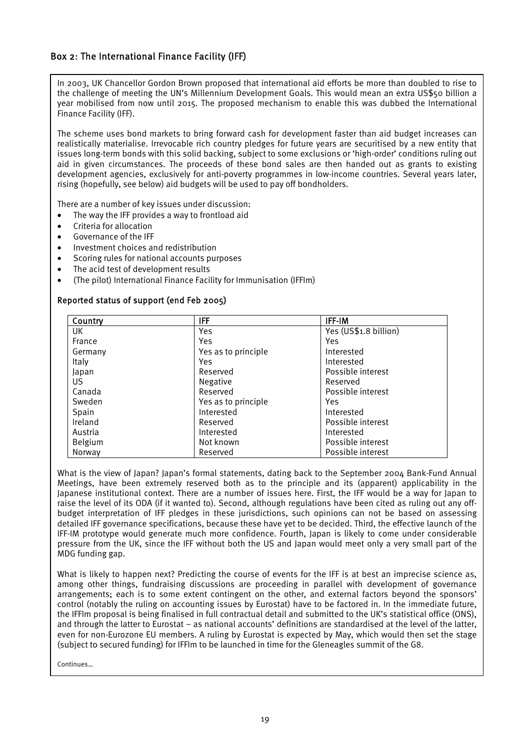#### Box 2: The International Finance Facility (IFF)

In 2003, UK Chancellor Gordon Brown proposed that international aid efforts be more than doubled to rise to the challenge of meeting the UN's Millennium Development Goals. This would mean an extra US\$50 billion a year mobilised from now until 2015. The proposed mechanism to enable this was dubbed the International Finance Facility (IFF).

The scheme uses bond markets to bring forward cash for development faster than aid budget increases can realistically materialise. Irrevocable rich country pledges for future years are securitised by a new entity that issues long-term bonds with this solid backing, subject to some exclusions or 'high-order' conditions ruling out aid in given circumstances. The proceeds of these bond sales are then handed out as grants to existing development agencies, exclusively for anti-poverty programmes in low-income countries. Several years later, rising (hopefully, see below) aid budgets will be used to pay off bondholders.

There are a number of key issues under discussion:

- The way the IFF provides a way to frontload aid
- Criteria for allocation
- Governance of the IFF
- Investment choices and redistribution
- Scoring rules for national accounts purposes
- The acid test of development results
- (The pilot) International Finance Facility for Immunisation (IFFIm)

#### Reported status of support (end Feb 2005)

| Country | <b>IFF</b>          | <b>IFF-IM</b>         |
|---------|---------------------|-----------------------|
| UK      | Yes                 | Yes (US\$1.8 billion) |
| France  | <b>Yes</b>          | Yes                   |
| Germany | Yes as to principle | Interested            |
| Italy   | <b>Yes</b>          | Interested            |
| Japan   | Reserved            | Possible interest     |
| US      | <b>Negative</b>     | Reserved              |
| Canada  | Reserved            | Possible interest     |
| Sweden  | Yes as to principle | Yes                   |
| Spain   | Interested          | Interested            |
| Ireland | Reserved            | Possible interest     |
| Austria | Interested          | Interested            |
| Belgium | Not known           | Possible interest     |
| Norway  | Reserved            | Possible interest     |

What is the view of Japan? Japan's formal statements, dating back to the September 2004 Bank-Fund Annual Meetings, have been extremely reserved both as to the principle and its (apparent) applicability in the Japanese institutional context. There are a number of issues here. First, the IFF would be a way for Japan to raise the level of its ODA (if it wanted to). Second, although regulations have been cited as ruling out any offbudget interpretation of IFF pledges in these jurisdictions, such opinions can not be based on assessing detailed IFF governance specifications, because these have yet to be decided. Third, the effective launch of the IFF-IM prototype would generate much more confidence. Fourth, Japan is likely to come under considerable pressure from the UK, since the IFF without both the US and Japan would meet only a very small part of the MDG funding gap.

What is likely to happen next? Predicting the course of events for the IFF is at best an imprecise science as, among other things, fundraising discussions are proceeding in parallel with development of governance arrangements; each is to some extent contingent on the other, and external factors beyond the sponsors' control (notably the ruling on accounting issues by Eurostat) have to be factored in. In the immediate future, the IFFIm proposal is being finalised in full contractual detail and submitted to the UK's statistical office (ONS), and through the latter to Eurostat – as national accounts' definitions are standardised at the level of the latter, even for non-Eurozone EU members. A ruling by Eurostat is expected by May, which would then set the stage (subject to secured funding) for IFFIm to be launched in time for the Gleneagles summit of the G8.

Continues…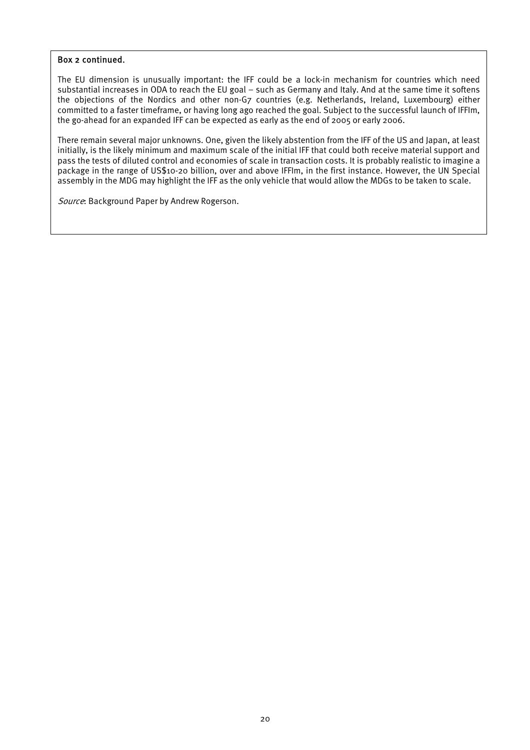#### Box 2 continued.

The EU dimension is unusually important: the IFF could be a lock-in mechanism for countries which need substantial increases in ODA to reach the EU goal – such as Germany and Italy. And at the same time it softens the objections of the Nordics and other non-G7 countries (e.g. Netherlands, Ireland, Luxembourg) either committed to a faster timeframe, or having long ago reached the goal. Subject to the successful launch of IFFIm, the go-ahead for an expanded IFF can be expected as early as the end of 2005 or early 2006.

There remain several major unknowns. One, given the likely abstention from the IFF of the US and Japan, at least initially, is the likely minimum and maximum scale of the initial IFF that could both receive material support and pass the tests of diluted control and economies of scale in transaction costs. It is probably realistic to imagine a package in the range of US\$10-20 billion, over and above IFFIm, in the first instance. However, the UN Special assembly in the MDG may highlight the IFF as the only vehicle that would allow the MDGs to be taken to scale.

Source: Background Paper by Andrew Rogerson.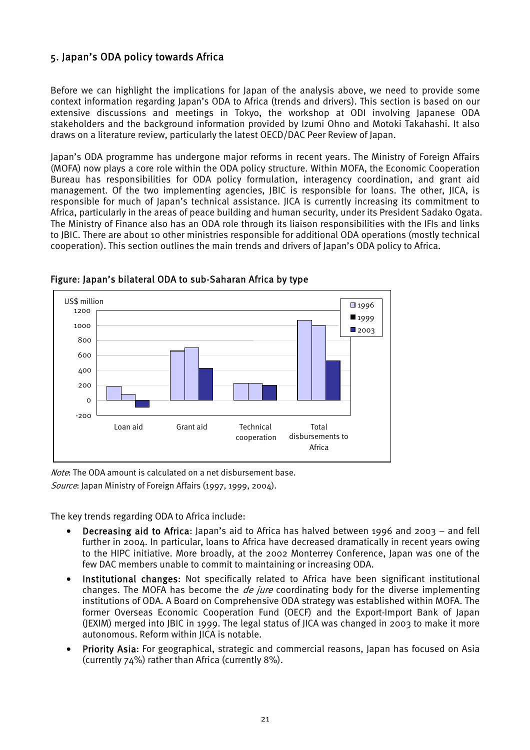## 5. Japan's ODA policy towards Africa

Before we can highlight the implications for Japan of the analysis above, we need to provide some context information regarding Japan's ODA to Africa (trends and drivers). This section is based on our extensive discussions and meetings in Tokyo, the workshop at ODI involving Japanese ODA stakeholders and the background information provided by Izumi Ohno and Motoki Takahashi. It also draws on a literature review, particularly the latest OECD/DAC Peer Review of Japan.

Japan's ODA programme has undergone major reforms in recent years. The Ministry of Foreign Affairs (MOFA) now plays a core role within the ODA policy structure. Within MOFA, the Economic Cooperation Bureau has responsibilities for ODA policy formulation, interagency coordination, and grant aid management. Of the two implementing agencies, JBIC is responsible for loans. The other, JICA, is responsible for much of Japan's technical assistance. JICA is currently increasing its commitment to Africa, particularly in the areas of peace building and human security, under its President Sadako Ogata. The Ministry of Finance also has an ODA role through its liaison responsibilities with the IFIs and links to JBIC. There are about 10 other ministries responsible for additional ODA operations (mostly technical cooperation). This section outlines the main trends and drivers of Japan's ODA policy to Africa.



Figure: Japan's bilateral ODA to sub-Saharan Africa by type

Note: The ODA amount is calculated on a net disbursement base. Source: Japan Ministry of Foreign Affairs (1997, 1999, 2004).

The key trends regarding ODA to Africa include:

- Decreasing aid to Africa: Japan's aid to Africa has halved between 1996 and 2003 and fell further in 2004. In particular, loans to Africa have decreased dramatically in recent years owing to the HIPC initiative. More broadly, at the 2002 Monterrey Conference, Japan was one of the few DAC members unable to commit to maintaining or increasing ODA.
- Institutional changes: Not specifically related to Africa have been significant institutional changes. The MOFA has become the *de jure* coordinating body for the diverse implementing institutions of ODA. A Board on Comprehensive ODA strategy was established within MOFA. The former Overseas Economic Cooperation Fund (OECF) and the Export-Import Bank of Japan (JEXIM) merged into JBIC in 1999. The legal status of JICA was changed in 2003 to make it more autonomous. Reform within JICA is notable.
- Priority Asia: For geographical, strategic and commercial reasons, Japan has focused on Asia (currently 74%) rather than Africa (currently 8%).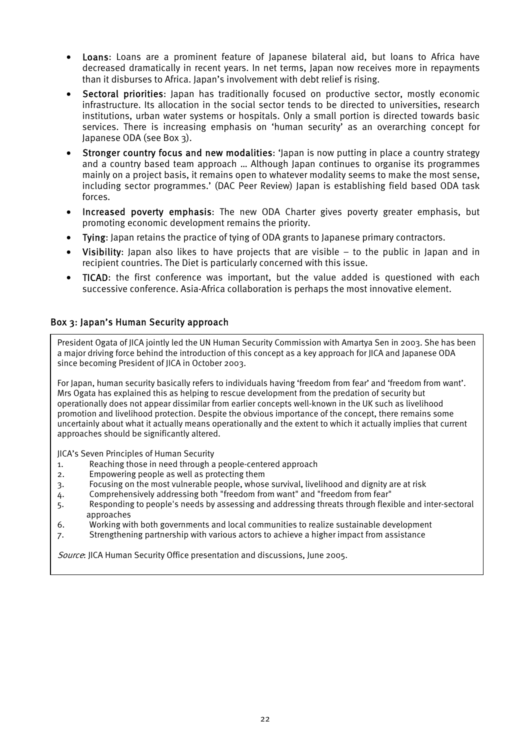- Loans: Loans are a prominent feature of Japanese bilateral aid, but loans to Africa have decreased dramatically in recent years. In net terms, Japan now receives more in repayments than it disburses to Africa. Japan's involvement with debt relief is rising.
- Sectoral priorities: Japan has traditionally focused on productive sector, mostly economic infrastructure. Its allocation in the social sector tends to be directed to universities, research institutions, urban water systems or hospitals. Only a small portion is directed towards basic services. There is increasing emphasis on 'human security' as an overarching concept for Japanese ODA (see Box 3).
- Stronger country focus and new modalities: 'Japan is now putting in place a country strategy and a country based team approach ... Although Japan continues to organise its programmes mainly on a project basis, it remains open to whatever modality seems to make the most sense, including sector programmes.' (DAC Peer Review) Japan is establishing field based ODA task forces.
- Increased poverty emphasis: The new ODA Charter gives poverty greater emphasis, but promoting economic development remains the priority.
- Tying: Japan retains the practice of tying of ODA grants to Japanese primary contractors.
- **Visibility:** Japan also likes to have projects that are visible  $-$  to the public in Japan and in recipient countries. The Diet is particularly concerned with this issue.
- TICAD: the first conference was important, but the value added is questioned with each successive conference. Asia-Africa collaboration is perhaps the most innovative element.

#### Box 3: Japan's Human Security approach

 President Ogata of JICA jointly led the UN Human Security Commission with Amartya Sen in 2003. She has been a major driving force behind the introduction of this concept as a key approach for JICA and Japanese ODA since becoming President of JICA in October 2003.

For Japan, human security basically refers to individuals having 'freedom from fear' and 'freedom from want'. Mrs Ogata has explained this as helping to rescue development from the predation of security but operationally does not appear dissimilar from earlier concepts well-known in the UK such as livelihood promotion and livelihood protection. Despite the obvious importance of the concept, there remains some uncertainly about what it actually means operationally and the extent to which it actually implies that current approaches should be significantly altered.

JICA's Seven Principles of Human Security

- $1.$  Reaching those in need through a people-centered approach
- 2. Empowering people as well as protecting them
- 3. Focusing on the most vulnerable people, whose survival, livelihood and dignity are at risk
- 4. Comprehensively addressing both "freedom from want" and "freedom from fear"
- 5. Responding to people's needs by assessing and addressing threats through flexible and inter-sectoral approaches
- 6. Working with both governments and local communities to realize sustainable development
- 7. Strengthening partnership with various actors to achieve a higher impact from assistance

Source: JICA Human Security Office presentation and discussions, June 2005.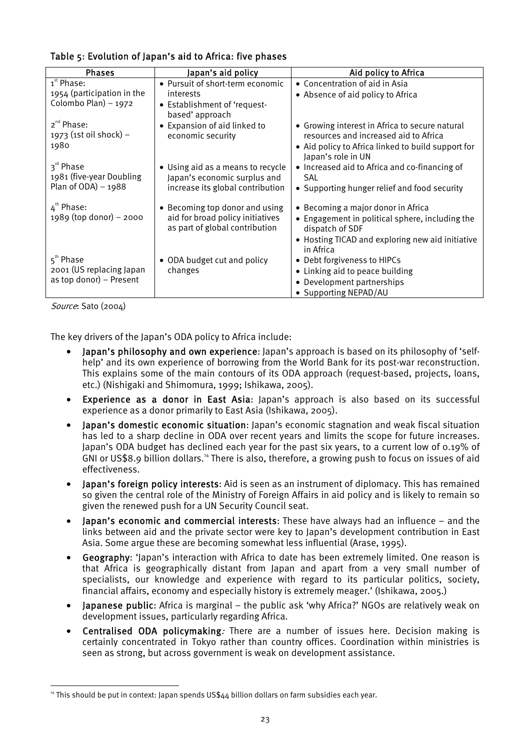### Table 5: Evolution of Japan's aid to Africa: five phases

| <b>Phases</b>                         | Japan's aid policy                                               | Aid policy to Africa                                 |
|---------------------------------------|------------------------------------------------------------------|------------------------------------------------------|
| $1st$ Phase:                          | • Pursuit of short-term economic                                 | • Concentration of aid in Asia                       |
| 1954 (participation in the            | interests                                                        | • Absence of aid policy to Africa                    |
| Colombo Plan) - 1972                  | • Establishment of 'request-                                     |                                                      |
|                                       | based' approach                                                  |                                                      |
| 2 <sup>nd</sup> Phase:                | Expansion of aid linked to                                       | • Growing interest in Africa to secure natural       |
| $1973$ (1st oil shock) -              | economic security                                                | resources and increased aid to Africa                |
| 1980                                  |                                                                  | • Aid policy to Africa linked to build support for   |
|                                       |                                                                  | Japan's role in UN                                   |
| 3rd Phase<br>1981 (five-year Doubling | • Using aid as a means to recycle                                | • Increased aid to Africa and co-financing of<br>SAL |
| Plan of ODA) - 1988                   | Japan's economic surplus and<br>increase its global contribution | • Supporting hunger relief and food security         |
|                                       |                                                                  |                                                      |
| $4th$ Phase:                          | • Becoming top donor and using                                   | • Becoming a major donor in Africa                   |
| $1989$ (top donor) – 2000             | aid for broad policy initiatives                                 | • Engagement in political sphere, including the      |
|                                       | as part of global contribution                                   | dispatch of SDF                                      |
|                                       |                                                                  | • Hosting TICAD and exploring new aid initiative     |
|                                       |                                                                  | in Africa                                            |
| 5 <sup>th</sup> Phase                 | • ODA budget cut and policy                                      | • Debt forgiveness to HIPCs                          |
| 2001 (US replacing Japan              | changes                                                          | • Linking aid to peace building                      |
| as top donor) - Present               |                                                                  | • Development partnerships                           |
|                                       |                                                                  | • Supporting NEPAD/AU                                |

Source: Sato (2004)

 $\overline{a}$ 

The key drivers of the Japan's ODA policy to Africa include:

- Japan's philosophy and own experience: Japan's approach is based on its philosophy of 'selfhelp' and its own experience of borrowing from the World Bank for its post-war reconstruction. This explains some of the main contours of its ODA approach (request-based, projects, loans, etc.) (Nishigaki and Shimomura, 1999; Ishikawa, 2005).
- Experience as a donor in East Asia: Japan's approach is also based on its successful experience as a donor primarily to East Asia (Ishikawa, 2005).
- Japan's domestic economic situation: Japan's economic stagnation and weak fiscal situation has led to a sharp decline in ODA over recent years and limits the scope for future increases. Japan's ODA budget has declined each year for the past six years, to a current low of 0.19% of GNI or US\$8.9 billion dollars.<sup>14</sup> There is also, therefore, a growing push to focus on issues of aid effectiveness.
- Japan's foreign policy interests: Aid is seen as an instrument of diplomacy. This has remained so given the central role of the Ministry of Foreign Affairs in aid policy and is likely to remain so given the renewed push for a UN Security Council seat.
- Japan's economic and commercial interests: These have always had an influence and the links between aid and the private sector were key to Japan's development contribution in East Asia. Some argue these are becoming somewhat less influential (Arase, 1995).
- Geography: 'Japan's interaction with Africa to date has been extremely limited. One reason is that Africa is geographically distant from Japan and apart from a very small number of specialists, our knowledge and experience with regard to its particular politics, society, financial affairs, economy and especially history is extremely meager.' (Ishikawa, 2005.)
- Japanese public: Africa is marginal the public ask 'why Africa?' NGOs are relatively weak on development issues, particularly regarding Africa.
- Centralised ODA policymaking: There are a number of issues here. Decision making is certainly concentrated in Tokyo rather than country offices. Coordination within ministries is seen as strong, but across government is weak on development assistance.

 $14$  This should be put in context: Japan spends US\$44 billion dollars on farm subsidies each year.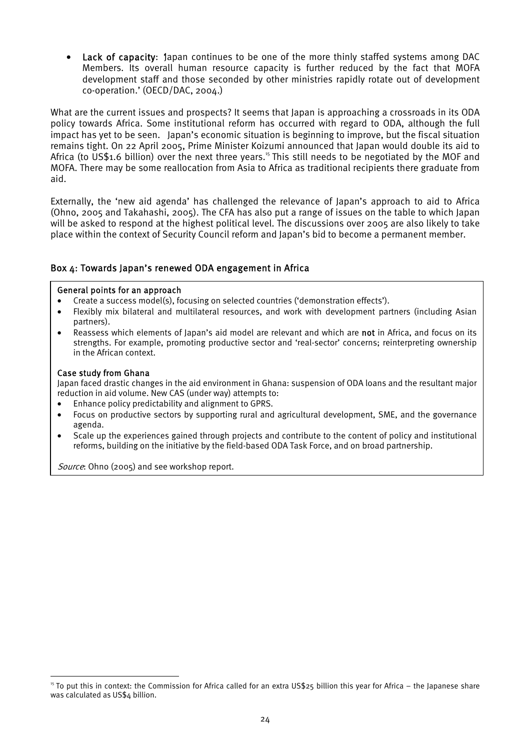**Lack of capacity:** 1apan continues to be one of the more thinly staffed systems among DAC Members. Its overall human resource capacity is further reduced by the fact that MOFA development staff and those seconded by other ministries rapidly rotate out of development co-operation.' (OECD/DAC, 2004.)

What are the current issues and prospects? It seems that Japan is approaching a crossroads in its ODA policy towards Africa. Some institutional reform has occurred with regard to ODA, although the full impact has yet to be seen. Japan's economic situation is beginning to improve, but the fiscal situation remains tight. On 22 April 2005, Prime Minister Koizumi announced that Japan would double its aid to Africa (to US\$1.6 billion) over the next three years.<sup>15</sup> This still needs to be negotiated by the MOF and MOFA. There may be some reallocation from Asia to Africa as traditional recipients there graduate from aid.

Externally, the 'new aid agenda' has challenged the relevance of Japan's approach to aid to Africa (Ohno, 2005 and Takahashi, 2005). The CFA has also put a range of issues on the table to which Japan will be asked to respond at the highest political level. The discussions over 2005 are also likely to take place within the context of Security Council reform and Japan's bid to become a permanent member.

#### Box 4: Towards Japan's renewed ODA engagement in Africa

#### General points for an approach

- Create a success model(s), focusing on selected countries ('demonstration effects').
- Flexibly mix bilateral and multilateral resources, and work with development partners (including Asian partners).
- Reassess which elements of Japan's aid model are relevant and which are not in Africa, and focus on its strengths. For example, promoting productive sector and 'real-sector' concerns; reinterpreting ownership in the African context.

#### Case study from Ghana

ֺ֞

Japan faced drastic changes in the aid environment in Ghana: suspension of ODA loans and the resultant major reduction in aid volume. New CAS (under way) attempts to:

- Enhance policy predictability and alignment to GPRS.
- Focus on productive sectors by supporting rural and agricultural development, SME, and the governance agenda.
- Scale up the experiences gained through projects and contribute to the content of policy and institutional reforms, building on the initiative by the field-based ODA Task Force, and on broad partnership.

Source: Ohno (2005) and see workshop report.

 $\overline{\phantom{a}}$ 15 To put this in context: the Commission for Africa called for an extra US\$25 billion this year for Africa – the Japanese share was calculated as US\$4 billion.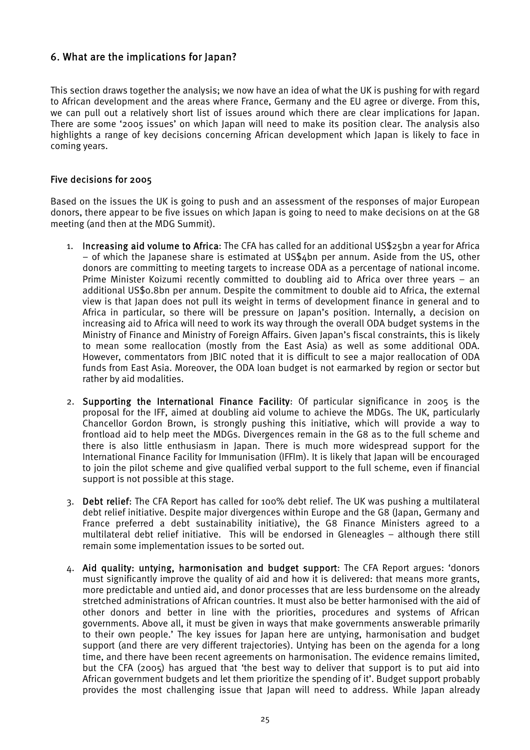### 6. What are the implications for Japan?

This section draws together the analysis; we now have an idea of what the UK is pushing for with regard to African development and the areas where France, Germany and the EU agree or diverge. From this, we can pull out a relatively short list of issues around which there are clear implications for Japan. There are some '2005 issues' on which Japan will need to make its position clear. The analysis also highlights a range of key decisions concerning African development which Japan is likely to face in coming years.

#### Five decisions for 2005

Based on the issues the UK is going to push and an assessment of the responses of major European donors, there appear to be five issues on which Japan is going to need to make decisions on at the G8 meeting (and then at the MDG Summit).

- 1. Increasing aid volume to Africa: The CFA has called for an additional US\$25bn a year for Africa – of which the Japanese share is estimated at US\$4bn per annum. Aside from the US, other donors are committing to meeting targets to increase ODA as a percentage of national income. Prime Minister Koizumi recently committed to doubling aid to Africa over three years – an additional US\$0.8bn per annum. Despite the commitment to double aid to Africa, the external view is that Japan does not pull its weight in terms of development finance in general and to Africa in particular, so there will be pressure on Japan's position. Internally, a decision on increasing aid to Africa will need to work its way through the overall ODA budget systems in the Ministry of Finance and Ministry of Foreign Affairs. Given Japan's fiscal constraints, this is likely to mean some reallocation (mostly from the East Asia) as well as some additional ODA. However, commentators from JBIC noted that it is difficult to see a major reallocation of ODA funds from East Asia. Moreover, the ODA loan budget is not earmarked by region or sector but rather by aid modalities.
- 2. Supporting the International Finance Facility: Of particular significance in 2005 is the proposal for the IFF, aimed at doubling aid volume to achieve the MDGs. The UK, particularly Chancellor Gordon Brown, is strongly pushing this initiative, which will provide a way to frontload aid to help meet the MDGs. Divergences remain in the G8 as to the full scheme and there is also little enthusiasm in Japan. There is much more widespread support for the International Finance Facility for Immunisation (IFFIm). It is likely that Japan will be encouraged to join the pilot scheme and give qualified verbal support to the full scheme, even if financial support is not possible at this stage.
- 3. Debt relief: The CFA Report has called for 100% debt relief. The UK was pushing a multilateral debt relief initiative. Despite major divergences within Europe and the G8 (Japan, Germany and France preferred a debt sustainability initiative), the G8 Finance Ministers agreed to a multilateral debt relief initiative. This will be endorsed in Gleneagles – although there still remain some implementation issues to be sorted out.
- 4. Aid quality: untying, harmonisation and budget support: The CFA Report argues: 'donors must significantly improve the quality of aid and how it is delivered: that means more grants, more predictable and untied aid, and donor processes that are less burdensome on the already stretched administrations of African countries. It must also be better harmonised with the aid of other donors and better in line with the priorities, procedures and systems of African governments. Above all, it must be given in ways that make governments answerable primarily to their own people.' The key issues for Japan here are untying, harmonisation and budget support (and there are very different trajectories). Untying has been on the agenda for a long time, and there have been recent agreements on harmonisation. The evidence remains limited, but the CFA (2005) has argued that 'the best way to deliver that support is to put aid into African government budgets and let them prioritize the spending of it'. Budget support probably provides the most challenging issue that Japan will need to address. While Japan already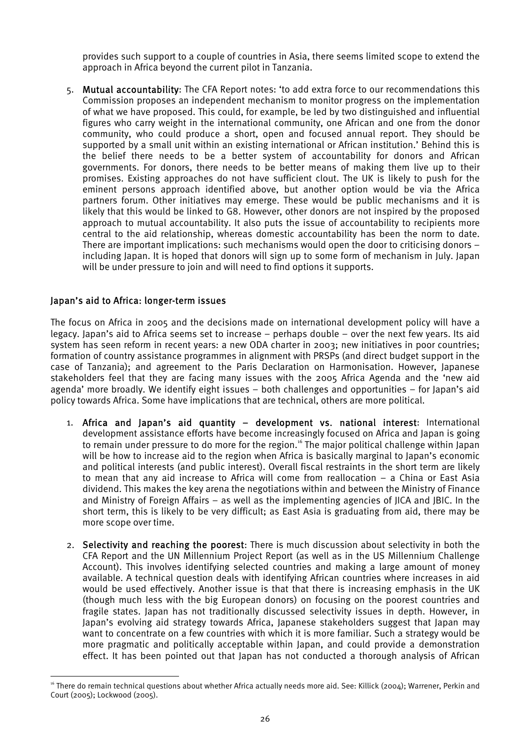provides such support to a couple of countries in Asia, there seems limited scope to extend the approach in Africa beyond the current pilot in Tanzania.

5. Mutual accountability: The CFA Report notes: 'to add extra force to our recommendations this Commission proposes an independent mechanism to monitor progress on the implementation of what we have proposed. This could, for example, be led by two distinguished and influential figures who carry weight in the international community, one African and one from the donor community, who could produce a short, open and focused annual report. They should be supported by a small unit within an existing international or African institution.' Behind this is the belief there needs to be a better system of accountability for donors and African governments. For donors, there needs to be better means of making them live up to their promises. Existing approaches do not have sufficient clout. The UK is likely to push for the eminent persons approach identified above, but another option would be via the Africa partners forum. Other initiatives may emerge. These would be public mechanisms and it is likely that this would be linked to G8. However, other donors are not inspired by the proposed approach to mutual accountability. It also puts the issue of accountability to recipients more central to the aid relationship, whereas domestic accountability has been the norm to date. There are important implications: such mechanisms would open the door to criticising donors  $$ including Japan. It is hoped that donors will sign up to some form of mechanism in July. Japan will be under pressure to join and will need to find options it supports.

#### Japan's aid to Africa: longer-term issues

The focus on Africa in 2005 and the decisions made on international development policy will have a legacy. Japan's aid to Africa seems set to increase – perhaps double – over the next few years. Its aid system has seen reform in recent years: a new ODA charter in 2003; new initiatives in poor countries; formation of country assistance programmes in alignment with PRSPs (and direct budget support in the case of Tanzania); and agreement to the Paris Declaration on Harmonisation. However, Japanese stakeholders feel that they are facing many issues with the 2005 Africa Agenda and the 'new aid agenda' more broadly. We identify eight issues – both challenges and opportunities – for Japan's aid policy towards Africa. Some have implications that are technical, others are more political.

- 1. Africa and Japan's aid quantity development vs. national interest: International development assistance efforts have become increasingly focused on Africa and Japan is going to remain under pressure to do more for the region.<sup>16</sup> The major political challenge within Japan will be how to increase aid to the region when Africa is basically marginal to Japan's economic and political interests (and public interest). Overall fiscal restraints in the short term are likely to mean that any aid increase to Africa will come from reallocation – a China or East Asia dividend. This makes the key arena the negotiations within and between the Ministry of Finance and Ministry of Foreign Affairs – as well as the implementing agencies of JICA and JBIC. In the short term, this is likely to be very difficult; as East Asia is graduating from aid, there may be more scope over time.
- 2. Selectivity and reaching the poorest: There is much discussion about selectivity in both the CFA Report and the UN Millennium Project Report (as well as in the US Millennium Challenge Account). This involves identifying selected countries and making a large amount of money available. A technical question deals with identifying African countries where increases in aid would be used effectively. Another issue is that that there is increasing emphasis in the UK (though much less with the big European donors) on focusing on the poorest countries and fragile states. Japan has not traditionally discussed selectivity issues in depth. However, in Japan's evolving aid strategy towards Africa, Japanese stakeholders suggest that Japan may want to concentrate on a few countries with which it is more familiar. Such a strategy would be more pragmatic and politically acceptable within Japan, and could provide a demonstration effect. It has been pointed out that Japan has not conducted a thorough analysis of African

 $\overline{\phantom{a}}$ <sup>16</sup> There do remain technical questions about whether Africa actually needs more aid. See: Killick (2004); Warrener, Perkin and Court (2005); Lockwood (2005).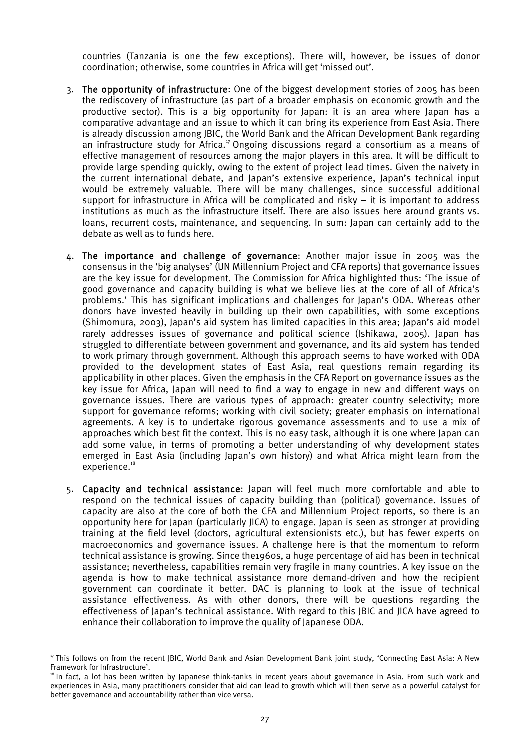countries (Tanzania is one the few exceptions). There will, however, be issues of donor coordination; otherwise, some countries in Africa will get 'missed out'.

- 3. The opportunity of infrastructure: One of the biggest development stories of 2005 has been the rediscovery of infrastructure (as part of a broader emphasis on economic growth and the productive sector). This is a big opportunity for Japan: it is an area where Japan has a comparative advantage and an issue to which it can bring its experience from East Asia. There is already discussion among JBIC, the World Bank and the African Development Bank regarding an infrastructure study for Africa.<sup>17</sup> Ongoing discussions regard a consortium as a means of effective management of resources among the major players in this area. It will be difficult to provide large spending quickly, owing to the extent of project lead times. Given the naivety in the current international debate, and Japan's extensive experience, Japan's technical input would be extremely valuable. There will be many challenges, since successful additional support for infrastructure in Africa will be complicated and risky – it is important to address institutions as much as the infrastructure itself. There are also issues here around grants vs. loans, recurrent costs, maintenance, and sequencing. In sum: Japan can certainly add to the debate as well as to funds here.
- 4. The importance and challenge of governance: Another major issue in 2005 was the consensus in the 'big analyses' (UN Millennium Project and CFA reports) that governance issues are the key issue for development. The Commission for Africa highlighted thus: 'The issue of good governance and capacity building is what we believe lies at the core of all of Africa's problems.' This has significant implications and challenges for Japan's ODA. Whereas other donors have invested heavily in building up their own capabilities, with some exceptions (Shimomura, 2003), Japan's aid system has limited capacities in this area; Japan's aid model rarely addresses issues of governance and political science (Ishikawa, 2005). Japan has struggled to differentiate between government and governance, and its aid system has tended to work primary through government. Although this approach seems to have worked with ODA provided to the development states of East Asia, real questions remain regarding its applicability in other places. Given the emphasis in the CFA Report on governance issues as the key issue for Africa, Japan will need to find a way to engage in new and different ways on governance issues. There are various types of approach: greater country selectivity; more support for governance reforms; working with civil society; greater emphasis on international agreements. A key is to undertake rigorous governance assessments and to use a mix of approaches which best fit the context. This is no easy task, although it is one where Japan can add some value, in terms of promoting a better understanding of why development states emerged in East Asia (including Japan's own history) and what Africa might learn from the experience. $^{18}$
- 5. Capacity and technical assistance: Japan will feel much more comfortable and able to respond on the technical issues of capacity building than (political) governance. Issues of capacity are also at the core of both the CFA and Millennium Project reports, so there is an opportunity here for Japan (particularly JICA) to engage. Japan is seen as stronger at providing training at the field level (doctors, agricultural extensionists etc.), but has fewer experts on macroeconomics and governance issues. A challenge here is that the momentum to reform technical assistance is growing. Since the1960s, a huge percentage of aid has been in technical assistance; nevertheless, capabilities remain very fragile in many countries. A key issue on the agenda is how to make technical assistance more demand-driven and how the recipient government can coordinate it better. DAC is planning to look at the issue of technical assistance effectiveness. As with other donors, there will be questions regarding the effectiveness of Japan's technical assistance. With regard to this JBIC and JICA have agreed to enhance their collaboration to improve the quality of Japanese ODA.

 $\overline{a}$ 

<sup>&</sup>lt;sup>17</sup> This follows on from the recent IBIC, World Bank and Asian Development Bank joint study, 'Connecting East Asia: A New Framework for Infrastructure'.

<sup>&</sup>lt;sup>18</sup> In fact, a lot has been written by Japanese think-tanks in recent years about governance in Asia. From such work and experiences in Asia, many practitioners consider that aid can lead to growth which will then serve as a powerful catalyst for better governance and accountability rather than vice versa.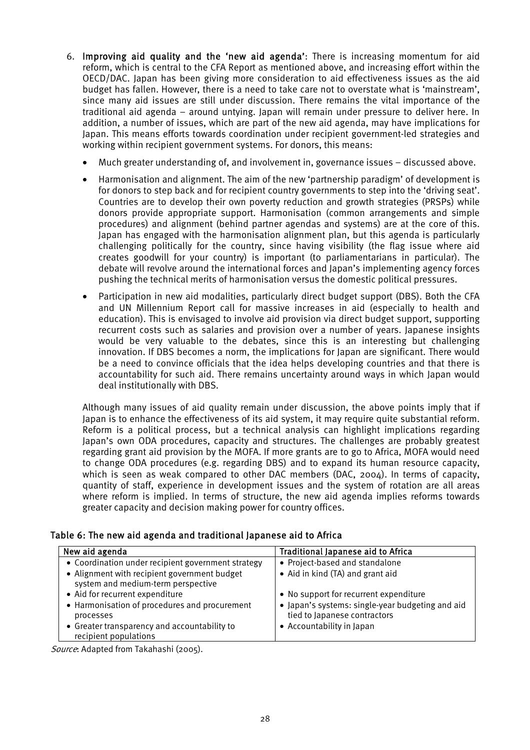- 6. Improving aid quality and the 'new aid agenda': There is increasing momentum for aid reform, which is central to the CFA Report as mentioned above, and increasing effort within the OECD/DAC. Japan has been giving more consideration to aid effectiveness issues as the aid budget has fallen. However, there is a need to take care not to overstate what is 'mainstream', since many aid issues are still under discussion. There remains the vital importance of the traditional aid agenda – around untying. Japan will remain under pressure to deliver here. In addition, a number of issues, which are part of the new aid agenda, may have implications for Japan. This means efforts towards coordination under recipient government-led strategies and working within recipient government systems. For donors, this means:
	- Much greater understanding of, and involvement in, governance issues discussed above.
	- Harmonisation and alignment. The aim of the new 'partnership paradigm' of development is for donors to step back and for recipient country governments to step into the 'driving seat'. Countries are to develop their own poverty reduction and growth strategies (PRSPs) while donors provide appropriate support. Harmonisation (common arrangements and simple procedures) and alignment (behind partner agendas and systems) are at the core of this. Japan has engaged with the harmonisation alignment plan, but this agenda is particularly challenging politically for the country, since having visibility (the flag issue where aid creates goodwill for your country) is important (to parliamentarians in particular). The debate will revolve around the international forces and Japan's implementing agency forces pushing the technical merits of harmonisation versus the domestic political pressures.
	- Participation in new aid modalities, particularly direct budget support (DBS). Both the CFA and UN Millennium Report call for massive increases in aid (especially to health and education). This is envisaged to involve aid provision via direct budget support, supporting recurrent costs such as salaries and provision over a number of years. Japanese insights would be very valuable to the debates, since this is an interesting but challenging innovation. If DBS becomes a norm, the implications for Japan are significant. There would be a need to convince officials that the idea helps developing countries and that there is accountability for such aid. There remains uncertainty around ways in which Japan would deal institutionally with DBS.

Although many issues of aid quality remain under discussion, the above points imply that if Japan is to enhance the effectiveness of its aid system, it may require quite substantial reform. Reform is a political process, but a technical analysis can highlight implications regarding Japan's own ODA procedures, capacity and structures. The challenges are probably greatest regarding grant aid provision by the MOFA. If more grants are to go to Africa, MOFA would need to change ODA procedures (e.g. regarding DBS) and to expand its human resource capacity, which is seen as weak compared to other DAC members (DAC, 2004). In terms of capacity, quantity of staff, experience in development issues and the system of rotation are all areas where reform is implied. In terms of structure, the new aid agenda implies reforms towards greater capacity and decision making power for country offices.

| Table 6: The new aid agenda and traditional Japanese aid to Africa |  |  |
|--------------------------------------------------------------------|--|--|
|--------------------------------------------------------------------|--|--|

| New aid agenda                                                                                                                                                                                               | <b>Traditional Japanese aid to Africa</b>                                                                                                               |
|--------------------------------------------------------------------------------------------------------------------------------------------------------------------------------------------------------------|---------------------------------------------------------------------------------------------------------------------------------------------------------|
| • Coordination under recipient government strategy<br>• Alignment with recipient government budget                                                                                                           | • Project-based and standalone<br>• Aid in kind (TA) and grant aid                                                                                      |
| system and medium-term perspective<br>• Aid for recurrent expenditure<br>• Harmonisation of procedures and procurement<br>processes<br>• Greater transparency and accountability to<br>recipient populations | • No support for recurrent expenditure<br>• Japan's systems: single-year budgeting and aid<br>tied to Japanese contractors<br>• Accountability in Japan |

Source: Adapted from Takahashi (2005).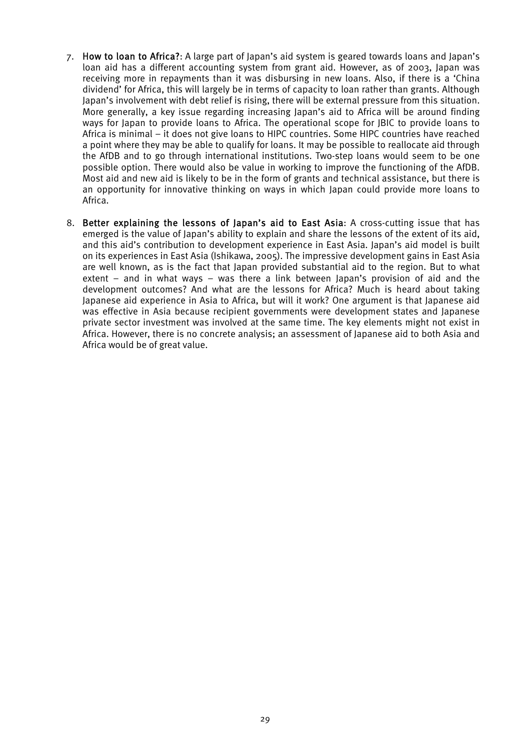- 7. How to loan to Africa?: A large part of Japan's aid system is geared towards loans and Japan's loan aid has a different accounting system from grant aid. However, as of 2003, Japan was receiving more in repayments than it was disbursing in new loans. Also, if there is a 'China dividend' for Africa, this will largely be in terms of capacity to loan rather than grants. Although Japan's involvement with debt relief is rising, there will be external pressure from this situation. More generally, a key issue regarding increasing Japan's aid to Africa will be around finding ways for Japan to provide loans to Africa. The operational scope for JBIC to provide loans to Africa is minimal – it does not give loans to HIPC countries. Some HIPC countries have reached a point where they may be able to qualify for loans. It may be possible to reallocate aid through the AfDB and to go through international institutions. Two-step loans would seem to be one possible option. There would also be value in working to improve the functioning of the AfDB. Most aid and new aid is likely to be in the form of grants and technical assistance, but there is an opportunity for innovative thinking on ways in which Japan could provide more loans to Africa.
- 8. Better explaining the lessons of Japan's aid to East Asia: A cross-cutting issue that has emerged is the value of Japan's ability to explain and share the lessons of the extent of its aid, and this aid's contribution to development experience in East Asia. Japan's aid model is built on its experiences in East Asia (Ishikawa, 2005). The impressive development gains in East Asia are well known, as is the fact that Japan provided substantial aid to the region. But to what extent – and in what ways – was there a link between Japan's provision of aid and the development outcomes? And what are the lessons for Africa? Much is heard about taking Japanese aid experience in Asia to Africa, but will it work? One argument is that Japanese aid was effective in Asia because recipient governments were development states and Japanese private sector investment was involved at the same time. The key elements might not exist in Africa. However, there is no concrete analysis; an assessment of Japanese aid to both Asia and Africa would be of great value.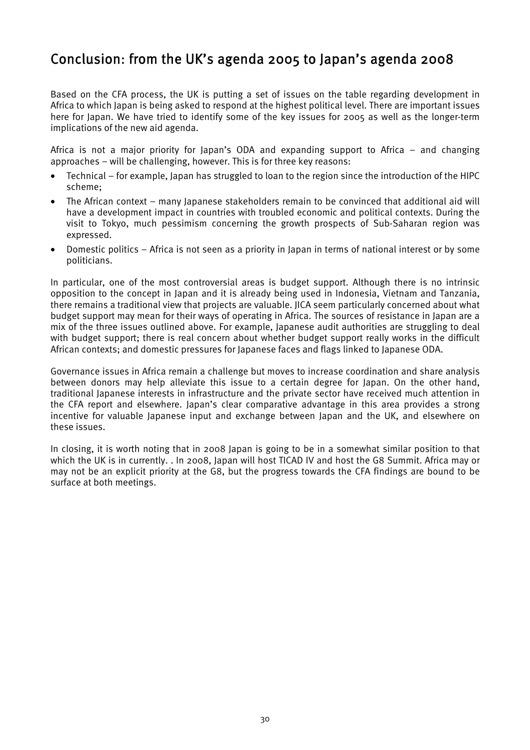# Conclusion: from the UK's agenda 2005 to Japan's agenda 2008

Based on the CFA process, the UK is putting a set of issues on the table regarding development in Africa to which Japan is being asked to respond at the highest political level. There are important issues here for Japan. We have tried to identify some of the key issues for 2005 as well as the longer-term implications of the new aid agenda.

Africa is not a major priority for Japan's ODA and expanding support to Africa – and changing approaches – will be challenging, however. This is for three key reasons:

- Technical for example, Japan has struggled to loan to the region since the introduction of the HIPC scheme;
- The African context many Japanese stakeholders remain to be convinced that additional aid will have a development impact in countries with troubled economic and political contexts. During the visit to Tokyo, much pessimism concerning the growth prospects of Sub-Saharan region was expressed.
- Domestic politics Africa is not seen as a priority in Japan in terms of national interest or by some politicians.

In particular, one of the most controversial areas is budget support. Although there is no intrinsic opposition to the concept in Japan and it is already being used in Indonesia, Vietnam and Tanzania, there remains a traditional view that projects are valuable. JICA seem particularly concerned about what budget support may mean for their ways of operating in Africa. The sources of resistance in Japan are a mix of the three issues outlined above. For example, Japanese audit authorities are struggling to deal with budget support; there is real concern about whether budget support really works in the difficult African contexts; and domestic pressures for Japanese faces and flags linked to Japanese ODA.

Governance issues in Africa remain a challenge but moves to increase coordination and share analysis between donors may help alleviate this issue to a certain degree for Japan. On the other hand, traditional Japanese interests in infrastructure and the private sector have received much attention in the CFA report and elsewhere. Japan's clear comparative advantage in this area provides a strong incentive for valuable Japanese input and exchange between Japan and the UK, and elsewhere on these issues.

In closing, it is worth noting that in 2008 Japan is going to be in a somewhat similar position to that which the UK is in currently. . In 2008, Japan will host TICAD IV and host the G8 Summit. Africa may or may not be an explicit priority at the G8, but the progress towards the CFA findings are bound to be surface at both meetings.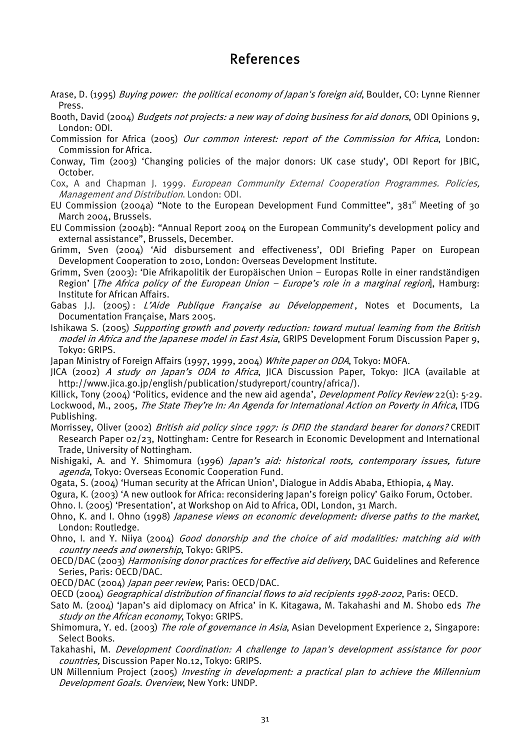## References

- Arase, D. (1995) *Buying power: the political economy of Japan's foreign aid*, Boulder, CO: Lynne Rienner Press.
- Booth, David (2004) *Budgets not projects: a new way of doing business for aid donors*, ODI Opinions 9, London: ODI.
- Commission for Africa (2005) Our common interest: report of the Commission for Africa, London: Commission for Africa.
- Conway, Tim (2003) 'Changing policies of the major donors: UK case study', ODI Report for JBIC, October.
- Cox, A and Chapman J. 1999. European Community External Cooperation Programmes. Policies, Management and Distribution. London: ODI.
- EU Commission (2004a) "Note to the European Development Fund Committee",  $381<sup>st</sup>$  Meeting of 30 March 2004, Brussels.
- EU Commission (2004b): "Annual Report 2004 on the European Community's development policy and external assistance", Brussels, December.
- Grimm, Sven (2004) 'Aid disbursement and effectiveness', ODI Briefing Paper on European Development Cooperation to 2010, London: Overseas Development Institute.
- Grimm, Sven (2003): 'Die Afrikapolitik der Europäischen Union Europas Rolle in einer randständigen Region' [The Africa policy of the European Union – Europe's role in a marginal region], Hamburg: Institute for African Affairs.
- Gabas J.J. (2005): L'Aide Publique Française au Développement, Notes et Documents, La Documentation Française, Mars 2005.
- Ishikawa S. (2005) Supporting growth and poverty reduction: toward mutual learning from the British model in Africa and the Japanese model in East Asia, GRIPS Development Forum Discussion Paper 9, Tokyo: GRIPS.

Japan Ministry of Foreign Affairs (1997, 1999, 2004) White paper on ODA, Tokyo: MOFA.

JICA (2002) A study on Japan's ODA to Africa, JICA Discussion Paper, Tokyo: JICA (available at http://www.jica.go.jp/english/publication/studyreport/country/africa/).

Killick, Tony (2004) 'Politics, evidence and the new aid agenda', *Development Policy Review* 22(1): 5-29. Lockwood, M., 2005, The State They're In: An Agenda for International Action on Poverty in Africa, ITDG Publishing.

- Morrissey, Oliver (2002) *British aid policy since 1997: is DFID the standard bearer for donors?* CREDIT Research Paper 02/23, Nottingham: Centre for Research in Economic Development and International Trade, University of Nottingham.
- Nishigaki, A. and Y. Shimomura (1996) Japan's aid: historical roots, contemporary issues, future agenda, Tokyo: Overseas Economic Cooperation Fund.
- Ogata, S. (2004) 'Human security at the African Union', Dialogue in Addis Ababa, Ethiopia, 4 May.
- Ogura, K. (2003) 'A new outlook for Africa: reconsidering Japan's foreign policy' Gaiko Forum, October.
- Ohno. I. (2005) 'Presentation', at Workshop on Aid to Africa, ODI, London, 31 March.
- Ohno, K. and I. Ohno (1998) Japanese views on economic development: diverse paths to the market, London: Routledge.
- Ohno, I. and Y. Niiya (2004) Good donorship and the choice of aid modalities: matching aid with country needs and ownership, Tokyo: GRIPS.
- OECD/DAC (2003) Harmonising donor practices for effective aid delivery, DAC Guidelines and Reference Series, Paris: OECD/DAC.
- OECD/DAC (2004) Japan peer review, Paris: OECD/DAC.
- OECD (2004) Geographical distribution of financial flows to aid recipients 1998-2002, Paris: OECD.
- Sato M. (2004) 'Japan's aid diplomacy on Africa' in K. Kitagawa, M. Takahashi and M. Shobo eds The study on the African economy, Tokyo: GRIPS.
- Shimomura, Y. ed. (2003) The role of governance in Asia, Asian Development Experience 2, Singapore: Select Books.
- Takahashi, M. Development Coordination: A challenge to Japan's development assistance for poor countries, Discussion Paper No.12, Tokyo: GRIPS.
- UN Millennium Project (2005) Investing in development: a practical plan to achieve the Millennium Development Goals. Overview, New York: UNDP.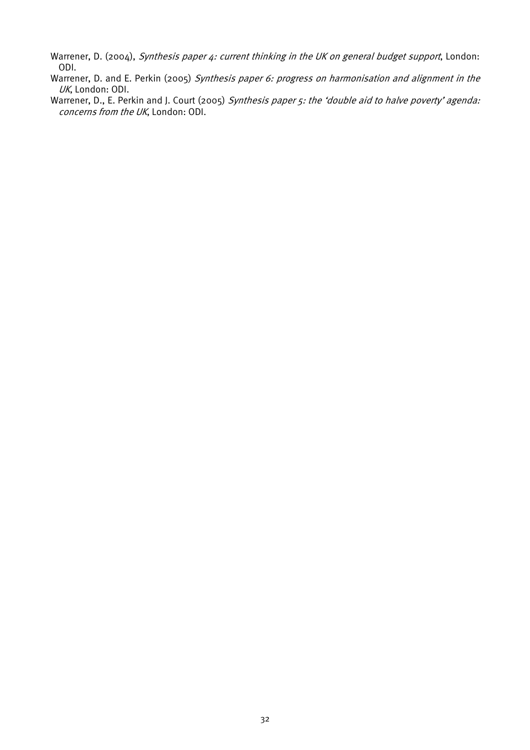- Warrener, D. (2004), Synthesis paper 4: current thinking in the UK on general budget support, London: ODI.
- Warrener, D. and E. Perkin (2005) Synthesis paper 6: progress on harmonisation and alignment in the UK, London: ODI.
- Warrener, D., E. Perkin and J. Court (2005) Synthesis paper 5: the 'double aid to halve poverty' agenda: concerns from the UK, London: ODI.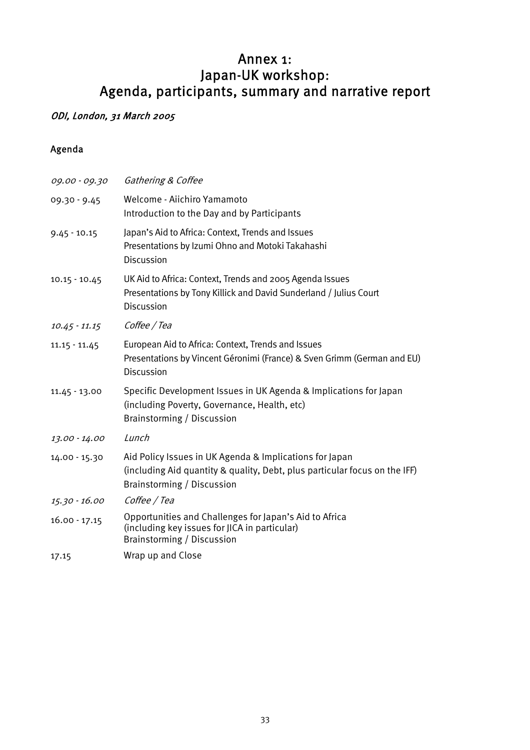# Annex 1: Japan-UK workshop: Agenda, participants, summary and narrative report

# ODI, London, 31 March 2005

#### Agenda

| 09.00 - 09.30   | Gathering & Coffee                                                                                                                                                  |
|-----------------|---------------------------------------------------------------------------------------------------------------------------------------------------------------------|
| 09.30 - 9.45    | Welcome - Aiichiro Yamamoto<br>Introduction to the Day and by Participants                                                                                          |
| $9.45 - 10.15$  | Japan's Aid to Africa: Context, Trends and Issues<br>Presentations by Izumi Ohno and Motoki Takahashi<br>Discussion                                                 |
| $10.15 - 10.45$ | UK Aid to Africa: Context, Trends and 2005 Agenda Issues<br>Presentations by Tony Killick and David Sunderland / Julius Court<br>Discussion                         |
| $10.45 - 11.15$ | Coffee / Tea                                                                                                                                                        |
| $11.15 - 11.45$ | European Aid to Africa: Context, Trends and Issues<br>Presentations by Vincent Géronimi (France) & Sven Grimm (German and EU)<br><b>Discussion</b>                  |
| $11.45 - 13.00$ | Specific Development Issues in UK Agenda & Implications for Japan<br>(including Poverty, Governance, Health, etc)<br>Brainstorming / Discussion                     |
| 13.00 - 14.00   | Lunch                                                                                                                                                               |
| 14.00 - 15.30   | Aid Policy Issues in UK Agenda & Implications for Japan<br>(including Aid quantity & quality, Debt, plus particular focus on the IFF)<br>Brainstorming / Discussion |
| 15.30 - 16.00   | Coffee / Tea                                                                                                                                                        |
| $16.00 - 17.15$ | Opportunities and Challenges for Japan's Aid to Africa<br>(including key issues for JICA in particular)<br>Brainstorming / Discussion                               |
| 17.15           | Wrap up and Close                                                                                                                                                   |
|                 |                                                                                                                                                                     |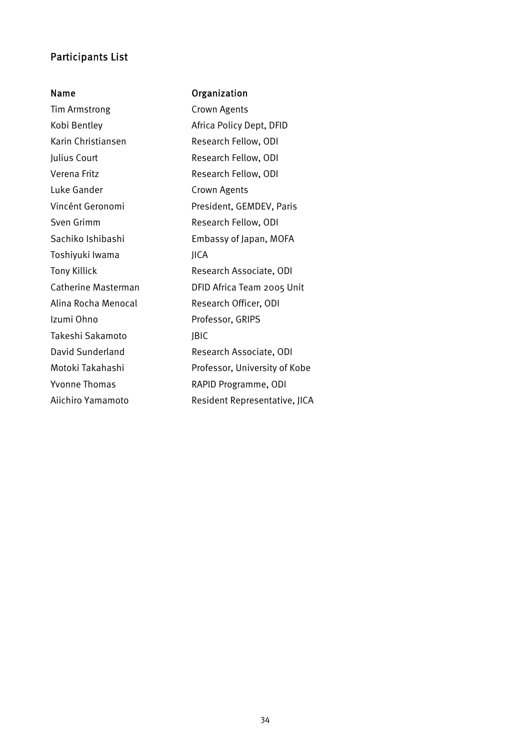#### Participants List

#### Name **Organization**

Tim Armstrong Crown Agents Karin Christiansen Research Fellow, ODI Julius Court **Research Fellow, ODI** Verena Fritz **Research Fellow, ODI** Luke Gander **Crown Agents** Sven Grimm Research Fellow, ODI Toshiyuki Iwama JICA Alina Rocha Menocal Research Officer, ODI Izumi Ohno Professor, GRIPS Takeshi Sakamoto JBIC

Kobi Bentley **Africa Policy Dept, DFID** Vincént Geronomi President, GEMDEV, Paris Sachiko Ishibashi Embassy of Japan, MOFA Tony Killick Research Associate, ODI Catherine Masterman DFID Africa Team 2005 Unit David Sunderland Research Associate, ODI Motoki Takahashi Professor, University of Kobe Yvonne Thomas RAPID Programme, ODI Aiichiro Yamamoto Resident Representative, JICA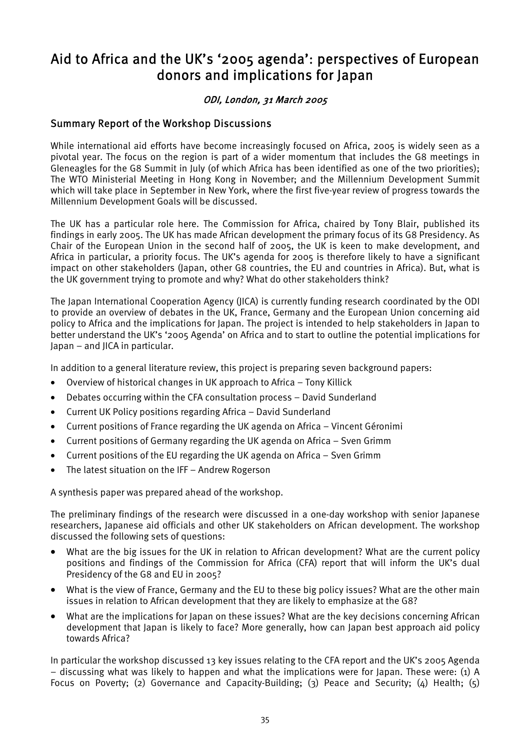# Aid to Africa and the UK's '2005 agenda': perspectives of European donors and implications for Japan

#### ODI, London, 31 March 2005

#### Summary Report of the Workshop Discussions

While international aid efforts have become increasingly focused on Africa, 2005 is widely seen as a pivotal year. The focus on the region is part of a wider momentum that includes the G8 meetings in Gleneagles for the G8 Summit in July (of which Africa has been identified as one of the two priorities); The WTO Ministerial Meeting in Hong Kong in November; and the Millennium Development Summit which will take place in September in New York, where the first five-year review of progress towards the Millennium Development Goals will be discussed.

The UK has a particular role here. The Commission for Africa, chaired by Tony Blair, published its findings in early 2005. The UK has made African development the primary focus of its G8 Presidency. As Chair of the European Union in the second half of 2005, the UK is keen to make development, and Africa in particular, a priority focus. The UK's agenda for 2005 is therefore likely to have a significant impact on other stakeholders (Japan, other G8 countries, the EU and countries in Africa). But, what is the UK government trying to promote and why? What do other stakeholders think?

The Japan International Cooperation Agency (JICA) is currently funding research coordinated by the ODI to provide an overview of debates in the UK, France, Germany and the European Union concerning aid policy to Africa and the implications for Japan. The project is intended to help stakeholders in Japan to better understand the UK's '2005 Agenda' on Africa and to start to outline the potential implications for Japan – and JICA in particular.

In addition to a general literature review, this project is preparing seven background papers:

- Overview of historical changes in UK approach to Africa Tony Killick
- Debates occurring within the CFA consultation process David Sunderland
- Current UK Policy positions regarding Africa David Sunderland
- Current positions of France regarding the UK agenda on Africa Vincent Géronimi
- Current positions of Germany regarding the UK agenda on Africa Sven Grimm
- Current positions of the EU regarding the UK agenda on Africa Sven Grimm
- The latest situation on the IFF Andrew Rogerson

A synthesis paper was prepared ahead of the workshop.

The preliminary findings of the research were discussed in a one-day workshop with senior Japanese researchers, Japanese aid officials and other UK stakeholders on African development. The workshop discussed the following sets of questions:

- What are the big issues for the UK in relation to African development? What are the current policy positions and findings of the Commission for Africa (CFA) report that will inform the UK's dual Presidency of the G8 and EU in 2005?
- What is the view of France, Germany and the EU to these big policy issues? What are the other main issues in relation to African development that they are likely to emphasize at the G8?
- What are the implications for Japan on these issues? What are the key decisions concerning African development that Japan is likely to face? More generally, how can Japan best approach aid policy towards Africa?

In particular the workshop discussed 13 key issues relating to the CFA report and the UK's 2005 Agenda – discussing what was likely to happen and what the implications were for Japan. These were: (1) A Focus on Poverty; (2) Governance and Capacity-Building; (3) Peace and Security; (4) Health; (5)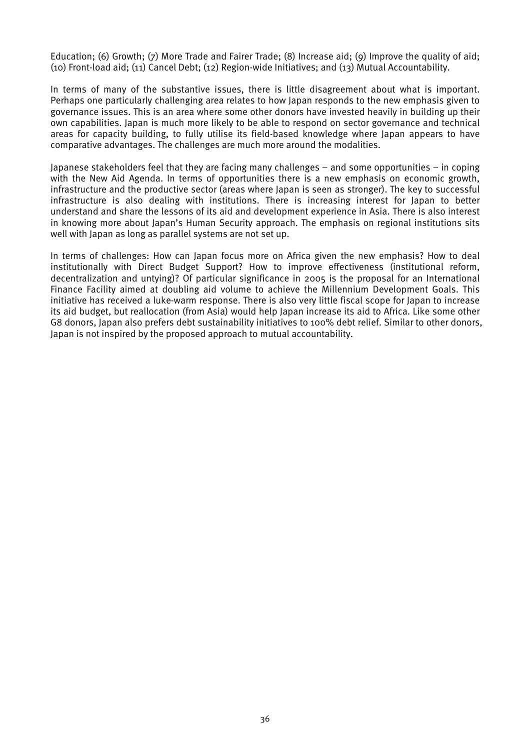Education; (6) Growth; (7) More Trade and Fairer Trade; (8) Increase aid; (9) Improve the quality of aid; (10) Front-load aid; (11) Cancel Debt; (12) Region-wide Initiatives; and (13) Mutual Accountability.

In terms of many of the substantive issues, there is little disagreement about what is important. Perhaps one particularly challenging area relates to how Japan responds to the new emphasis given to governance issues. This is an area where some other donors have invested heavily in building up their own capabilities. Japan is much more likely to be able to respond on sector governance and technical areas for capacity building, to fully utilise its field-based knowledge where Japan appears to have comparative advantages. The challenges are much more around the modalities.

Japanese stakeholders feel that they are facing many challenges – and some opportunities – in coping with the New Aid Agenda. In terms of opportunities there is a new emphasis on economic growth, infrastructure and the productive sector (areas where Japan is seen as stronger). The key to successful infrastructure is also dealing with institutions. There is increasing interest for Japan to better understand and share the lessons of its aid and development experience in Asia. There is also interest in knowing more about Japan's Human Security approach. The emphasis on regional institutions sits well with Japan as long as parallel systems are not set up.

In terms of challenges: How can Japan focus more on Africa given the new emphasis? How to deal institutionally with Direct Budget Support? How to improve effectiveness (institutional reform, decentralization and untying)? Of particular significance in 2005 is the proposal for an International Finance Facility aimed at doubling aid volume to achieve the Millennium Development Goals. This initiative has received a luke-warm response. There is also very little fiscal scope for Japan to increase its aid budget, but reallocation (from Asia) would help Japan increase its aid to Africa. Like some other G8 donors, Japan also prefers debt sustainability initiatives to 100% debt relief. Similar to other donors, Japan is not inspired by the proposed approach to mutual accountability.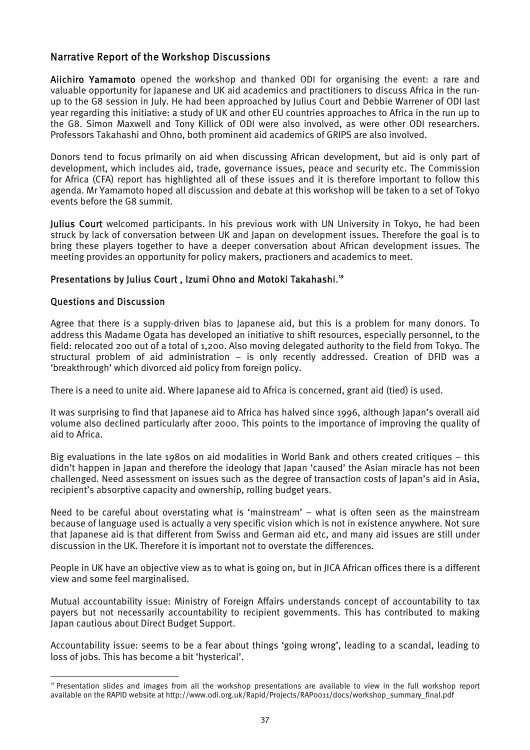#### Narrative Report of the Workshop Discussions

Aiichiro Yamamoto opened the workshop and thanked ODI for organising the event: a rare and valuable opportunity for Japanese and UK aid academics and practitioners to discuss Africa in the runup to the G8 session in July. He had been approached by Julius Court and Debbie Warrener of ODI last year regarding this initiative: a study of UK and other EU countries approaches to Africa in the run up to the G8. Simon Maxwell and Tony Killick of ODI were also involved, as were other ODI researchers. Professors Takahashi and Ohno, both prominent aid academics of GRIPS are also involved.

Donors tend to focus primarily on aid when discussing African development, but aid is only part of development, which includes aid, trade, governance issues, peace and security etc. The Commission for Africa (CFA) report has highlighted all of these issues and it is therefore important to follow this agenda. Mr Yamamoto hoped all discussion and debate at this workshop will be taken to a set of Tokyo events before the G8 summit.

Julius Court welcomed participants. In his previous work with UN University in Tokyo, he had been struck by lack of conversation between UK and Japan on development issues. Therefore the goal is to bring these players together to have a deeper conversation about African development issues. The meeting provides an opportunity for policy makers, practioners and academics to meet.

#### Presentations by Julius Court, Izumi Ohno and Motoki Takahashi.<sup>19</sup>

#### Questions and Discussion

Agree that there is a supply-driven bias to Japanese aid, but this is a problem for many donors. To address this Madame Ogata has developed an initiative to shift resources, especially personnel, to the field: relocated 200 out of a total of 1,200. Also moving delegated authority to the field from Tokyo. The structural problem of aid administration – is only recently addressed. Creation of DFID was a 'breakthrough' which divorced aid policy from foreign policy.

There is a need to unite aid. Where Japanese aid to Africa is concerned, grant aid (tied) is used.

It was surprising to find that Japanese aid to Africa has halved since 1996, although Japan's overall aid volume also declined particularly after 2000. This points to the importance of improving the quality of aid to Africa.

Big evaluations in the late 1980s on aid modalities in World Bank and others created critiques – this didn't happen in Japan and therefore the ideology that Japan 'caused' the Asian miracle has not been challenged. Need assessment on issues such as the degree of transaction costs of Japan's aid in Asia, recipient's absorptive capacity and ownership, rolling budget years.

Need to be careful about overstating what is 'mainstream' – what is often seen as the mainstream because of language used is actually a very specific vision which is not in existence anywhere. Not sure that Japanese aid is that different from Swiss and German aid etc, and many aid issues are still under discussion in the UK. Therefore it is important not to overstate the differences.

People in UK have an objective view as to what is going on, but in JICA African offices there is a different view and some feel marginalised.

Mutual accountability issue: Ministry of Foreign Affairs understands concept of accountability to tax payers but not necessarily accountability to recipient governments. This has contributed to making Japan cautious about Direct Budget Support.

Accountability issue: seems to be a fear about things 'going wrong', leading to a scandal, leading to loss of jobs. This has become a bit 'hysterical'.

 $\overline{\phantom{a}}$ <sup>19</sup> Presentation slides and images from all the workshop presentations are available to view in the full workshop report available on the RAPID website at http://www.odi.org.uk/Rapid/Projects/RAP0011/docs/workshop\_summary\_final.pdf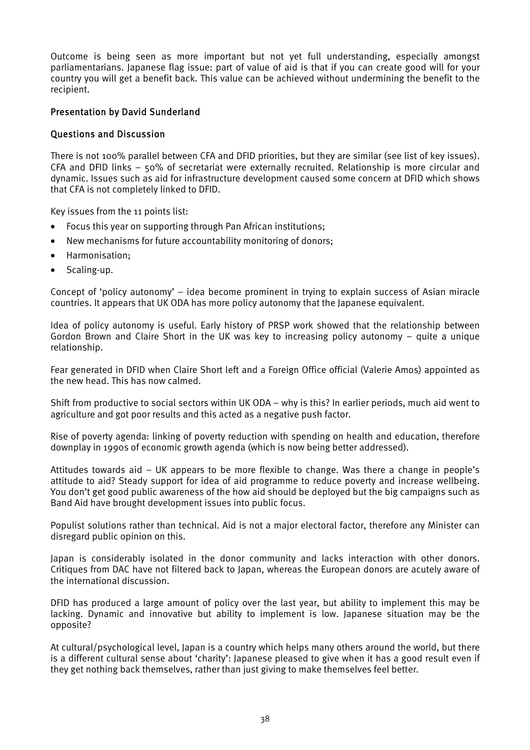Outcome is being seen as more important but not yet full understanding, especially amongst parliamentarians. Japanese flag issue: part of value of aid is that if you can create good will for your country you will get a benefit back. This value can be achieved without undermining the benefit to the recipient.

#### Presentation by David Sunderland

#### Questions and Discussion

There is not 100% parallel between CFA and DFID priorities, but they are similar (see list of key issues). CFA and DFID links – 50% of secretariat were externally recruited. Relationship is more circular and dynamic. Issues such as aid for infrastructure development caused some concern at DFID which shows that CFA is not completely linked to DFID.

Key issues from the 11 points list:

- Focus this year on supporting through Pan African institutions;
- New mechanisms for future accountability monitoring of donors;
- Harmonisation;
- Scaling-up.

Concept of 'policy autonomy' – idea become prominent in trying to explain success of Asian miracle countries. It appears that UK ODA has more policy autonomy that the Japanese equivalent.

Idea of policy autonomy is useful. Early history of PRSP work showed that the relationship between Gordon Brown and Claire Short in the UK was key to increasing policy autonomy – quite a unique relationship.

Fear generated in DFID when Claire Short left and a Foreign Office official (Valerie Amos) appointed as the new head. This has now calmed.

Shift from productive to social sectors within UK ODA – why is this? In earlier periods, much aid went to agriculture and got poor results and this acted as a negative push factor.

Rise of poverty agenda: linking of poverty reduction with spending on health and education, therefore downplay in 1990s of economic growth agenda (which is now being better addressed).

Attitudes towards aid – UK appears to be more flexible to change. Was there a change in people's attitude to aid? Steady support for idea of aid programme to reduce poverty and increase wellbeing. You don't get good public awareness of the how aid should be deployed but the big campaigns such as Band Aid have brought development issues into public focus.

Populist solutions rather than technical. Aid is not a major electoral factor, therefore any Minister can disregard public opinion on this.

Japan is considerably isolated in the donor community and lacks interaction with other donors. Critiques from DAC have not filtered back to Japan, whereas the European donors are acutely aware of the international discussion.

DFID has produced a large amount of policy over the last year, but ability to implement this may be lacking. Dynamic and innovative but ability to implement is low. Japanese situation may be the opposite?

At cultural/psychological level, Japan is a country which helps many others around the world, but there is a different cultural sense about 'charity': Japanese pleased to give when it has a good result even if they get nothing back themselves, rather than just giving to make themselves feel better.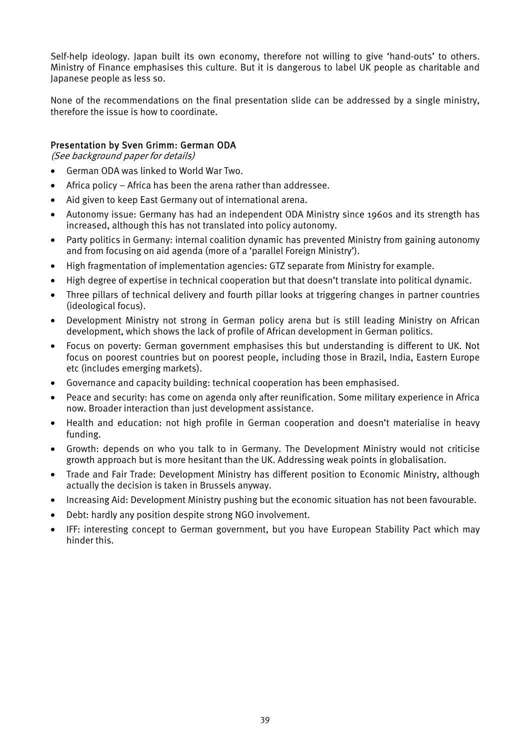Self-help ideology. Japan built its own economy, therefore not willing to give 'hand-outs' to others. Ministry of Finance emphasises this culture. But it is dangerous to label UK people as charitable and Japanese people as less so.

None of the recommendations on the final presentation slide can be addressed by a single ministry, therefore the issue is how to coordinate.

#### Presentation by Sven Grimm: German ODA

(See background paper for details)

- German ODA was linked to World War Two.
- Africa policy Africa has been the arena rather than addressee.
- Aid given to keep East Germany out of international arena.
- Autonomy issue: Germany has had an independent ODA Ministry since 1960s and its strength has increased, although this has not translated into policy autonomy.
- Party politics in Germany: internal coalition dynamic has prevented Ministry from gaining autonomy and from focusing on aid agenda (more of a 'parallel Foreign Ministry').
- High fragmentation of implementation agencies: GTZ separate from Ministry for example.
- High degree of expertise in technical cooperation but that doesn't translate into political dynamic.
- Three pillars of technical delivery and fourth pillar looks at triggering changes in partner countries (ideological focus).
- Development Ministry not strong in German policy arena but is still leading Ministry on African development, which shows the lack of profile of African development in German politics.
- Focus on poverty: German government emphasises this but understanding is different to UK. Not focus on poorest countries but on poorest people, including those in Brazil, India, Eastern Europe etc (includes emerging markets).
- Governance and capacity building: technical cooperation has been emphasised.
- Peace and security: has come on agenda only after reunification. Some military experience in Africa now. Broader interaction than just development assistance.
- Health and education: not high profile in German cooperation and doesn't materialise in heavy funding.
- Growth: depends on who you talk to in Germany. The Development Ministry would not criticise growth approach but is more hesitant than the UK. Addressing weak points in globalisation.
- Trade and Fair Trade: Development Ministry has different position to Economic Ministry, although actually the decision is taken in Brussels anyway.
- Increasing Aid: Development Ministry pushing but the economic situation has not been favourable.
- Debt: hardly any position despite strong NGO involvement.
- IFF: interesting concept to German government, but you have European Stability Pact which may hinder this.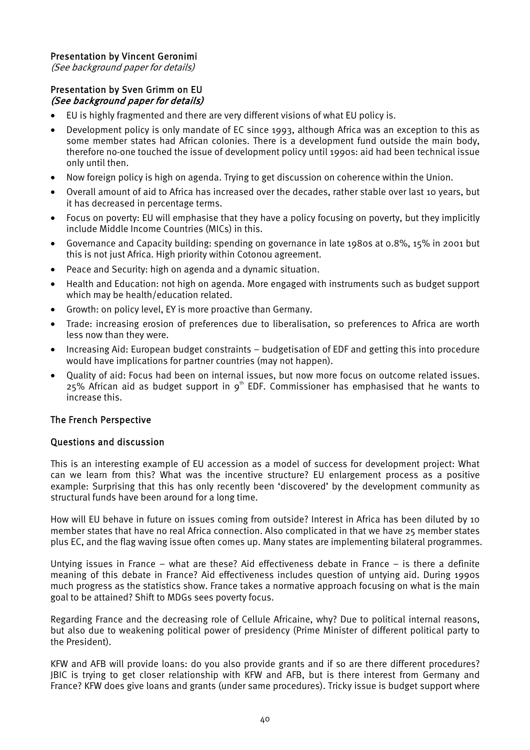#### Presentation by Vincent Geronimi

(See background paper for details)

#### Presentation by Sven Grimm on EU (See background paper for details)

- EU is highly fragmented and there are very different visions of what EU policy is.
- Development policy is only mandate of EC since 1993, although Africa was an exception to this as some member states had African colonies. There is a development fund outside the main body, therefore no-one touched the issue of development policy until 1990s: aid had been technical issue only until then.
- Now foreign policy is high on agenda. Trying to get discussion on coherence within the Union.
- Overall amount of aid to Africa has increased over the decades, rather stable over last 10 years, but it has decreased in percentage terms.
- Focus on poverty: EU will emphasise that they have a policy focusing on poverty, but they implicitly include Middle Income Countries (MICs) in this.
- Governance and Capacity building: spending on governance in late 1980s at 0.8%, 15% in 2001 but this is not just Africa. High priority within Cotonou agreement.
- Peace and Security: high on agenda and a dynamic situation.
- Health and Education: not high on agenda. More engaged with instruments such as budget support which may be health/education related.
- Growth: on policy level, EY is more proactive than Germany.
- Trade: increasing erosion of preferences due to liberalisation, so preferences to Africa are worth less now than they were.
- Increasing Aid: European budget constraints budgetisation of EDF and getting this into procedure would have implications for partner countries (may not happen).
- Quality of aid: Focus had been on internal issues, but now more focus on outcome related issues.  $25%$  African aid as budget support in 9<sup>th</sup> EDF. Commissioner has emphasised that he wants to increase this.

#### The French Perspective

#### Questions and discussion

This is an interesting example of EU accession as a model of success for development project: What can we learn from this? What was the incentive structure? EU enlargement process as a positive example: Surprising that this has only recently been 'discovered' by the development community as structural funds have been around for a long time.

How will EU behave in future on issues coming from outside? Interest in Africa has been diluted by 10 member states that have no real Africa connection. Also complicated in that we have 25 member states plus EC, and the flag waving issue often comes up. Many states are implementing bilateral programmes.

Untying issues in France – what are these? Aid effectiveness debate in France – is there a definite meaning of this debate in France? Aid effectiveness includes question of untying aid. During 1990s much progress as the statistics show. France takes a normative approach focusing on what is the main goal to be attained? Shift to MDGs sees poverty focus.

Regarding France and the decreasing role of Cellule Africaine, why? Due to political internal reasons, but also due to weakening political power of presidency (Prime Minister of different political party to the President).

KFW and AFB will provide loans: do you also provide grants and if so are there different procedures? JBIC is trying to get closer relationship with KFW and AFB, but is there interest from Germany and France? KFW does give loans and grants (under same procedures). Tricky issue is budget support where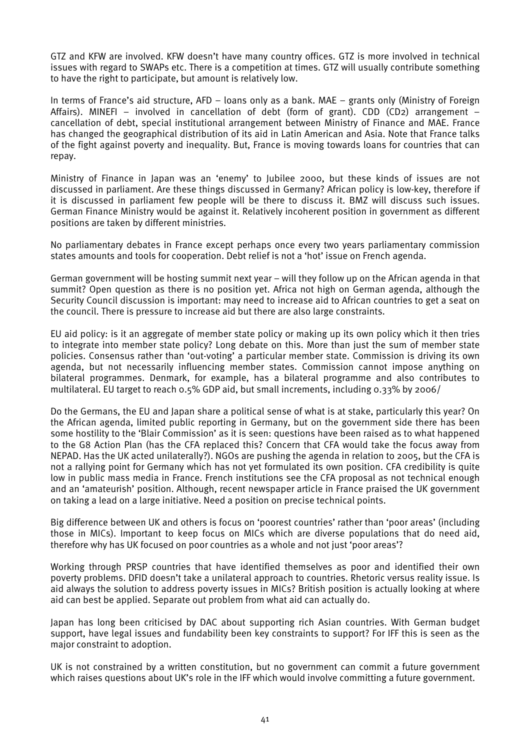GTZ and KFW are involved. KFW doesn't have many country offices. GTZ is more involved in technical issues with regard to SWAPs etc. There is a competition at times. GTZ will usually contribute something to have the right to participate, but amount is relatively low.

In terms of France's aid structure, AFD – loans only as a bank. MAE – grants only (Ministry of Foreign Affairs). MINEFI – involved in cancellation of debt (form of grant). CDD (CD2) arrangement – cancellation of debt, special institutional arrangement between Ministry of Finance and MAE. France has changed the geographical distribution of its aid in Latin American and Asia. Note that France talks of the fight against poverty and inequality. But, France is moving towards loans for countries that can repay.

Ministry of Finance in Japan was an 'enemy' to Jubilee 2000, but these kinds of issues are not discussed in parliament. Are these things discussed in Germany? African policy is low-key, therefore if it is discussed in parliament few people will be there to discuss it. BMZ will discuss such issues. German Finance Ministry would be against it. Relatively incoherent position in government as different positions are taken by different ministries.

No parliamentary debates in France except perhaps once every two years parliamentary commission states amounts and tools for cooperation. Debt relief is not a 'hot' issue on French agenda.

German government will be hosting summit next year – will they follow up on the African agenda in that summit? Open question as there is no position yet. Africa not high on German agenda, although the Security Council discussion is important: may need to increase aid to African countries to get a seat on the council. There is pressure to increase aid but there are also large constraints.

EU aid policy: is it an aggregate of member state policy or making up its own policy which it then tries to integrate into member state policy? Long debate on this. More than just the sum of member state policies. Consensus rather than 'out-voting' a particular member state. Commission is driving its own agenda, but not necessarily influencing member states. Commission cannot impose anything on bilateral programmes. Denmark, for example, has a bilateral programme and also contributes to multilateral. EU target to reach 0.5% GDP aid, but small increments, including 0.33% by 2006/

Do the Germans, the EU and Japan share a political sense of what is at stake, particularly this year? On the African agenda, limited public reporting in Germany, but on the government side there has been some hostility to the 'Blair Commission' as it is seen: questions have been raised as to what happened to the G8 Action Plan (has the CFA replaced this? Concern that CFA would take the focus away from NEPAD. Has the UK acted unilaterally?). NGOs are pushing the agenda in relation to 2005, but the CFA is not a rallying point for Germany which has not yet formulated its own position. CFA credibility is quite low in public mass media in France. French institutions see the CFA proposal as not technical enough and an 'amateurish' position. Although, recent newspaper article in France praised the UK government on taking a lead on a large initiative. Need a position on precise technical points.

Big difference between UK and others is focus on 'poorest countries' rather than 'poor areas' (including those in MICs). Important to keep focus on MICs which are diverse populations that do need aid, therefore why has UK focused on poor countries as a whole and not just 'poor areas'?

Working through PRSP countries that have identified themselves as poor and identified their own poverty problems. DFID doesn't take a unilateral approach to countries. Rhetoric versus reality issue. Is aid always the solution to address poverty issues in MICs? British position is actually looking at where aid can best be applied. Separate out problem from what aid can actually do.

Japan has long been criticised by DAC about supporting rich Asian countries. With German budget support, have legal issues and fundability been key constraints to support? For IFF this is seen as the major constraint to adoption.

UK is not constrained by a written constitution, but no government can commit a future government which raises questions about UK's role in the IFF which would involve committing a future government.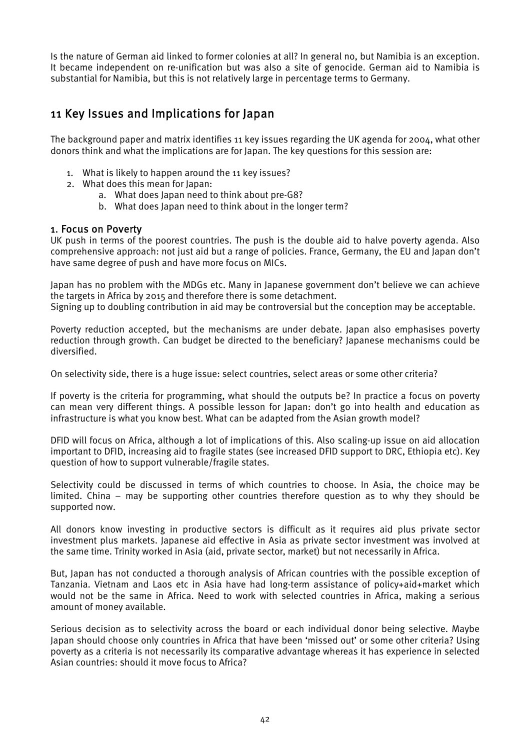Is the nature of German aid linked to former colonies at all? In general no, but Namibia is an exception. It became independent on re-unification but was also a site of genocide. German aid to Namibia is substantial for Namibia, but this is not relatively large in percentage terms to Germany.

### 11 Key Issues and Implications for Japan

The background paper and matrix identifies 11 key issues regarding the UK agenda for 2004, what other donors think and what the implications are for Japan. The key questions for this session are:

- 1. What is likely to happen around the 11 key issues?
- 2. What does this mean for Japan:
	- a. What does Japan need to think about pre-G8?
	- b. What does Japan need to think about in the longer term?

#### 1. Focus on Poverty

UK push in terms of the poorest countries. The push is the double aid to halve poverty agenda. Also comprehensive approach: not just aid but a range of policies. France, Germany, the EU and Japan don't have same degree of push and have more focus on MICs.

Japan has no problem with the MDGs etc. Many in Japanese government don't believe we can achieve the targets in Africa by 2015 and therefore there is some detachment.

Signing up to doubling contribution in aid may be controversial but the conception may be acceptable.

Poverty reduction accepted, but the mechanisms are under debate. Japan also emphasises poverty reduction through growth. Can budget be directed to the beneficiary? Japanese mechanisms could be diversified.

On selectivity side, there is a huge issue: select countries, select areas or some other criteria?

If poverty is the criteria for programming, what should the outputs be? In practice a focus on poverty can mean very different things. A possible lesson for lapan: don't go into health and education as infrastructure is what you know best. What can be adapted from the Asian growth model?

DFID will focus on Africa, although a lot of implications of this. Also scaling-up issue on aid allocation important to DFID, increasing aid to fragile states (see increased DFID support to DRC, Ethiopia etc). Key question of how to support vulnerable/fragile states.

Selectivity could be discussed in terms of which countries to choose. In Asia, the choice may be limited. China – may be supporting other countries therefore question as to why they should be supported now.

All donors know investing in productive sectors is difficult as it requires aid plus private sector investment plus markets. Japanese aid effective in Asia as private sector investment was involved at the same time. Trinity worked in Asia (aid, private sector, market) but not necessarily in Africa.

But, Japan has not conducted a thorough analysis of African countries with the possible exception of Tanzania. Vietnam and Laos etc in Asia have had long-term assistance of policy+aid+market which would not be the same in Africa. Need to work with selected countries in Africa, making a serious amount of money available.

Serious decision as to selectivity across the board or each individual donor being selective. Maybe Japan should choose only countries in Africa that have been 'missed out' or some other criteria? Using poverty as a criteria is not necessarily its comparative advantage whereas it has experience in selected Asian countries: should it move focus to Africa?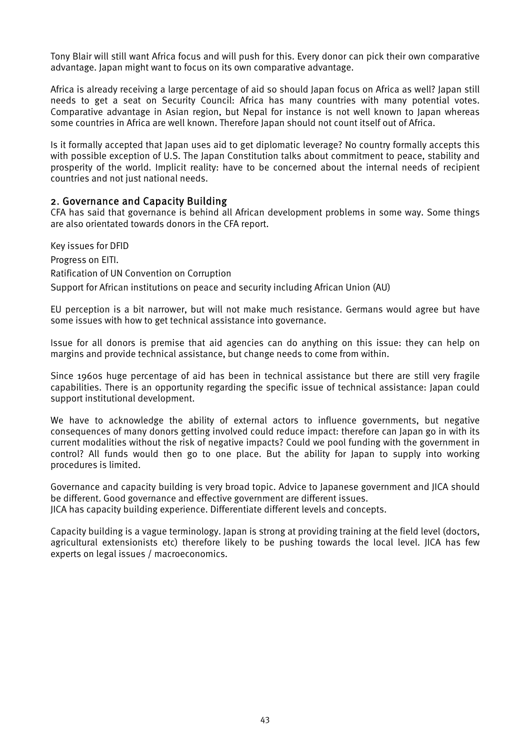Tony Blair will still want Africa focus and will push for this. Every donor can pick their own comparative advantage. Japan might want to focus on its own comparative advantage.

Africa is already receiving a large percentage of aid so should Japan focus on Africa as well? Japan still needs to get a seat on Security Council: Africa has many countries with many potential votes. Comparative advantage in Asian region, but Nepal for instance is not well known to Japan whereas some countries in Africa are well known. Therefore Japan should not count itself out of Africa.

Is it formally accepted that Japan uses aid to get diplomatic leverage? No country formally accepts this with possible exception of U.S. The Japan Constitution talks about commitment to peace, stability and prosperity of the world. Implicit reality: have to be concerned about the internal needs of recipient countries and not just national needs.

#### 2. Governance and Capacity Building

CFA has said that governance is behind all African development problems in some way. Some things are also orientated towards donors in the CFA report.

Key issues for DFID Progress on EITI. Ratification of UN Convention on Corruption Support for African institutions on peace and security including African Union (AU)

EU perception is a bit narrower, but will not make much resistance. Germans would agree but have some issues with how to get technical assistance into governance.

Issue for all donors is premise that aid agencies can do anything on this issue: they can help on margins and provide technical assistance, but change needs to come from within.

Since 1960s huge percentage of aid has been in technical assistance but there are still very fragile capabilities. There is an opportunity regarding the specific issue of technical assistance: Japan could support institutional development.

We have to acknowledge the ability of external actors to influence governments, but negative consequences of many donors getting involved could reduce impact: therefore can Japan go in with its current modalities without the risk of negative impacts? Could we pool funding with the government in control? All funds would then go to one place. But the ability for Japan to supply into working procedures is limited.

Governance and capacity building is very broad topic. Advice to Japanese government and JICA should be different. Good governance and effective government are different issues. JICA has capacity building experience. Differentiate different levels and concepts.

Capacity building is a vague terminology. Japan is strong at providing training at the field level (doctors, agricultural extensionists etc) therefore likely to be pushing towards the local level. JICA has few experts on legal issues / macroeconomics.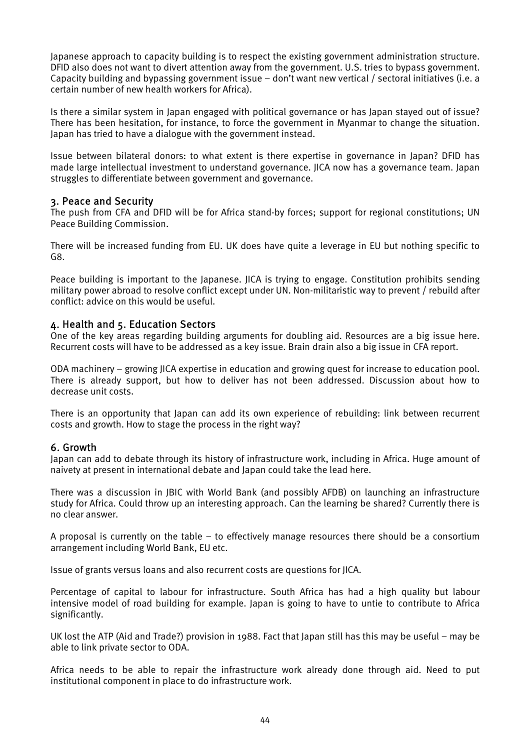Japanese approach to capacity building is to respect the existing government administration structure. DFID also does not want to divert attention away from the government. U.S. tries to bypass government. Capacity building and bypassing government issue – don't want new vertical / sectoral initiatives (i.e. a certain number of new health workers for Africa).

Is there a similar system in Japan engaged with political governance or has Japan stayed out of issue? There has been hesitation, for instance, to force the government in Myanmar to change the situation. Japan has tried to have a dialogue with the government instead.

Issue between bilateral donors: to what extent is there expertise in governance in Japan? DFID has made large intellectual investment to understand governance. JICA now has a governance team. Japan struggles to differentiate between government and governance.

#### 3. Peace and Security

The push from CFA and DFID will be for Africa stand-by forces; support for regional constitutions; UN Peace Building Commission.

There will be increased funding from EU. UK does have quite a leverage in EU but nothing specific to G8.

Peace building is important to the Japanese. JICA is trying to engage. Constitution prohibits sending military power abroad to resolve conflict except under UN. Non-militaristic way to prevent / rebuild after conflict: advice on this would be useful.

#### 4. Health and 5. Education Sectors

One of the key areas regarding building arguments for doubling aid. Resources are a big issue here. Recurrent costs will have to be addressed as a key issue. Brain drain also a big issue in CFA report.

ODA machinery – growing JICA expertise in education and growing quest for increase to education pool. There is already support, but how to deliver has not been addressed. Discussion about how to decrease unit costs.

There is an opportunity that Japan can add its own experience of rebuilding: link between recurrent costs and growth. How to stage the process in the right way?

#### 6. Growth

Japan can add to debate through its history of infrastructure work, including in Africa. Huge amount of naivety at present in international debate and Japan could take the lead here.

There was a discussion in JBIC with World Bank (and possibly AFDB) on launching an infrastructure study for Africa. Could throw up an interesting approach. Can the learning be shared? Currently there is no clear answer.

A proposal is currently on the table – to effectively manage resources there should be a consortium arrangement including World Bank, EU etc.

Issue of grants versus loans and also recurrent costs are questions for JICA.

Percentage of capital to labour for infrastructure. South Africa has had a high quality but labour intensive model of road building for example. Japan is going to have to untie to contribute to Africa significantly.

UK lost the ATP (Aid and Trade?) provision in 1988. Fact that Japan still has this may be useful – may be able to link private sector to ODA.

Africa needs to be able to repair the infrastructure work already done through aid. Need to put institutional component in place to do infrastructure work.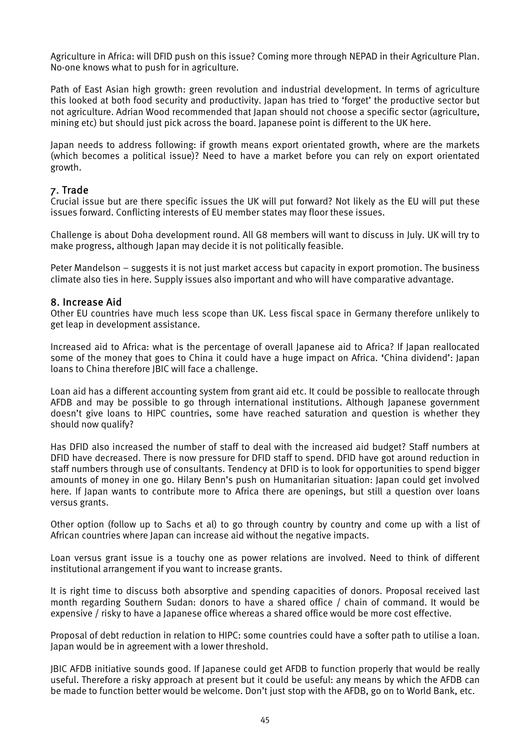Agriculture in Africa: will DFID push on this issue? Coming more through NEPAD in their Agriculture Plan. No-one knows what to push for in agriculture.

Path of East Asian high growth: green revolution and industrial development. In terms of agriculture this looked at both food security and productivity. Japan has tried to 'forget' the productive sector but not agriculture. Adrian Wood recommended that Japan should not choose a specific sector (agriculture, mining etc) but should just pick across the board. Japanese point is different to the UK here.

Japan needs to address following: if growth means export orientated growth, where are the markets (which becomes a political issue)? Need to have a market before you can rely on export orientated growth.

#### 7. Trade

Crucial issue but are there specific issues the UK will put forward? Not likely as the EU will put these issues forward. Conflicting interests of EU member states may floor these issues.

Challenge is about Doha development round. All G8 members will want to discuss in July. UK will try to make progress, although Japan may decide it is not politically feasible.

Peter Mandelson – suggests it is not just market access but capacity in export promotion. The business climate also ties in here. Supply issues also important and who will have comparative advantage.

#### 8. Increase Aid

Other EU countries have much less scope than UK. Less fiscal space in Germany therefore unlikely to get leap in development assistance.

Increased aid to Africa: what is the percentage of overall Japanese aid to Africa? If Japan reallocated some of the money that goes to China it could have a huge impact on Africa. 'China dividend': Japan loans to China therefore JBIC will face a challenge.

Loan aid has a different accounting system from grant aid etc. It could be possible to reallocate through AFDB and may be possible to go through international institutions. Although Japanese government doesn't give loans to HIPC countries, some have reached saturation and question is whether they should now qualify?

Has DFID also increased the number of staff to deal with the increased aid budget? Staff numbers at DFID have decreased. There is now pressure for DFID staff to spend. DFID have got around reduction in staff numbers through use of consultants. Tendency at DFID is to look for opportunities to spend bigger amounts of money in one go. Hilary Benn's push on Humanitarian situation: Japan could get involved here. If Japan wants to contribute more to Africa there are openings, but still a question over loans versus grants.

Other option (follow up to Sachs et al) to go through country by country and come up with a list of African countries where Japan can increase aid without the negative impacts.

Loan versus grant issue is a touchy one as power relations are involved. Need to think of different institutional arrangement if you want to increase grants.

It is right time to discuss both absorptive and spending capacities of donors. Proposal received last month regarding Southern Sudan: donors to have a shared office / chain of command. It would be expensive / risky to have a Japanese office whereas a shared office would be more cost effective.

Proposal of debt reduction in relation to HIPC: some countries could have a softer path to utilise a loan. Japan would be in agreement with a lower threshold.

JBIC AFDB initiative sounds good. If Japanese could get AFDB to function properly that would be really useful. Therefore a risky approach at present but it could be useful: any means by which the AFDB can be made to function better would be welcome. Don't just stop with the AFDB, go on to World Bank, etc.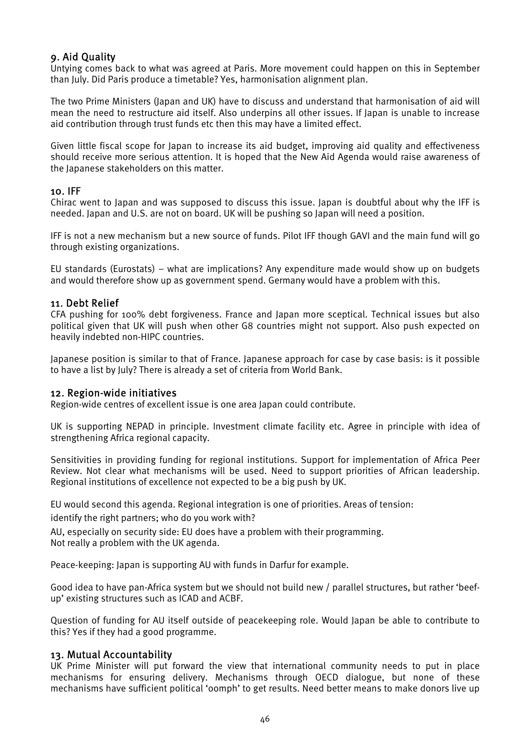#### 9. Aid Quality

Untying comes back to what was agreed at Paris. More movement could happen on this in September than July. Did Paris produce a timetable? Yes, harmonisation alignment plan.

The two Prime Ministers (Japan and UK) have to discuss and understand that harmonisation of aid will mean the need to restructure aid itself. Also underpins all other issues. If Japan is unable to increase aid contribution through trust funds etc then this may have a limited effect.

Given little fiscal scope for Japan to increase its aid budget, improving aid quality and effectiveness should receive more serious attention. It is hoped that the New Aid Agenda would raise awareness of the Japanese stakeholders on this matter.

#### 10. IFF

Chirac went to Japan and was supposed to discuss this issue. Japan is doubtful about why the IFF is needed. Japan and U.S. are not on board. UK will be pushing so Japan will need a position.

IFF is not a new mechanism but a new source of funds. Pilot IFF though GAVI and the main fund will go through existing organizations.

EU standards (Eurostats) – what are implications? Any expenditure made would show up on budgets and would therefore show up as government spend. Germany would have a problem with this.

#### 11. Debt Relief

CFA pushing for 100% debt forgiveness. France and Japan more sceptical. Technical issues but also political given that UK will push when other G8 countries might not support. Also push expected on heavily indebted non-HIPC countries.

Japanese position is similar to that of France. Japanese approach for case by case basis: is it possible to have a list by July? There is already a set of criteria from World Bank.

#### 12. Region-wide initiatives

Region-wide centres of excellent issue is one area Japan could contribute.

UK is supporting NEPAD in principle. Investment climate facility etc. Agree in principle with idea of strengthening Africa regional capacity.

Sensitivities in providing funding for regional institutions. Support for implementation of Africa Peer Review. Not clear what mechanisms will be used. Need to support priorities of African leadership. Regional institutions of excellence not expected to be a big push by UK.

EU would second this agenda. Regional integration is one of priorities. Areas of tension:

identify the right partners; who do you work with?

AU, especially on security side: EU does have a problem with their programming. Not really a problem with the UK agenda.

Peace-keeping: Japan is supporting AU with funds in Darfur for example.

Good idea to have pan-Africa system but we should not build new / parallel structures, but rather 'beefup' existing structures such as ICAD and ACBF.

Question of funding for AU itself outside of peacekeeping role. Would Japan be able to contribute to this? Yes if they had a good programme.

#### 13. Mutual Accountability

UK Prime Minister will put forward the view that international community needs to put in place mechanisms for ensuring delivery. Mechanisms through OECD dialogue, but none of these mechanisms have sufficient political 'oomph' to get results. Need better means to make donors live up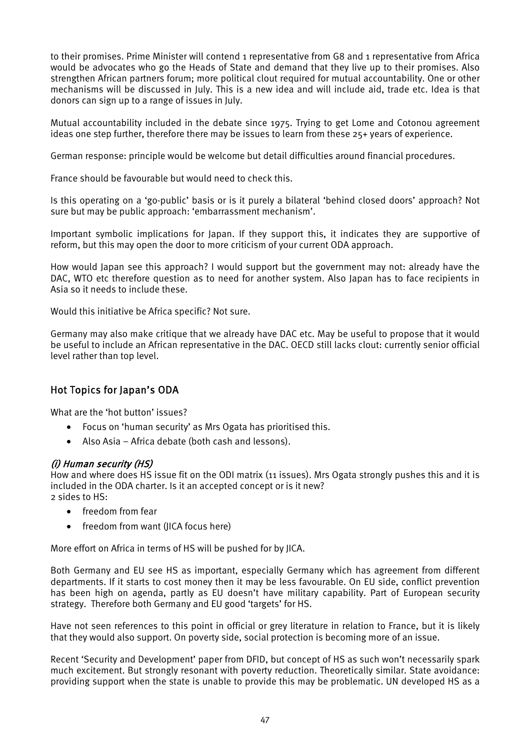to their promises. Prime Minister will contend 1 representative from G8 and 1 representative from Africa would be advocates who go the Heads of State and demand that they live up to their promises. Also strengthen African partners forum; more political clout required for mutual accountability. One or other mechanisms will be discussed in July. This is a new idea and will include aid, trade etc. Idea is that donors can sign up to a range of issues in July.

Mutual accountability included in the debate since 1975. Trying to get Lome and Cotonou agreement ideas one step further, therefore there may be issues to learn from these 25+ years of experience.

German response: principle would be welcome but detail difficulties around financial procedures.

France should be favourable but would need to check this.

Is this operating on a 'go-public' basis or is it purely a bilateral 'behind closed doors' approach? Not sure but may be public approach: 'embarrassment mechanism'.

Important symbolic implications for Japan. If they support this, it indicates they are supportive of reform, but this may open the door to more criticism of your current ODA approach.

How would Japan see this approach? I would support but the government may not: already have the DAC, WTO etc therefore question as to need for another system. Also Japan has to face recipients in Asia so it needs to include these.

Would this initiative be Africa specific? Not sure.

Germany may also make critique that we already have DAC etc. May be useful to propose that it would be useful to include an African representative in the DAC. OECD still lacks clout: currently senior official level rather than top level.

### Hot Topics for Japan's ODA

What are the 'hot button' issues?

- Focus on 'human security' as Mrs Ogata has prioritised this.
- Also Asia Africa debate (both cash and lessons).

#### (i) Human security (HS)

How and where does HS issue fit on the ODI matrix (11 issues). Mrs Ogata strongly pushes this and it is included in the ODA charter. Is it an accepted concept or is it new? 2 sides to HS:

- freedom from fear
- freedom from want (JICA focus here)

More effort on Africa in terms of HS will be pushed for by JICA.

Both Germany and EU see HS as important, especially Germany which has agreement from different departments. If it starts to cost money then it may be less favourable. On EU side, conflict prevention has been high on agenda, partly as EU doesn't have military capability. Part of European security strategy. Therefore both Germany and EU good 'targets' for HS.

Have not seen references to this point in official or grey literature in relation to France, but it is likely that they would also support. On poverty side, social protection is becoming more of an issue.

Recent 'Security and Development' paper from DFID, but concept of HS as such won't necessarily spark much excitement. But strongly resonant with poverty reduction. Theoretically similar. State avoidance: providing support when the state is unable to provide this may be problematic. UN developed HS as a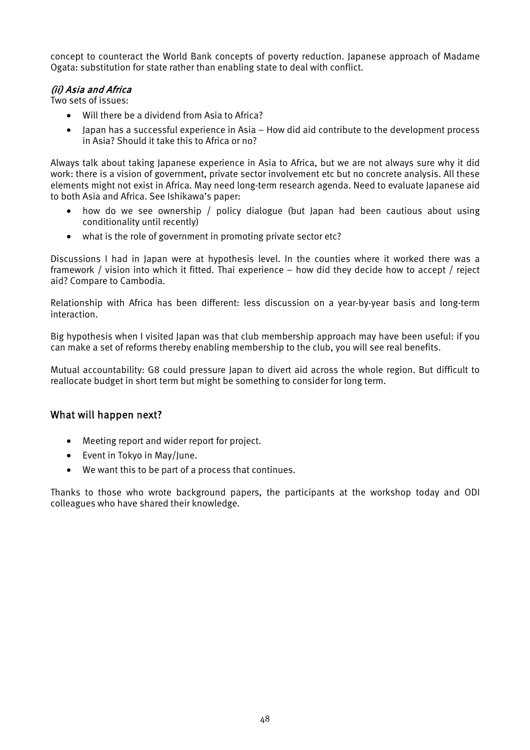concept to counteract the World Bank concepts of poverty reduction. Japanese approach of Madame Ogata: substitution for state rather than enabling state to deal with conflict.

#### (ii) Asia and Africa

Two sets of issues:

- Will there be a dividend from Asia to Africa?
- Japan has a successful experience in Asia How did aid contribute to the development process in Asia? Should it take this to Africa or no?

Always talk about taking Japanese experience in Asia to Africa, but we are not always sure why it did work: there is a vision of government, private sector involvement etc but no concrete analysis. All these elements might not exist in Africa. May need long-term research agenda. Need to evaluate Japanese aid to both Asia and Africa. See Ishikawa's paper:

- how do we see ownership / policy dialogue (but Japan had been cautious about using conditionality until recently)
- what is the role of government in promoting private sector etc?

Discussions I had in Japan were at hypothesis level. In the counties where it worked there was a framework / vision into which it fitted. Thai experience – how did they decide how to accept / reject aid? Compare to Cambodia.

Relationship with Africa has been different: less discussion on a year-by-year basis and long-term interaction.

Big hypothesis when I visited Japan was that club membership approach may have been useful: if you can make a set of reforms thereby enabling membership to the club, you will see real benefits.

Mutual accountability: G8 could pressure Japan to divert aid across the whole region. But difficult to reallocate budget in short term but might be something to consider for long term.

#### What will happen next?

- Meeting report and wider report for project.
- Event in Tokyo in May/June.
- We want this to be part of a process that continues.

Thanks to those who wrote background papers, the participants at the workshop today and ODI colleagues who have shared their knowledge.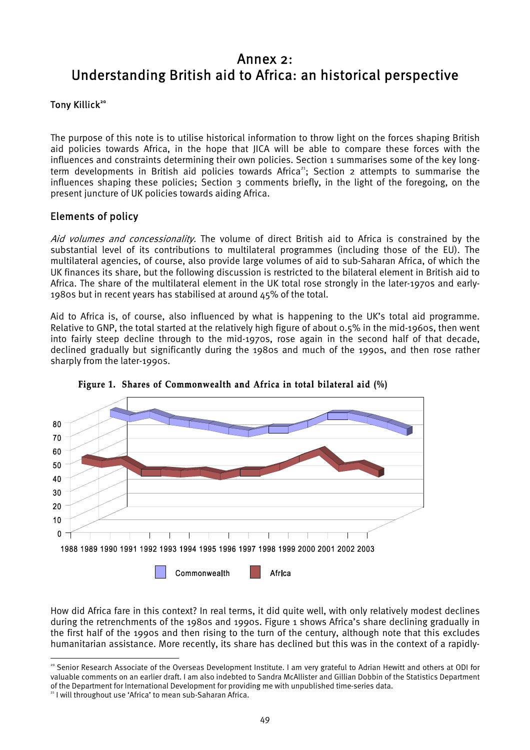# Annex 2: Understanding British aid to Africa: an historical perspective

# Tony Killick $^{20}$

The purpose of this note is to utilise historical information to throw light on the forces shaping British aid policies towards Africa, in the hope that JICA will be able to compare these forces with the influences and constraints determining their own policies. Section 1 summarises some of the key longterm developments in British aid policies towards Africa<sup>21</sup>; Section 2 attempts to summarise the influences shaping these policies; Section 3 comments briefly, in the light of the foregoing, on the present juncture of UK policies towards aiding Africa.

#### Elements of policy

Aid volumes and concessionality. The volume of direct British aid to Africa is constrained by the substantial level of its contributions to multilateral programmes (including those of the EU). The multilateral agencies, of course, also provide large volumes of aid to sub-Saharan Africa, of which the UK finances its share, but the following discussion is restricted to the bilateral element in British aid to Africa. The share of the multilateral element in the UK total rose strongly in the later-1970s and early-1980s but in recent years has stabilised at around 45% of the total.

Aid to Africa is, of course, also influenced by what is happening to the UK's total aid programme. Relative to GNP, the total started at the relatively high figure of about 0.5% in the mid-1960s, then went into fairly steep decline through to the mid-1970s, rose again in the second half of that decade, declined gradually but significantly during the 1980s and much of the 1990s, and then rose rather sharply from the later-1990s.



Figure 1. Shares of Commonwealth and Africa in total bilateral aid (%)

How did Africa fare in this context? In real terms, it did quite well, with only relatively modest declines during the retrenchments of the 1980s and 1990s. Figure 1 shows Africa's share declining gradually in the first half of the 1990s and then rising to the turn of the century, although note that this excludes humanitarian assistance. More recently, its share has declined but this was in the context of a rapidly-

 $\overline{a}$ <sup>20</sup> Senior Research Associate of the Overseas Development Institute. I am very grateful to Adrian Hewitt and others at ODI for valuable comments on an earlier draft. I am also indebted to Sandra McAllister and Gillian Dobbin of the Statistics Department of the Department for International Development for providing me with unpublished time-series data.<br><sup>21</sup> I will throughout use 'Africa' to mean sub-Saharan Africa.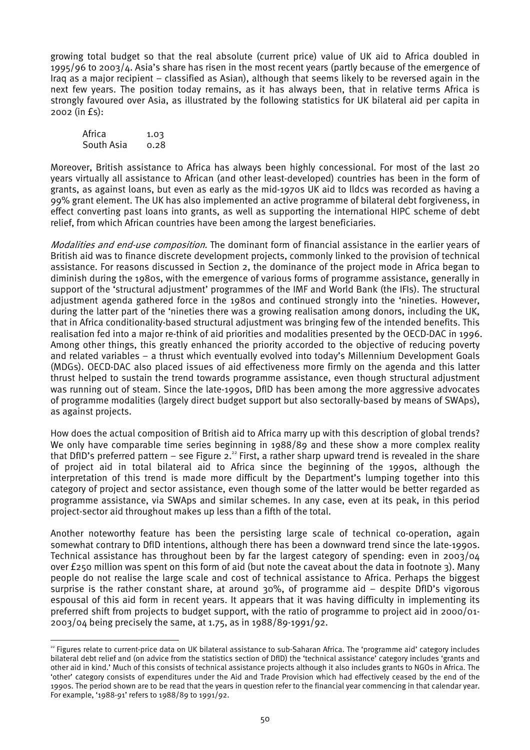growing total budget so that the real absolute (current price) value of UK aid to Africa doubled in 1995/96 to 2003/4. Asia's share has risen in the most recent years (partly because of the emergence of Iraq as a major recipient – classified as Asian), although that seems likely to be reversed again in the next few years. The position today remains, as it has always been, that in relative terms Africa is strongly favoured over Asia, as illustrated by the following statistics for UK bilateral aid per capita in 2002 (in £s):

| Africa     | 1.03 |
|------------|------|
| South Asia | 0.28 |

 $\overline{\phantom{a}}$ 

Moreover, British assistance to Africa has always been highly concessional. For most of the last 20 years virtually all assistance to African (and other least-developed) countries has been in the form of grants, as against loans, but even as early as the mid-1970s UK aid to lldcs was recorded as having a 99% grant element. The UK has also implemented an active programme of bilateral debt forgiveness, in effect converting past loans into grants, as well as supporting the international HIPC scheme of debt relief, from which African countries have been among the largest beneficiaries.

*Modalities and end-use composition*. The dominant form of financial assistance in the earlier years of British aid was to finance discrete development projects, commonly linked to the provision of technical assistance. For reasons discussed in Section 2, the dominance of the project mode in Africa began to diminish during the 1980s, with the emergence of various forms of programme assistance, generally in support of the 'structural adjustment' programmes of the IMF and World Bank (the IFIs). The structural adjustment agenda gathered force in the 1980s and continued strongly into the 'nineties. However, during the latter part of the 'nineties there was a growing realisation among donors, including the UK, that in Africa conditionality-based structural adjustment was bringing few of the intended benefits. This realisation fed into a major re-think of aid priorities and modalities presented by the OECD-DAC in 1996. Among other things, this greatly enhanced the priority accorded to the objective of reducing poverty and related variables – a thrust which eventually evolved into today's Millennium Development Goals (MDGs). OECD-DAC also placed issues of aid effectiveness more firmly on the agenda and this latter thrust helped to sustain the trend towards programme assistance, even though structural adjustment was running out of steam. Since the late-1990s, DfID has been among the more aggressive advocates of programme modalities (largely direct budget support but also sectorally-based by means of SWAps), as against projects.

How does the actual composition of British aid to Africa marry up with this description of global trends? We only have comparable time series beginning in 1988/89 and these show a more complex reality that DfID's preferred pattern – see Figure 2.<sup>22</sup> First, a rather sharp upward trend is revealed in the share of project aid in total bilateral aid to Africa since the beginning of the 1990s, although the interpretation of this trend is made more difficult by the Department's lumping together into this category of project and sector assistance, even though some of the latter would be better regarded as programme assistance, via SWAps and similar schemes. In any case, even at its peak, in this period project-sector aid throughout makes up less than a fifth of the total.

Another noteworthy feature has been the persisting large scale of technical co-operation, again somewhat contrary to DfID intentions, although there has been a downward trend since the late-1990s. Technical assistance has throughout been by far the largest category of spending: even in 2003/04 over £250 million was spent on this form of aid (but note the caveat about the data in footnote 3). Many people do not realise the large scale and cost of technical assistance to Africa. Perhaps the biggest surprise is the rather constant share, at around 30%, of programme aid – despite DfID's vigorous espousal of this aid form in recent years. It appears that it was having difficulty in implementing its preferred shift from projects to budget support, with the ratio of programme to project aid in 2000/01- 2003/04 being precisely the same, at 1.75, as in 1988/89-1991/92.

<sup>&</sup>lt;sup>22</sup> Figures relate to current-price data on UK bilateral assistance to sub-Saharan Africa. The 'programme aid' category includes bilateral debt relief and (on advice from the statistics section of DfID) the 'technical assistance' category includes 'grants and other aid in kind.' Much of this consists of technical assistance projects although it also includes grants to NGOs in Africa. The 'other' category consists of expenditures under the Aid and Trade Provision which had effectively ceased by the end of the 1990s. The period shown are to be read that the years in question refer to the financial year commencing in that calendar year. For example, '1988-91' refers to 1988/89 to 1991/92.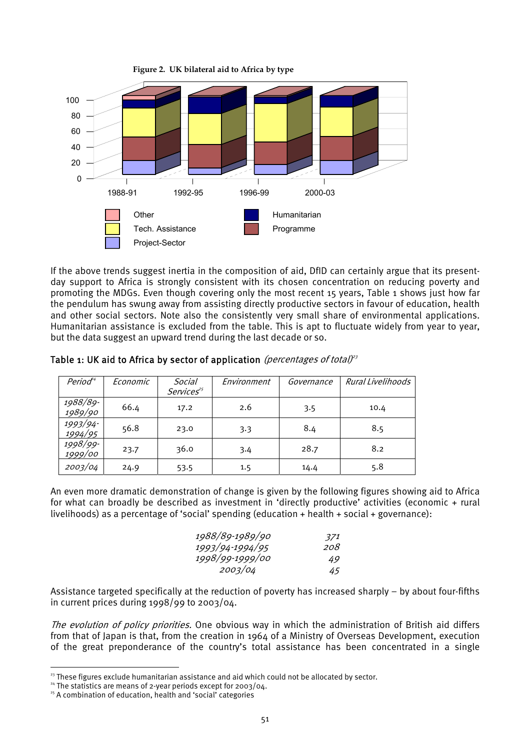

If the above trends suggest inertia in the composition of aid, DfID can certainly argue that its presentday support to Africa is strongly consistent with its chosen concentration on reducing poverty and promoting the MDGs. Even though covering only the most recent 15 years, Table 1 shows just how far the pendulum has swung away from assisting directly productive sectors in favour of education, health and other social sectors. Note also the consistently very small share of environmental applications. Humanitarian assistance is excluded from the table. This is apt to fluctuate widely from year to year, but the data suggest an upward trend during the last decade or so.

| Period <sup>*</sup>        | Economic | Social<br>Services <sup>25</sup> | Environment | Governance | Rural Livelihoods |
|----------------------------|----------|----------------------------------|-------------|------------|-------------------|
| 1988/89-<br>1989/90        | 66.4     | 17.2                             | 2.6         | 3.5        | 10.4              |
| 1993/94-<br><u>1994/95</u> | 56.8     | 23.0                             | 3.3         | 8.4        | 8.5               |
| 1998/99-<br>1999/00        | 23.7     | 36.0                             | 3.4         | 28.7       | 8.2               |
| 2003/04                    | 24.9     | 53.5                             | 1.5         | 14.4       | 5.8               |

#### Table 1: UK aid to Africa by sector of application (percentages of total)<sup>23</sup>

An even more dramatic demonstration of change is given by the following figures showing aid to Africa for what can broadly be described as investment in 'directly productive' activities (economic + rural livelihoods) as a percentage of 'social' spending (education + health + social + governance):

| 1988/89-1989/90 | 371 |
|-----------------|-----|
| 1993/94-1994/95 | 208 |
| 1998/99-1999/00 | 49  |
| 2003/04         | 45  |

Assistance targeted specifically at the reduction of poverty has increased sharply – by about four-fifths in current prices during 1998/99 to 2003/04.

The evolution of policy priorities. One obvious way in which the administration of British aid differs from that of Japan is that, from the creation in 1964 of a Ministry of Overseas Development, execution of the great preponderance of the country's total assistance has been concentrated in a single

 $\overline{a}$ 

<sup>&</sup>lt;sup>23</sup> These figures exclude humanitarian assistance and aid which could not be allocated by sector.

<sup>&</sup>lt;sup>24</sup> The statistics are means of 2-year periods except for 2003/04.<br><sup>25</sup> A combination of education, health and 'social' categories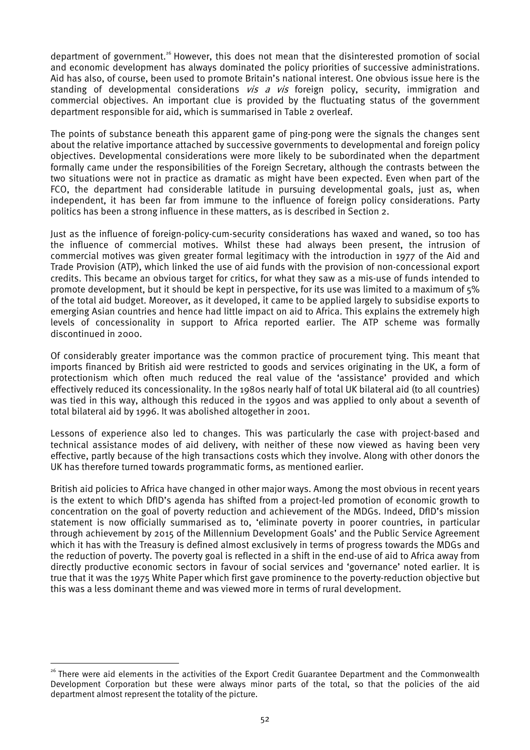department of government.<sup>26</sup> However, this does not mean that the disinterested promotion of social and economic development has always dominated the policy priorities of successive administrations. Aid has also, of course, been used to promote Britain's national interest. One obvious issue here is the standing of developmental considerations  $vis$  a  $vis$  foreign policy, security, immigration and commercial objectives. An important clue is provided by the fluctuating status of the government department responsible for aid, which is summarised in Table 2 overleaf.

The points of substance beneath this apparent game of ping-pong were the signals the changes sent about the relative importance attached by successive governments to developmental and foreign policy objectives. Developmental considerations were more likely to be subordinated when the department formally came under the responsibilities of the Foreign Secretary, although the contrasts between the two situations were not in practice as dramatic as might have been expected. Even when part of the FCO, the department had considerable latitude in pursuing developmental goals, just as, when independent, it has been far from immune to the influence of foreign policy considerations. Party politics has been a strong influence in these matters, as is described in Section 2.

Just as the influence of foreign-policy-cum-security considerations has waxed and waned, so too has the influence of commercial motives. Whilst these had always been present, the intrusion of commercial motives was given greater formal legitimacy with the introduction in 1977 of the Aid and Trade Provision (ATP), which linked the use of aid funds with the provision of non-concessional export credits. This became an obvious target for critics, for what they saw as a mis-use of funds intended to promote development, but it should be kept in perspective, for its use was limited to a maximum of 5% of the total aid budget. Moreover, as it developed, it came to be applied largely to subsidise exports to emerging Asian countries and hence had little impact on aid to Africa. This explains the extremely high levels of concessionality in support to Africa reported earlier. The ATP scheme was formally discontinued in 2000.

Of considerably greater importance was the common practice of procurement tying. This meant that imports financed by British aid were restricted to goods and services originating in the UK, a form of protectionism which often much reduced the real value of the 'assistance' provided and which effectively reduced its concessionality. In the 1980s nearly half of total UK bilateral aid (to all countries) was tied in this way, although this reduced in the 1990s and was applied to only about a seventh of total bilateral aid by 1996. It was abolished altogether in 2001.

Lessons of experience also led to changes. This was particularly the case with project-based and technical assistance modes of aid delivery, with neither of these now viewed as having been very effective, partly because of the high transactions costs which they involve. Along with other donors the UK has therefore turned towards programmatic forms, as mentioned earlier.

British aid policies to Africa have changed in other major ways. Among the most obvious in recent years is the extent to which DfID's agenda has shifted from a project-led promotion of economic growth to concentration on the goal of poverty reduction and achievement of the MDGs. Indeed, DfID's mission statement is now officially summarised as to, 'eliminate poverty in poorer countries, in particular through achievement by 2015 of the Millennium Development Goals' and the Public Service Agreement which it has with the Treasury is defined almost exclusively in terms of progress towards the MDGs and the reduction of poverty. The poverty goal is reflected in a shift in the end-use of aid to Africa away from directly productive economic sectors in favour of social services and 'governance' noted earlier. It is true that it was the 1975 White Paper which first gave prominence to the poverty-reduction objective but this was a less dominant theme and was viewed more in terms of rural development.

 $\overline{a}$ 

<sup>&</sup>lt;sup>26</sup> There were aid elements in the activities of the Export Credit Guarantee Department and the Commonwealth Development Corporation but these were always minor parts of the total, so that the policies of the aid department almost represent the totality of the picture.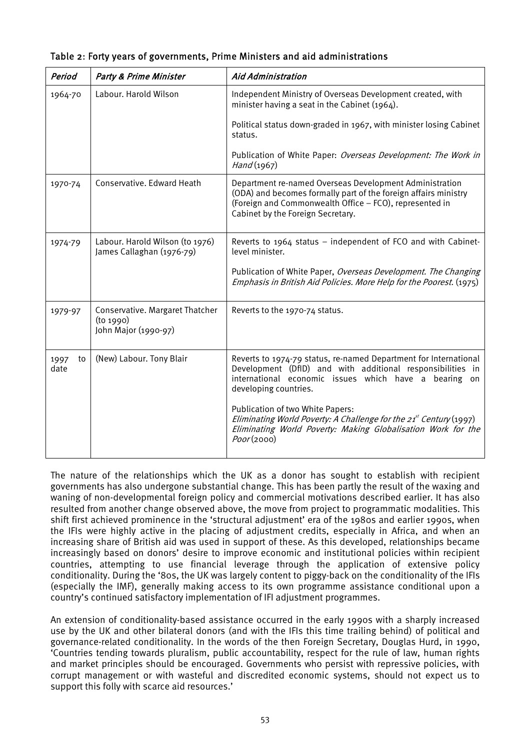| Period             | <b>Party &amp; Prime Minister</b>                                    | <b>Aid Administration</b>                                                                                                                                                                                                  |
|--------------------|----------------------------------------------------------------------|----------------------------------------------------------------------------------------------------------------------------------------------------------------------------------------------------------------------------|
| 1964-70            | Labour. Harold Wilson                                                | Independent Ministry of Overseas Development created, with<br>minister having a seat in the Cabinet (1964).                                                                                                                |
|                    |                                                                      | Political status down-graded in 1967, with minister losing Cabinet<br>status.                                                                                                                                              |
|                    |                                                                      | Publication of White Paper: Overseas Development: The Work in<br>Hand (1967)                                                                                                                                               |
| 1970-74            | Conservative. Edward Heath                                           | Department re-named Overseas Development Administration<br>(ODA) and becomes formally part of the foreign affairs ministry<br>(Foreign and Commonwealth Office - FCO), represented in<br>Cabinet by the Foreign Secretary. |
| 1974-79            | Labour. Harold Wilson (to 1976)<br>James Callaghan (1976-79)         | Reverts to 1964 status - independent of FCO and with Cabinet-<br>level minister.                                                                                                                                           |
|                    |                                                                      | Publication of White Paper, Overseas Development. The Changing<br>Emphasis in British Aid Policies. More Help for the Poorest. (1975)                                                                                      |
| 1979-97            | Conservative. Margaret Thatcher<br>(to 1990)<br>John Major (1990-97) | Reverts to the 1970-74 status.                                                                                                                                                                                             |
| 1997<br>to<br>date | (New) Labour. Tony Blair                                             | Reverts to 1974-79 status, re-named Department for International<br>Development (DfID) and with additional responsibilities in<br>international economic issues which have a bearing on<br>developing countries.           |
|                    |                                                                      | Publication of two White Papers:<br>Eliminating World Poverty: A Challenge for the $21st$ Century (1997)<br>Eliminating World Poverty: Making Globalisation Work for the<br>Poor(2000)                                     |

#### Table 2: Forty years of governments, Prime Ministers and aid administrations

The nature of the relationships which the UK as a donor has sought to establish with recipient governments has also undergone substantial change. This has been partly the result of the waxing and waning of non-developmental foreign policy and commercial motivations described earlier. It has also resulted from another change observed above, the move from project to programmatic modalities. This shift first achieved prominence in the 'structural adjustment' era of the 1980s and earlier 1990s, when the IFIs were highly active in the placing of adjustment credits, especially in Africa, and when an increasing share of British aid was used in support of these. As this developed, relationships became increasingly based on donors' desire to improve economic and institutional policies within recipient countries, attempting to use financial leverage through the application of extensive policy conditionality. During the '80s, the UK was largely content to piggy-back on the conditionality of the IFIs (especially the IMF), generally making access to its own programme assistance conditional upon a country's continued satisfactory implementation of IFI adjustment programmes.

An extension of conditionality-based assistance occurred in the early 1990s with a sharply increased use by the UK and other bilateral donors (and with the IFIs this time trailing behind) of political and governance-related conditionality. In the words of the then Foreign Secretary, Douglas Hurd, in 1990, 'Countries tending towards pluralism, public accountability, respect for the rule of law, human rights and market principles should be encouraged. Governments who persist with repressive policies, with corrupt management or with wasteful and discredited economic systems, should not expect us to support this folly with scarce aid resources.'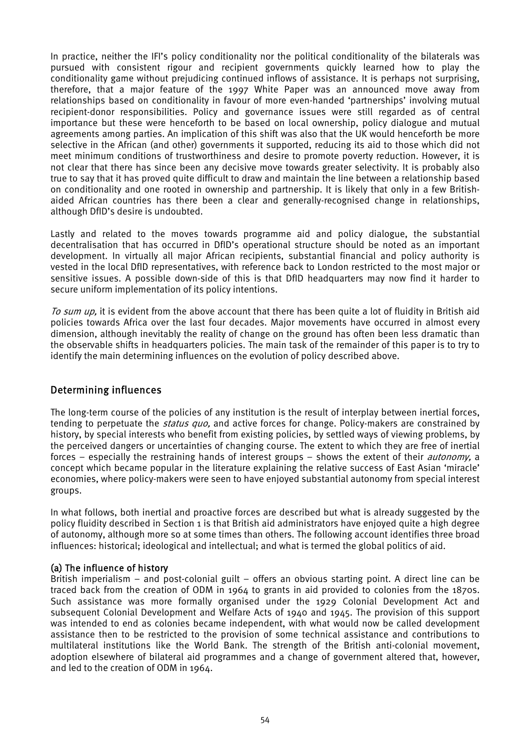In practice, neither the IFI's policy conditionality nor the political conditionality of the bilaterals was pursued with consistent rigour and recipient governments quickly learned how to play the conditionality game without prejudicing continued inflows of assistance. It is perhaps not surprising, therefore, that a major feature of the 1997 White Paper was an announced move away from relationships based on conditionality in favour of more even-handed 'partnerships' involving mutual recipient-donor responsibilities. Policy and governance issues were still regarded as of central importance but these were henceforth to be based on local ownership, policy dialogue and mutual agreements among parties. An implication of this shift was also that the UK would henceforth be more selective in the African (and other) governments it supported, reducing its aid to those which did not meet minimum conditions of trustworthiness and desire to promote poverty reduction. However, it is not clear that there has since been any decisive move towards greater selectivity. It is probably also true to say that it has proved quite difficult to draw and maintain the line between a relationship based on conditionality and one rooted in ownership and partnership. It is likely that only in a few Britishaided African countries has there been a clear and generally-recognised change in relationships, although DfID's desire is undoubted.

Lastly and related to the moves towards programme aid and policy dialogue, the substantial decentralisation that has occurred in DfID's operational structure should be noted as an important development. In virtually all major African recipients, substantial financial and policy authority is vested in the local DfID representatives, with reference back to London restricted to the most major or sensitive issues. A possible down-side of this is that DfID headquarters may now find it harder to secure uniform implementation of its policy intentions.

To sum up, it is evident from the above account that there has been quite a lot of fluidity in British aid policies towards Africa over the last four decades. Major movements have occurred in almost every dimension, although inevitably the reality of change on the ground has often been less dramatic than the observable shifts in headquarters policies. The main task of the remainder of this paper is to try to identify the main determining influences on the evolution of policy described above.

#### Determining influences

The long-term course of the policies of any institution is the result of interplay between inertial forces, tending to perpetuate the *status quo*, and active forces for change. Policy-makers are constrained by history, by special interests who benefit from existing policies, by settled ways of viewing problems, by the perceived dangers or uncertainties of changing course. The extent to which they are free of inertial forces – especially the restraining hands of interest groups – shows the extent of their *autonomy*, a concept which became popular in the literature explaining the relative success of East Asian 'miracle' economies, where policy-makers were seen to have enjoyed substantial autonomy from special interest groups.

In what follows, both inertial and proactive forces are described but what is already suggested by the policy fluidity described in Section 1 is that British aid administrators have enjoyed quite a high degree of autonomy, although more so at some times than others. The following account identifies three broad influences: historical; ideological and intellectual; and what is termed the global politics of aid.

#### (a) The influence of history

British imperialism – and post-colonial guilt – offers an obvious starting point. A direct line can be traced back from the creation of ODM in 1964 to grants in aid provided to colonies from the 1870s. Such assistance was more formally organised under the 1929 Colonial Development Act and subsequent Colonial Development and Welfare Acts of 1940 and 1945. The provision of this support was intended to end as colonies became independent, with what would now be called development assistance then to be restricted to the provision of some technical assistance and contributions to multilateral institutions like the World Bank. The strength of the British anti-colonial movement, adoption elsewhere of bilateral aid programmes and a change of government altered that, however, and led to the creation of ODM in 1964.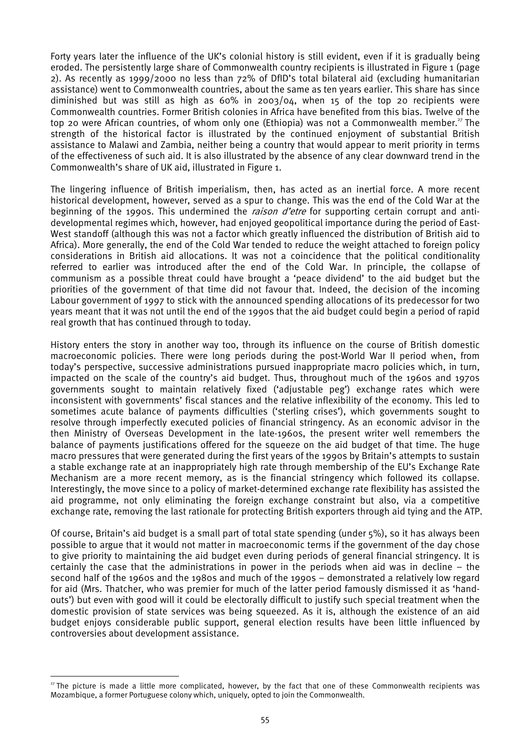Forty years later the influence of the UK's colonial history is still evident, even if it is gradually being eroded. The persistently large share of Commonwealth country recipients is illustrated in Figure 1 (page 2). As recently as 1999/2000 no less than 72% of DfID's total bilateral aid (excluding humanitarian assistance) went to Commonwealth countries, about the same as ten years earlier. This share has since diminished but was still as high as 60% in 2003/04, when 15 of the top 20 recipients were Commonwealth countries. Former British colonies in Africa have benefited from this bias. Twelve of the top 20 were African countries, of whom only one (Ethiopia) was not a Commonwealth member.<sup>27</sup> The strength of the historical factor is illustrated by the continued enjoyment of substantial British assistance to Malawi and Zambia, neither being a country that would appear to merit priority in terms of the effectiveness of such aid. It is also illustrated by the absence of any clear downward trend in the Commonwealth's share of UK aid, illustrated in Figure 1.

The lingering influence of British imperialism, then, has acted as an inertial force. A more recent historical development, however, served as a spur to change. This was the end of the Cold War at the beginning of the 1990s. This undermined the *raison d'etre* for supporting certain corrupt and antidevelopmental regimes which, however, had enjoyed geopolitical importance during the period of East-West standoff (although this was not a factor which greatly influenced the distribution of British aid to Africa). More generally, the end of the Cold War tended to reduce the weight attached to foreign policy considerations in British aid allocations. It was not a coincidence that the political conditionality referred to earlier was introduced after the end of the Cold War. In principle, the collapse of communism as a possible threat could have brought a 'peace dividend' to the aid budget but the priorities of the government of that time did not favour that. Indeed, the decision of the incoming Labour government of 1997 to stick with the announced spending allocations of its predecessor for two years meant that it was not until the end of the 1990s that the aid budget could begin a period of rapid real growth that has continued through to today.

History enters the story in another way too, through its influence on the course of British domestic macroeconomic policies. There were long periods during the post-World War II period when, from today's perspective, successive administrations pursued inappropriate macro policies which, in turn, impacted on the scale of the country's aid budget. Thus, throughout much of the 1960s and 1970s governments sought to maintain relatively fixed ('adjustable peg') exchange rates which were inconsistent with governments' fiscal stances and the relative inflexibility of the economy. This led to sometimes acute balance of payments difficulties ('sterling crises'), which governments sought to resolve through imperfectly executed policies of financial stringency. As an economic advisor in the then Ministry of Overseas Development in the late-1960s, the present writer well remembers the balance of payments justifications offered for the squeeze on the aid budget of that time. The huge macro pressures that were generated during the first years of the 1990s by Britain's attempts to sustain a stable exchange rate at an inappropriately high rate through membership of the EU's Exchange Rate Mechanism are a more recent memory, as is the financial stringency which followed its collapse. Interestingly, the move since to a policy of market-determined exchange rate flexibility has assisted the aid programme, not only eliminating the foreign exchange constraint but also, via a competitive exchange rate, removing the last rationale for protecting British exporters through aid tying and the ATP.

Of course, Britain's aid budget is a small part of total state spending (under 5%), so it has always been possible to argue that it would not matter in macroeconomic terms if the government of the day chose to give priority to maintaining the aid budget even during periods of general financial stringency. It is certainly the case that the administrations in power in the periods when aid was in decline – the second half of the 1960s and the 1980s and much of the 1990s – demonstrated a relatively low regard for aid (Mrs. Thatcher, who was premier for much of the latter period famously dismissed it as 'handouts') but even with good will it could be electorally difficult to justify such special treatment when the domestic provision of state services was being squeezed. As it is, although the existence of an aid budget enjoys considerable public support, general election results have been little influenced by controversies about development assistance.

 $\overline{\phantom{a}}$ 

<sup>&</sup>lt;sup>27</sup> The picture is made a little more complicated, however, by the fact that one of these Commonwealth recipients was Mozambique, a former Portuguese colony which, uniquely, opted to join the Commonwealth.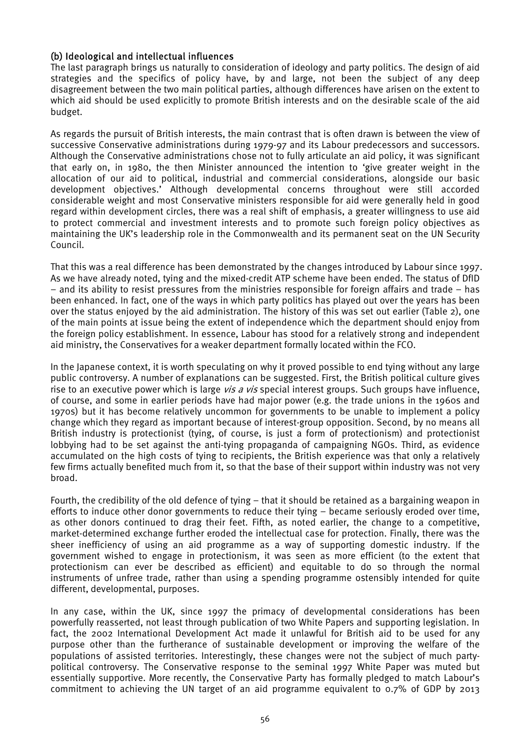#### (b) Ideological and intellectual influences

The last paragraph brings us naturally to consideration of ideology and party politics. The design of aid strategies and the specifics of policy have, by and large, not been the subject of any deep disagreement between the two main political parties, although differences have arisen on the extent to which aid should be used explicitly to promote British interests and on the desirable scale of the aid budget.

As regards the pursuit of British interests, the main contrast that is often drawn is between the view of successive Conservative administrations during 1979-97 and its Labour predecessors and successors. Although the Conservative administrations chose not to fully articulate an aid policy, it was significant that early on, in 1980, the then Minister announced the intention to 'give greater weight in the allocation of our aid to political, industrial and commercial considerations, alongside our basic development objectives.' Although developmental concerns throughout were still accorded considerable weight and most Conservative ministers responsible for aid were generally held in good regard within development circles, there was a real shift of emphasis, a greater willingness to use aid to protect commercial and investment interests and to promote such foreign policy objectives as maintaining the UK's leadership role in the Commonwealth and its permanent seat on the UN Security Council.

That this was a real difference has been demonstrated by the changes introduced by Labour since 1997. As we have already noted, tying and the mixed-credit ATP scheme have been ended. The status of DfID – and its ability to resist pressures from the ministries responsible for foreign affairs and trade – has been enhanced. In fact, one of the ways in which party politics has played out over the years has been over the status enjoyed by the aid administration. The history of this was set out earlier (Table 2), one of the main points at issue being the extent of independence which the department should enjoy from the foreign policy establishment. In essence, Labour has stood for a relatively strong and independent aid ministry, the Conservatives for a weaker department formally located within the FCO.

In the Japanese context, it is worth speculating on why it proved possible to end tying without any large public controversy. A number of explanations can be suggested. First, the British political culture gives rise to an executive power which is large  $vis a vis$  special interest groups. Such groups have influence, of course, and some in earlier periods have had major power (e.g. the trade unions in the 1960s and 1970s) but it has become relatively uncommon for governments to be unable to implement a policy change which they regard as important because of interest-group opposition. Second, by no means all British industry is protectionist (tying, of course, is just a form of protectionism) and protectionist lobbying had to be set against the anti-tying propaganda of campaigning NGOs. Third, as evidence accumulated on the high costs of tying to recipients, the British experience was that only a relatively few firms actually benefited much from it, so that the base of their support within industry was not very broad.

Fourth, the credibility of the old defence of tying – that it should be retained as a bargaining weapon in efforts to induce other donor governments to reduce their tying – became seriously eroded over time, as other donors continued to drag their feet. Fifth, as noted earlier, the change to a competitive, market-determined exchange further eroded the intellectual case for protection. Finally, there was the sheer inefficiency of using an aid programme as a way of supporting domestic industry. If the government wished to engage in protectionism, it was seen as more efficient (to the extent that protectionism can ever be described as efficient) and equitable to do so through the normal instruments of unfree trade, rather than using a spending programme ostensibly intended for quite different, developmental, purposes.

In any case, within the UK, since 1997 the primacy of developmental considerations has been powerfully reasserted, not least through publication of two White Papers and supporting legislation. In fact, the 2002 International Development Act made it unlawful for British aid to be used for any purpose other than the furtherance of sustainable development or improving the welfare of the populations of assisted territories. Interestingly, these changes were not the subject of much partypolitical controversy. The Conservative response to the seminal 1997 White Paper was muted but essentially supportive. More recently, the Conservative Party has formally pledged to match Labour's commitment to achieving the UN target of an aid programme equivalent to 0.7% of GDP by 2013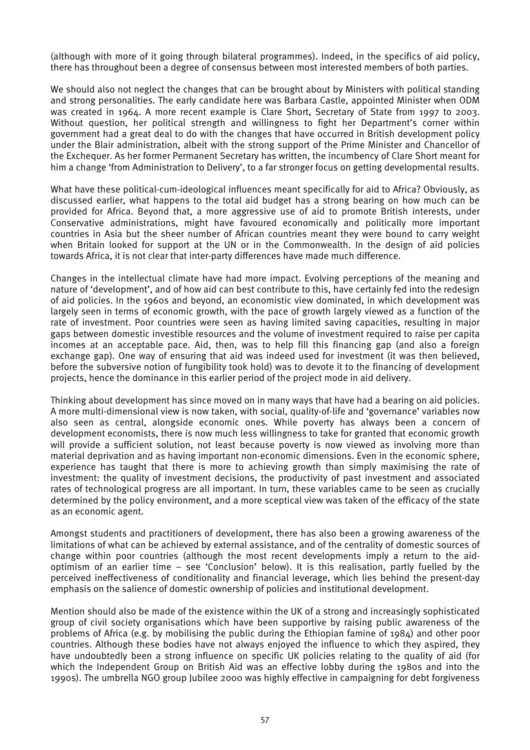(although with more of it going through bilateral programmes). Indeed, in the specifics of aid policy, there has throughout been a degree of consensus between most interested members of both parties.

We should also not neglect the changes that can be brought about by Ministers with political standing and strong personalities. The early candidate here was Barbara Castle, appointed Minister when ODM was created in 1964. A more recent example is Clare Short, Secretary of State from 1997 to 2003. Without question, her political strength and willingness to fight her Department's corner within government had a great deal to do with the changes that have occurred in British development policy under the Blair administration, albeit with the strong support of the Prime Minister and Chancellor of the Exchequer. As her former Permanent Secretary has written, the incumbency of Clare Short meant for him a change 'from Administration to Delivery', to a far stronger focus on getting developmental results.

What have these political-cum-ideological influences meant specifically for aid to Africa? Obviously, as discussed earlier, what happens to the total aid budget has a strong bearing on how much can be provided for Africa. Beyond that, a more aggressive use of aid to promote British interests, under Conservative administrations, might have favoured economically and politically more important countries in Asia but the sheer number of African countries meant they were bound to carry weight when Britain looked for support at the UN or in the Commonwealth. In the design of aid policies towards Africa, it is not clear that inter-party differences have made much difference.

Changes in the intellectual climate have had more impact. Evolving perceptions of the meaning and nature of 'development', and of how aid can best contribute to this, have certainly fed into the redesign of aid policies. In the 1960s and beyond, an economistic view dominated, in which development was largely seen in terms of economic growth, with the pace of growth largely viewed as a function of the rate of investment. Poor countries were seen as having limited saving capacities, resulting in major gaps between domestic investible resources and the volume of investment required to raise per capita incomes at an acceptable pace. Aid, then, was to help fill this financing gap (and also a foreign exchange gap). One way of ensuring that aid was indeed used for investment (it was then believed, before the subversive notion of fungibility took hold) was to devote it to the financing of development projects, hence the dominance in this earlier period of the project mode in aid delivery.

Thinking about development has since moved on in many ways that have had a bearing on aid policies. A more multi-dimensional view is now taken, with social, quality-of-life and 'governance' variables now also seen as central, alongside economic ones. While poverty has always been a concern of development economists, there is now much less willingness to take for granted that economic growth will provide a sufficient solution, not least because poverty is now viewed as involving more than material deprivation and as having important non-economic dimensions. Even in the economic sphere, experience has taught that there is more to achieving growth than simply maximising the rate of investment: the quality of investment decisions, the productivity of past investment and associated rates of technological progress are all important. In turn, these variables came to be seen as crucially determined by the policy environment, and a more sceptical view was taken of the efficacy of the state as an economic agent.

Amongst students and practitioners of development, there has also been a growing awareness of the limitations of what can be achieved by external assistance, and of the centrality of domestic sources of change within poor countries (although the most recent developments imply a return to the aidoptimism of an earlier time – see 'Conclusion' below). It is this realisation, partly fuelled by the perceived ineffectiveness of conditionality and financial leverage, which lies behind the present-day emphasis on the salience of domestic ownership of policies and institutional development.

Mention should also be made of the existence within the UK of a strong and increasingly sophisticated group of civil society organisations which have been supportive by raising public awareness of the problems of Africa (e.g. by mobilising the public during the Ethiopian famine of 1984) and other poor countries. Although these bodies have not always enjoyed the influence to which they aspired, they have undoubtedly been a strong influence on specific UK policies relating to the quality of aid (for which the Independent Group on British Aid was an effective lobby during the 1980s and into the 1990s). The umbrella NGO group Jubilee 2000 was highly effective in campaigning for debt forgiveness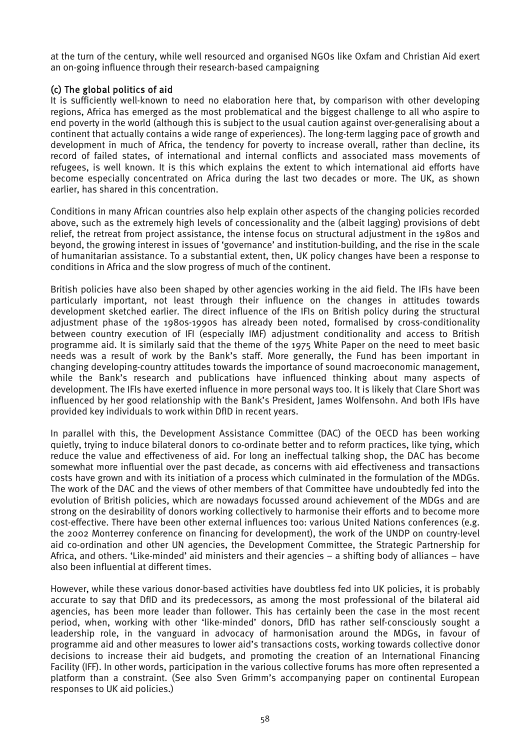at the turn of the century, while well resourced and organised NGOs like Oxfam and Christian Aid exert an on-going influence through their research-based campaigning

#### (c) The global politics of aid

It is sufficiently well-known to need no elaboration here that, by comparison with other developing regions, Africa has emerged as the most problematical and the biggest challenge to all who aspire to end poverty in the world (although this is subject to the usual caution against over-generalising about a continent that actually contains a wide range of experiences). The long-term lagging pace of growth and development in much of Africa, the tendency for poverty to increase overall, rather than decline, its record of failed states, of international and internal conflicts and associated mass movements of refugees, is well known. It is this which explains the extent to which international aid efforts have become especially concentrated on Africa during the last two decades or more. The UK, as shown earlier, has shared in this concentration.

Conditions in many African countries also help explain other aspects of the changing policies recorded above, such as the extremely high levels of concessionality and the (albeit lagging) provisions of debt relief, the retreat from project assistance, the intense focus on structural adjustment in the 1980s and beyond, the growing interest in issues of 'governance' and institution-building, and the rise in the scale of humanitarian assistance. To a substantial extent, then, UK policy changes have been a response to conditions in Africa and the slow progress of much of the continent.

British policies have also been shaped by other agencies working in the aid field. The IFIs have been particularly important, not least through their influence on the changes in attitudes towards development sketched earlier. The direct influence of the IFIs on British policy during the structural adjustment phase of the 1980s-1990s has already been noted, formalised by cross-conditionality between country execution of IFI (especially IMF) adjustment conditionality and access to British programme aid. It is similarly said that the theme of the 1975 White Paper on the need to meet basic needs was a result of work by the Bank's staff. More generally, the Fund has been important in changing developing-country attitudes towards the importance of sound macroeconomic management, while the Bank's research and publications have influenced thinking about many aspects of development. The IFIs have exerted influence in more personal ways too. It is likely that Clare Short was influenced by her good relationship with the Bank's President, James Wolfensohn. And both IFIs have provided key individuals to work within DfID in recent years.

In parallel with this, the Development Assistance Committee (DAC) of the OECD has been working quietly, trying to induce bilateral donors to co-ordinate better and to reform practices, like tying, which reduce the value and effectiveness of aid. For long an ineffectual talking shop, the DAC has become somewhat more influential over the past decade, as concerns with aid effectiveness and transactions costs have grown and with its initiation of a process which culminated in the formulation of the MDGs. The work of the DAC and the views of other members of that Committee have undoubtedly fed into the evolution of British policies, which are nowadays focussed around achievement of the MDGs and are strong on the desirability of donors working collectively to harmonise their efforts and to become more cost-effective. There have been other external influences too: various United Nations conferences (e.g. the 2002 Monterrey conference on financing for development), the work of the UNDP on country-level aid co-ordination and other UN agencies, the Development Committee, the Strategic Partnership for Africa, and others. 'Like-minded' aid ministers and their agencies – a shifting body of alliances – have also been influential at different times.

However, while these various donor-based activities have doubtless fed into UK policies, it is probably accurate to say that DfID and its predecessors, as among the most professional of the bilateral aid agencies, has been more leader than follower. This has certainly been the case in the most recent period, when, working with other 'like-minded' donors, DfID has rather self-consciously sought a leadership role, in the vanguard in advocacy of harmonisation around the MDGs, in favour of programme aid and other measures to lower aid's transactions costs, working towards collective donor decisions to increase their aid budgets, and promoting the creation of an International Financing Facility (IFF). In other words, participation in the various collective forums has more often represented a platform than a constraint. (See also Sven Grimm's accompanying paper on continental European responses to UK aid policies.)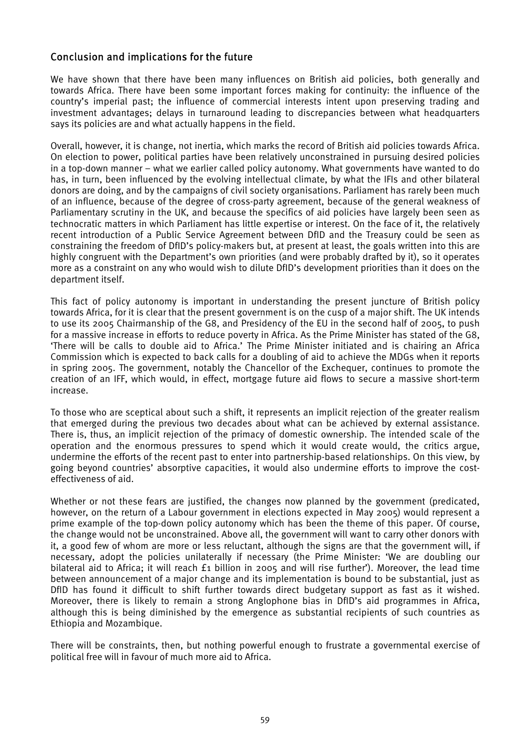#### Conclusion and implications for the future

We have shown that there have been many influences on British aid policies, both generally and towards Africa. There have been some important forces making for continuity: the influence of the country's imperial past; the influence of commercial interests intent upon preserving trading and investment advantages; delays in turnaround leading to discrepancies between what headquarters says its policies are and what actually happens in the field.

Overall, however, it is change, not inertia, which marks the record of British aid policies towards Africa. On election to power, political parties have been relatively unconstrained in pursuing desired policies in a top-down manner – what we earlier called policy autonomy. What governments have wanted to do has, in turn, been influenced by the evolving intellectual climate, by what the IFIs and other bilateral donors are doing, and by the campaigns of civil society organisations. Parliament has rarely been much of an influence, because of the degree of cross-party agreement, because of the general weakness of Parliamentary scrutiny in the UK, and because the specifics of aid policies have largely been seen as technocratic matters in which Parliament has little expertise or interest. On the face of it, the relatively recent introduction of a Public Service Agreement between DfID and the Treasury could be seen as constraining the freedom of DfID's policy-makers but, at present at least, the goals written into this are highly congruent with the Department's own priorities (and were probably drafted by it), so it operates more as a constraint on any who would wish to dilute DfID's development priorities than it does on the department itself.

This fact of policy autonomy is important in understanding the present juncture of British policy towards Africa, for it is clear that the present government is on the cusp of a major shift. The UK intends to use its 2005 Chairmanship of the G8, and Presidency of the EU in the second half of 2005, to push for a massive increase in efforts to reduce poverty in Africa. As the Prime Minister has stated of the G8, 'There will be calls to double aid to Africa.' The Prime Minister initiated and is chairing an Africa Commission which is expected to back calls for a doubling of aid to achieve the MDGs when it reports in spring 2005. The government, notably the Chancellor of the Exchequer, continues to promote the creation of an IFF, which would, in effect, mortgage future aid flows to secure a massive short-term increase.

To those who are sceptical about such a shift, it represents an implicit rejection of the greater realism that emerged during the previous two decades about what can be achieved by external assistance. There is, thus, an implicit rejection of the primacy of domestic ownership. The intended scale of the operation and the enormous pressures to spend which it would create would, the critics argue, undermine the efforts of the recent past to enter into partnership-based relationships. On this view, by going beyond countries' absorptive capacities, it would also undermine efforts to improve the costeffectiveness of aid.

Whether or not these fears are justified, the changes now planned by the government (predicated, however, on the return of a Labour government in elections expected in May 2005) would represent a prime example of the top-down policy autonomy which has been the theme of this paper. Of course, the change would not be unconstrained. Above all, the government will want to carry other donors with it, a good few of whom are more or less reluctant, although the signs are that the government will, if necessary, adopt the policies unilaterally if necessary (the Prime Minister: 'We are doubling our bilateral aid to Africa; it will reach £1 billion in 2005 and will rise further'). Moreover, the lead time between announcement of a major change and its implementation is bound to be substantial, just as DfID has found it difficult to shift further towards direct budgetary support as fast as it wished. Moreover, there is likely to remain a strong Anglophone bias in DfID's aid programmes in Africa, although this is being diminished by the emergence as substantial recipients of such countries as Ethiopia and Mozambique.

There will be constraints, then, but nothing powerful enough to frustrate a governmental exercise of political free will in favour of much more aid to Africa.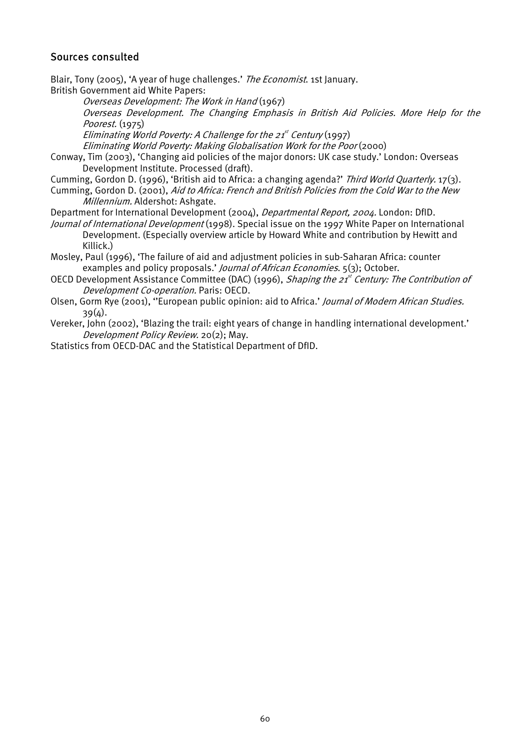#### Sources consulted

Blair, Tony (2005), 'A year of huge challenges.' The Economist. 1st January.

British Government aid White Papers:

Overseas Development: The Work in Hand (1967)

Overseas Development. The Changing Emphasis in British Aid Policies. More Help for the Poorest. (1975)

Eliminating World Poverty: A Challenge for the  $21<sup>st</sup>$  Century (1997)

Eliminating World Poverty: Making Globalisation Work for the Poor (2000)

- Conway, Tim (2003), 'Changing aid policies of the major donors: UK case study.' London: Overseas Development Institute. Processed (draft).
- Cumming, Gordon D. (1996), 'British aid to Africa: a changing agenda?' Third World Quarterly. 17(3).
- Cumming, Gordon D. (2001), Aid to Africa: French and British Policies from the Cold War to the New Millennium. Aldershot: Ashgate.

Department for International Development (2004), *Departmental Report, 2004.* London: DfID.

- Journal of International Development (1998). Special issue on the 1997 White Paper on International Development. (Especially overview article by Howard White and contribution by Hewitt and Killick.)
- Mosley, Paul (1996), 'The failure of aid and adjustment policies in sub-Saharan Africa: counter examples and policy proposals.' *Journal of African Economies*. 5(3); October.
- OECD Development Assistance Committee (DAC) (1996), *Shaping the 21<sup>st</sup> Century: The Contribution of* Development Co-operation. Paris: OECD.
- Olsen, Gorm Rye (2001), "European public opinion: aid to Africa.' Journal of Modern African Studies.  $39(4)$ .
- Vereker, John (2002), 'Blazing the trail: eight years of change in handling international development.' Development Policy Review. 20(2); May.
- Statistics from OECD-DAC and the Statistical Department of DfID.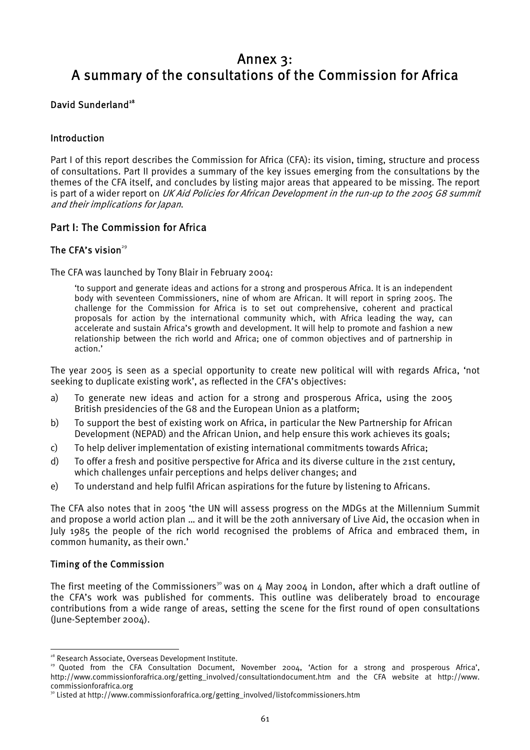# Annex 3: A summary of the consultations of the Commission for Africa

# David Sunderland<sup>28</sup>

#### Introduction

Part I of this report describes the Commission for Africa (CFA): its vision, timing, structure and process of consultations. Part II provides a summary of the key issues emerging from the consultations by the themes of the CFA itself, and concludes by listing major areas that appeared to be missing. The report is part of a wider report on UK Aid Policies for African Development in the run-up to the 2005 G8 summit and their implications for Japan.

#### Part I: The Commission for Africa

#### The CFA's vision $29$

The CFA was launched by Tony Blair in February 2004:

'to support and generate ideas and actions for a strong and prosperous Africa. It is an independent body with seventeen Commissioners, nine of whom are African. It will report in spring 2005. The challenge for the Commission for Africa is to set out comprehensive, coherent and practical proposals for action by the international community which, with Africa leading the way, can accelerate and sustain Africa's growth and development. It will help to promote and fashion a new relationship between the rich world and Africa; one of common objectives and of partnership in action.'

The year 2005 is seen as a special opportunity to create new political will with regards Africa, 'not seeking to duplicate existing work', as reflected in the CFA's objectives:

- a) To generate new ideas and action for a strong and prosperous Africa, using the 2005 British presidencies of the G8 and the European Union as a platform;
- b) To support the best of existing work on Africa, in particular the New Partnership for African Development (NEPAD) and the African Union, and help ensure this work achieves its goals;
- c) To help deliver implementation of existing international commitments towards Africa;
- d) To offer a fresh and positive perspective for Africa and its diverse culture in the 21st century, which challenges unfair perceptions and helps deliver changes; and
- e) To understand and help fulfil African aspirations for the future by listening to Africans.

The CFA also notes that in 2005 'the UN will assess progress on the MDGs at the Millennium Summit and propose a world action plan … and it will be the 20th anniversary of Live Aid, the occasion when in July 1985 the people of the rich world recognised the problems of Africa and embraced them, in common humanity, as their own.'

#### Timing of the Commission

The first meeting of the Commissioners<sup>30</sup> was on 4 May 2004 in London, after which a draft outline of the CFA's work was published for comments. This outline was deliberately broad to encourage contributions from a wide range of areas, setting the scene for the first round of open consultations (June-September 2004).

<sup>&</sup>lt;sup>28</sup> Research Associate, Overseas Development Institute.

<sup>&</sup>lt;sup>29</sup> Quoted from the CFA Consultation Document, November 2004, 'Action for a strong and prosperous Africa', http://www.commissionforafrica.org/getting\_involved/consultationdocument.htm and the CFA website at http://www. commissionforafrica.org

<sup>&</sup>lt;sup>30</sup> Listed at http://www.commissionforafrica.org/getting\_involved/listofcommissioners.htm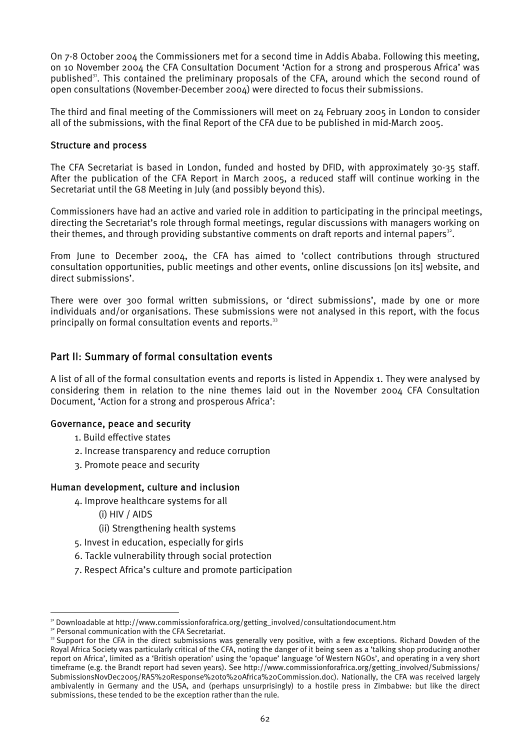On 7-8 October 2004 the Commissioners met for a second time in Addis Ababa. Following this meeting, on 10 November 2004 the CFA Consultation Document 'Action for a strong and prosperous Africa' was published<sup>31</sup>. This contained the preliminary proposals of the CFA, around which the second round of open consultations (November-December 2004) were directed to focus their submissions.

The third and final meeting of the Commissioners will meet on 24 February 2005 in London to consider all of the submissions, with the final Report of the CFA due to be published in mid-March 2005.

#### Structure and process

The CFA Secretariat is based in London, funded and hosted by DFID, with approximately 30-35 staff. After the publication of the CFA Report in March 2005, a reduced staff will continue working in the Secretariat until the G8 Meeting in July (and possibly beyond this).

Commissioners have had an active and varied role in addition to participating in the principal meetings, directing the Secretariat's role through formal meetings, regular discussions with managers working on their themes, and through providing substantive comments on draft reports and internal papers<sup>32</sup>.

From June to December 2004, the CFA has aimed to 'collect contributions through structured consultation opportunities, public meetings and other events, online discussions [on its] website, and direct submissions'.

There were over 300 formal written submissions, or 'direct submissions', made by one or more individuals and/or organisations. These submissions were not analysed in this report, with the focus principally on formal consultation events and reports.<sup>33</sup>

#### Part II: Summary of formal consultation events

A list of all of the formal consultation events and reports is listed in Appendix 1. They were analysed by considering them in relation to the nine themes laid out in the November 2004 CFA Consultation Document, 'Action for a strong and prosperous Africa':

#### Governance, peace and security

- 1. Build effective states
- 2. Increase transparency and reduce corruption
- 3. Promote peace and security

#### Human development, culture and inclusion

- 4. Improve healthcare systems for all
	- (i) HIV / AIDS
	- (ii) Strengthening health systems
- 5. Invest in education, especially for girls
- 6. Tackle vulnerability through social protection
- 7. Respect Africa's culture and promote participation

 $\overline{a}$ 

 $31$  Downloadable at http://www.commissionforafrica.org/getting\_involved/consultationdocument.htm<br> $32$  Personal communication with the CFA Secretariat.

<sup>&</sup>lt;sup>33</sup> Support for the CFA in the direct submissions was generally very positive, with a few exceptions. Richard Dowden of the Royal Africa Society was particularly critical of the CFA, noting the danger of it being seen as a 'talking shop producing another report on Africa', limited as a 'British operation' using the 'opaque' language 'of Western NGOs', and operating in a very short timeframe (e.g. the Brandt report had seven years). See http://www.commissionforafrica.org/getting\_involved/Submissions/ SubmissionsNovDec2005/RAS%20Response%20to%20Africa%20Commission.doc). Nationally, the CFA was received largely ambivalently in Germany and the USA, and (perhaps unsurprisingly) to a hostile press in Zimbabwe: but like the direct submissions, these tended to be the exception rather than the rule.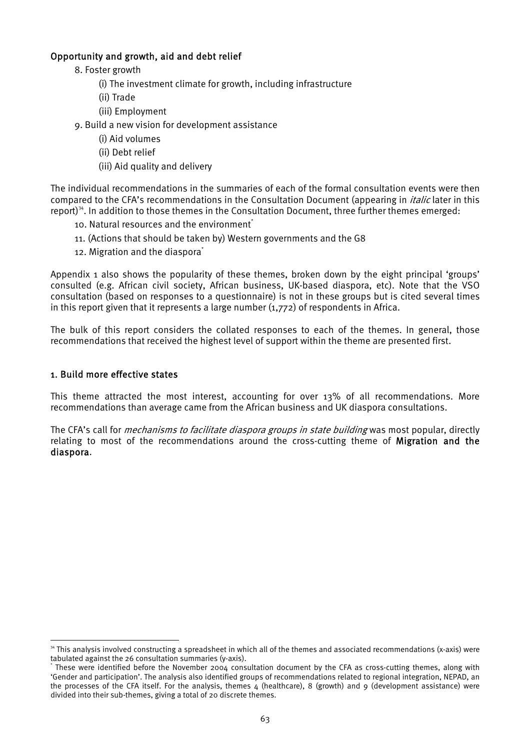# Opportunity and growth, aid and debt relief

- 8. Foster growth
	- (i) The investment climate for growth, including infrastructure
	- (ii) Trade
	- (iii) Employment
- 9. Build a new vision for development assistance
	- (i) Aid volumes
	- (ii) Debt relief
	- (iii) Aid quality and delivery

The individual recommendations in the summaries of each of the formal consultation events were then compared to the CFA's recommendations in the Consultation Document (appearing in *italic* later in this report)<sup>34</sup>. In addition to those themes in the Consultation Document, three further themes emerged:

- 10. Natural resources and the environment<sup>\*</sup>
- 11. (Actions that should be taken by) Western governments and the G8
- 12. Migration and the diaspora<sup>\*</sup>

Appendix 1 also shows the popularity of these themes, broken down by the eight principal 'groups' consulted (e.g. African civil society, African business, UK-based diaspora, etc). Note that the VSO consultation (based on responses to a questionnaire) is not in these groups but is cited several times in this report given that it represents a large number (1,772) of respondents in Africa.

The bulk of this report considers the collated responses to each of the themes. In general, those recommendations that received the highest level of support within the theme are presented first.

# 1. Build more effective states

 $\overline{\phantom{a}}$ 

This theme attracted the most interest, accounting for over 13% of all recommendations. More recommendations than average came from the African business and UK diaspora consultations.

The CFA's call for *mechanisms to facilitate diaspora groups in state building* was most popular, directly relating to most of the recommendations around the cross-cutting theme of Migration and the diaspora.

<sup>&</sup>lt;sup>34</sup> This analysis involved constructing a spreadsheet in which all of the themes and associated recommendations (x-axis) were tabulated against the 26 consultation summaries (y-axis).

<sup>\*</sup> These were identified before the November 2004 consultation document by the CFA as cross-cutting themes, along with 'Gender and participation'. The analysis also identified groups of recommendations related to regional integration, NEPAD, an the processes of the CFA itself. For the analysis, themes  $4$  (healthcare), 8 (growth) and 9 (development assistance) were divided into their sub-themes, giving a total of 20 discrete themes.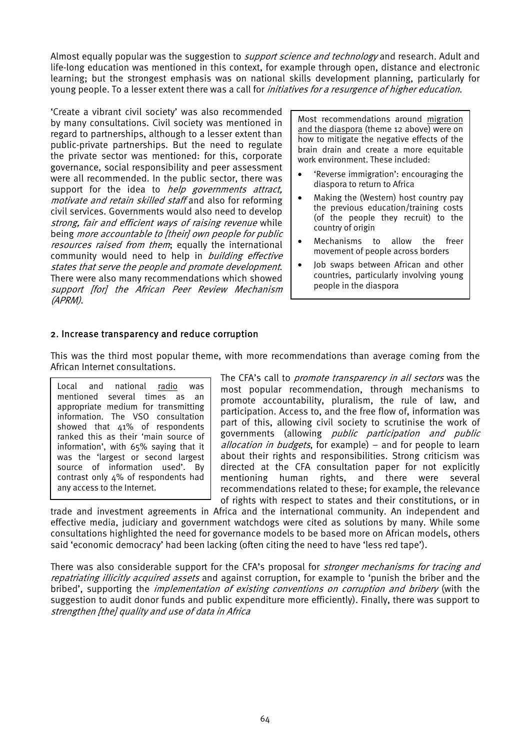Almost equally popular was the suggestion to *support science and technology* and research. Adult and life-long education was mentioned in this context, for example through open, distance and electronic learning; but the strongest emphasis was on national skills development planning, particularly for young people. To a lesser extent there was a call for *initiatives for a resurgence of higher education*.

'Create a vibrant civil society' was also recommended by many consultations. Civil society was mentioned in regard to partnerships, although to a lesser extent than public-private partnerships. But the need to regulate the private sector was mentioned: for this, corporate governance, social responsibility and peer assessment were all recommended. In the public sector, there was support for the idea to *help governments attract*, motivate and retain skilled staff and also for reforming civil services. Governments would also need to develop strong, fair and efficient ways of raising revenue while being more accountable to [their] own people for public resources raised from them; equally the international community would need to help in building effective states that serve the people and promote development. There were also many recommendations which showed support [for] the African Peer Review Mechanism (APRM).

Most recommendations around migration and the diaspora (theme 12 above) were on how to mitigate the negative effects of the brain drain and create a more equitable work environment. These included:

- 'Reverse immigration': encouraging the diaspora to return to Africa
- Making the (Western) host country pay the previous education/training costs (of the people they recruit) to the country of origin
- Mechanisms to allow the freer movement of people across borders
- Job swaps between African and other countries, particularly involving young people in the diaspora

# 2. Increase transparency and reduce corruption

This was the third most popular theme, with more recommendations than average coming from the African Internet consultations.

Local and national radio was mentioned several times as an appropriate medium for transmitting information. The VSO consultation showed that 41% of respondents ranked this as their 'main source of information', with 65% saying that it was the 'largest or second largest source of information used'. By contrast only 4% of respondents had any access to the Internet.

The CFA's call to *promote transparency in all sectors* was the most popular recommendation, through mechanisms to promote accountability, pluralism, the rule of law, and participation. Access to, and the free flow of, information was part of this, allowing civil society to scrutinise the work of governments (allowing public participation and public allocation in budgets, for example) – and for people to learn about their rights and responsibilities. Strong criticism was directed at the CFA consultation paper for not explicitly mentioning human rights, and there were several recommendations related to these; for example, the relevance of rights with respect to states and their constitutions, or in

trade and investment agreements in Africa and the international community. An independent and effective media, judiciary and government watchdogs were cited as solutions by many. While some consultations highlighted the need for governance models to be based more on African models, others said 'economic democracy' had been lacking (often citing the need to have 'less red tape').

There was also considerable support for the CFA's proposal for *stronger mechanisms for tracing and* repatriating illicitly acquired assets and against corruption, for example to 'punish the briber and the bribed', supporting the *implementation of existing conventions on corruption and bribery* (with the suggestion to audit donor funds and public expenditure more efficiently). Finally, there was support to strengthen [the] quality and use of data in Africa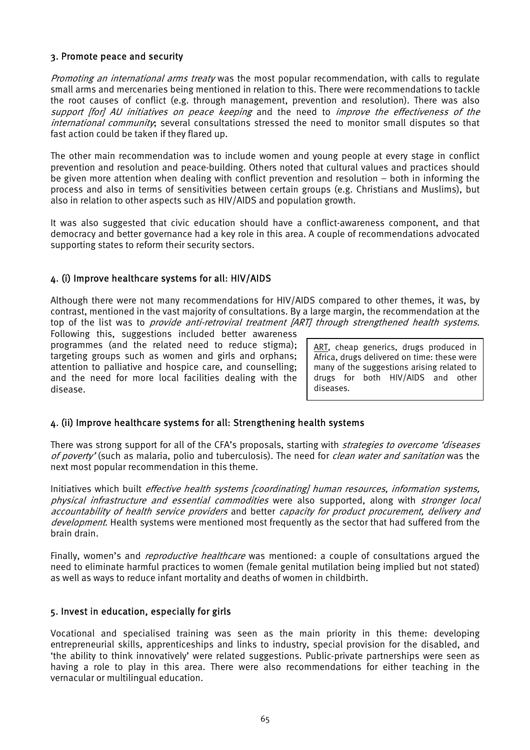# 3. Promote peace and security

*Promoting an international arms treaty* was the most popular recommendation, with calls to regulate small arms and mercenaries being mentioned in relation to this. There were recommendations to tackle the root causes of conflict (e.g. through management, prevention and resolution). There was also support [for] AU initiatives on peace keeping and the need to improve the effectiveness of the international community; several consultations stressed the need to monitor small disputes so that fast action could be taken if they flared up.

The other main recommendation was to include women and young people at every stage in conflict prevention and resolution and peace-building. Others noted that cultural values and practices should be given more attention when dealing with conflict prevention and resolution – both in informing the process and also in terms of sensitivities between certain groups (e.g. Christians and Muslims), but also in relation to other aspects such as HIV/AIDS and population growth.

It was also suggested that civic education should have a conflict-awareness component, and that democracy and better governance had a key role in this area. A couple of recommendations advocated supporting states to reform their security sectors.

# 4. (i) Improve healthcare systems for all: HIV/AIDS

Although there were not many recommendations for HIV/AIDS compared to other themes, it was, by contrast, mentioned in the vast majority of consultations. By a large margin, the recommendation at the top of the list was to *provide anti-retroviral treatment [ART] through strengthened health systems*.

Following this, suggestions included better awareness programmes (and the related need to reduce stigma); targeting groups such as women and girls and orphans; attention to palliative and hospice care, and counselling; and the need for more local facilities dealing with the disease.

ART, cheap generics, drugs produced in Africa, drugs delivered on time: these were many of the suggestions arising related to drugs for both HIV/AIDS and other diseases.

# 4. (ii) Improve healthcare systems for all: Strengthening health systems

There was strong support for all of the CFA's proposals, starting with *strategies to overcome 'diseases* of poverty' (such as malaria, polio and tuberculosis). The need for *clean water and sanitation* was the next most popular recommendation in this theme.

Initiatives which built *effective health systems [coordinating] human resources, information systems,* physical infrastructure and essential commodities were also supported, along with stronger local accountability of health service providers and better capacity for product procurement, delivery and development. Health systems were mentioned most frequently as the sector that had suffered from the brain drain.

Finally, women's and *reproductive healthcare* was mentioned: a couple of consultations argued the need to eliminate harmful practices to women (female genital mutilation being implied but not stated) as well as ways to reduce infant mortality and deaths of women in childbirth.

# 5. Invest in education, especially for girls

Vocational and specialised training was seen as the main priority in this theme: developing entrepreneurial skills, apprenticeships and links to industry, special provision for the disabled, and 'the ability to think innovatively' were related suggestions. Public-private partnerships were seen as having a role to play in this area. There were also recommendations for either teaching in the vernacular or multilingual education.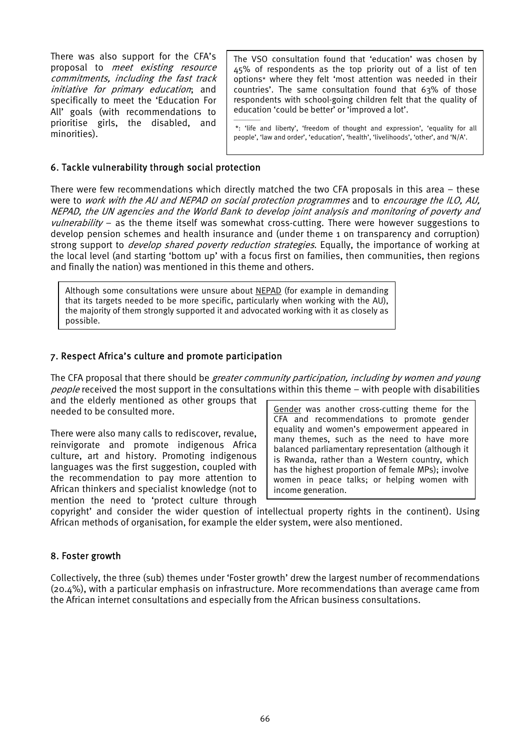There was also support for the CFA's proposal to meet existing resource commitments, including the fast track initiative for primary education; and specifically to meet the 'Education For All' goals (with recommendations to prioritise girls, the disabled, and minorities).

The VSO consultation found that 'education' was chosen by 45% of respondents as the top priority out of a list of ten options\* where they felt 'most attention was needed in their countries'. The same consultation found that 63% of those respondents with school-going children felt that the quality of education 'could be better' or 'improved a lot'.

 \*: 'life and liberty', 'freedom of thought and expression', 'equality for all people', 'law and order', 'education', 'health', 'livelihoods', 'other', and 'N/A'.

# 6. Tackle vulnerability through social protection

There were few recommendations which directly matched the two CFA proposals in this area – these were to work with the AU and NEPAD on social protection programmes and to encourage the ILO, AU, NEPAD, the UN agencies and the World Bank to develop joint analysis and monitoring of poverty and *vulnerability* – as the theme itself was somewhat cross-cutting. There were however suggestions to develop pension schemes and health insurance and (under theme 1 on transparency and corruption) strong support to *develop shared poverty reduction strategies*. Equally, the importance of working at the local level (and starting 'bottom up' with a focus first on families, then communities, then regions and finally the nation) was mentioned in this theme and others.

\_\_\_\_\_\_\_\_\_\_

Although some consultations were unsure about NEPAD (for example in demanding that its targets needed to be more specific, particularly when working with the AU), the majority of them strongly supported it and advocated working with it as closely as possible.

# 7. Respect Africa's culture and promote participation

The CFA proposal that there should be *greater community participation, including by women and young* people received the most support in the consultations within this theme – with people with disabilities and the elderly mentioned as other groups that

needed to be consulted more.

There were also many calls to rediscover, revalue, reinvigorate and promote indigenous Africa culture, art and history. Promoting indigenous languages was the first suggestion, coupled with the recommendation to pay more attention to African thinkers and specialist knowledge (not to mention the need to 'protect culture through

Gender was another cross-cutting theme for the CFA and recommendations to promote gender equality and women's empowerment appeared in many themes, such as the need to have more balanced parliamentary representation (although it is Rwanda, rather than a Western country, which has the highest proportion of female MPs); involve women in peace talks; or helping women with income generation.

copyright' and consider the wider question of intellectual property rights in the continent). Using African methods of organisation, for example the elder system, were also mentioned.

# 8. Foster growth

Collectively, the three (sub) themes under 'Foster growth' drew the largest number of recommendations (20.4%), with a particular emphasis on infrastructure. More recommendations than average came from the African internet consultations and especially from the African business consultations.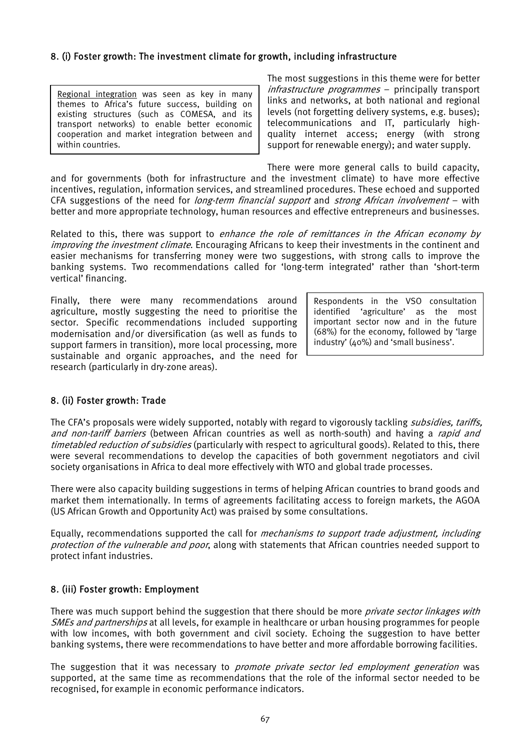# 8. (i) Foster growth: The investment climate for growth, including infrastructure

Regional integration was seen as key in many themes to Africa's future success, building on existing structures (such as COMESA, and its transport networks) to enable better economic cooperation and market integration between and within countries.

The most suggestions in this theme were for better infrastructure programmes – principally transport links and networks, at both national and regional levels (not forgetting delivery systems, e.g. buses); telecommunications and IT, particularly highquality internet access; energy (with strong support for renewable energy); and water supply.

There were more general calls to build capacity,

and for governments (both for infrastructure and the investment climate) to have more effective incentives, regulation, information services, and streamlined procedures. These echoed and supported CFA suggestions of the need for *long-term financial support* and *strong African involvement* – with better and more appropriate technology, human resources and effective entrepreneurs and businesses.

Related to this, there was support to *enhance the role of remittances in the African economy by improving the investment climate*. Encouraging Africans to keep their investments in the continent and easier mechanisms for transferring money were two suggestions, with strong calls to improve the banking systems. Two recommendations called for 'long-term integrated' rather than 'short-term vertical' financing.

Finally, there were many recommendations around agriculture, mostly suggesting the need to prioritise the sector. Specific recommendations included supporting modernisation and/or diversification (as well as funds to support farmers in transition), more local processing, more sustainable and organic approaches, and the need for research (particularly in dry-zone areas).

Respondents in the VSO consultation identified 'agriculture' as the most important sector now and in the future (68%) for the economy, followed by 'large industry' (40%) and 'small business'.

# 8. (ii) Foster growth: Trade

The CFA's proposals were widely supported, notably with regard to vigorously tackling *subsidies, tariffs*, and non-tariff barriers (between African countries as well as north-south) and having a rapid and timetabled reduction of subsidies (particularly with respect to agricultural goods). Related to this, there were several recommendations to develop the capacities of both government negotiators and civil society organisations in Africa to deal more effectively with WTO and global trade processes.

There were also capacity building suggestions in terms of helping African countries to brand goods and market them internationally. In terms of agreements facilitating access to foreign markets, the AGOA (US African Growth and Opportunity Act) was praised by some consultations.

Equally, recommendations supported the call for *mechanisms to support trade adjustment, including* protection of the vulnerable and poor, along with statements that African countries needed support to protect infant industries.

# 8. (iii) Foster growth: Employment

There was much support behind the suggestion that there should be more *private sector linkages with* SMEs and partnerships at all levels, for example in healthcare or urban housing programmes for people with low incomes, with both government and civil society. Echoing the suggestion to have better banking systems, there were recommendations to have better and more affordable borrowing facilities.

The suggestion that it was necessary to *promote private sector led employment generation* was supported, at the same time as recommendations that the role of the informal sector needed to be recognised, for example in economic performance indicators.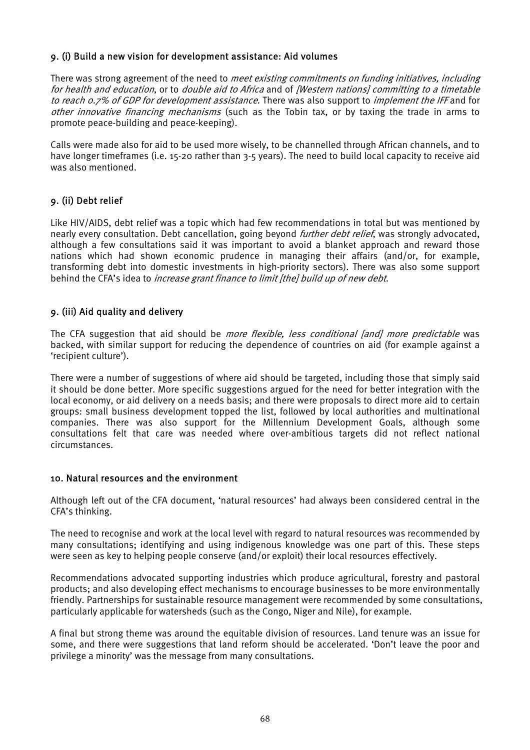# 9. (i) Build a new vision for development assistance: Aid volumes

There was strong agreement of the need to *meet existing commitments on funding initiatives, including* for health and education, or to double aid to Africa and of *[Western nations] committing to a timetable* to reach 0.7% of GDP for development assistance. There was also support to *implement the IFF* and for other innovative financing mechanisms (such as the Tobin tax, or by taxing the trade in arms to promote peace-building and peace-keeping).

Calls were made also for aid to be used more wisely, to be channelled through African channels, and to have longer timeframes (i.e. 15-20 rather than 3-5 years). The need to build local capacity to receive aid was also mentioned.

# 9. (ii) Debt relief

Like HIV/AIDS, debt relief was a topic which had few recommendations in total but was mentioned by nearly every consultation. Debt cancellation, going beyond *further debt relief*, was strongly advocated, although a few consultations said it was important to avoid a blanket approach and reward those nations which had shown economic prudence in managing their affairs (and/or, for example, transforming debt into domestic investments in high-priority sectors). There was also some support behind the CFA's idea to *increase grant finance to limit [the] build up of new debt.* 

# 9. (iii) Aid quality and delivery

The CFA suggestion that aid should be *more flexible, less conditional [and] more predictable* was backed, with similar support for reducing the dependence of countries on aid (for example against a 'recipient culture').

There were a number of suggestions of where aid should be targeted, including those that simply said it should be done better. More specific suggestions argued for the need for better integration with the local economy, or aid delivery on a needs basis; and there were proposals to direct more aid to certain groups: small business development topped the list, followed by local authorities and multinational companies. There was also support for the Millennium Development Goals, although some consultations felt that care was needed where over-ambitious targets did not reflect national circumstances.

# 10. Natural resources and the environment

Although left out of the CFA document, 'natural resources' had always been considered central in the CFA's thinking.

The need to recognise and work at the local level with regard to natural resources was recommended by many consultations; identifying and using indigenous knowledge was one part of this. These steps were seen as key to helping people conserve (and/or exploit) their local resources effectively.

Recommendations advocated supporting industries which produce agricultural, forestry and pastoral products; and also developing effect mechanisms to encourage businesses to be more environmentally friendly. Partnerships for sustainable resource management were recommended by some consultations, particularly applicable for watersheds (such as the Congo, Niger and Nile), for example.

A final but strong theme was around the equitable division of resources. Land tenure was an issue for some, and there were suggestions that land reform should be accelerated. 'Don't leave the poor and privilege a minority' was the message from many consultations.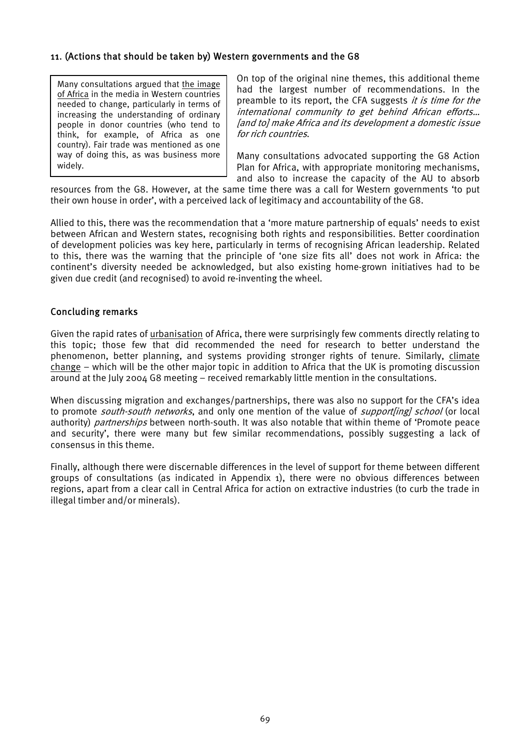# 11. (Actions that should be taken by) Western governments and the G8

Many consultations argued that the image of Africa in the media in Western countries needed to change, particularly in terms of increasing the understanding of ordinary people in donor countries (who tend to think, for example, of Africa as one country). Fair trade was mentioned as one way of doing this, as was business more widely.

On top of the original nine themes, this additional theme had the largest number of recommendations. In the preamble to its report, the CFA suggests it is time for the international community to get behind African efforts… [and to] make Africa and its development a domestic issue for rich countries.

Many consultations advocated supporting the G8 Action Plan for Africa, with appropriate monitoring mechanisms, and also to increase the capacity of the AU to absorb

resources from the G8. However, at the same time there was a call for Western governments 'to put their own house in order', with a perceived lack of legitimacy and accountability of the G8.

Allied to this, there was the recommendation that a 'more mature partnership of equals' needs to exist between African and Western states, recognising both rights and responsibilities. Better coordination of development policies was key here, particularly in terms of recognising African leadership. Related to this, there was the warning that the principle of 'one size fits all' does not work in Africa: the continent's diversity needed be acknowledged, but also existing home-grown initiatives had to be given due credit (and recognised) to avoid re-inventing the wheel.

# Concluding remarks

Given the rapid rates of urbanisation of Africa, there were surprisingly few comments directly relating to this topic; those few that did recommended the need for research to better understand the phenomenon, better planning, and systems providing stronger rights of tenure. Similarly, climate change – which will be the other major topic in addition to Africa that the UK is promoting discussion around at the July 2004 G8 meeting – received remarkably little mention in the consultations.

When discussing migration and exchanges/partnerships, there was also no support for the CFA's idea to promote *south-south networks*, and only one mention of the value of *support[ing] school* (or local authority) *partnerships* between north-south. It was also notable that within theme of 'Promote peace and security', there were many but few similar recommendations, possibly suggesting a lack of consensus in this theme.

Finally, although there were discernable differences in the level of support for theme between different groups of consultations (as indicated in Appendix 1), there were no obvious differences between regions, apart from a clear call in Central Africa for action on extractive industries (to curb the trade in illegal timber and/or minerals).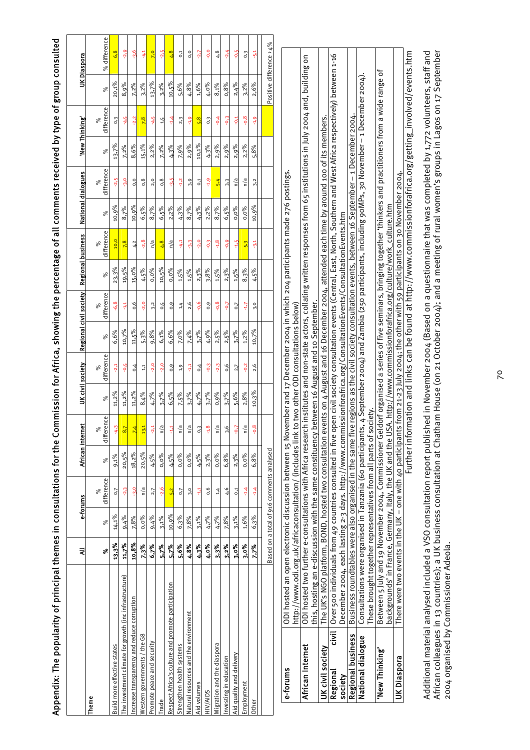| Appendix: The popularity of principal themes in consultations for the Commission for Africa, showing the percentage of all comments received by type of group consulted |                                                                                                                                                                                                                        |                  |          |                                           |                  |                             |                  |                                           |         |                        |                |                          |                    |                                                                                              |                |                             |         |                          |
|-------------------------------------------------------------------------------------------------------------------------------------------------------------------------|------------------------------------------------------------------------------------------------------------------------------------------------------------------------------------------------------------------------|------------------|----------|-------------------------------------------|------------------|-----------------------------|------------------|-------------------------------------------|---------|------------------------|----------------|--------------------------|--------------------|----------------------------------------------------------------------------------------------|----------------|-----------------------------|---------|--------------------------|
|                                                                                                                                                                         |                                                                                                                                                                                                                        | ₹                |          | e-forums                                  | African internet |                             | UK civil society |                                           |         | Regional civil society |                | <b>Regional business</b> | National dialogues |                                                                                              | 'New Thinking' |                             |         | UK Diaspora              |
| Theme                                                                                                                                                                   |                                                                                                                                                                                                                        | ಕೆ               | ಸಿ       | difference<br>ಸಿ                          | 8 <sup>o</sup>   | difference<br><sub>S6</sub> | ಸಿ               | difference<br>ಸಿ                          | ಸಿ      | difference<br>ಸಿ       | 8 <sup>o</sup> | difference<br>ಸಿ         | 8 <sup>o</sup>     | difference<br>ಸಿ                                                                             | ಸಿ             | difference<br><sub>So</sub> | ಸಿ      | % difference             |
| Build more effective states                                                                                                                                             |                                                                                                                                                                                                                        | 13,3%            | $14,1\%$ | $\overline{0}$                            | 9,1%             | $-4.3$                      | 11,2%            | $\frac{1}{2}$                             | 6,6%    | $-6.8$                 | 23,3%          | 10,0                     | 10,9%              | $-2,5$                                                                                       | 13.7%          | 0,3                         | 20,1%   |                          |
| The investment climate for growth (inc infrastructure)                                                                                                                  |                                                                                                                                                                                                                        | 11.7%            | 9,4%     |                                           | 20,5%            | 8,7                         | 11,2%            | Ş                                         | 10,7%   | ş                      | 19,5%          | 7,8                      | 8,7%               | $-3.0$                                                                                       | $7.2\%$        | -45                         | 8,9%    | $-2,9$                   |
| Increase transparency and reduce corruption                                                                                                                             |                                                                                                                                                                                                                        | 10,8%            | 7,8%     | $\frac{1}{2}$                             | 18,2%            | 7.4                         | 11,2%            | 0,4                                       | 11,5%   | 0,6                    | 15,0%          | 4,2                      | 10,9%              | 0,0                                                                                          | 8,6%           | $-2.2$                      | 7,2%    | -3.6                     |
| Western governments / the G8                                                                                                                                            |                                                                                                                                                                                                                        | 7,3%             | 0.0%     | n/a                                       | 20,5%            | 13,1                        | 8,4%             | $\frac{1}{2}$                             | 5,3%    | $-2,0$                 | 4,5%           | $-2, 8$                  | 6,5%               | 0,8                                                                                          | 15,1%          | 7,8                         | 3.2%    | Ş,                       |
| Promote peace and security                                                                                                                                              |                                                                                                                                                                                                                        | 6,7%             | 9,4%     | 2,7                                       | 4,5%             | $-2,1$                      | 4,7%             | $-2,0$                                    | 9,8%    | 3.2                    | 0,0%           | n/a                      | 8,7%               | 2,0                                                                                          | $2,2\%$        | $-4.5$                      | 13.7%   | 7,0                      |
| Trade                                                                                                                                                                   |                                                                                                                                                                                                                        | 5.7%             | 3,1%     | Ņ                                         | 0,0%             | n/a                         | 3.7%             | $-2,0$                                    | 6,1%    | 0,5                    | 10,5%          | 4,8                      | 6,5%               | 0,8                                                                                          | $7.2\%$        | 1,5                         | $3,2\%$ | $-2.5$                   |
| Respect Africa's culture and promote participation                                                                                                                      |                                                                                                                                                                                                                        | 5.7%             | 10,9%    | 5,2                                       | 4,5%             | Ş                           | 6.5%             | 0,9                                       | 6,6%    | 0,9                    | $0,0\%$        | n/a                      | 2,2%               | 35                                                                                           | 4,3%           | 1.4                         | 10,5%   | 4,8                      |
| Strengthen health systems                                                                                                                                               |                                                                                                                                                                                                                        | 5,6%             | 6,3%     | $\overline{c}$                            | $0,0\%$          | n/a                         | 7,5%             | 1,9                                       | 7,0%    | 1,4                    | $1.5\%$        | Ş.                       | 4,3%               | $\frac{2}{3}$                                                                                | 7,9%           | 2,3                         | 5,6%    | $\overline{0}$           |
| Natural resources and the environment                                                                                                                                   |                                                                                                                                                                                                                        | 4,8%             | 7,8%     | 3,0                                       | 0,0%             | n/a                         | 3,7%             | ş                                         | 7,4%    | 2,6                    | $1.5\%$        | 33                       | 8,7%               | 3.9                                                                                          | 2,9%           | $-1,9$                      | 4,8%    | 0,0                      |
| Aid volumes                                                                                                                                                             |                                                                                                                                                                                                                        | 4.3%             | 3,1%     | 두                                         | 4,5%             | 0,3                         | 4,7%             | 0,4                                       | 3.7%    | $\frac{6}{3}$          | 2,3%           | $-2,0$                   | 4,3%               | 0,1                                                                                          | 10,1%          | 5.8                         | 1,6%    | $-2.7$                   |
| HIV/AIDS                                                                                                                                                                |                                                                                                                                                                                                                        | 4,0%             | 4,7%     | $\ddot{\circ}$                            | 2,3%             | $4,8$                       | $3.7\%$          | ę.                                        | 4,9%    | $^{0,9}$               | 3,8%           | $\ddot{\circ}$           | 2,2%               | $-1,9$                                                                                       | 4,3%           | $\overline{0}$              | 4,0%    | $-0,0$                   |
| Migration and the diaspora                                                                                                                                              |                                                                                                                                                                                                                        | 3.3%             | 4,7%     | 1.4                                       | $0,0\%$          | n/a                         | 0,9%             | $-2,3$                                    | 2,5%    | $-0,8$                 | 1,5%           | $-1,8$                   | 8,7%               | 5.4                                                                                          | 2,9%           | $-0.4$                      | 8,1%    | 4,8                      |
| Investing in education                                                                                                                                                  |                                                                                                                                                                                                                        | 3.2%             | 7.8%     | 4,6                                       | 6,8%             | 3,6                         | 3.7%             | 0,6                                       | 2,5%    | $-0.7$                 | 2,3%           | $-0.9$                   | 6.5%               | 3.3                                                                                          | 2,9%           | $-0.3$                      | 0,8%    | $-2,4$                   |
| Aid quality and delivery                                                                                                                                                |                                                                                                                                                                                                                        | 3.0%             | 3,1%     | 0,1                                       | 2,3%             | $-0.7$                      | 5,6%             | 2.7                                       | 3.7%    | 0,7                    | $1.5\%$        | 35                       | $0,0\%$            | n/a                                                                                          | 2,9%           | Ş                           | 2.4%    | $-0.5$                   |
| Employment                                                                                                                                                              |                                                                                                                                                                                                                        | 3.0%             | 1,6%     | $-1.4$                                    | $0,0\%$          | n/a                         | 2,8%             | $\frac{2}{5}$                             | $1,2\%$ | $-1,7$                 | 8,3%           | 5.3                      | 0,0%               | n/a                                                                                          | 2,2%           | $-0,8$                      | $3,2\%$ | 0,3                      |
| Other                                                                                                                                                                   |                                                                                                                                                                                                                        | Z <sub>17%</sub> | 6,3%     | $\frac{4}{14}$                            | 6,8%             | $-0,8$                      | 10,3%            | 2,6                                       | 10,7%   | 3,0                    | 4,5%           | ÷                        | 10,9%              | 3,2                                                                                          | 5,8%           | 3.9                         | 2,6%    | Ş                        |
|                                                                                                                                                                         |                                                                                                                                                                                                                        |                  |          | Based on a total of 916 comments analysed |                  |                             |                  |                                           |         |                        |                |                          |                    |                                                                                              |                |                             |         | Positive difference > 4% |
|                                                                                                                                                                         |                                                                                                                                                                                                                        |                  |          |                                           |                  |                             |                  |                                           |         |                        |                |                          |                    |                                                                                              |                |                             |         |                          |
| e-forums                                                                                                                                                                | ODI hosted an open electronic discussion between 15 November and 17 December 2004 in which 204 participants made 276 postings.<br>http://www.odi.org.uk/africaconsultation/ (includes linl                             |                  |          |                                           |                  |                             |                  | k to two other ODI consultations below)   |         |                        |                |                          |                    |                                                                                              |                |                             |         |                          |
| African Internet                                                                                                                                                        | ODI hosted two further e-consultations with Africa research institutes and non-state actors, collating written responses from 65 institutions in July 2004 and, building on                                            |                  |          |                                           |                  |                             |                  |                                           |         |                        |                |                          |                    |                                                                                              |                |                             |         |                          |
|                                                                                                                                                                         | this, hosting an e-discussion with the same constituency between 16 August and 10 September                                                                                                                            |                  |          |                                           |                  |                             |                  |                                           |         |                        |                |                          |                    |                                                                                              |                |                             |         |                          |
| UK civil society                                                                                                                                                        | The UK's NGO platform, BOND, hosted two consultation                                                                                                                                                                   |                  |          |                                           |                  |                             |                  |                                           |         |                        |                |                          |                    | events on 4 August and 16 December 2004, attended each time by around 100 of its members     |                |                             |         |                          |
| civil<br>Regional                                                                                                                                                       | Over 500 individuals from 49 countries consulted in five open civil society consultation events (Central, East, North, Southern and West Africa respectively) between 1-16                                             |                  |          |                                           |                  |                             |                  |                                           |         |                        |                |                          |                    |                                                                                              |                |                             |         |                          |
| society                                                                                                                                                                 | December 2004, each lasting 2-3 days. http://www.commissionforafrica.org/ConsultationEvents/ConsultationEvents.htm                                                                                                     |                  |          |                                           |                  |                             |                  |                                           |         |                        |                |                          |                    |                                                                                              |                |                             |         |                          |
| Regional business                                                                                                                                                       | Business roundtables were also organised in the same fi                                                                                                                                                                |                  |          |                                           |                  |                             |                  |                                           |         |                        |                |                          |                    | ive regions as the civil society consultation events, between 16 September – 1 December 2004 |                |                             |         |                          |
| National dialogue                                                                                                                                                       | Consultations were organised in Tanzania (60 participants, 4 September 2004) and Zambia (250 participants, including 90MPs, 30 November –1 December 2004).<br>These brought together representatives from all parts of |                  |          |                                           |                  | society                     |                  |                                           |         |                        |                |                          |                    |                                                                                              |                |                             |         |                          |
| 'New Thinking'                                                                                                                                                          | Between 5 July and 19 November 2004, Commissioner Geldorf organised a series of five seminars, bringing together 'thinkers and practitioners from a wide range of                                                      |                  |          |                                           |                  |                             |                  |                                           |         |                        |                |                          |                    |                                                                                              |                |                             |         |                          |
|                                                                                                                                                                         | backgrounds' in France, Germany, Italy, the UK and the I                                                                                                                                                               |                  |          |                                           |                  | JSA. http:/                 |                  | /www.commissionforafrica.org/culture/work |         |                        |                |                          | culture.htm        |                                                                                              |                |                             |         |                          |
| UK Diaspora                                                                                                                                                             | There were two events in the UK – one with 40 participants from 21-23 July 2004; the other with 59 participants on 30 November 2004.                                                                                   |                  |          |                                           |                  |                             |                  |                                           |         |                        |                |                          |                    |                                                                                              |                |                             |         |                          |

Further information and links can be found at http://www.commissionforafrica.org/getting\_involved/events.htm Further information and links can be found at http://www.commissionforafrica.org/getting\_involved/events.htm **UK Diaspora** There were two events in the UK – one with 40 participants from 21-23 July 2004; the other with 59 participants on 30 November 2004.

Additional material analysed included a VSO consultation report published in November 2004 (Based on a questionnaire that was completed by 1,772 volunteers, staff and African colleagues in 13 countries); a UK business consultation at Chatham House (on 21 October 2004); and a meeting of rural women's groups in Lagos on 17 September<br>2004 organised by Commissioner Adeola.<br>2004 organised by Additional material analysed included a VSO consultation report published in November 2004 (Based on a questionnaire that was completed by 1,772 volunteers, staff and African colleagues in 13 countries); a UK business consultation at Chatham House (on 21 October 2004); and a meeting of rural women's groups in Lagos on 17 September 2004 organised by Commissioner Adeola.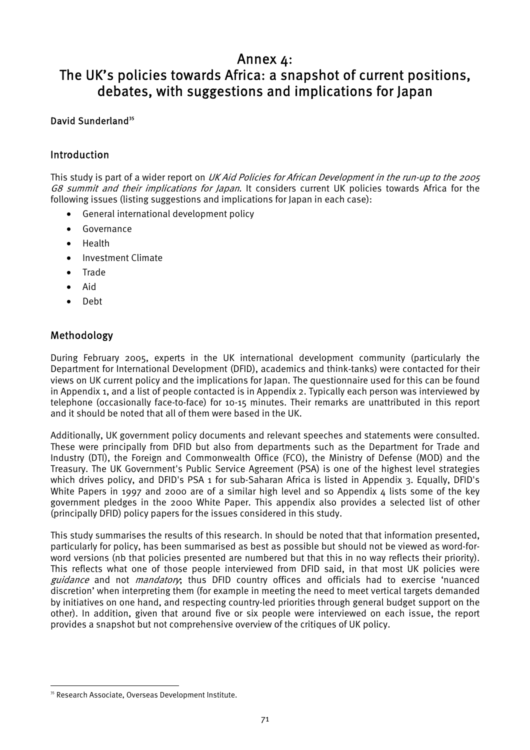# Annex 4:

# The UK's policies towards Africa: a snapshot of current positions, debates, with suggestions and implications for Japan

# David Sunderland<sup>35</sup>

# Introduction

This study is part of a wider report on UK Aid Policies for African Development in the run-up to the 2005 G8 summit and their implications for Japan. It considers current UK policies towards Africa for the following issues (listing suggestions and implications for Japan in each case):

- General international development policy
- Governance
- Health
- Investment Climate
- Trade
- Aid
- Debt

# Methodology

During February 2005, experts in the UK international development community (particularly the Department for International Development (DFID), academics and think-tanks) were contacted for their views on UK current policy and the implications for Japan. The questionnaire used for this can be found in Appendix 1, and a list of people contacted is in Appendix 2. Typically each person was interviewed by telephone (occasionally face-to-face) for 10-15 minutes. Their remarks are unattributed in this report and it should be noted that all of them were based in the UK.

Additionally, UK government policy documents and relevant speeches and statements were consulted. These were principally from DFID but also from departments such as the Department for Trade and Industry (DTI), the Foreign and Commonwealth Office (FCO), the Ministry of Defense (MOD) and the Treasury. The UK Government's Public Service Agreement (PSA) is one of the highest level strategies which drives policy, and DFID's PSA 1 for sub-Saharan Africa is listed in Appendix 3. Equally, DFID's White Papers in 1997 and 2000 are of a similar high level and so Appendix  $4$  lists some of the key government pledges in the 2000 White Paper. This appendix also provides a selected list of other (principally DFID) policy papers for the issues considered in this study.

This study summarises the results of this research. In should be noted that that information presented, particularly for policy, has been summarised as best as possible but should not be viewed as word-forword versions (nb that policies presented are numbered but that this in no way reflects their priority). This reflects what one of those people interviewed from DFID said, in that most UK policies were guidance and not *mandatory*; thus DFID country offices and officials had to exercise 'nuanced discretion' when interpreting them (for example in meeting the need to meet vertical targets demanded by initiatives on one hand, and respecting country-led priorities through general budget support on the other). In addition, given that around five or six people were interviewed on each issue, the report provides a snapshot but not comprehensive overview of the critiques of UK policy.

 $\overline{a}$ 

<sup>&</sup>lt;sup>35</sup> Research Associate, Overseas Development Institute.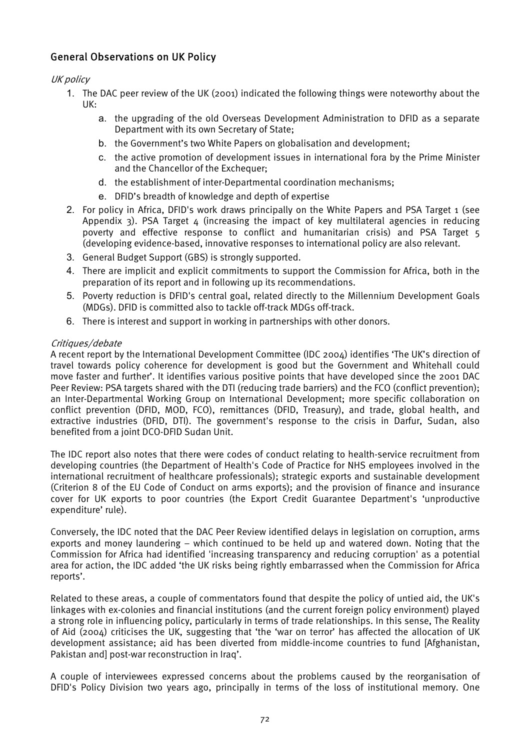# General Observations on UK Policy

# UK policy

- 1. The DAC peer review of the UK (2001) indicated the following things were noteworthy about the UK:
	- a. the upgrading of the old Overseas Development Administration to DFID as a separate Department with its own Secretary of State;
	- b. the Government's two White Papers on globalisation and development;
	- c. the active promotion of development issues in international fora by the Prime Minister and the Chancellor of the Exchequer;
	- d. the establishment of inter-Departmental coordination mechanisms;
	- e. DFID's breadth of knowledge and depth of expertise
- 2. For policy in Africa, DFID's work draws principally on the White Papers and PSA Target 1 (see Appendix 3). PSA Target  $\mu$  (increasing the impact of key multilateral agencies in reducing poverty and effective response to conflict and humanitarian crisis) and PSA Target 5 (developing evidence-based, innovative responses to international policy are also relevant.
- 3. General Budget Support (GBS) is strongly supported.
- 4. There are implicit and explicit commitments to support the Commission for Africa, both in the preparation of its report and in following up its recommendations.
- 5. Poverty reduction is DFID's central goal, related directly to the Millennium Development Goals (MDGs). DFID is committed also to tackle off-track MDGs off-track.
- 6. There is interest and support in working in partnerships with other donors.

# Critiques/debate

A recent report by the International Development Committee (IDC 2004) identifies 'The UK's direction of travel towards policy coherence for development is good but the Government and Whitehall could move faster and further'. It identifies various positive points that have developed since the 2001 DAC Peer Review: PSA targets shared with the DTI (reducing trade barriers) and the FCO (conflict prevention); an Inter-Departmental Working Group on International Development; more specific collaboration on conflict prevention (DFID, MOD, FCO), remittances (DFID, Treasury), and trade, global health, and extractive industries (DFID, DTI). The government's response to the crisis in Darfur, Sudan, also benefited from a joint DCO-DFID Sudan Unit.

The IDC report also notes that there were codes of conduct relating to health-service recruitment from developing countries (the Department of Health's Code of Practice for NHS employees involved in the international recruitment of healthcare professionals); strategic exports and sustainable development (Criterion 8 of the EU Code of Conduct on arms exports); and the provision of finance and insurance cover for UK exports to poor countries (the Export Credit Guarantee Department's 'unproductive expenditure' rule).

Conversely, the IDC noted that the DAC Peer Review identified delays in legislation on corruption, arms exports and money laundering – which continued to be held up and watered down. Noting that the Commission for Africa had identified 'increasing transparency and reducing corruption' as a potential area for action, the IDC added 'the UK risks being rightly embarrassed when the Commission for Africa reports'.

Related to these areas, a couple of commentators found that despite the policy of untied aid, the UK's linkages with ex-colonies and financial institutions (and the current foreign policy environment) played a strong role in influencing policy, particularly in terms of trade relationships. In this sense, The Reality of Aid (2004) criticises the UK, suggesting that 'the 'war on terror' has affected the allocation of UK development assistance; aid has been diverted from middle-income countries to fund [Afghanistan, Pakistan and] post-war reconstruction in Iraq'.

A couple of interviewees expressed concerns about the problems caused by the reorganisation of DFID's Policy Division two years ago, principally in terms of the loss of institutional memory. One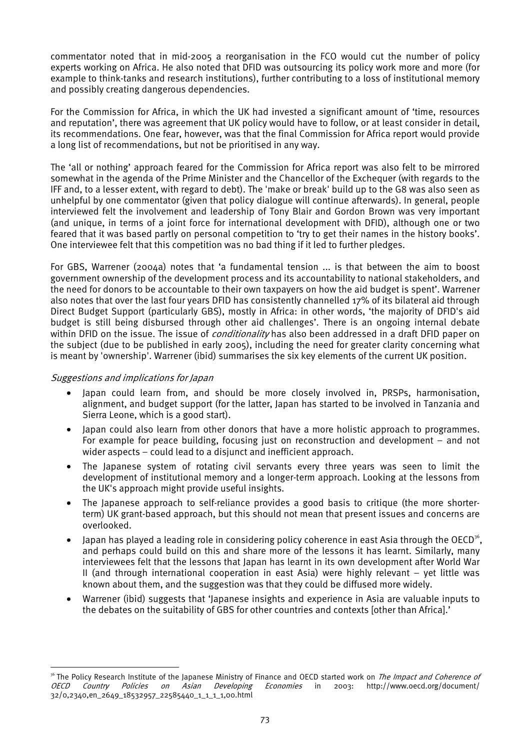commentator noted that in mid-2005 a reorganisation in the FCO would cut the number of policy experts working on Africa. He also noted that DFID was outsourcing its policy work more and more (for example to think-tanks and research institutions), further contributing to a loss of institutional memory and possibly creating dangerous dependencies.

For the Commission for Africa, in which the UK had invested a significant amount of 'time, resources and reputation', there was agreement that UK policy would have to follow, or at least consider in detail, its recommendations. One fear, however, was that the final Commission for Africa report would provide a long list of recommendations, but not be prioritised in any way.

The 'all or nothing' approach feared for the Commission for Africa report was also felt to be mirrored somewhat in the agenda of the Prime Minister and the Chancellor of the Exchequer (with regards to the IFF and, to a lesser extent, with regard to debt). The 'make or break' build up to the G8 was also seen as unhelpful by one commentator (given that policy dialogue will continue afterwards). In general, people interviewed felt the involvement and leadership of Tony Blair and Gordon Brown was very important (and unique, in terms of a joint force for international development with DFID), although one or two feared that it was based partly on personal competition to 'try to get their names in the history books'. One interviewee felt that this competition was no bad thing if it led to further pledges.

For GBS, Warrener (2004a) notes that 'a fundamental tension ... is that between the aim to boost government ownership of the development process and its accountability to national stakeholders, and the need for donors to be accountable to their own taxpayers on how the aid budget is spent'. Warrener also notes that over the last four years DFID has consistently channelled 17% of its bilateral aid through Direct Budget Support (particularly GBS), mostly in Africa: in other words, 'the majority of DFID's aid budget is still being disbursed through other aid challenges'. There is an ongoing internal debate within DFID on the issue. The issue of *conditionality* has also been addressed in a draft DFID paper on the subject (due to be published in early 2005), including the need for greater clarity concerning what is meant by 'ownership'. Warrener (ibid) summarises the six key elements of the current UK position.

# Suggestions and implications for Japan

- Japan could learn from, and should be more closely involved in, PRSPs, harmonisation, alignment, and budget support (for the latter, Japan has started to be involved in Tanzania and Sierra Leone, which is a good start).
- Japan could also learn from other donors that have a more holistic approach to programmes. For example for peace building, focusing just on reconstruction and development – and not wider aspects – could lead to a disjunct and inefficient approach.
- The Japanese system of rotating civil servants every three years was seen to limit the development of institutional memory and a longer-term approach. Looking at the lessons from the UK's approach might provide useful insights.
- The Japanese approach to self-reliance provides a good basis to critique (the more shorterterm) UK grant-based approach, but this should not mean that present issues and concerns are overlooked.
- Japan has played a leading role in considering policy coherence in east Asia through the OECD<sup>36</sup>, and perhaps could build on this and share more of the lessons it has learnt. Similarly, many interviewees felt that the lessons that Japan has learnt in its own development after World War II (and through international cooperation in east Asia) were highly relevant – yet little was known about them, and the suggestion was that they could be diffused more widely.
- Warrener (ibid) suggests that 'Japanese insights and experience in Asia are valuable inputs to the debates on the suitability of GBS for other countries and contexts [other than Africa].'

 $\overline{a}$ <sup>36</sup> The Policy Research Institute of the Japanese Ministry of Finance and OECD started work on *The Impact and Coherence of* OECD Country Policies on Asian Developing Economies in 2003: http://www.oecd.org/document/ 32/0,2340,en\_2649\_18532957\_22585440\_1\_1\_1\_1,00.html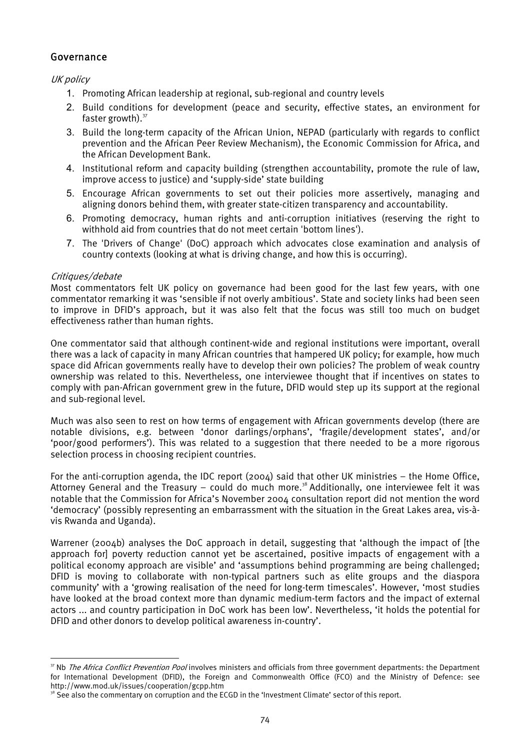# Governance

UK policy

- 1. Promoting African leadership at regional, sub-regional and country levels
- 2. Build conditions for development (peace and security, effective states, an environment for faster growth). $37$
- 3. Build the long-term capacity of the African Union, NEPAD (particularly with regards to conflict prevention and the African Peer Review Mechanism), the Economic Commission for Africa, and the African Development Bank.
- 4. Institutional reform and capacity building (strengthen accountability, promote the rule of law, improve access to justice) and 'supply-side' state building
- 5. Encourage African governments to set out their policies more assertively, managing and aligning donors behind them, with greater state-citizen transparency and accountability.
- 6. Promoting democracy, human rights and anti-corruption initiatives (reserving the right to withhold aid from countries that do not meet certain 'bottom lines').
- 7. The 'Drivers of Change' (DoC) approach which advocates close examination and analysis of country contexts (looking at what is driving change, and how this is occurring).

# Critiques/debate

Most commentators felt UK policy on governance had been good for the last few years, with one commentator remarking it was 'sensible if not overly ambitious'. State and society links had been seen to improve in DFID's approach, but it was also felt that the focus was still too much on budget effectiveness rather than human rights.

One commentator said that although continent-wide and regional institutions were important, overall there was a lack of capacity in many African countries that hampered UK policy; for example, how much space did African governments really have to develop their own policies? The problem of weak country ownership was related to this. Nevertheless, one interviewee thought that if incentives on states to comply with pan-African government grew in the future, DFID would step up its support at the regional and sub-regional level.

Much was also seen to rest on how terms of engagement with African governments develop (there are notable divisions, e.g. between 'donor darlings/orphans', 'fragile/development states', and/or 'poor/good performers'). This was related to a suggestion that there needed to be a more rigorous selection process in choosing recipient countries.

For the anti-corruption agenda, the IDC report (2004) said that other UK ministries – the Home Office, Attorney General and the Treasury – could do much more.<sup>38</sup> Additionally, one interviewee felt it was notable that the Commission for Africa's November 2004 consultation report did not mention the word 'democracy' (possibly representing an embarrassment with the situation in the Great Lakes area, vis-àvis Rwanda and Uganda).

Warrener (2004b) analyses the DoC approach in detail, suggesting that 'although the impact of [the approach for] poverty reduction cannot yet be ascertained, positive impacts of engagement with a political economy approach are visible' and 'assumptions behind programming are being challenged; DFID is moving to collaborate with non-typical partners such as elite groups and the diaspora community' with a 'growing realisation of the need for long-term timescales'. However, 'most studies have looked at the broad context more than dynamic medium-term factors and the impact of external actors ... and country participation in DoC work has been low'. Nevertheless, 'it holds the potential for DFID and other donors to develop political awareness in-country'.

 $\overline{a}$ <sup>37</sup> Nb *The Africa Conflict Prevention Pool* involves ministers and officials from three government departments: the Department for International Development (DFID), the Foreign and Commonwealth Office (FCO) and the Ministry of Defence: see http://www.mod.uk/issues/cooperation/gcpp.htm

<sup>&</sup>lt;sup>38</sup> See also the commentary on corruption and the ECGD in the 'Investment Climate' sector of this report.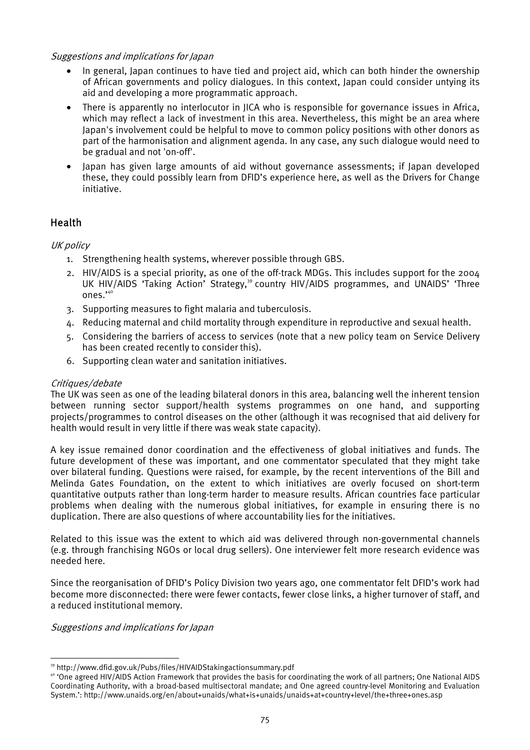# Suggestions and implications for Japan

- In general, Japan continues to have tied and project aid, which can both hinder the ownership of African governments and policy dialogues. In this context, Japan could consider untying its aid and developing a more programmatic approach.
- There is apparently no interlocutor in JICA who is responsible for governance issues in Africa, which may reflect a lack of investment in this area. Nevertheless, this might be an area where Japan's involvement could be helpful to move to common policy positions with other donors as part of the harmonisation and alignment agenda. In any case, any such dialogue would need to be gradual and not 'on-off'.
- Japan has given large amounts of aid without governance assessments; if Japan developed these, they could possibly learn from DFID's experience here, as well as the Drivers for Change initiative.

# Health

# UK policy

- 1. Strengthening health systems, wherever possible through GBS.
- 2. HIV/AIDS is a special priority, as one of the off-track MDGs. This includes support for the 2004 UK HIV/AIDS 'Taking Action' Strategy,<sup>39</sup> country HIV/AIDS programmes, and UNAIDS' 'Three ones.'<sup>40</sup>
- 3. Supporting measures to fight malaria and tuberculosis.
- 4. Reducing maternal and child mortality through expenditure in reproductive and sexual health.
- 5. Considering the barriers of access to services (note that a new policy team on Service Delivery has been created recently to consider this).
- 6. Supporting clean water and sanitation initiatives.

# Critiques/debate

The UK was seen as one of the leading bilateral donors in this area, balancing well the inherent tension between running sector support/health systems programmes on one hand, and supporting projects/programmes to control diseases on the other (although it was recognised that aid delivery for health would result in very little if there was weak state capacity).

A key issue remained donor coordination and the effectiveness of global initiatives and funds. The future development of these was important, and one commentator speculated that they might take over bilateral funding. Questions were raised, for example, by the recent interventions of the Bill and Melinda Gates Foundation, on the extent to which initiatives are overly focused on short-term quantitative outputs rather than long-term harder to measure results. African countries face particular problems when dealing with the numerous global initiatives, for example in ensuring there is no duplication. There are also questions of where accountability lies for the initiatives.

Related to this issue was the extent to which aid was delivered through non-governmental channels (e.g. through franchising NGOs or local drug sellers). One interviewer felt more research evidence was needed here.

Since the reorganisation of DFID's Policy Division two years ago, one commentator felt DFID's work had become more disconnected: there were fewer contacts, fewer close links, a higher turnover of staff, and a reduced institutional memory.

Suggestions and implications for Japan

 $\overline{a}$ 

<sup>&</sup>lt;sup>39</sup> http://www.dfid.gov.uk/Pubs/files/HIVAIDStakingactionsummary.pdf<br><sup>40</sup> 'One agreed HIV/AIDS Action Framework that provides the basis for coordinating the work of all partners; One National AIDS Coordinating Authority, with a broad-based multisectoral mandate; and One agreed country-level Monitoring and Evaluation System.': http://www.unaids.org/en/about+unaids/what+is+unaids/unaids+at+country+level/the+three+ones.asp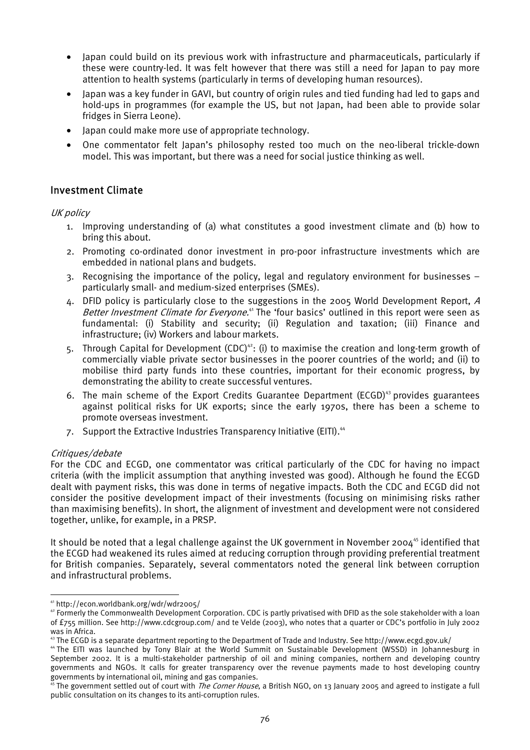- Japan could build on its previous work with infrastructure and pharmaceuticals, particularly if these were country-led. It was felt however that there was still a need for Japan to pay more attention to health systems (particularly in terms of developing human resources).
- Japan was a key funder in GAVI, but country of origin rules and tied funding had led to gaps and hold-ups in programmes (for example the US, but not Japan, had been able to provide solar fridges in Sierra Leone).
- Japan could make more use of appropriate technology.
- One commentator felt Japan's philosophy rested too much on the neo-liberal trickle-down model. This was important, but there was a need for social justice thinking as well.

# Investment Climate

# UK policy

- 1. Improving understanding of (a) what constitutes a good investment climate and (b) how to bring this about.
- 2. Promoting co-ordinated donor investment in pro-poor infrastructure investments which are embedded in national plans and budgets.
- 3. Recognising the importance of the policy, legal and regulatory environment for businesses particularly small- and medium-sized enterprises (SMEs).
- 4. DFID policy is particularly close to the suggestions in the 2005 World Development Report, <sup>A</sup> Better Investment Climate for Everyone.<sup>41</sup> The 'four basics' outlined in this report were seen as fundamental: (i) Stability and security; (ii) Regulation and taxation; (iii) Finance and infrastructure; (iv) Workers and labour markets.
- 5. Through Capital for Development  $(CDC)^{42}$ : (i) to maximise the creation and long-term growth of commercially viable private sector businesses in the poorer countries of the world; and (ii) to mobilise third party funds into these countries, important for their economic progress, by demonstrating the ability to create successful ventures.
- 6. The main scheme of the Export Credits Guarantee Department (ECGD)<sup>43</sup> provides guarantees against political risks for UK exports; since the early 1970s, there has been a scheme to promote overseas investment.
- 7. Support the Extractive Industries Transparency Initiative (EITI).<sup>44</sup>

# Critiques/debate

For the CDC and ECGD, one commentator was critical particularly of the CDC for having no impact criteria (with the implicit assumption that anything invested was good). Although he found the ECGD dealt with payment risks, this was done in terms of negative impacts. Both the CDC and ECGD did not consider the positive development impact of their investments (focusing on minimising risks rather than maximising benefits). In short, the alignment of investment and development were not considered together, unlike, for example, in a PRSP.

It should be noted that a legal challenge against the UK government in November 2004<sup>45</sup> identified that the ECGD had weakened its rules aimed at reducing corruption through providing preferential treatment for British companies. Separately, several commentators noted the general link between corruption and infrastructural problems.

 $\overline{\phantom{a}}$ 41 http://econ.worldbank.org/wdr/wdr2005/

<sup>&</sup>lt;sup>42</sup> Formerly the Commonwealth Development Corporation. CDC is partly privatised with DFID as the sole stakeholder with a loan of £755 million. See http://www.cdcgroup.com/ and te Velde (2003), who notes that a quarter or CDC's portfolio in July 2002 was in Africa.<br><sup>43</sup> The ECGD is a separate department reporting to the Department of Trade and Industry. See http://www.ecgd.gov.uk/

<sup>&</sup>lt;sup>44</sup> The EITI was launched by Tony Blair at the World Summit on Sustainable Development (WSSD) in Johannesburg in September 2002. It is a multi-stakeholder partnership of oil and mining companies, northern and developing country governments and NGOs. It calls for greater transparency over the revenue payments made to host developing country governments by international oil, mining and gas companies.

 $^5$  The government settled out of court with *The Corner House*, a British NGO, on 13 January 2005 and agreed to instigate a full public consultation on its changes to its anti-corruption rules.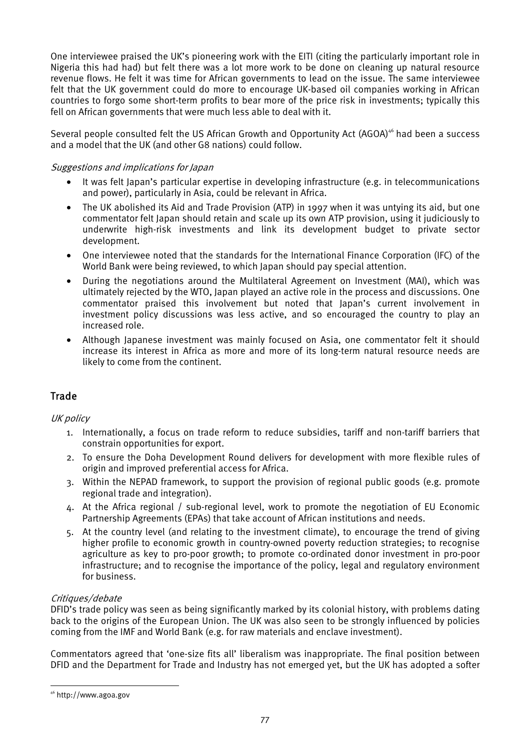One interviewee praised the UK's pioneering work with the EITI (citing the particularly important role in Nigeria this had had) but felt there was a lot more work to be done on cleaning up natural resource revenue flows. He felt it was time for African governments to lead on the issue. The same interviewee felt that the UK government could do more to encourage UK-based oil companies working in African countries to forgo some short-term profits to bear more of the price risk in investments; typically this fell on African governments that were much less able to deal with it.

Several people consulted felt the US African Growth and Opportunity Act (AGOA)<sup>46</sup> had been a success and a model that the UK (and other G8 nations) could follow.

# Suggestions and implications for Japan

- It was felt Japan's particular expertise in developing infrastructure (e.g. in telecommunications and power), particularly in Asia, could be relevant in Africa.
- The UK abolished its Aid and Trade Provision (ATP) in 1997 when it was untying its aid, but one commentator felt Japan should retain and scale up its own ATP provision, using it judiciously to underwrite high-risk investments and link its development budget to private sector development.
- One interviewee noted that the standards for the International Finance Corporation (IFC) of the World Bank were being reviewed, to which Japan should pay special attention.
- During the negotiations around the Multilateral Agreement on Investment (MAI), which was ultimately rejected by the WTO, Japan played an active role in the process and discussions. One commentator praised this involvement but noted that Japan's current involvement in investment policy discussions was less active, and so encouraged the country to play an increased role.
- Although Japanese investment was mainly focused on Asia, one commentator felt it should increase its interest in Africa as more and more of its long-term natural resource needs are likely to come from the continent.

# Trade

# UK policy

- 1. Internationally, a focus on trade reform to reduce subsidies, tariff and non-tariff barriers that constrain opportunities for export.
- 2. To ensure the Doha Development Round delivers for development with more flexible rules of origin and improved preferential access for Africa.
- 3. Within the NEPAD framework, to support the provision of regional public goods (e.g. promote regional trade and integration).
- 4. At the Africa regional / sub-regional level, work to promote the negotiation of EU Economic Partnership Agreements (EPAs) that take account of African institutions and needs.
- 5. At the country level (and relating to the investment climate), to encourage the trend of giving higher profile to economic growth in country-owned poverty reduction strategies; to recognise agriculture as key to pro-poor growth; to promote co-ordinated donor investment in pro-poor infrastructure; and to recognise the importance of the policy, legal and regulatory environment for business.

# Critiques/debate

DFID's trade policy was seen as being significantly marked by its colonial history, with problems dating back to the origins of the European Union. The UK was also seen to be strongly influenced by policies coming from the IMF and World Bank (e.g. for raw materials and enclave investment).

Commentators agreed that 'one-size fits all' liberalism was inappropriate. The final position between DFID and the Department for Trade and Industry has not emerged yet, but the UK has adopted a softer

 $\overline{a}$ 

<sup>46</sup> http://www.agoa.gov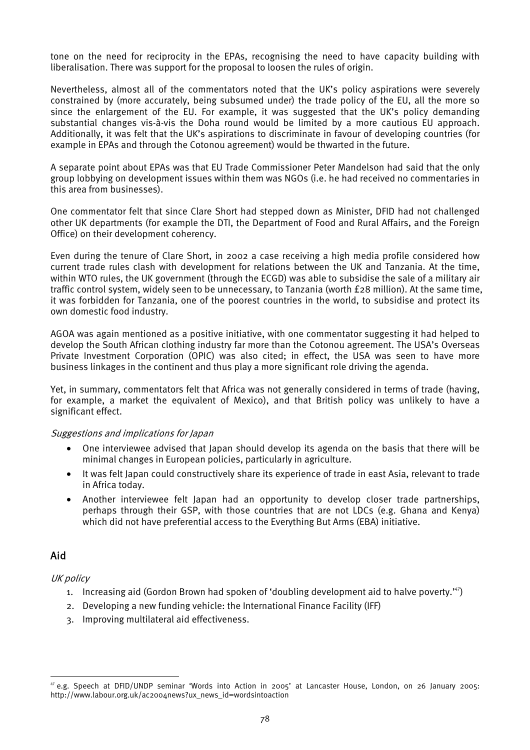tone on the need for reciprocity in the EPAs, recognising the need to have capacity building with liberalisation. There was support for the proposal to loosen the rules of origin.

Nevertheless, almost all of the commentators noted that the UK's policy aspirations were severely constrained by (more accurately, being subsumed under) the trade policy of the EU, all the more so since the enlargement of the EU. For example, it was suggested that the UK's policy demanding substantial changes vis-à-vis the Doha round would be limited by a more cautious EU approach. Additionally, it was felt that the UK's aspirations to discriminate in favour of developing countries (for example in EPAs and through the Cotonou agreement) would be thwarted in the future.

A separate point about EPAs was that EU Trade Commissioner Peter Mandelson had said that the only group lobbying on development issues within them was NGOs (i.e. he had received no commentaries in this area from businesses).

One commentator felt that since Clare Short had stepped down as Minister, DFID had not challenged other UK departments (for example the DTI, the Department of Food and Rural Affairs, and the Foreign Office) on their development coherency.

Even during the tenure of Clare Short, in 2002 a case receiving a high media profile considered how current trade rules clash with development for relations between the UK and Tanzania. At the time, within WTO rules, the UK government (through the ECGD) was able to subsidise the sale of a military air traffic control system, widely seen to be unnecessary, to Tanzania (worth £28 million). At the same time, it was forbidden for Tanzania, one of the poorest countries in the world, to subsidise and protect its own domestic food industry.

AGOA was again mentioned as a positive initiative, with one commentator suggesting it had helped to develop the South African clothing industry far more than the Cotonou agreement. The USA's Overseas Private Investment Corporation (OPIC) was also cited; in effect, the USA was seen to have more business linkages in the continent and thus play a more significant role driving the agenda.

Yet, in summary, commentators felt that Africa was not generally considered in terms of trade (having, for example, a market the equivalent of Mexico), and that British policy was unlikely to have a significant effect.

# Suggestions and implications for Japan

- One interviewee advised that Japan should develop its agenda on the basis that there will be minimal changes in European policies, particularly in agriculture.
- It was felt Japan could constructively share its experience of trade in east Asia, relevant to trade in Africa today.
- Another interviewee felt Japan had an opportunity to develop closer trade partnerships, perhaps through their GSP, with those countries that are not LDCs (e.g. Ghana and Kenya) which did not have preferential access to the Everything But Arms (EBA) initiative.

# Aid

UK policy

- 1. Increasing aid (Gordon Brown had spoken of 'doubling development aid to halve poverty.'<sup>47</sup>)
- 2. Developing a new funding vehicle: the International Finance Facility (IFF)
- 3. Improving multilateral aid effectiveness.

 $\overline{\phantom{a}}$ 47 e.g. Speech at DFID/UNDP seminar 'Words into Action in 2005' at Lancaster House, London, on 26 January 2005: http://www.labour.org.uk/ac2004news?ux\_news\_id=wordsintoaction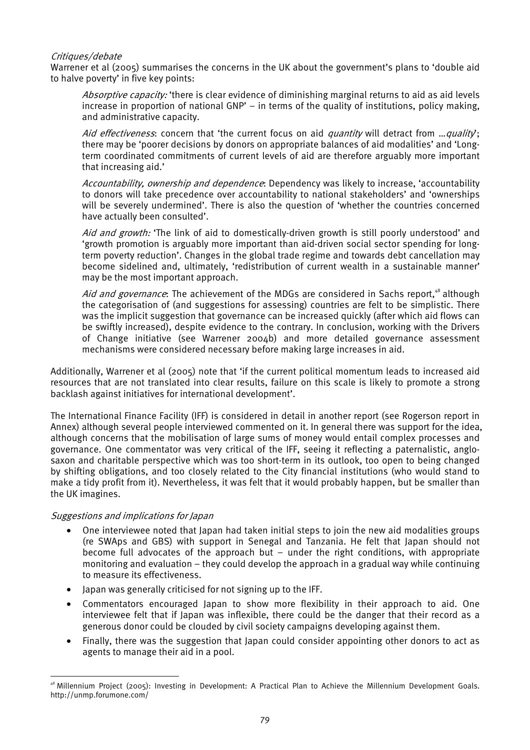#### Critiques/debate

Warrener et al (2005) summarises the concerns in the UK about the government's plans to 'double aid to halve poverty' in five key points:

Absorptive capacity: 'there is clear evidence of diminishing marginal returns to aid as aid levels increase in proportion of national GNP' – in terms of the quality of institutions, policy making, and administrative capacity.

Aid effectiveness: concern that 'the current focus on aid *quantity* will detract from ... quality: there may be 'poorer decisions by donors on appropriate balances of aid modalities' and 'Longterm coordinated commitments of current levels of aid are therefore arguably more important that increasing aid.'

Accountability, ownership and dependence: Dependency was likely to increase, 'accountability to donors will take precedence over accountability to national stakeholders' and 'ownerships will be severely undermined'. There is also the question of 'whether the countries concerned have actually been consulted'.

Aid and growth: 'The link of aid to domestically-driven growth is still poorly understood' and 'growth promotion is arguably more important than aid-driven social sector spending for longterm poverty reduction'. Changes in the global trade regime and towards debt cancellation may become sidelined and, ultimately, 'redistribution of current wealth in a sustainable manner' may be the most important approach.

Aid and governance: The achievement of the MDGs are considered in Sachs report,<sup>48</sup> although the categorisation of (and suggestions for assessing) countries are felt to be simplistic. There was the implicit suggestion that governance can be increased quickly (after which aid flows can be swiftly increased), despite evidence to the contrary. In conclusion, working with the Drivers of Change initiative (see Warrener 2004b) and more detailed governance assessment mechanisms were considered necessary before making large increases in aid.

Additionally, Warrener et al (2005) note that 'if the current political momentum leads to increased aid resources that are not translated into clear results, failure on this scale is likely to promote a strong backlash against initiatives for international development'.

The International Finance Facility (IFF) is considered in detail in another report (see Rogerson report in Annex) although several people interviewed commented on it. In general there was support for the idea, although concerns that the mobilisation of large sums of money would entail complex processes and governance. One commentator was very critical of the IFF, seeing it reflecting a paternalistic, anglosaxon and charitable perspective which was too short-term in its outlook, too open to being changed by shifting obligations, and too closely related to the City financial institutions (who would stand to make a tidy profit from it). Nevertheless, it was felt that it would probably happen, but be smaller than the UK imagines.

# Suggestions and implications for Japan

- One interviewee noted that Japan had taken initial steps to join the new aid modalities groups (re SWAps and GBS) with support in Senegal and Tanzania. He felt that Japan should not become full advocates of the approach but – under the right conditions, with appropriate monitoring and evaluation – they could develop the approach in a gradual way while continuing to measure its effectiveness.
- Japan was generally criticised for not signing up to the IFF.
- Commentators encouraged Japan to show more flexibility in their approach to aid. One interviewee felt that if Japan was inflexible, there could be the danger that their record as a generous donor could be clouded by civil society campaigns developing against them.
- Finally, there was the suggestion that Japan could consider appointing other donors to act as agents to manage their aid in a pool.

 $\overline{\phantom{a}}$ 48 Millennium Project (2005): Investing in Development: A Practical Plan to Achieve the Millennium Development Goals. http://unmp.forumone.com/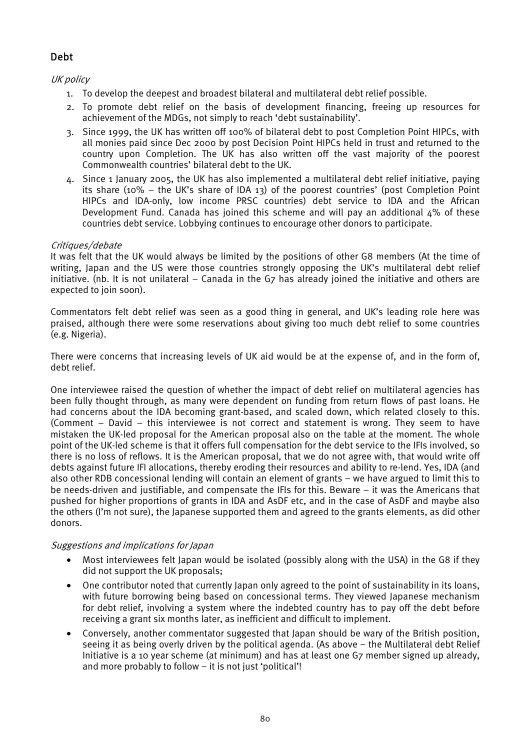# Debt

# UK policy

- 1. To develop the deepest and broadest bilateral and multilateral debt relief possible.
- 2. To promote debt relief on the basis of development financing, freeing up resources for achievement of the MDGs, not simply to reach 'debt sustainability'.
- 3. Since 1999, the UK has written off 100% of bilateral debt to post Completion Point HIPCs, with all monies paid since Dec 2000 by post Decision Point HIPCs held in trust and returned to the country upon Completion. The UK has also written off the vast majority of the poorest Commonwealth countries' bilateral debt to the UK.
- 4. Since 1 January 2005, the UK has also implemented a multilateral debt relief initiative, paying its share (10% – the UK's share of IDA 13) of the poorest countries' (post Completion Point HIPCs and IDA-only, low income PRSC countries) debt service to IDA and the African Development Fund. Canada has joined this scheme and will pay an additional  $4\%$  of these countries debt service. Lobbying continues to encourage other donors to participate.

# Critiques/debate

It was felt that the UK would always be limited by the positions of other G8 members (At the time of writing, Japan and the US were those countries strongly opposing the UK's multilateral debt relief initiative. (nb. It is not unilateral – Canada in the G7 has already joined the initiative and others are expected to join soon).

Commentators felt debt relief was seen as a good thing in general, and UK's leading role here was praised, although there were some reservations about giving too much debt relief to some countries (e.g. Nigeria).

There were concerns that increasing levels of UK aid would be at the expense of, and in the form of, debt relief.

One interviewee raised the question of whether the impact of debt relief on multilateral agencies has been fully thought through, as many were dependent on funding from return flows of past loans. He had concerns about the IDA becoming grant-based, and scaled down, which related closely to this. (Comment – David – this interviewee is not correct and statement is wrong. They seem to have mistaken the UK-led proposal for the American proposal also on the table at the moment. The whole point of the UK-led scheme is that it offers full compensation for the debt service to the IFIs involved, so there is no loss of reflows. It is the American proposal, that we do not agree with, that would write off debts against future IFI allocations, thereby eroding their resources and ability to re-lend. Yes, IDA (and also other RDB concessional lending will contain an element of grants – we have argued to limit this to be needs-driven and justifiable, and compensate the IFIs for this. Beware – it was the Americans that pushed for higher proportions of grants in IDA and AsDF etc, and in the case of AsDF and maybe also the others (I'm not sure), the Japanese supported them and agreed to the grants elements, as did other donors.

# Suggestions and implications for Japan

- Most interviewees felt Japan would be isolated (possibly along with the USA) in the G8 if they did not support the UK proposals;
- One contributor noted that currently Japan only agreed to the point of sustainability in its loans, with future borrowing being based on concessional terms. They viewed Japanese mechanism for debt relief, involving a system where the indebted country has to pay off the debt before receiving a grant six months later, as inefficient and difficult to implement.
- Conversely, another commentator suggested that Japan should be wary of the British position, seeing it as being overly driven by the political agenda. (As above – the Multilateral debt Relief Initiative is a 10 year scheme (at minimum) and has at least one G7 member signed up already, and more probably to follow – it is not just 'political'!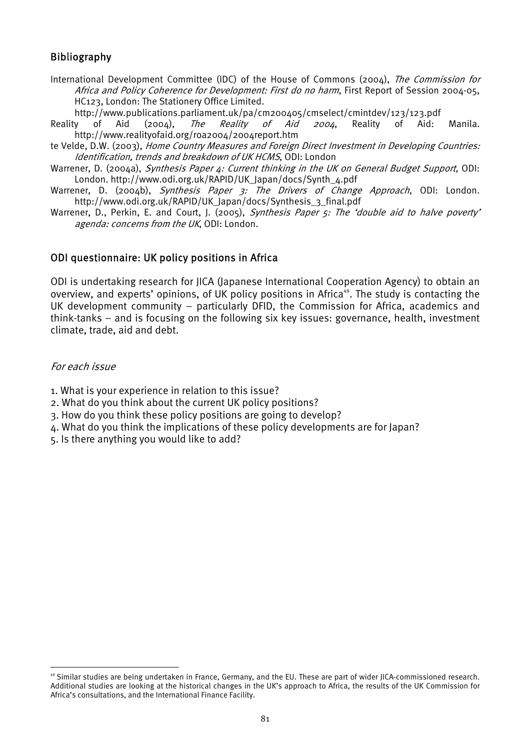# Bibliography

- International Development Committee (IDC) of the House of Commons (2004), The Commission for Africa and Policy Coherence for Development: First do no harm, First Report of Session 2004-05, HC123, London: The Stationery Office Limited.
	- http://www.publications.parliament.uk/pa/cm200405/cmselect/cmintdev/123/123.pdf
- Reality of Aid (2004), The Reality of Aid 2004, Reality of Aid: Manila. http://www.realityofaid.org/roa2004/2004report.htm
- te Velde, D.W. (2003), Home Country Measures and Foreign Direct Investment in Developing Countries: Identification, trends and breakdown of UK HCMS, ODI: London
- Warrener, D. (2004a), Synthesis Paper 4: Current thinking in the UK on General Budget Support, ODI: London. http://www.odi.org.uk/RAPID/UK\_Japan/docs/Synth\_4.pdf
- Warrener, D. (2004b), Synthesis Paper 3: The Drivers of Change Approach, ODI: London. http://www.odi.org.uk/RAPID/UK\_Japan/docs/Synthesis\_3\_final.pdf
- Warrener, D., Perkin, E. and Court, J. (2005), Synthesis Paper 5: The 'double aid to halve poverty' agenda: concerns from the UK, ODI: London.

# ODI questionnaire: UK policy positions in Africa

ODI is undertaking research for JICA (Japanese International Cooperation Agency) to obtain an overview, and experts' opinions, of UK policy positions in Africa<sup>49</sup>. The study is contacting the UK development community – particularly DFID, the Commission for Africa, academics and think-tanks – and is focusing on the following six key issues: governance, health, investment climate, trade, aid and debt.

# For each issue

 $\overline{a}$ 

- 1. What is your experience in relation to this issue?
- 2. What do you think about the current UK policy positions?
- 3. How do you think these policy positions are going to develop?
- 4. What do you think the implications of these policy developments are for Japan?
- 5. Is there anything you would like to add?

<sup>&</sup>lt;sup>49</sup> Similar studies are being undertaken in France, Germany, and the EU. These are part of wider JICA-commissioned research. Additional studies are looking at the historical changes in the UK's approach to Africa, the results of the UK Commission for Africa's consultations, and the International Finance Facility.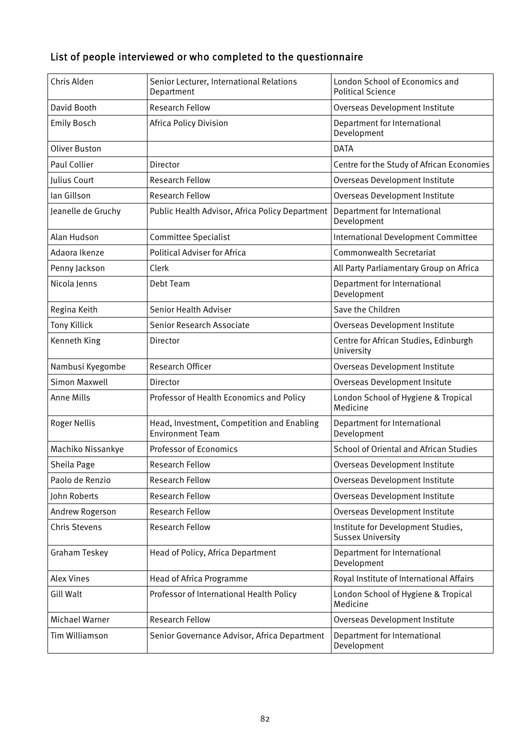# List of people interviewed or who completed to the questionnaire

| Chris Alden          | Senior Lecturer, International Relations<br>Department                | London School of Economics and<br><b>Political Science</b>     |  |  |
|----------------------|-----------------------------------------------------------------------|----------------------------------------------------------------|--|--|
| David Booth          | <b>Research Fellow</b>                                                | Overseas Development Institute                                 |  |  |
| <b>Emily Bosch</b>   | <b>Africa Policy Division</b>                                         | Department for International<br>Development                    |  |  |
| <b>Oliver Buston</b> |                                                                       | <b>DATA</b>                                                    |  |  |
| Paul Collier         | Director                                                              | Centre for the Study of African Economies                      |  |  |
| Julius Court         | <b>Research Fellow</b>                                                | Overseas Development Institute                                 |  |  |
| lan Gillson          | <b>Research Fellow</b>                                                | Overseas Development Institute                                 |  |  |
| Jeanelle de Gruchy   | Public Health Advisor, Africa Policy Department                       | Department for International<br>Development                    |  |  |
| Alan Hudson          | <b>Committee Specialist</b>                                           | International Development Committee                            |  |  |
| Adaora Ikenze        | <b>Political Adviser for Africa</b>                                   | <b>Commonwealth Secretariat</b>                                |  |  |
| Penny Jackson        | Clerk                                                                 | All Party Parliamentary Group on Africa                        |  |  |
| Nicola Jenns         | Debt Team                                                             | Department for International<br>Development                    |  |  |
| Regina Keith         | Senior Health Adviser                                                 | Save the Children                                              |  |  |
| <b>Tony Killick</b>  | Senior Research Associate                                             | Overseas Development Institute                                 |  |  |
| Kenneth King         | Director                                                              | Centre for African Studies, Edinburgh<br>University            |  |  |
| Nambusi Kyegombe     | Research Officer                                                      | Overseas Development Institute                                 |  |  |
| <b>Simon Maxwell</b> | Director                                                              | Overseas Development Insitute                                  |  |  |
| <b>Anne Mills</b>    | Professor of Health Economics and Policy                              | London School of Hygiene & Tropical<br>Medicine                |  |  |
| <b>Roger Nellis</b>  | Head, Investment, Competition and Enabling<br><b>Environment Team</b> | Department for International<br>Development                    |  |  |
| Machiko Nissankye    | <b>Professor of Economics</b>                                         | <b>School of Oriental and African Studies</b>                  |  |  |
| Sheila Page          | <b>Research Fellow</b>                                                | Overseas Development Institute                                 |  |  |
| Paolo de Renzio      | <b>Research Fellow</b>                                                | Overseas Development Institute                                 |  |  |
| John Roberts         | <b>Research Fellow</b>                                                | Overseas Development Institute                                 |  |  |
| Andrew Rogerson      | <b>Research Fellow</b>                                                | Overseas Development Institute                                 |  |  |
| Chris Stevens        | <b>Research Fellow</b>                                                | Institute for Development Studies,<br><b>Sussex University</b> |  |  |
| <b>Graham Teskey</b> | Head of Policy, Africa Department                                     | Department for International<br>Development                    |  |  |
| <b>Alex Vines</b>    | Head of Africa Programme                                              | Royal Institute of International Affairs                       |  |  |
| <b>Gill Walt</b>     | Professor of International Health Policy                              | London School of Hygiene & Tropical<br>Medicine                |  |  |
| Michael Warner       | <b>Research Fellow</b>                                                | Overseas Development Institute                                 |  |  |
| Tim Williamson       | Senior Governance Advisor, Africa Department                          | Department for International<br>Development                    |  |  |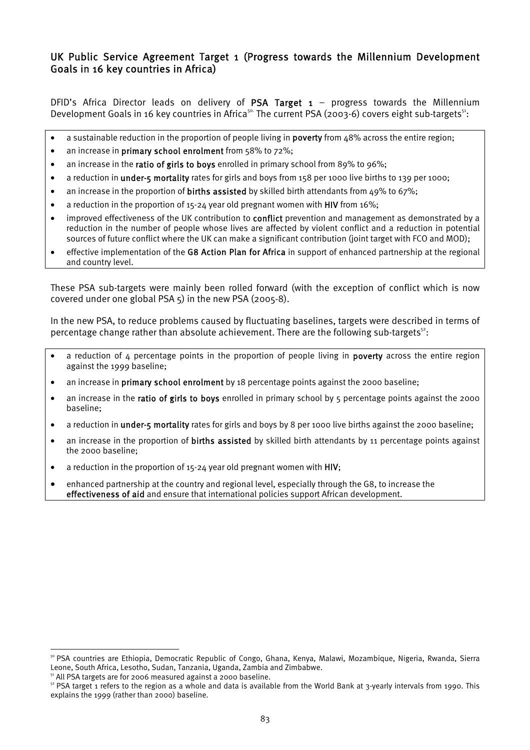# UK Public Service Agreement Target 1 (Progress towards the Millennium Development Goals in 16 key countries in Africa)

DFID's Africa Director leads on delivery of PSA Target  $1$  – progress towards the Millennium Development Goals in 16 key countries in Africa<sup>50.</sup> The current PSA (2003-6) covers eight sub-targets<sup>51</sup>:

- $\bullet$  a sustainable reduction in the proportion of people living in **poverty** from  $48\%$  across the entire region;
- an increase in primary school enrolment from 58% to 72%;
- an increase in the ratio of girls to boys enrolled in primary school from 89% to 96%;
- a reduction in under-5 mortality rates for girls and boys from 158 per 1000 live births to 139 per 1000;
- an increase in the proportion of **births assisted** by skilled birth attendants from  $49\%$  to 67%;
- a reduction in the proportion of 15-24 year old pregnant women with  $HIV$  from 16%;
- improved effectiveness of the UK contribution to **conflict** prevention and management as demonstrated by a reduction in the number of people whose lives are affected by violent conflict and a reduction in potential sources of future conflict where the UK can make a significant contribution (joint target with FCO and MOD);
- effective implementation of the G8 Action Plan for Africa in support of enhanced partnership at the regional and country level.

These PSA sub-targets were mainly been rolled forward (with the exception of conflict which is now covered under one global PSA 5) in the new PSA (2005-8).

In the new PSA, to reduce problems caused by fluctuating baselines, targets were described in terms of percentage change rather than absolute achievement. There are the following sub-targets<sup>52</sup>:

- a reduction of 4 percentage points in the proportion of people living in **poverty** across the entire region against the 1999 baseline;
- an increase in **primary school enrolment** by 18 percentage points against the 2000 baseline;
- an increase in the ratio of girls to boys enrolled in primary school by 5 percentage points against the 2000 baseline;
- a reduction in **under-5 mortality** rates for girls and boys by 8 per 1000 live births against the 2000 baseline;
- an increase in the proportion of births assisted by skilled birth attendants by 11 percentage points against the 2000 baseline;
- a reduction in the proportion of  $15-24$  year old pregnant women with  $HIV$ ;
- enhanced partnership at the country and regional level, especially through the G8, to increase the effectiveness of aid and ensure that international policies support African development.

 $\overline{a}$ 

<sup>&</sup>lt;sup>50</sup> PSA countries are Ethiopia, Democratic Republic of Congo, Ghana, Kenya, Malawi, Mozambique, Nigeria, Rwanda, Sierra<br>Leone, South Africa, Lesotho, Sudan, Tanzania, Uganda, Zambia and Zimbabwe.

<sup>&</sup>lt;sup>51</sup> All PSA targets are for 2006 measured against a 2000 baseline.<br><sup>52</sup> PSA target 1 refers to the region as a whole and data is available from the World Bank at 3-yearly intervals from 1990. This explains the 1999 (rather than 2000) baseline.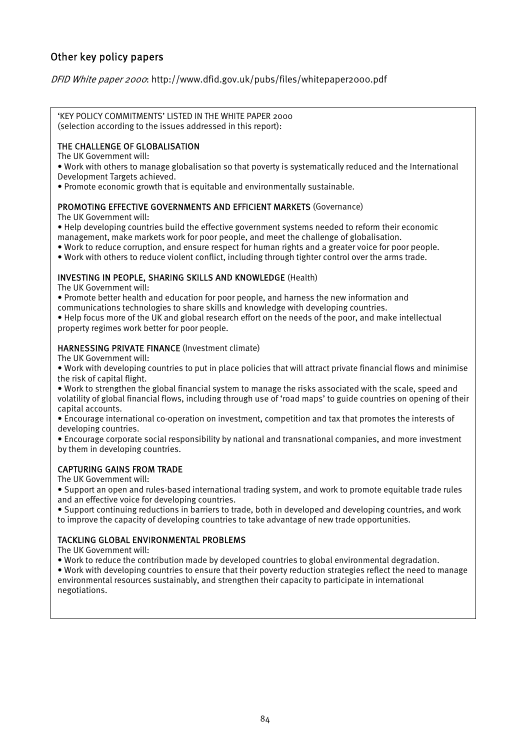# Other key policy papers

DFID White paper 2000: http://www.dfid.gov.uk/pubs/files/whitepaper2000.pdf

'KEY POLICY COMMITMENTS' LISTED IN THE WHITE PAPER 2000 (selection according to the issues addressed in this report):

# THE CHALLENGE OF GLOBALISATION

The UK Government will:

• Work with others to manage globalisation so that poverty is systematically reduced and the International Development Targets achieved.

• Promote economic growth that is equitable and environmentally sustainable.

#### PROMOTING EFFECTIVE GOVERNMENTS AND EFFICIENT MARKETS (Governance)

The UK Government will:

• Help developing countries build the effective government systems needed to reform their economic management, make markets work for poor people, and meet the challenge of globalisation.

- Work to reduce corruption, and ensure respect for human rights and a greater voice for poor people.
- Work with others to reduce violent conflict, including through tighter control over the arms trade.

#### INVESTING IN PEOPLE, SHARING SKILLS AND KNOWLEDGE (Health)

The UK Government will:

• Promote better health and education for poor people, and harness the new information and communications technologies to share skills and knowledge with developing countries.

• Help focus more of the UK and global research effort on the needs of the poor, and make intellectual property regimes work better for poor people.

#### HARNESSING PRIVATE FINANCE (Investment climate)

The UK Government will:

• Work with developing countries to put in place policies that will attract private financial flows and minimise the risk of capital flight.

• Work to strengthen the global financial system to manage the risks associated with the scale, speed and volatility of global financial flows, including through use of 'road maps' to guide countries on opening of their capital accounts.

• Encourage international co-operation on investment, competition and tax that promotes the interests of developing countries.

• Encourage corporate social responsibility by national and transnational companies, and more investment by them in developing countries.

# CAPTURING GAINS FROM TRADE

The UK Government will:

• Support an open and rules-based international trading system, and work to promote equitable trade rules and an effective voice for developing countries.

• Support continuing reductions in barriers to trade, both in developed and developing countries, and work to improve the capacity of developing countries to take advantage of new trade opportunities.

# TACKLING GLOBAL ENVIRONMENTAL PROBLEMS

The UK Government will:

• Work to reduce the contribution made by developed countries to global environmental degradation.

• Work with developing countries to ensure that their poverty reduction strategies reflect the need to manage environmental resources sustainably, and strengthen their capacity to participate in international negotiations.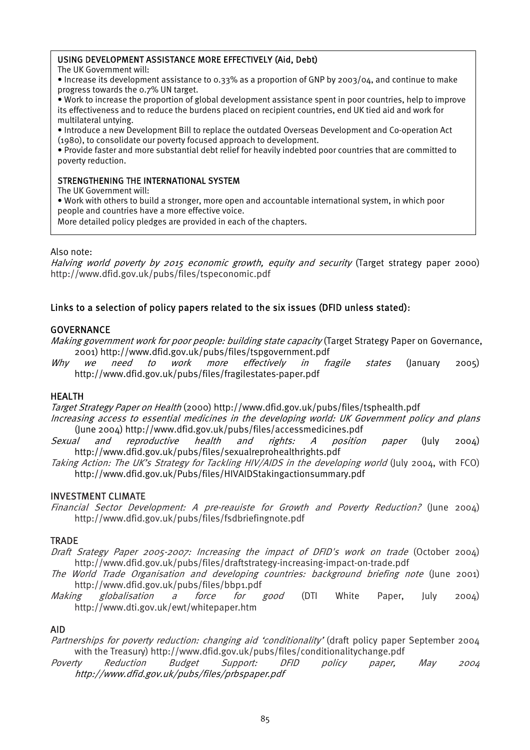# USING DEVELOPMENT ASSISTANCE MORE EFFECTIVELY (Aid, Debt)

The UK Government will:

• Increase its development assistance to 0.33% as a proportion of GNP by 2003/04, and continue to make progress towards the 0.7% UN target.

• Work to increase the proportion of global development assistance spent in poor countries, help to improve its effectiveness and to reduce the burdens placed on recipient countries, end UK tied aid and work for multilateral untying.

• Introduce a new Development Bill to replace the outdated Overseas Development and Co-operation Act (1980), to consolidate our poverty focused approach to development.

• Provide faster and more substantial debt relief for heavily indebted poor countries that are committed to poverty reduction.

#### STRENGTHENING THE INTERNATIONAL SYSTEM

The UK Government will:

• Work with others to build a stronger, more open and accountable international system, in which poor people and countries have a more effective voice.

More detailed policy pledges are provided in each of the chapters.

#### Also note:

Halving world poverty by 2015 economic growth, equity and security (Target strategy paper 2000) http://www.dfid.gov.uk/pubs/files/tspeconomic.pdf

# Links to a selection of policy papers related to the six issues (DFID unless stated):

# GOVERNANCE

Making government work for poor people: building state capacity (Target Strategy Paper on Governance, 2001) http://www.dfid.gov.uk/pubs/files/tspgovernment.pdf

Why we need to work more effectively in fragile states (January 2005) http://www.dfid.gov.uk/pubs/files/fragilestates-paper.pdf

# HEALTH

Target Strategy Paper on Health (2000) http://www.dfid.gov.uk/pubs/files/tsphealth.pdf

- Increasing access to essential medicines in the developing world: UK Government policy and plans
- (June 2004) http://www.dfid.gov.uk/pubs/files/accessmedicines.pdf<br>al and reproductive health and rights: A position Sexual and reproductive health and rights: A position paper (July 2004) http://www.dfid.gov.uk/pubs/files/sexualreprohealthrights.pdf
- Taking Action: The UK's Strategy for Tackling HIV/AIDS in the developing world (July 2004, with FCO) http://www.dfid.gov.uk/Pubs/files/HIVAIDStakingactionsummary.pdf

# INVESTMENT CLIMATE

Financial Sector Development: A pre-reauiste for Growth and Poverty Reduction? (June 2004) http://www.dfid.gov.uk/pubs/files/fsdbriefingnote.pdf

# **TRADE**

- Draft Srategy Paper 2005-2007: Increasing the impact of DFID's work on trade (October 2004) http://www.dfid.gov.uk/pubs/files/draftstrategy-increasing-impact-on-trade.pdf
- The World Trade Organisation and developing countries: background briefing note (June 2001) http://www.dfid.gov.uk/pubs/files/bbp1.pdf
- Making globalisation a force for good (DTI White Paper, July 2004) http://www.dti.gov.uk/ewt/whitepaper.htm

# AID

- Partnerships for poverty reduction: changing aid 'conditionality' (draft policy paper September 2004 with the Treasury) http://www.dfid.gov.uk/pubs/files/conditionalitychange.pdf
- Poverty Reduction Budget Support: DFID policy paper, May 2004 http://www.dfid.gov.uk/pubs/files/prbspaper.pdf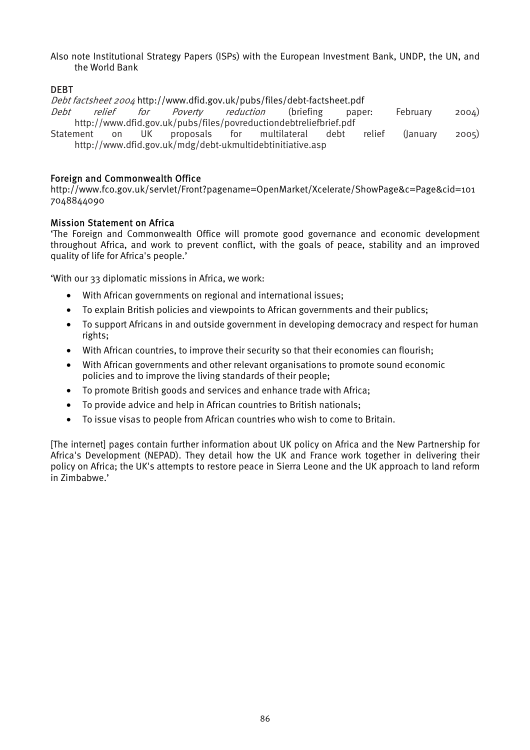Also note Institutional Strategy Papers (ISPs) with the European Investment Bank, UNDP, the UN, and the World Bank

# DEBT

Debt factsheet 2004 http://www.dfid.gov.uk/pubs/files/debt-factsheet.pdf Debt relief for Poverty reduction (briefing paper: February 2004) http://www.dfid.gov.uk/pubs/files/povreductiondebtreliefbrief.pdf Statement on UK proposals for multilateral debt relief (January 2005) http://www.dfid.gov.uk/mdg/debt-ukmultidebtinitiative.asp

# Foreign and Commonwealth Office

http://www.fco.gov.uk/servlet/Front?pagename=OpenMarket/Xcelerate/ShowPage&c=Page&cid=101 7048844090

# Mission Statement on Africa

'The Foreign and Commonwealth Office will promote good governance and economic development throughout Africa, and work to prevent conflict, with the goals of peace, stability and an improved quality of life for Africa's people.'

'With our 33 diplomatic missions in Africa, we work:

- With African governments on regional and international issues;
- To explain British policies and viewpoints to African governments and their publics;
- To support Africans in and outside government in developing democracy and respect for human rights;
- With African countries, to improve their security so that their economies can flourish;
- With African governments and other relevant organisations to promote sound economic policies and to improve the living standards of their people;
- To promote British goods and services and enhance trade with Africa;
- To provide advice and help in African countries to British nationals;
- To issue visas to people from African countries who wish to come to Britain.

[The internet] pages contain further information about UK policy on Africa and the New Partnership for Africa's Development (NEPAD). They detail how the UK and France work together in delivering their policy on Africa; the UK's attempts to restore peace in Sierra Leone and the UK approach to land reform in Zimbabwe.'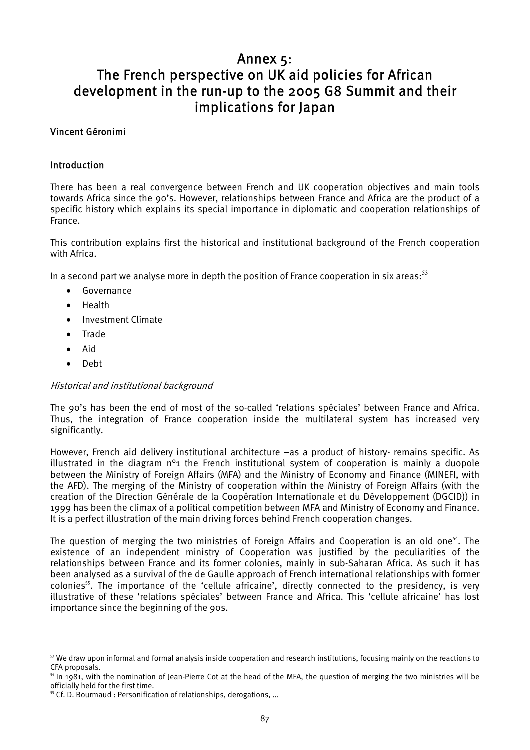# Annex 5: The French perspective on UK aid policies for African development in the run-up to the 2005 G8 Summit and their implications for Japan

# Vincent Géronimi

# Introduction

There has been a real convergence between French and UK cooperation objectives and main tools towards Africa since the 90's. However, relationships between France and Africa are the product of a specific history which explains its special importance in diplomatic and cooperation relationships of France.

This contribution explains first the historical and institutional background of the French cooperation with Africa.

In a second part we analyse more in depth the position of France cooperation in six areas: $53$ 

- **Governance**
- Health
- Investment Climate
- Trade
- Aid
- Debt

 $\overline{a}$ 

# Historical and institutional background

The 90's has been the end of most of the so-called 'relations spéciales' between France and Africa. Thus, the integration of France cooperation inside the multilateral system has increased very significantly.

However, French aid delivery institutional architecture –as a product of history- remains specific. As illustrated in the diagram  $n^{\circ}$  the French institutional system of cooperation is mainly a duopole between the Ministry of Foreign Affairs (MFA) and the Ministry of Economy and Finance (MINEFI, with the AFD). The merging of the Ministry of cooperation within the Ministry of Foreign Affairs (with the creation of the Direction Générale de la Coopération Internationale et du Développement (DGCID)) in 1999 has been the climax of a political competition between MFA and Ministry of Economy and Finance. It is a perfect illustration of the main driving forces behind French cooperation changes.

The question of merging the two ministries of Foreign Affairs and Cooperation is an old one<sup>54</sup>. The existence of an independent ministry of Cooperation was justified by the peculiarities of the relationships between France and its former colonies, mainly in sub-Saharan Africa. As such it has been analysed as a survival of the de Gaulle approach of French international relationships with former colonies<sup>55</sup>. The importance of the 'cellule africaine', directly connected to the presidency, is very illustrative of these 'relations spéciales' between France and Africa. This 'cellule africaine' has lost importance since the beginning of the 90s.

<sup>&</sup>lt;sup>53</sup> We draw upon informal and formal analysis inside cooperation and research institutions, focusing mainly on the reactions to CFA proposals.

<sup>&</sup>lt;sup>54</sup> In 1981, with the nomination of Jean-Pierre Cot at the head of the MFA, the question of merging the two ministries will be officially held for the first time.

<sup>&</sup>lt;sup>55</sup> Cf. D. Bourmaud : Personification of relationships, derogations, ...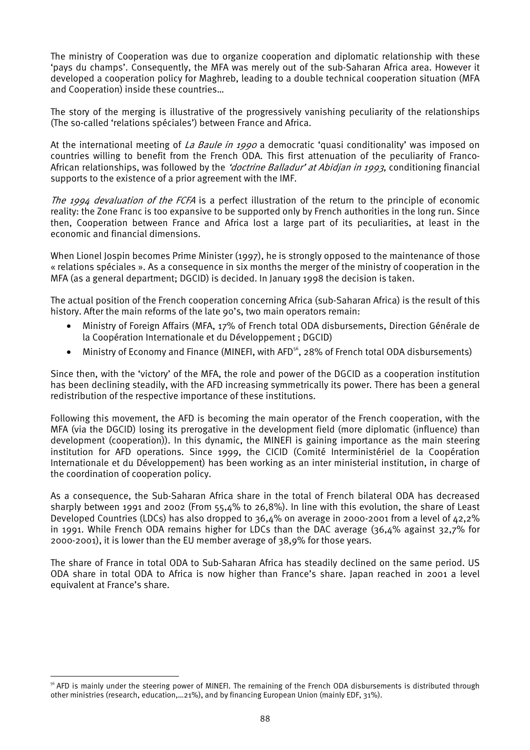The ministry of Cooperation was due to organize cooperation and diplomatic relationship with these 'pays du champs'. Consequently, the MFA was merely out of the sub-Saharan Africa area. However it developed a cooperation policy for Maghreb, leading to a double technical cooperation situation (MFA and Cooperation) inside these countries…

The story of the merging is illustrative of the progressively vanishing peculiarity of the relationships (The so-called 'relations spéciales') between France and Africa.

At the international meeting of *La Baule in 1990* a democratic 'quasi conditionality' was imposed on countries willing to benefit from the French ODA. This first attenuation of the peculiarity of Franco-African relationships, was followed by the *'doctrine Balladur' at Abidjan in 1993*, conditioning financial supports to the existence of a prior agreement with the IMF.

The 1994 devaluation of the FCFA is a perfect illustration of the return to the principle of economic reality: the Zone Franc is too expansive to be supported only by French authorities in the long run. Since then, Cooperation between France and Africa lost a large part of its peculiarities, at least in the economic and financial dimensions.

When Lionel Jospin becomes Prime Minister (1997), he is strongly opposed to the maintenance of those « relations spéciales ». As a consequence in six months the merger of the ministry of cooperation in the MFA (as a general department; DGCID) is decided. In January 1998 the decision is taken.

The actual position of the French cooperation concerning Africa (sub-Saharan Africa) is the result of this history. After the main reforms of the late 90's, two main operators remain:

- Ministry of Foreign Affairs (MFA, 17% of French total ODA disbursements, Direction Générale de la Coopération Internationale et du Développement ; DGCID)
- Ministry of Economy and Finance (MINEFI, with AFD<sup>56</sup>, 28% of French total ODA disbursements)

Since then, with the 'victory' of the MFA, the role and power of the DGCID as a cooperation institution has been declining steadily, with the AFD increasing symmetrically its power. There has been a general redistribution of the respective importance of these institutions.

Following this movement, the AFD is becoming the main operator of the French cooperation, with the MFA (via the DGCID) losing its prerogative in the development field (more diplomatic (influence) than development (cooperation)). In this dynamic, the MINEFI is gaining importance as the main steering institution for AFD operations. Since 1999, the CICID (Comité Interministériel de la Coopération Internationale et du Développement) has been working as an inter ministerial institution, in charge of the coordination of cooperation policy.

As a consequence, the Sub-Saharan Africa share in the total of French bilateral ODA has decreased sharply between 1991 and 2002 (From 55,4% to 26,8%). In line with this evolution, the share of Least Developed Countries (LDCs) has also dropped to 36,4% on average in 2000-2001 from a level of 42,2% in 1991. While French ODA remains higher for LDCs than the DAC average (36,4% against 32,7% for 2000-2001), it is lower than the EU member average of 38,9% for those years.

The share of France in total ODA to Sub-Saharan Africa has steadily declined on the same period. US ODA share in total ODA to Africa is now higher than France's share. Japan reached in 2001 a level equivalent at France's share.

 $\overline{\phantom{a}}$ 

 $^{56}$  AFD is mainly under the steering power of MINEFI. The remaining of the French ODA disbursements is distributed through other ministries (research, education,…21%), and by financing European Union (mainly EDF, 31%).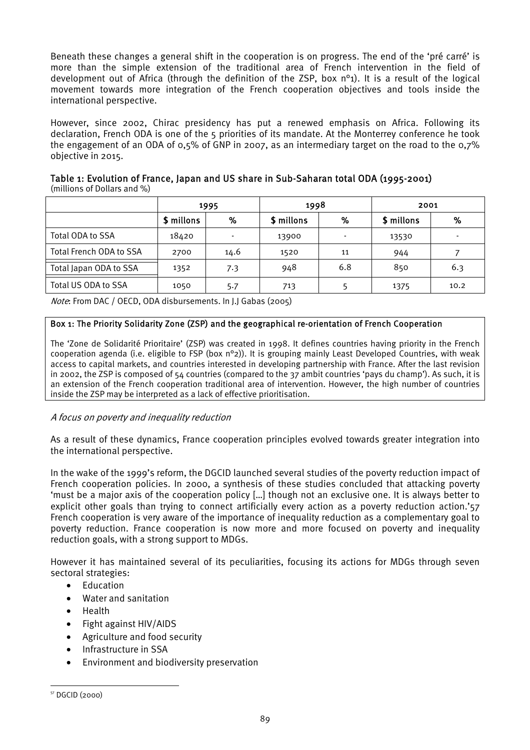Beneath these changes a general shift in the cooperation is on progress. The end of the 'pré carré' is more than the simple extension of the traditional area of French intervention in the field of development out of Africa (through the definition of the ZSP, box n°1). It is a result of the logical movement towards more integration of the French cooperation objectives and tools inside the international perspective.

However, since 2002, Chirac presidency has put a renewed emphasis on Africa. Following its declaration, French ODA is one of the 5 priorities of its mandate. At the Monterrey conference he took the engagement of an ODA of 0,5% of GNP in 2007, as an intermediary target on the road to the 0,7% objective in 2015.

|                         |            | 1995 | 1998       |     | 2001       |                |
|-------------------------|------------|------|------------|-----|------------|----------------|
|                         | \$ millons | %    | \$ millons | %   | \$ millons | %              |
| Total ODA to SSA        | 18420      |      | 13900      |     | 13530      | $\blacksquare$ |
| Total French ODA to SSA | 2700       | 14.6 | 1520       | 11  | 944        |                |
| Total Japan ODA to SSA  | 1352       | 7.3  | 948        | 6.8 | 850        | 6.3            |
| Total US ODA to SSA     | 1050       | 5.7  | 713        |     | 1375       | 10.2           |

Table 1: Evolution of France, Japan and US share in Sub-Saharan total ODA (1995-2001) (millions of Dollars and %)

Note: From DAC / OECD, ODA disbursements. In J.J Gabas (2005)

#### Box 1: The Priority Solidarity Zone (ZSP) and the geographical re-orientation of French Cooperation

The 'Zone de Solidarité Prioritaire' (ZSP) was created in 1998. It defines countries having priority in the French cooperation agenda (i.e. eligible to FSP (box n°2)). It is grouping mainly Least Developed Countries, with weak access to capital markets, and countries interested in developing partnership with France. After the last revision in 2002, the ZSP is composed of 54 countries (compared to the 37 ambit countries 'pays du champ'). As such, it is an extension of the French cooperation traditional area of intervention. However, the high number of countries inside the ZSP may be interpreted as a lack of effective prioritisation.

# A focus on poverty and inequality reduction

As a result of these dynamics, France cooperation principles evolved towards greater integration into the international perspective.

In the wake of the 1999's reform, the DGCID launched several studies of the poverty reduction impact of French cooperation policies. In 2000, a synthesis of these studies concluded that attacking poverty 'must be a major axis of the cooperation policy […] though not an exclusive one. It is always better to explicit other goals than trying to connect artificially every action as a poverty reduction action.'57 French cooperation is very aware of the importance of inequality reduction as a complementary goal to poverty reduction. France cooperation is now more and more focused on poverty and inequality reduction goals, with a strong support to MDGs.

However it has maintained several of its peculiarities, focusing its actions for MDGs through seven sectoral strategies:

- Education
- Water and sanitation
- Health
- Fight against HIV/AIDS
- Agriculture and food security
- Infrastructure in SSA
- Environment and biodiversity preservation

 $\overline{a}$ 

<sup>57</sup> DGCID (2000)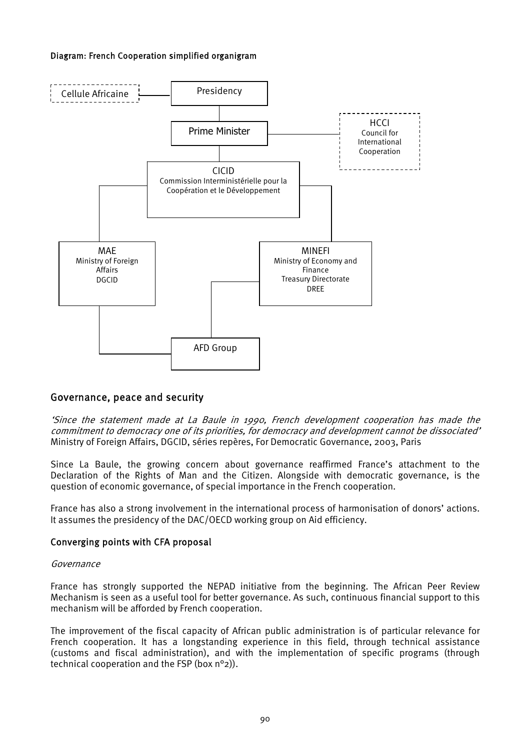#### Diagram: French Cooperation simplified organigram



# Governance, peace and security

'Since the statement made at La Baule in 1990, French development cooperation has made the commitment to democracy one of its priorities, for democracy and development cannot be dissociated' Ministry of Foreign Affairs, DGCID, séries repères, For Democratic Governance, 2003, Paris

Since La Baule, the growing concern about governance reaffirmed France's attachment to the Declaration of the Rights of Man and the Citizen. Alongside with democratic governance, is the question of economic governance, of special importance in the French cooperation.

France has also a strong involvement in the international process of harmonisation of donors' actions. It assumes the presidency of the DAC/OECD working group on Aid efficiency.

# Converging points with CFA proposal

#### Governance

France has strongly supported the NEPAD initiative from the beginning. The African Peer Review Mechanism is seen as a useful tool for better governance. As such, continuous financial support to this mechanism will be afforded by French cooperation.

The improvement of the fiscal capacity of African public administration is of particular relevance for French cooperation. It has a longstanding experience in this field, through technical assistance (customs and fiscal administration), and with the implementation of specific programs (through technical cooperation and the FSP (box n°2)).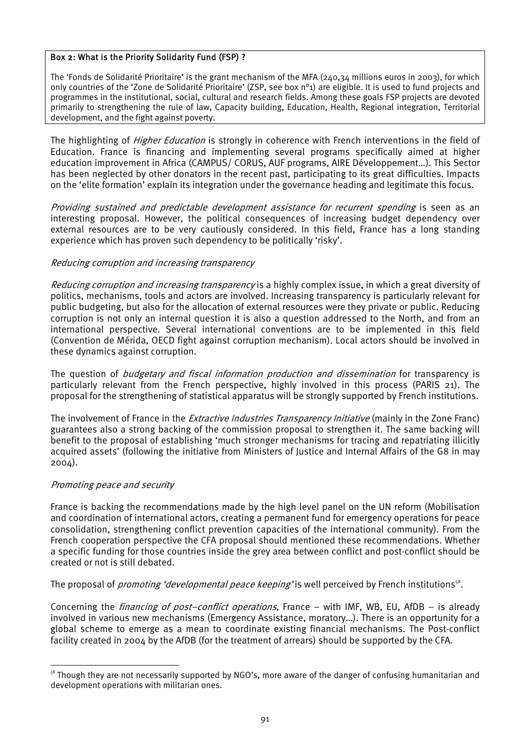#### Box 2: What is the Priority Solidarity Fund (FSP) ?

The 'Fonds de Solidarité Prioritaire' is the grant mechanism of the MFA (240,34 millions euros in 2003), for which only countries of the 'Zone de Solidarité Prioritaire' (ZSP, see box n°1) are eligible. It is used to fund projects and programmes in the institutional, social, cultural and research fields. Among these goals FSP projects are devoted primarily to strengthening the rule of law, Capacity building, Education, Health, Regional integration, Territorial development, and the fight against poverty.

The highlighting of Higher Education is strongly in coherence with French interventions in the field of Education. France is financing and implementing several programs specifically aimed at higher education improvement in Africa (CAMPUS/ CORUS, AUF programs, AIRE Développement…). This Sector has been neglected by other donators in the recent past, participating to its great difficulties. Impacts on the 'elite formation' explain its integration under the governance heading and legitimate this focus.

Providing sustained and predictable development assistance for recurrent spending is seen as an interesting proposal. However, the political consequences of increasing budget dependency over external resources are to be very cautiously considered. In this field, France has a long standing experience which has proven such dependency to be politically 'risky'.

#### Reducing corruption and increasing transparency

Reducing corruption and increasing transparency is a highly complex issue, in which a great diversity of politics, mechanisms, tools and actors are involved. Increasing transparency is particularly relevant for public budgeting, but also for the allocation of external resources were they private or public. Reducing corruption is not only an internal question it is also a question addressed to the North, and from an international perspective. Several international conventions are to be implemented in this field (Convention de Mérida, OECD fight against corruption mechanism). Local actors should be involved in these dynamics against corruption.

The question of *budgetary and fiscal information production and dissemination* for transparency is particularly relevant from the French perspective, highly involved in this process (PARIS 21). The proposal for the strengthening of statistical apparatus will be strongly supported by French institutions.

The involvement of France in the *Extractive Industries Transparency Initiative* (mainly in the Zone Franc) guarantees also a strong backing of the commission proposal to strengthen it. The same backing will benefit to the proposal of establishing 'much stronger mechanisms for tracing and repatriating illicitly acquired assets' (following the initiative from Ministers of Justice and Internal Affairs of the G8 in may 2004).

# Promoting peace and security

 $\overline{a}$ 

France is backing the recommendations made by the high level panel on the UN reform (Mobilisation and coordination of international actors, creating a permanent fund for emergency operations for peace consolidation, strengthening conflict prevention capacities of the international community). From the French cooperation perspective the CFA proposal should mentioned these recommendations. Whether a specific funding for those countries inside the grey area between conflict and post-conflict should be created or not is still debated.

The proposal of *promoting 'developmental peace keeping'* is well perceived by French institutions<sup>58</sup>.

Concerning the *financing of post–conflict operations*, France – with IMF, WB, EU, AfDB – is already involved in various new mechanisms (Emergency Assistance, moratory…). There is an opportunity for a global scheme to emerge as a mean to coordinate existing financial mechanisms. The Post-conflict facility created in 2004 by the AfDB (for the treatment of arrears) should be supported by the CFA.

<sup>&</sup>lt;sup>58</sup> Though they are not necessarily supported by NGO's, more aware of the danger of confusing humanitarian and development operations with militarian ones.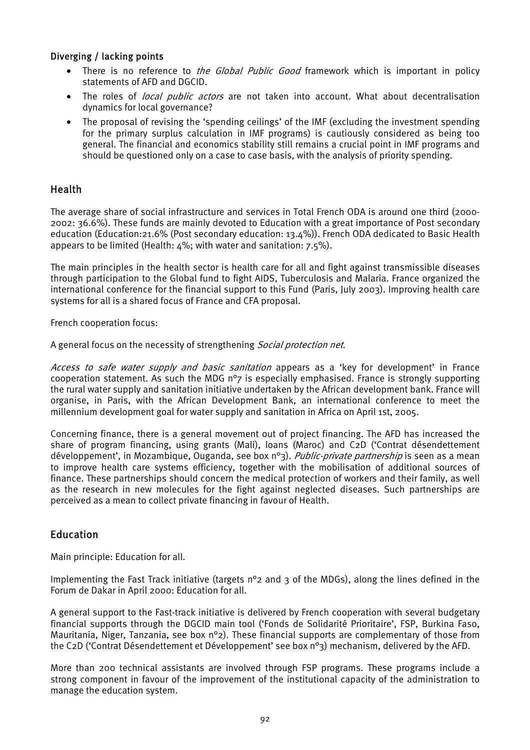# Diverging / lacking points

- There is no reference to the Global Public Good framework which is important in policy statements of AFD and DGCID.
- The roles of *local public actors* are not taken into account. What about decentralisation dynamics for local governance?
- The proposal of revising the 'spending ceilings' of the IMF (excluding the investment spending for the primary surplus calculation in IMF programs) is cautiously considered as being too general. The financial and economics stability still remains a crucial point in IMF programs and should be questioned only on a case to case basis, with the analysis of priority spending.

# Health

The average share of social infrastructure and services in Total French ODA is around one third (2000- 2002: 36.6%). These funds are mainly devoted to Education with a great importance of Post secondary education (Education:21.6% (Post secondary education: 13.4%)). French ODA dedicated to Basic Health appears to be limited (Health:  $4\%$ ; with water and sanitation:  $7.5\%$ ).

The main principles in the health sector is health care for all and fight against transmissible diseases through participation to the Global fund to fight AIDS, Tuberculosis and Malaria. France organized the international conference for the financial support to this Fund (Paris, July 2003). Improving health care systems for all is a shared focus of France and CFA proposal.

French cooperation focus:

A general focus on the necessity of strengthening Social protection net.

Access to safe water supply and basic sanitation appears as a 'key for development' in France cooperation statement. As such the MDG n°7 is especially emphasised. France is strongly supporting the rural water supply and sanitation initiative undertaken by the African development bank. France will organise, in Paris, with the African Development Bank, an international conference to meet the millennium development goal for water supply and sanitation in Africa on April 1st, 2005.

Concerning finance, there is a general movement out of project financing. The AFD has increased the share of program financing, using grants (Mali), loans (Maroc) and C2D ('Contrat désendettement développement', in Mozambique, Ouganda, see box n<sup>o</sup>3). *Public-private partnership* is seen as a mean to improve health care systems efficiency, together with the mobilisation of additional sources of finance. These partnerships should concern the medical protection of workers and their family, as well as the research in new molecules for the fight against neglected diseases. Such partnerships are perceived as a mean to collect private financing in favour of Health.

# Education

Main principle: Education for all.

Implementing the Fast Track initiative (targets n°2 and 3 of the MDGs), along the lines defined in the Forum de Dakar in April 2000: Education for all.

A general support to the Fast-track initiative is delivered by French cooperation with several budgetary financial supports through the DGCID main tool ('Fonds de Solidarité Prioritaire', FSP, Burkina Faso, Mauritania, Niger, Tanzania, see box n°2). These financial supports are complementary of those from the C2D ('Contrat Désendettement et Développement' see box n°3) mechanism, delivered by the AFD.

More than 200 technical assistants are involved through FSP programs. These programs include a strong component in favour of the improvement of the institutional capacity of the administration to manage the education system.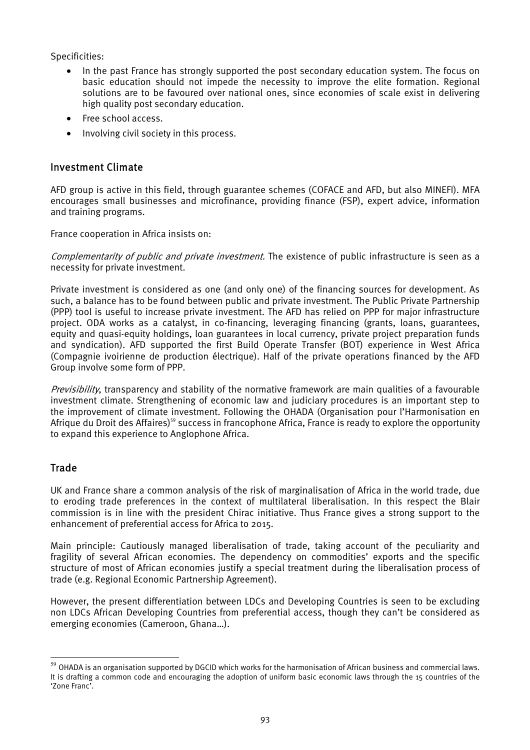Specificities:

- In the past France has strongly supported the post secondary education system. The focus on basic education should not impede the necessity to improve the elite formation. Regional solutions are to be favoured over national ones, since economies of scale exist in delivering high quality post secondary education.
- Free school access.
- Involving civil society in this process.

# Investment Climate

AFD group is active in this field, through guarantee schemes (COFACE and AFD, but also MINEFI). MFA encourages small businesses and microfinance, providing finance (FSP), expert advice, information and training programs.

France cooperation in Africa insists on:

Complementarity of public and private investment. The existence of public infrastructure is seen as a necessity for private investment.

Private investment is considered as one (and only one) of the financing sources for development. As such, a balance has to be found between public and private investment. The Public Private Partnership (PPP) tool is useful to increase private investment. The AFD has relied on PPP for major infrastructure project. ODA works as a catalyst, in co-financing, leveraging financing (grants, loans, guarantees, equity and quasi-equity holdings, loan guarantees in local currency, private project preparation funds and syndication). AFD supported the first Build Operate Transfer (BOT) experience in West Africa (Compagnie ivoirienne de production électrique). Half of the private operations financed by the AFD Group involve some form of PPP.

Previsibility, transparency and stability of the normative framework are main qualities of a favourable investment climate. Strengthening of economic law and judiciary procedures is an important step to the improvement of climate investment. Following the OHADA (Organisation pour l'Harmonisation en Afrique du Droit des Affaires)<sup>59</sup> success in francophone Africa, France is ready to explore the opportunity to expand this experience to Anglophone Africa.

# **Trade**

 $\overline{\phantom{a}}$ 

UK and France share a common analysis of the risk of marginalisation of Africa in the world trade, due to eroding trade preferences in the context of multilateral liberalisation. In this respect the Blair commission is in line with the president Chirac initiative. Thus France gives a strong support to the enhancement of preferential access for Africa to 2015.

Main principle: Cautiously managed liberalisation of trade, taking account of the peculiarity and fragility of several African economies. The dependency on commodities' exports and the specific structure of most of African economies justify a special treatment during the liberalisation process of trade (e.g. Regional Economic Partnership Agreement).

However, the present differentiation between LDCs and Developing Countries is seen to be excluding non LDCs African Developing Countries from preferential access, though they can't be considered as emerging economies (Cameroon, Ghana…).

 $^{59}$  OHADA is an organisation supported by DGCID which works for the harmonisation of African business and commercial laws. It is drafting a common code and encouraging the adoption of uniform basic economic laws through the 15 countries of the 'Zone Franc'.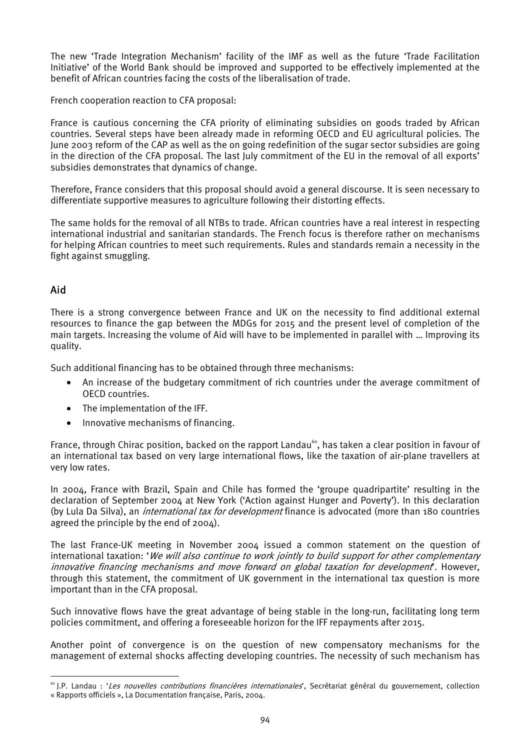The new 'Trade Integration Mechanism' facility of the IMF as well as the future 'Trade Facilitation Initiative' of the World Bank should be improved and supported to be effectively implemented at the benefit of African countries facing the costs of the liberalisation of trade.

French cooperation reaction to CFA proposal:

France is cautious concerning the CFA priority of eliminating subsidies on goods traded by African countries. Several steps have been already made in reforming OECD and EU agricultural policies. The June 2003 reform of the CAP as well as the on going redefinition of the sugar sector subsidies are going in the direction of the CFA proposal. The last July commitment of the EU in the removal of all exports' subsidies demonstrates that dynamics of change.

Therefore, France considers that this proposal should avoid a general discourse. It is seen necessary to differentiate supportive measures to agriculture following their distorting effects.

The same holds for the removal of all NTBs to trade. African countries have a real interest in respecting international industrial and sanitarian standards. The French focus is therefore rather on mechanisms for helping African countries to meet such requirements. Rules and standards remain a necessity in the fight against smuggling.

# Aid

There is a strong convergence between France and UK on the necessity to find additional external resources to finance the gap between the MDGs for 2015 and the present level of completion of the main targets. Increasing the volume of Aid will have to be implemented in parallel with … Improving its quality.

Such additional financing has to be obtained through three mechanisms:

- An increase of the budgetary commitment of rich countries under the average commitment of OECD countries.
- The implementation of the IFF.
- Innovative mechanisms of financing.

France, through Chirac position, backed on the rapport Landau<sup>6</sup>, has taken a clear position in favour of an international tax based on very large international flows, like the taxation of air-plane travellers at very low rates.

In 2004, France with Brazil, Spain and Chile has formed the 'groupe quadripartite' resulting in the declaration of September 2004 at New York ('Action against Hunger and Poverty'). In this declaration (by Lula Da Silva), an *international tax for development* finance is advocated (more than 180 countries agreed the principle by the end of 2004).

The last France-UK meeting in November 2004 issued a common statement on the question of international taxation: 'We will also continue to work jointly to build support for other complementary innovative financing mechanisms and move forward on global taxation for development. However, through this statement, the commitment of UK government in the international tax question is more important than in the CFA proposal.

Such innovative flows have the great advantage of being stable in the long-run, facilitating long term policies commitment, and offering a foreseeable horizon for the IFF repayments after 2015.

Another point of convergence is on the question of new compensatory mechanisms for the management of external shocks affecting developing countries. The necessity of such mechanism has

 $\overline{\phantom{a}}$ <sup>60</sup> J.P. Landau : 'Les nouvelles contributions financières internationales', Secrétariat général du gouvernement, collection « Rapports officiels », La Documentation française, Paris, 2004.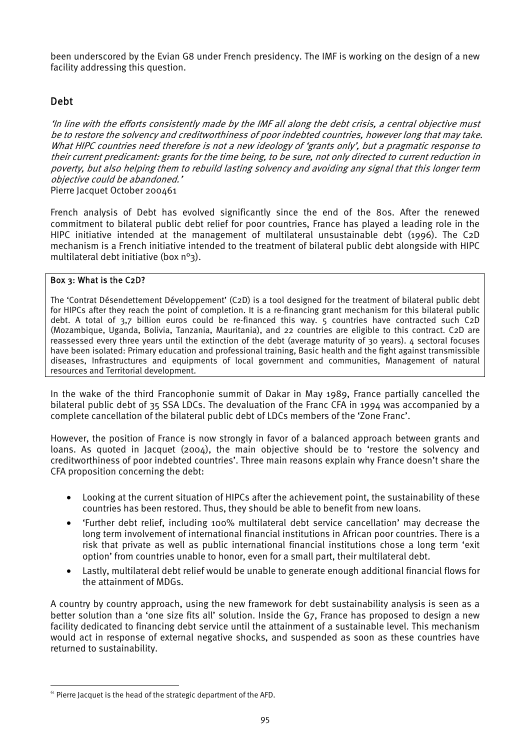been underscored by the Evian G8 under French presidency. The IMF is working on the design of a new facility addressing this question.

# Debt

'In line with the efforts consistently made by the IMF all along the debt crisis, a central objective must be to restore the solvency and creditworthiness of poor indebted countries, however long that may take. What HIPC countries need therefore is not a new ideology of 'grants only', but a pragmatic response to their current predicament: grants for the time being, to be sure, not only directed to current reduction in poverty, but also helping them to rebuild lasting solvency and avoiding any signal that this longer term objective could be abandoned.' Pierre Jacquet October 200461

French analysis of Debt has evolved significantly since the end of the 80s. After the renewed commitment to bilateral public debt relief for poor countries, France has played a leading role in the HIPC initiative intended at the management of multilateral unsustainable debt (1996). The C2D mechanism is a French initiative intended to the treatment of bilateral public debt alongside with HIPC multilateral debt initiative (box n°3).

#### Box 3: What is the C2D?

The 'Contrat Désendettement Développement' (C2D) is a tool designed for the treatment of bilateral public debt for HIPCs after they reach the point of completion. It is a re-financing grant mechanism for this bilateral public debt. A total of 3,7 billion euros could be re-financed this way. 5 countries have contracted such C2D (Mozambique, Uganda, Bolivia, Tanzania, Mauritania), and 22 countries are eligible to this contract. C2D are reassessed every three years until the extinction of the debt (average maturity of 30 years). 4 sectoral focuses have been isolated: Primary education and professional training, Basic health and the fight against transmissible diseases, Infrastructures and equipments of local government and communities, Management of natural resources and Territorial development.

In the wake of the third Francophonie summit of Dakar in May 1989, France partially cancelled the bilateral public debt of 35 SSA LDCs. The devaluation of the Franc CFA in 1994 was accompanied by a complete cancellation of the bilateral public debt of LDCs members of the 'Zone Franc'.

However, the position of France is now strongly in favor of a balanced approach between grants and loans. As quoted in Jacquet (2004), the main objective should be to 'restore the solvency and creditworthiness of poor indebted countries'. Three main reasons explain why France doesn't share the CFA proposition concerning the debt:

- Looking at the current situation of HIPCs after the achievement point, the sustainability of these countries has been restored. Thus, they should be able to benefit from new loans.
- 'Further debt relief, including 100% multilateral debt service cancellation' may decrease the long term involvement of international financial institutions in African poor countries. There is a risk that private as well as public international financial institutions chose a long term 'exit option' from countries unable to honor, even for a small part, their multilateral debt.
- Lastly, multilateral debt relief would be unable to generate enough additional financial flows for the attainment of MDGs.

A country by country approach, using the new framework for debt sustainability analysis is seen as a better solution than a 'one size fits all' solution. Inside the G7, France has proposed to design a new facility dedicated to financing debt service until the attainment of a sustainable level. This mechanism would act in response of external negative shocks, and suspended as soon as these countries have returned to sustainability.

 $\overline{a}$  $61$  Pierre Jacquet is the head of the strategic department of the AFD.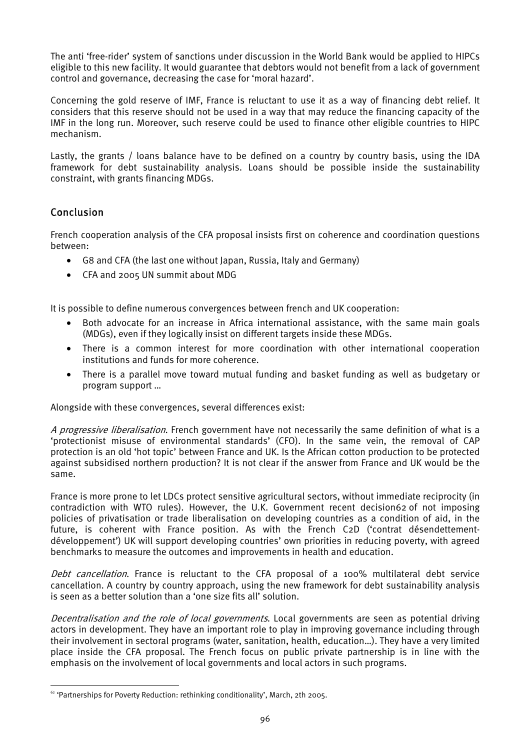The anti 'free-rider' system of sanctions under discussion in the World Bank would be applied to HIPCs eligible to this new facility. It would guarantee that debtors would not benefit from a lack of government control and governance, decreasing the case for 'moral hazard'.

Concerning the gold reserve of IMF, France is reluctant to use it as a way of financing debt relief. It considers that this reserve should not be used in a way that may reduce the financing capacity of the IMF in the long run. Moreover, such reserve could be used to finance other eligible countries to HIPC mechanism.

Lastly, the grants / loans balance have to be defined on a country by country basis, using the IDA framework for debt sustainability analysis. Loans should be possible inside the sustainability constraint, with grants financing MDGs.

# Conclusion

French cooperation analysis of the CFA proposal insists first on coherence and coordination questions between:

- G8 and CFA (the last one without Japan, Russia, Italy and Germany)
- CFA and 2005 UN summit about MDG

It is possible to define numerous convergences between french and UK cooperation:

- Both advocate for an increase in Africa international assistance, with the same main goals (MDGs), even if they logically insist on different targets inside these MDGs.
- There is a common interest for more coordination with other international cooperation institutions and funds for more coherence.
- There is a parallel move toward mutual funding and basket funding as well as budgetary or program support …

Alongside with these convergences, several differences exist:

A progressive liberalisation. French government have not necessarily the same definition of what is a 'protectionist misuse of environmental standards' (CFO). In the same vein, the removal of CAP protection is an old 'hot topic' between France and UK. Is the African cotton production to be protected against subsidised northern production? It is not clear if the answer from France and UK would be the same.

France is more prone to let LDCs protect sensitive agricultural sectors, without immediate reciprocity (in contradiction with WTO rules). However, the U.K. Government recent decision62 of not imposing policies of privatisation or trade liberalisation on developing countries as a condition of aid, in the future, is coherent with France position. As with the French C2D ('contrat désendettementdéveloppement') UK will support developing countries' own priorities in reducing poverty, with agreed benchmarks to measure the outcomes and improvements in health and education.

Debt cancellation. France is reluctant to the CFA proposal of a 100% multilateral debt service cancellation. A country by country approach, using the new framework for debt sustainability analysis is seen as a better solution than a 'one size fits all' solution.

Decentralisation and the role of local governments. Local governments are seen as potential driving actors in development. They have an important role to play in improving governance including through their involvement in sectoral programs (water, sanitation, health, education…). They have a very limited place inside the CFA proposal. The French focus on public private partnership is in line with the emphasis on the involvement of local governments and local actors in such programs.

 $\overline{a}$  $62$  'Partnerships for Poverty Reduction: rethinking conditionality', March, 2th 2005.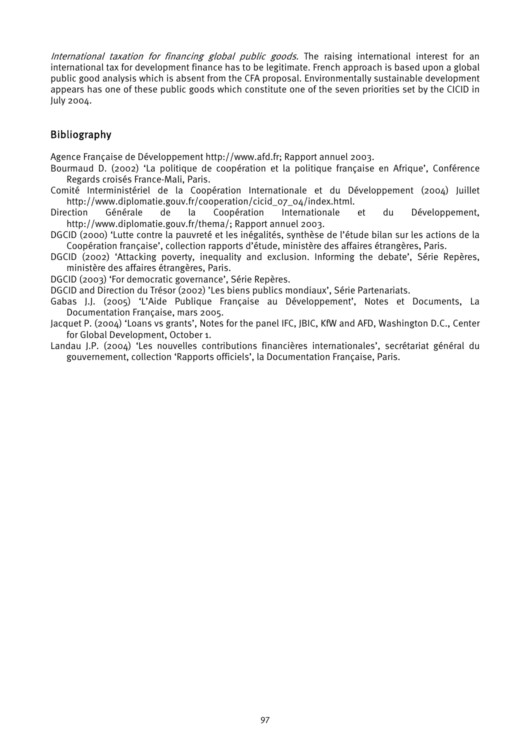International taxation for financing global public goods. The raising international interest for an international tax for development finance has to be legitimate. French approach is based upon a global public good analysis which is absent from the CFA proposal. Environmentally sustainable development appears has one of these public goods which constitute one of the seven priorities set by the CICID in July 2004.

# Bibliography

Agence Française de Développement http://www.afd.fr; Rapport annuel 2003.

- Bourmaud D. (2002) 'La politique de coopération et la politique française en Afrique', Conférence Regards croisés France-Mali, Paris.
- Comité Interministériel de la Coopération Internationale et du Développement (2004) Juillet http://www.diplomatie.gouv.fr/cooperation/cicid\_07\_04/index.html.
- Direction Générale de la Coopération Internationale et du Développement, http://www.diplomatie.gouv.fr/thema/; Rapport annuel 2003.
- DGCID (2000) 'Lutte contre la pauvreté et les inégalités, synthèse de l'étude bilan sur les actions de la Coopération française', collection rapports d'étude, ministère des affaires étrangères, Paris.
- DGCID (2002) 'Attacking poverty, inequality and exclusion. Informing the debate', Série Repères, ministère des affaires étrangères, Paris.
- DGCID (2003) 'For democratic governance', Série Repères.

DGCID and Direction du Trésor (2002) 'Les biens publics mondiaux', Série Partenariats.

- Gabas J.J. (2005) 'L'Aide Publique Française au Développement', Notes et Documents, La Documentation Française, mars 2005.
- Jacquet P. (2004) 'Loans vs grants', Notes for the panel IFC, JBIC, KfW and AFD, Washington D.C., Center for Global Development, October 1.
- Landau J.P. (2004) 'Les nouvelles contributions financières internationales', secrétariat général du gouvernement, collection 'Rapports officiels', la Documentation Française, Paris.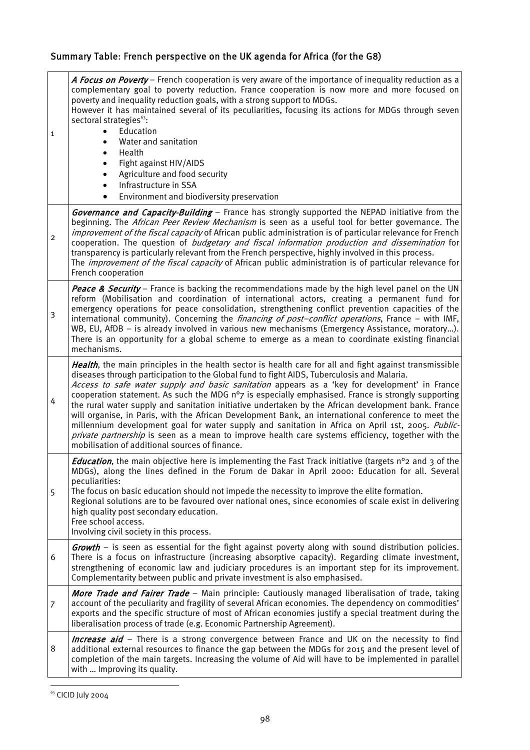# Summary Table: French perspective on the UK agenda for Africa (for the G8)

| $\mathbf{1}$   | A Focus on Poverty – French cooperation is very aware of the importance of inequality reduction as a<br>complementary goal to poverty reduction. France cooperation is now more and more focused on<br>poverty and inequality reduction goals, with a strong support to MDGs.<br>However it has maintained several of its peculiarities, focusing its actions for MDGs through seven<br>sectoral strategies <sup>63</sup> :<br>Education<br>$\bullet$<br>Water and sanitation<br>Health<br>Fight against HIV/AIDS<br>Agriculture and food security<br>Infrastructure in SSA<br>Environment and biodiversity preservation                                                                                                                                                                                                                                                                |
|----------------|-----------------------------------------------------------------------------------------------------------------------------------------------------------------------------------------------------------------------------------------------------------------------------------------------------------------------------------------------------------------------------------------------------------------------------------------------------------------------------------------------------------------------------------------------------------------------------------------------------------------------------------------------------------------------------------------------------------------------------------------------------------------------------------------------------------------------------------------------------------------------------------------|
| $\overline{2}$ | Governance and Capacity-Building - France has strongly supported the NEPAD initiative from the<br>beginning. The African Peer Review Mechanism is seen as a useful tool for better governance. The<br>improvement of the fiscal capacity of African public administration is of particular relevance for French<br>cooperation. The question of budgetary and fiscal information production and dissemination for<br>transparency is particularly relevant from the French perspective, highly involved in this process.<br>The <i>improvement of the fiscal capacity</i> of African public administration is of particular relevance for<br>French cooperation                                                                                                                                                                                                                         |
| 3              | Peace & Security - France is backing the recommendations made by the high level panel on the UN<br>reform (Mobilisation and coordination of international actors, creating a permanent fund for<br>emergency operations for peace consolidation, strengthening conflict prevention capacities of the<br>international community). Concerning the <i>financing of post-conflict operations</i> , France - with IMF,<br>WB, EU, AfDB - is already involved in various new mechanisms (Emergency Assistance, moratory).<br>There is an opportunity for a global scheme to emerge as a mean to coordinate existing financial<br>mechanisms.                                                                                                                                                                                                                                                 |
| 4              | Health, the main principles in the health sector is health care for all and fight against transmissible<br>diseases through participation to the Global fund to fight AIDS, Tuberculosis and Malaria.<br>Access to safe water supply and basic sanitation appears as a 'key for development' in France<br>cooperation statement. As such the MDG n°7 is especially emphasised. France is strongly supporting<br>the rural water supply and sanitation initiative undertaken by the African development bank. France<br>will organise, in Paris, with the African Development Bank, an international conference to meet the<br>millennium development goal for water supply and sanitation in Africa on April 1st, 2005. Public-<br>private partnership is seen as a mean to improve health care systems efficiency, together with the<br>mobilisation of additional sources of finance. |
| 5              | <i>Education</i> , the main objective here is implementing the Fast Track initiative (targets n°2 and 3 of the<br>MDGs), along the lines defined in the Forum de Dakar in April 2000: Education for all. Several<br>peculiarities:<br>The focus on basic education should not impede the necessity to improve the elite formation.                                                                                                                                                                                                                                                                                                                                                                                                                                                                                                                                                      |
|                | Regional solutions are to be favoured over national ones, since economies of scale exist in delivering<br>high quality post secondary education.<br>Free school access.<br>Involving civil society in this process.                                                                                                                                                                                                                                                                                                                                                                                                                                                                                                                                                                                                                                                                     |
| 6              | Growth - is seen as essential for the fight against poverty along with sound distribution policies.<br>There is a focus on infrastructure (increasing absorptive capacity). Regarding climate investment,<br>strengthening of economic law and judiciary procedures is an important step for its improvement.<br>Complementarity between public and private investment is also emphasised.                                                                                                                                                                                                                                                                                                                                                                                                                                                                                              |
| 7              | More Trade and Fairer Trade - Main principle: Cautiously managed liberalisation of trade, taking<br>account of the peculiarity and fragility of several African economies. The dependency on commodities'<br>exports and the specific structure of most of African economies justify a special treatment during the<br>liberalisation process of trade (e.g. Economic Partnership Agreement).                                                                                                                                                                                                                                                                                                                                                                                                                                                                                           |
| 8              | Increase aid - There is a strong convergence between France and UK on the necessity to find<br>additional external resources to finance the gap between the MDGs for 2015 and the present level of<br>completion of the main targets. Increasing the volume of Aid will have to be implemented in parallel<br>with  Improving its quality.                                                                                                                                                                                                                                                                                                                                                                                                                                                                                                                                              |
|                |                                                                                                                                                                                                                                                                                                                                                                                                                                                                                                                                                                                                                                                                                                                                                                                                                                                                                         |

<sup>&</sup>lt;sup>63</sup> CICID July 2004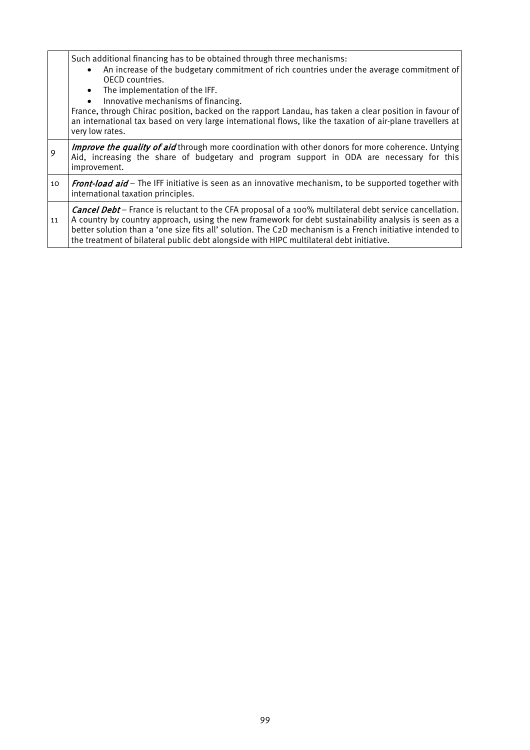|    | Such additional financing has to be obtained through three mechanisms:<br>An increase of the budgetary commitment of rich countries under the average commitment of<br>OECD countries.<br>The implementation of the IFF.<br>$\bullet$<br>Innovative mechanisms of financing.<br>France, through Chirac position, backed on the rapport Landau, has taken a clear position in favour of<br>an international tax based on very large international flows, like the taxation of air-plane travellers at<br>very low rates. |  |
|----|-------------------------------------------------------------------------------------------------------------------------------------------------------------------------------------------------------------------------------------------------------------------------------------------------------------------------------------------------------------------------------------------------------------------------------------------------------------------------------------------------------------------------|--|
| 9  | <b>Improve the quality of aid through more coordination with other donors for more coherence. Untying</b><br>Aid, increasing the share of budgetary and program support in ODA are necessary for this<br>improvement.                                                                                                                                                                                                                                                                                                   |  |
| 10 | Front-load aid – The IFF initiative is seen as an innovative mechanism, to be supported together with<br>international taxation principles.                                                                                                                                                                                                                                                                                                                                                                             |  |
| 11 | <b>Cancel Debt</b> – France is reluctant to the CFA proposal of a 100% multilateral debt service cancellation.<br>A country by country approach, using the new framework for debt sustainability analysis is seen as a<br>better solution than a 'one size fits all' solution. The C2D mechanism is a French initiative intended to<br>the treatment of bilateral public debt alongside with HIPC multilateral debt initiative.                                                                                         |  |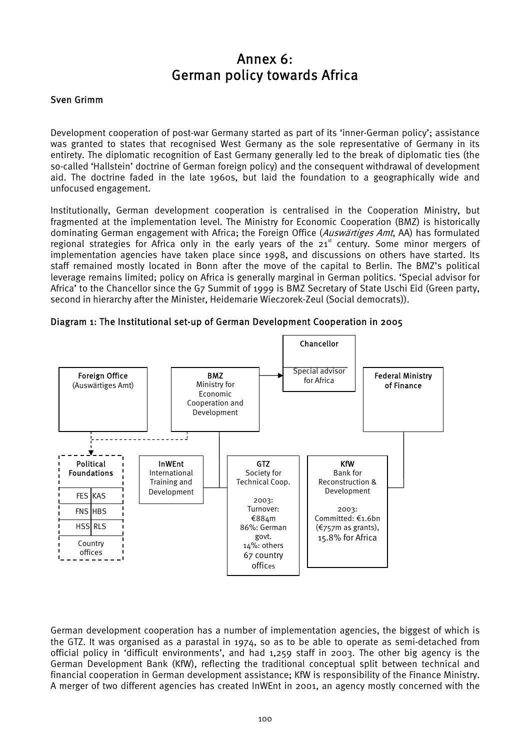# Annex 6: German policy towards Africa

### Sven Grimm

Development cooperation of post-war Germany started as part of its 'inner-German policy'; assistance was granted to states that recognised West Germany as the sole representative of Germany in its entirety. The diplomatic recognition of East Germany generally led to the break of diplomatic ties (the so-called 'Hallstein' doctrine of German foreign policy) and the consequent withdrawal of development aid. The doctrine faded in the late 1960s, but laid the foundation to a geographically wide and unfocused engagement.

Institutionally, German development cooperation is centralised in the Cooperation Ministry, but fragmented at the implementation level. The Ministry for Economic Cooperation (BMZ) is historically dominating German engagement with Africa: the Foreign Office (Auswärtiges Amt, AA) has formulated regional strategies for Africa only in the early years of the  $21<sup>st</sup>$  century. Some minor mergers of implementation agencies have taken place since 1998, and discussions on others have started. Its staff remained mostly located in Bonn after the move of the capital to Berlin. The BMZ's political leverage remains limited; policy on Africa is generally marginal in German politics. 'Special advisor for Africa' to the Chancellor since the G7 Summit of 1999 is BMZ Secretary of State Uschi Eid (Green party, second in hierarchy after the Minister, Heidemarie Wieczorek-Zeul (Social democrats)).



Diagram 1: The Institutional set-up of German Development Cooperation in 2005

German development cooperation has a number of implementation agencies, the biggest of which is the GTZ. It was organised as a parastal in 1974, so as to be able to operate as semi-detached from official policy in 'difficult environments', and had 1,259 staff in 2003. The other big agency is the German Development Bank (KfW), reflecting the traditional conceptual split between technical and financial cooperation in German development assistance; KfW is responsibility of the Finance Ministry. A merger of two different agencies has created InWEnt in 2001, an agency mostly concerned with the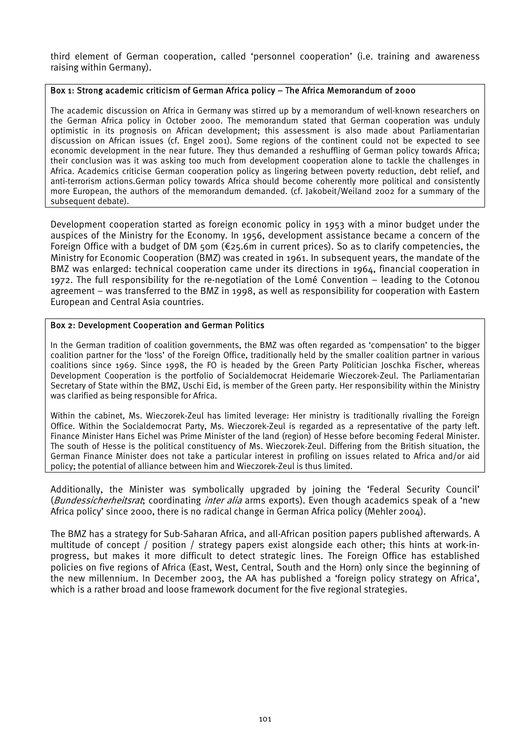third element of German cooperation, called 'personnel cooperation' (i.e. training and awareness raising within Germany).

#### Box 1: Strong academic criticism of German Africa policy – The Africa Memorandum of 2000

The academic discussion on Africa in Germany was stirred up by a memorandum of well-known researchers on the German Africa policy in October 2000. The memorandum stated that German cooperation was unduly optimistic in its prognosis on African development; this assessment is also made about Parliamentarian discussion on African issues (cf. Engel 2001). Some regions of the continent could not be expected to see economic development in the near future. They thus demanded a reshuffling of German policy towards Africa; their conclusion was it was asking too much from development cooperation alone to tackle the challenges in Africa. Academics criticise German cooperation policy as lingering between poverty reduction, debt relief, and anti-terrorism actions.German policy towards Africa should become coherently more political and consistently more European, the authors of the memorandum demanded. (cf. Jakobeit/Weiland 2002 for a summary of the subsequent debate).

Development cooperation started as foreign economic policy in 1953 with a minor budget under the auspices of the Ministry for the Economy. In 1956, development assistance became a concern of the Foreign Office with a budget of DM 50m ( $\epsilon$ 25.6m in current prices). So as to clarify competencies, the Ministry for Economic Cooperation (BMZ) was created in 1961. In subsequent years, the mandate of the BMZ was enlarged: technical cooperation came under its directions in 1964, financial cooperation in 1972. The full responsibility for the re-negotiation of the Lomé Convention – leading to the Cotonou agreement – was transferred to the BMZ in 1998, as well as responsibility for cooperation with Eastern European and Central Asia countries.

#### Box 2: Development Cooperation and German Politics

In the German tradition of coalition governments, the BMZ was often regarded as 'compensation' to the bigger coalition partner for the 'loss' of the Foreign Office, traditionally held by the smaller coalition partner in various coalitions since 1969. Since 1998, the FO is headed by the Green Party Politician Joschka Fischer, whereas Development Cooperation is the portfolio of Socialdemocrat Heidemarie Wieczorek-Zeul. The Parliamentarian Secretary of State within the BMZ, Uschi Eid, is member of the Green party. Her responsibility within the Ministry was clarified as being responsible for Africa.

Within the cabinet, Ms. Wieczorek-Zeul has limited leverage: Her ministry is traditionally rivalling the Foreign Office. Within the Socialdemocrat Party, Ms. Wieczorek-Zeul is regarded as a representative of the party left. Finance Minister Hans Eichel was Prime Minister of the land (region) of Hesse before becoming Federal Minister. The south of Hesse is the political constituency of Ms. Wieczorek-Zeul. Differing from the British situation, the German Finance Minister does not take a particular interest in profiling on issues related to Africa and/or aid policy; the potential of alliance between him and Wieczorek-Zeul is thus limited.

Additionally, the Minister was symbolically upgraded by joining the 'Federal Security Council' (*Bundessicherheitsrat*; coordinating *inter alia* arms exports). Even though academics speak of a 'new Africa policy' since 2000, there is no radical change in German Africa policy (Mehler 2004).

The BMZ has a strategy for Sub-Saharan Africa, and all-African position papers published afterwards. A multitude of concept / position / strategy papers exist alongside each other; this hints at work-inprogress, but makes it more difficult to detect strategic lines. The Foreign Office has established policies on five regions of Africa (East, West, Central, South and the Horn) only since the beginning of the new millennium. In December 2003, the AA has published a 'foreign policy strategy on Africa', which is a rather broad and loose framework document for the five regional strategies.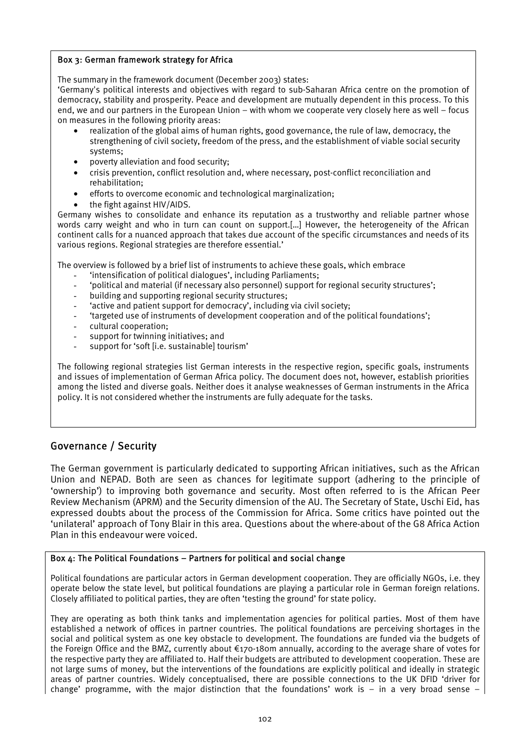#### Box 3: German framework strategy for Africa

The summary in the framework document (December 2003) states:

'Germany's political interests and objectives with regard to sub-Saharan Africa centre on the promotion of democracy, stability and prosperity. Peace and development are mutually dependent in this process. To this end, we and our partners in the European Union – with whom we cooperate very closely here as well – focus on measures in the following priority areas:

- realization of the global aims of human rights, good governance, the rule of law, democracy, the strengthening of civil society, freedom of the press, and the establishment of viable social security systems;
- poverty alleviation and food security;
- crisis prevention, conflict resolution and, where necessary, post-conflict reconciliation and rehabilitation;
- efforts to overcome economic and technological marginalization;
- the fight against HIV/AIDS.

Germany wishes to consolidate and enhance its reputation as a trustworthy and reliable partner whose words carry weight and who in turn can count on support.[…] However, the heterogeneity of the African continent calls for a nuanced approach that takes due account of the specific circumstances and needs of its various regions. Regional strategies are therefore essential.'

The overview is followed by a brief list of instruments to achieve these goals, which embrace

- 'intensification of political dialogues', including Parliaments;
- 'political and material (if necessary also personnel) support for regional security structures';
- building and supporting regional security structures;
- 'active and patient support for democracy', including via civil society;
- 'targeted use of instruments of development cooperation and of the political foundations';
- cultural cooperation;
- support for twinning initiatives; and
- support for 'soft [i.e. sustainable] tourism'

The following regional strategies list German interests in the respective region, specific goals, instruments and issues of implementation of German Africa policy. The document does not, however, establish priorities among the listed and diverse goals. Neither does it analyse weaknesses of German instruments in the Africa policy. It is not considered whether the instruments are fully adequate for the tasks.

# Governance / Security

The German government is particularly dedicated to supporting African initiatives, such as the African Union and NEPAD. Both are seen as chances for legitimate support (adhering to the principle of 'ownership') to improving both governance and security. Most often referred to is the African Peer Review Mechanism (APRM) and the Security dimension of the AU. The Secretary of State, Uschi Eid, has expressed doubts about the process of the Commission for Africa. Some critics have pointed out the 'unilateral' approach of Tony Blair in this area. Questions about the where-about of the G8 Africa Action Plan in this endeavour were voiced.

### Box 4: The Political Foundations – Partners for political and social change

Political foundations are particular actors in German development cooperation. They are officially NGOs, i.e. they operate below the state level, but political foundations are playing a particular role in German foreign relations. Closely affiliated to political parties, they are often 'testing the ground' for state policy.

They are operating as both think tanks and implementation agencies for political parties. Most of them have established a network of offices in partner countries. The political foundations are perceiving shortages in the social and political system as one key obstacle to development. The foundations are funded via the budgets of the Foreign Office and the BMZ, currently about €170-180m annually, according to the average share of votes for the respective party they are affiliated to. Half their budgets are attributed to development cooperation. These are not large sums of money, but the interventions of the foundations are explicitly political and ideally in strategic areas of partner countries. Widely conceptualised, there are possible connections to the UK DFID 'driver for change' programme, with the major distinction that the foundations' work is  $-$  in a very broad sense  $-$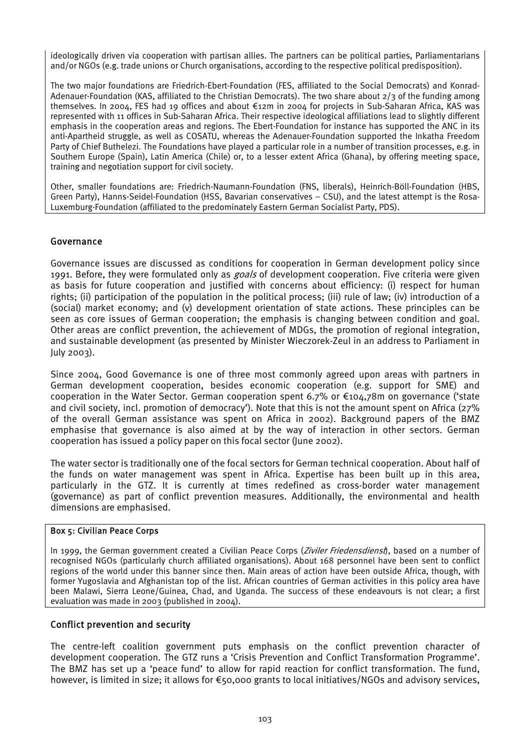ideologically driven via cooperation with partisan allies. The partners can be political parties, Parliamentarians and/or NGOs (e.g. trade unions or Church organisations, according to the respective political predisposition).

The two major foundations are Friedrich-Ebert-Foundation (FES, affiliated to the Social Democrats) and Konrad-Adenauer-Foundation (KAS, affiliated to the Christian Democrats). The two share about 2/3 of the funding among themselves. In 2004, FES had 19 offices and about €12m in 2004 for projects in Sub-Saharan Africa, KAS was represented with 11 offices in Sub-Saharan Africa. Their respective ideological affiliations lead to slightly different emphasis in the cooperation areas and regions. The Ebert-Foundation for instance has supported the ANC in its anti-Apartheid struggle, as well as COSATU, whereas the Adenauer-Foundation supported the Inkatha Freedom Party of Chief Buthelezi. The Foundations have played a particular role in a number of transition processes, e.g. in Southern Europe (Spain), Latin America (Chile) or, to a lesser extent Africa (Ghana), by offering meeting space, training and negotiation support for civil society.

Other, smaller foundations are: Friedrich-Naumann-Foundation (FNS, liberals), Heinrich-Böll-Foundation (HBS, Green Party), Hanns-Seidel-Foundation (HSS, Bavarian conservatives – CSU), and the latest attempt is the Rosa-Luxemburg-Foundation (affiliated to the predominately Eastern German Socialist Party, PDS).

## Governance

Governance issues are discussed as conditions for cooperation in German development policy since 1991. Before, they were formulated only as *goals* of development cooperation. Five criteria were given as basis for future cooperation and justified with concerns about efficiency: (i) respect for human rights; (ii) participation of the population in the political process; (iii) rule of law; (iv) introduction of a (social) market economy; and (v) development orientation of state actions. These principles can be seen as core issues of German cooperation; the emphasis is changing between condition and goal. Other areas are conflict prevention, the achievement of MDGs, the promotion of regional integration, and sustainable development (as presented by Minister Wieczorek-Zeul in an address to Parliament in July 2003).

Since 2004, Good Governance is one of three most commonly agreed upon areas with partners in German development cooperation, besides economic cooperation (e.g. support for SME) and cooperation in the Water Sector. German cooperation spent 6.7% or €104,78m on governance ('state and civil society, incl. promotion of democracy'). Note that this is not the amount spent on Africa (27% of the overall German assistance was spent on Africa in 2002). Background papers of the BMZ emphasise that governance is also aimed at by the way of interaction in other sectors. German cooperation has issued a policy paper on this focal sector (June 2002).

The water sector is traditionally one of the focal sectors for German technical cooperation. About half of the funds on water management was spent in Africa. Expertise has been built up in this area, particularly in the GTZ. It is currently at times redefined as cross-border water management (governance) as part of conflict prevention measures. Additionally, the environmental and health dimensions are emphasised.

#### Box 5: Civilian Peace Corps

In 1999, the German government created a Civilian Peace Corps (*Ziviler Friedensdienst*), based on a number of recognised NGOs (particularly church affiliated organisations). About 168 personnel have been sent to conflict regions of the world under this banner since then. Main areas of action have been outside Africa, though, with former Yugoslavia and Afghanistan top of the list. African countries of German activities in this policy area have been Malawi, Sierra Leone/Guinea, Chad, and Uganda. The success of these endeavours is not clear; a first evaluation was made in 2003 (published in 2004).

### Conflict prevention and security

The centre-left coalition government puts emphasis on the conflict prevention character of development cooperation. The GTZ runs a 'Crisis Prevention and Conflict Transformation Programme'. The BMZ has set up a 'peace fund' to allow for rapid reaction for conflict transformation. The fund, however, is limited in size; it allows for €50,000 grants to local initiatives/NGOs and advisory services,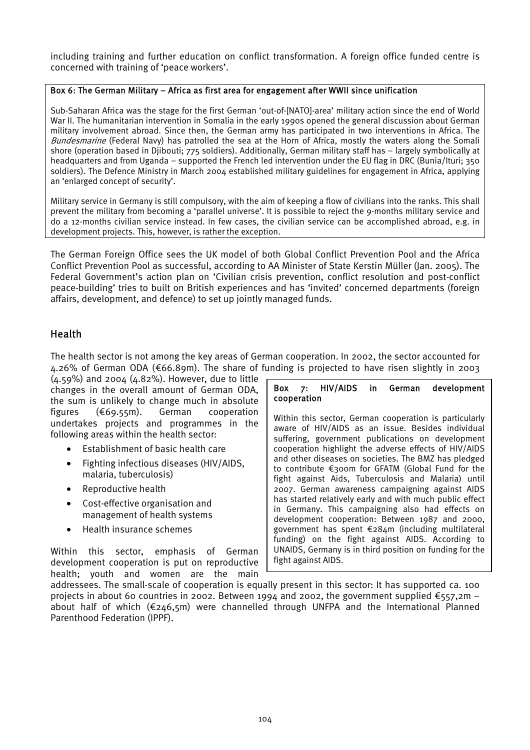including training and further education on conflict transformation. A foreign office funded centre is concerned with training of 'peace workers'.

### Box 6: The German Military – Africa as first area for engagement after WWII since unification

Sub-Saharan Africa was the stage for the first German 'out-of-[NATO]-area' military action since the end of World War II. The humanitarian intervention in Somalia in the early 1990s opened the general discussion about German military involvement abroad. Since then, the German army has participated in two interventions in Africa. The Bundesmarine (Federal Navy) has patrolled the sea at the Horn of Africa, mostly the waters along the Somali shore (operation based in Djibouti; 775 soldiers). Additionally, German military staff has – largely symbolically at headquarters and from Uganda – supported the French led intervention under the EU flag in DRC (Bunia/Ituri; 350 soldiers). The Defence Ministry in March 2004 established military guidelines for engagement in Africa, applying an 'enlarged concept of security'.

Military service in Germany is still compulsory, with the aim of keeping a flow of civilians into the ranks. This shall prevent the military from becoming a 'parallel universe'. It is possible to reject the 9-months military service and do a 12-months civilian service instead. In few cases, the civilian service can be accomplished abroad, e.g. in development projects. This, however, is rather the exception.

The German Foreign Office sees the UK model of both Global Conflict Prevention Pool and the Africa Conflict Prevention Pool as successful, according to AA Minister of State Kerstin Müller (Jan. 2005). The Federal Government's action plan on 'Civilian crisis prevention, conflict resolution and post-conflict peace-building' tries to built on British experiences and has 'invited' concerned departments (foreign affairs, development, and defence) to set up jointly managed funds.

## Health

The health sector is not among the key areas of German cooperation. In 2002, the sector accounted for 4.26% of German ODA (€66.89m). The share of funding is projected to have risen slightly in 2003

(4.59%) and 2004 (4.82%). However, due to little changes in the overall amount of German ODA, the sum is unlikely to change much in absolute figures (€69.55m). German cooperation undertakes projects and programmes in the following areas within the health sector:

- Establishment of basic health care
- Fighting infectious diseases (HIV/AIDS, malaria, tuberculosis)
- Reproductive health
- Cost-effective organisation and management of health systems
- Health insurance schemes

Within this sector, emphasis of German development cooperation is put on reproductive health; youth and women are the main

#### Box 7: HIV/AIDS in German development cooperation

Within this sector, German cooperation is particularly aware of HIV/AIDS as an issue. Besides individual suffering, government publications on development cooperation highlight the adverse effects of HIV/AIDS and other diseases on societies. The BMZ has pledged to contribute €300m for GFATM (Global Fund for the fight against Aids, Tuberculosis and Malaria) until 2007. German awareness campaigning against AIDS has started relatively early and with much public effect in Germany. This campaigning also had effects on development cooperation: Between 1987 and 2000, government has spent €284m (including multilateral funding) on the fight against AIDS. According to UNAIDS, Germany is in third position on funding for the fight against AIDS.

addressees. The small-scale of cooperation is equally present in this sector: It has supported ca. 100 projects in about 60 countries in 2002. Between 1994 and 2002, the government supplied  $\epsilon$ 557,2m – about half of which (€246,5m) were channelled through UNFPA and the International Planned Parenthood Federation (IPPF).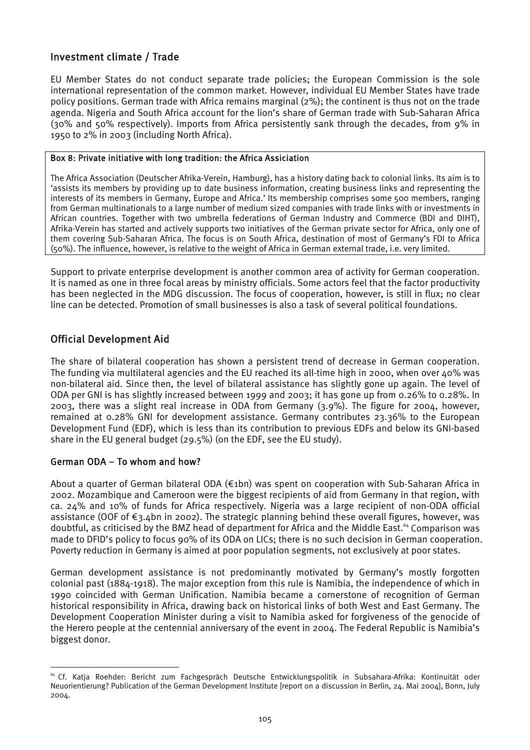# Investment climate / Trade

EU Member States do not conduct separate trade policies; the European Commission is the sole international representation of the common market. However, individual EU Member States have trade policy positions. German trade with Africa remains marginal (2%); the continent is thus not on the trade agenda. Nigeria and South Africa account for the lion's share of German trade with Sub-Saharan Africa (30% and 50% respectively). Imports from Africa persistently sank through the decades, from 9% in 1950 to 2% in 2003 (including North Africa).

#### Box 8: Private initiative with long tradition: the Africa Assiciation

The Africa Association (Deutscher Afrika-Verein, Hamburg), has a history dating back to colonial links. Its aim is to 'assists its members by providing up to date business information, creating business links and representing the interests of its members in Germany, Europe and Africa.' Its membership comprises some 500 members, ranging from German multinationals to a large number of medium sized companies with trade links with or investments in African countries. Together with two umbrella federations of German Industry and Commerce (BDI and DIHT), Afrika-Verein has started and actively supports two initiatives of the German private sector for Africa, only one of them covering Sub-Saharan Africa. The focus is on South Africa, destination of most of Germany's FDI to Africa (50%). The influence, however, is relative to the weight of Africa in German external trade, i.e. very limited.

Support to private enterprise development is another common area of activity for German cooperation. It is named as one in three focal areas by ministry officials. Some actors feel that the factor productivity has been neglected in the MDG discussion. The focus of cooperation, however, is still in flux; no clear line can be detected. Promotion of small businesses is also a task of several political foundations.

# Official Development Aid

The share of bilateral cooperation has shown a persistent trend of decrease in German cooperation. The funding via multilateral agencies and the EU reached its all-time high in 2000, when over 40% was non-bilateral aid. Since then, the level of bilateral assistance has slightly gone up again. The level of ODA per GNI is has slightly increased between 1999 and 2003; it has gone up from 0.26% to 0.28%. In 2003, there was a slight real increase in ODA from Germany (3.9%). The figure for 2004, however, remained at 0.28% GNI for development assistance. Germany contributes 23.36% to the European Development Fund (EDF), which is less than its contribution to previous EDFs and below its GNI-based share in the EU general budget (29.5%) (on the EDF, see the EU study).

## German ODA – To whom and how?

About a quarter of German bilateral ODA (€1bn) was spent on cooperation with Sub-Saharan Africa in 2002. Mozambique and Cameroon were the biggest recipients of aid from Germany in that region, with ca. 24% and 10% of funds for Africa respectively. Nigeria was a large recipient of non-ODA official assistance (OOF of €3.4bn in 2002). The strategic planning behind these overall figures, however, was doubtful, as criticised by the BMZ head of department for Africa and the Middle East.<sup>64</sup> Comparison was made to DFID's policy to focus 90% of its ODA on LICs; there is no such decision in German cooperation. Poverty reduction in Germany is aimed at poor population segments, not exclusively at poor states.

German development assistance is not predominantly motivated by Germany's mostly forgotten colonial past (1884-1918). The major exception from this rule is Namibia, the independence of which in 1990 coincided with German Unification. Namibia became a cornerstone of recognition of German historical responsibility in Africa, drawing back on historical links of both West and East Germany. The Development Cooperation Minister during a visit to Namibia asked for forgiveness of the genocide of the Herero people at the centennial anniversary of the event in 2004. The Federal Republic is Namibia's biggest donor.

 $\overline{a}$ <sup>64</sup> Cf. Katja Roehder: Bericht zum Fachgespräch Deutsche Entwicklungspolitik in Subsahara-Afrika: Kontinuität oder Neuorientierung? Publication of the German Development Institute [report on a discussion in Berlin, 24. Mai 2004], Bonn, July 2004.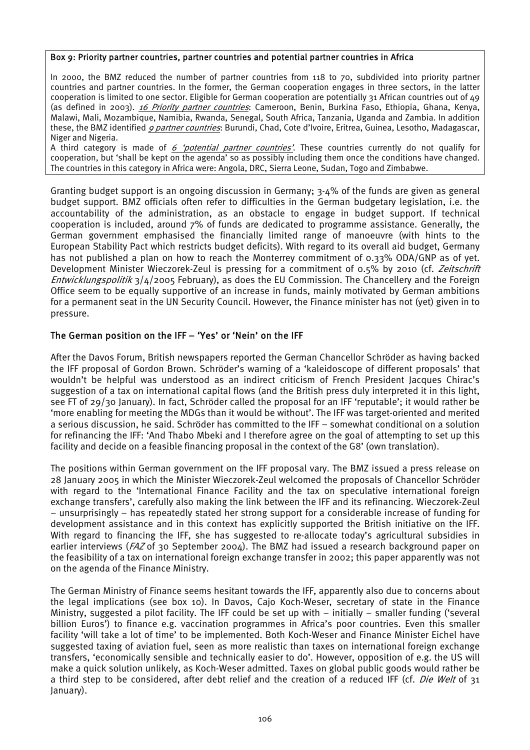#### Box 9: Priority partner countries, partner countries and potential partner countries in Africa

In 2000, the BMZ reduced the number of partner countries from 118 to 70, subdivided into priority partner countries and partner countries. In the former, the German cooperation engages in three sectors, in the latter cooperation is limited to one sector. Eligible for German cooperation are potentially 31 African countries out of 49 (as defined in 2003). 16 Priority partner countries: Cameroon, Benin, Burkina Faso, Ethiopia, Ghana, Kenya, Malawi, Mali, Mozambique, Namibia, Rwanda, Senegal, South Africa, Tanzania, Uganda and Zambia. In addition these, the BMZ identified 9 partner countries: Burundi, Chad, Cote d'Ivoire, Eritrea, Guinea, Lesotho, Madagascar, Niger and Nigeria.

A third category is made of 6 'potential partner countries'. These countries currently do not qualify for cooperation, but 'shall be kept on the agenda' so as possibly including them once the conditions have changed. The countries in this category in Africa were: Angola, DRC, Sierra Leone, Sudan, Togo and Zimbabwe.

Granting budget support is an ongoing discussion in Germany; 3-4% of the funds are given as general budget support. BMZ officials often refer to difficulties in the German budgetary legislation, i.e. the accountability of the administration, as an obstacle to engage in budget support. If technical cooperation is included, around 7% of funds are dedicated to programme assistance. Generally, the German government emphasised the financially limited range of manoeuvre (with hints to the European Stability Pact which restricts budget deficits). With regard to its overall aid budget, Germany has not published a plan on how to reach the Monterrey commitment of 0.33% ODA/GNP as of yet. Development Minister Wieczorek-Zeul is pressing for a commitment of 0.5% by 2010 (cf. Zeitschrift Entwicklungspolitik  $3/4/2005$  February), as does the EU Commission. The Chancellery and the Foreign Office seem to be equally supportive of an increase in funds, mainly motivated by German ambitions for a permanent seat in the UN Security Council. However, the Finance minister has not (yet) given in to pressure.

## The German position on the IFF – 'Yes' or 'Nein' on the IFF

After the Davos Forum, British newspapers reported the German Chancellor Schröder as having backed the IFF proposal of Gordon Brown. Schröder's warning of a 'kaleidoscope of different proposals' that wouldn't be helpful was understood as an indirect criticism of French President Jacques Chirac's suggestion of a tax on international capital flows (and the British press duly interpreted it in this light, see FT of 29/30 January). In fact, Schröder called the proposal for an IFF 'reputable'; it would rather be 'more enabling for meeting the MDGs than it would be without'. The IFF was target-oriented and merited a serious discussion, he said. Schröder has committed to the IFF – somewhat conditional on a solution for refinancing the IFF: 'And Thabo Mbeki and I therefore agree on the goal of attempting to set up this facility and decide on a feasible financing proposal in the context of the G8' (own translation).

The positions within German government on the IFF proposal vary. The BMZ issued a press release on 28 January 2005 in which the Minister Wieczorek-Zeul welcomed the proposals of Chancellor Schröder with regard to the 'International Finance Facility and the tax on speculative international foreign exchange transfers', carefully also making the link between the IFF and its refinancing. Wieczorek-Zeul – unsurprisingly – has repeatedly stated her strong support for a considerable increase of funding for development assistance and in this context has explicitly supported the British initiative on the IFF. With regard to financing the IFF, she has suggested to re-allocate today's agricultural subsidies in earlier interviews (FAZ of 30 September 2004). The BMZ had issued a research background paper on the feasibility of a tax on international foreign exchange transfer in 2002; this paper apparently was not on the agenda of the Finance Ministry.

The German Ministry of Finance seems hesitant towards the IFF, apparently also due to concerns about the legal implications (see box 10). In Davos, Cajo Koch-Weser, secretary of state in the Finance Ministry, suggested a pilot facility. The IFF could be set up with – initially – smaller funding ('several billion Euros') to finance e.g. vaccination programmes in Africa's poor countries. Even this smaller facility 'will take a lot of time' to be implemented. Both Koch-Weser and Finance Minister Eichel have suggested taxing of aviation fuel, seen as more realistic than taxes on international foreign exchange transfers, 'economically sensible and technically easier to do'. However, opposition of e.g. the US will make a quick solution unlikely, as Koch-Weser admitted. Taxes on global public goods would rather be a third step to be considered, after debt relief and the creation of a reduced IFF (cf. *Die Welt* of 31 January).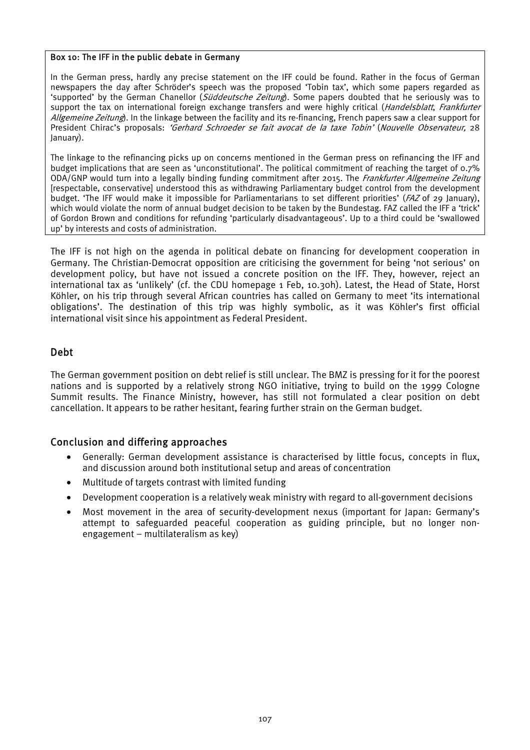#### Box 10: The IFF in the public debate in Germany

In the German press, hardly any precise statement on the IFF could be found. Rather in the focus of German newspapers the day after Schröder's speech was the proposed 'Tobin tax', which some papers regarded as 'supported' by the German Chanellor (Süddeutsche Zeitung). Some papers doubted that he seriously was to support the tax on international foreign exchange transfers and were highly critical (Handelsblatt, Frankfurter Allgemeine Zeitung). In the linkage between the facility and its re-financing, French papers saw a clear support for President Chirac's proposals: 'Gerhard Schroeder se fait avocat de la taxe Tobin' (Nouvelle Observateur, 28 January).

The linkage to the refinancing picks up on concerns mentioned in the German press on refinancing the IFF and budget implications that are seen as 'unconstitutional'. The political commitment of reaching the target of 0.7% ODA/GNP would turn into a legally binding funding commitment after 2015. The Frankfurter Allgemeine Zeitung [respectable, conservative] understood this as withdrawing Parliamentary budget control from the development budget. 'The IFF would make it impossible for Parliamentarians to set different priorities' (FAZ of 29 January), which would violate the norm of annual budget decision to be taken by the Bundestag. FAZ called the IFF a 'trick' of Gordon Brown and conditions for refunding 'particularly disadvantageous'. Up to a third could be 'swallowed up' by interests and costs of administration.

The IFF is not high on the agenda in political debate on financing for development cooperation in Germany. The Christian-Democrat opposition are criticising the government for being 'not serious' on development policy, but have not issued a concrete position on the IFF. They, however, reject an international tax as 'unlikely' (cf. the CDU homepage 1 Feb, 10.30h). Latest, the Head of State, Horst Köhler, on his trip through several African countries has called on Germany to meet 'its international obligations'. The destination of this trip was highly symbolic, as it was Köhler's first official international visit since his appointment as Federal President.

## Debt

The German government position on debt relief is still unclear. The BMZ is pressing for it for the poorest nations and is supported by a relatively strong NGO initiative, trying to build on the 1999 Cologne Summit results. The Finance Ministry, however, has still not formulated a clear position on debt cancellation. It appears to be rather hesitant, fearing further strain on the German budget.

## Conclusion and differing approaches

- Generally: German development assistance is characterised by little focus, concepts in flux, and discussion around both institutional setup and areas of concentration
- Multitude of targets contrast with limited funding
- Development cooperation is a relatively weak ministry with regard to all-government decisions
- Most movement in the area of security-development nexus (important for Japan: Germany's attempt to safeguarded peaceful cooperation as guiding principle, but no longer nonengagement – multilateralism as key)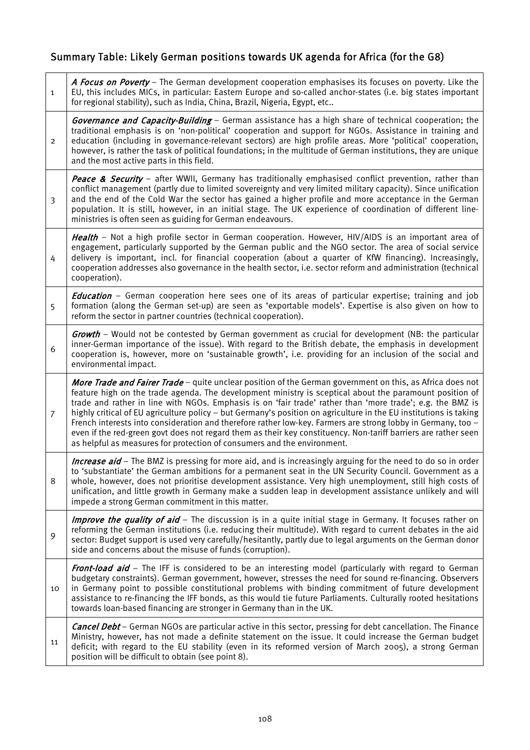# Summary Table: Likely German positions towards UK agenda for Africa (for the G8)

| $\mathbf{1}$   | A Focus on Poverty – The German development cooperation emphasises its focuses on poverty. Like the<br>EU, this includes MICs, in particular: Eastern Europe and so-called anchor-states (i.e. big states important<br>for regional stability), such as India, China, Brazil, Nigeria, Egypt, etc                                                                                                                                                                                                                                                                                                                                                                                                                                                                   |  |
|----------------|---------------------------------------------------------------------------------------------------------------------------------------------------------------------------------------------------------------------------------------------------------------------------------------------------------------------------------------------------------------------------------------------------------------------------------------------------------------------------------------------------------------------------------------------------------------------------------------------------------------------------------------------------------------------------------------------------------------------------------------------------------------------|--|
| $\overline{2}$ | Governance and Capacity-Building - German assistance has a high share of technical cooperation; the<br>traditional emphasis is on 'non-political' cooperation and support for NGOs. Assistance in training and<br>education (including in governance-relevant sectors) are high profile areas. More 'political' cooperation,<br>however, is rather the task of political foundations; in the multitude of German institutions, they are unique<br>and the most active parts in this field.                                                                                                                                                                                                                                                                          |  |
| 3              | Peace & Security - after WWII, Germany has traditionally emphasised conflict prevention, rather than<br>conflict management (partly due to limited sovereignty and very limited military capacity). Since unification<br>and the end of the Cold War the sector has gained a higher profile and more acceptance in the German<br>population. It is still, however, in an initial stage. The UK experience of coordination of different line-<br>ministries is often seen as guiding for German endeavours.                                                                                                                                                                                                                                                          |  |
| 4              | Health - Not a high profile sector in German cooperation. However, HIV/AIDS is an important area of<br>engagement, particularly supported by the German public and the NGO sector. The area of social service<br>delivery is important, incl. for financial cooperation (about a quarter of KfW financing). Increasingly,<br>cooperation addresses also governance in the health sector, i.e. sector reform and administration (technical<br>cooperation).                                                                                                                                                                                                                                                                                                          |  |
| 5              | <b>Education</b> – German cooperation here sees one of its areas of particular expertise; training and job<br>formation (along the German set-up) are seen as 'exportable models'. Expertise is also given on how to<br>reform the sector in partner countries (technical cooperation).                                                                                                                                                                                                                                                                                                                                                                                                                                                                             |  |
| 6              | <b>Growth</b> – Would not be contested by German government as crucial for development (NB: the particular<br>inner-German importance of the issue). With regard to the British debate, the emphasis in development<br>cooperation is, however, more on 'sustainable growth', i.e. providing for an inclusion of the social and<br>environmental impact.                                                                                                                                                                                                                                                                                                                                                                                                            |  |
| $\overline{7}$ | More Trade and Fairer Trade – quite unclear position of the German government on this, as Africa does not<br>feature high on the trade agenda. The development ministry is sceptical about the paramount position of<br>trade and rather in line with NGOs. Emphasis is on 'fair trade' rather than 'more trade'; e.g. the BMZ is<br>highly critical of EU agriculture policy - but Germany's position on agriculture in the EU institutions is taking<br>French interests into consideration and therefore rather low-key. Farmers are strong lobby in Germany, too -<br>even if the red-green govt does not regard them as their key constituency. Non-tariff barriers are rather seen<br>as helpful as measures for protection of consumers and the environment. |  |
| 8              | <i>Increase aid</i> – The BMZ is pressing for more aid, and is increasingly arguing for the need to do so in order<br>to 'substantiate' the German ambitions for a permanent seat in the UN Security Council. Government as a<br>whole, however, does not prioritise development assistance. Very high unemployment, still high costs of<br>unification, and little growth in Germany make a sudden leap in development assistance unlikely and will<br>impede a strong German commitment in this matter.                                                                                                                                                                                                                                                           |  |
| 9              | <i>Improve the quality of aid -</i> The discussion is in a quite initial stage in Germany. It focuses rather on<br>reforming the German institutions (i.e. reducing their multitude). With regard to current debates in the aid<br>sector: Budget support is used very carefully/hesitantly, partly due to legal arguments on the German donor<br>side and concerns about the misuse of funds (corruption).                                                                                                                                                                                                                                                                                                                                                         |  |
| 10             | Front-load aid - The IFF is considered to be an interesting model (particularly with regard to German<br>budgetary constraints). German government, however, stresses the need for sound re-financing. Observers<br>in Germany point to possible constitutional problems with binding commitment of future development<br>assistance to re-financing the IFF bonds, as this would tie future Parliaments. Culturally rooted hesitations<br>towards loan-based financing are stronger in Germany than in the UK.                                                                                                                                                                                                                                                     |  |
| 11             | <b>Cancel Debt</b> – German NGOs are particular active in this sector, pressing for debt cancellation. The Finance<br>Ministry, however, has not made a definite statement on the issue. It could increase the German budget<br>deficit; with regard to the EU stability (even in its reformed version of March 2005), a strong German<br>position will be difficult to obtain (see point 8).                                                                                                                                                                                                                                                                                                                                                                       |  |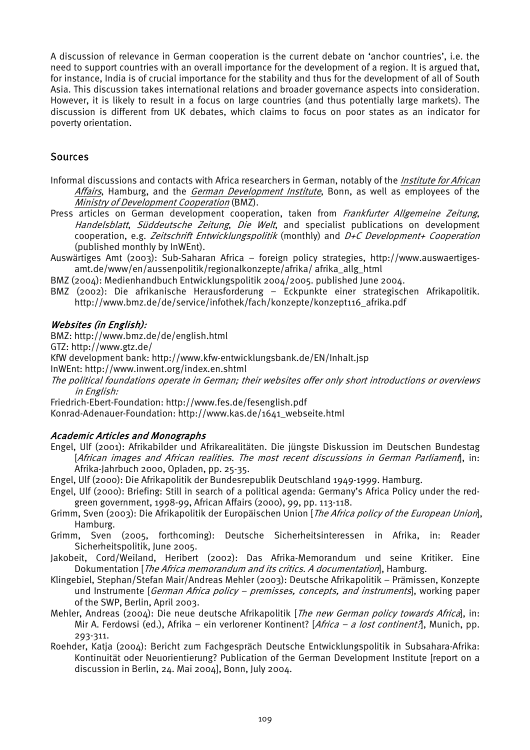A discussion of relevance in German cooperation is the current debate on 'anchor countries', i.e. the need to support countries with an overall importance for the development of a region. It is argued that, for instance, India is of crucial importance for the stability and thus for the development of all of South Asia. This discussion takes international relations and broader governance aspects into consideration. However, it is likely to result in a focus on large countries (and thus potentially large markets). The discussion is different from UK debates, which claims to focus on poor states as an indicator for poverty orientation.

## **Sources**

- Informal discussions and contacts with Africa researchers in German, notably of the *Institute for African* Affairs, Hamburg, and the *German Development Institute*, Bonn, as well as employees of the Ministry of Development Cooperation (BMZ).
- Press articles on German development cooperation, taken from Frankfurter Allgemeine Zeitung, Handelsblatt, Süddeutsche Zeitung, Die Welt, and specialist publications on development cooperation, e.g. Zeitschrift Entwicklungspolitik (monthly) and D+C Development+ Cooperation (published monthly by InWEnt).
- Auswärtiges Amt (2003): Sub-Saharan Africa foreign policy strategies, http://www.auswaertigesamt.de/www/en/aussenpolitik/regionalkonzepte/afrika/ afrika\_allg\_html
- BMZ (2004): Medienhandbuch Entwicklungspolitik 2004/2005. published June 2004.
- BMZ (2002): Die afrikanische Herausforderung Eckpunkte einer strategischen Afrikapolitik. http://www.bmz.de/de/service/infothek/fach/konzepte/konzept116\_afrika.pdf

## Websites (in English):

BMZ: http://www.bmz.de/de/english.html

GTZ: http://www.gtz.de/

KfW development bank: http://www.kfw-entwicklungsbank.de/EN/Inhalt.jsp

InWEnt: http://www.inwent.org/index.en.shtml

- The political foundations operate in German; their websites offer only short introductions or overviews in English:
- Friedrich-Ebert-Foundation: http://www.fes.de/fesenglish.pdf

Konrad-Adenauer-Foundation: http://www.kas.de/1641\_webseite.html

## Academic Articles and Monographs

- Engel, Ulf (2001): Afrikabilder und Afrikarealitäten. Die jüngste Diskussion im Deutschen Bundestag [African images and African realities. The most recent discussions in German Parliament, in: Afrika-Jahrbuch 2000, Opladen, pp. 25-35.
- Engel, Ulf (2000): Die Afrikapolitik der Bundesrepublik Deutschland 1949-1999. Hamburg.
- Engel, Ulf (2000): Briefing: Still in search of a political agenda: Germany's Africa Policy under the redgreen government, 1998-99, African Affairs (2000), 99, pp. 113-118.
- Grimm, Sven (2003): Die Afrikapolitik der Europäischen Union [The Africa policy of the European Union], Hamburg.
- Grimm, Sven (2005, forthcoming): Deutsche Sicherheitsinteressen in Afrika, in: Reader Sicherheitspolitik, June 2005.
- Jakobeit, Cord/Weiland, Heribert (2002): Das Afrika-Memorandum und seine Kritiker. Eine Dokumentation [*The Africa memorandum and its critics. A documentation*], Hamburg.
- Klingebiel, Stephan/Stefan Mair/Andreas Mehler (2003): Deutsche Afrikapolitik Prämissen, Konzepte und Instrumente *[German Africa policy – premisses, concepts, and instruments*], working paper of the SWP, Berlin, April 2003.
- Mehler, Andreas (2004): Die neue deutsche Afrikapolitik [The new German policy towards Africa], in: Mir A. Ferdowsi (ed.), Afrika – ein verlorener Kontinent? [Africa – a lost continent?], Munich, pp. 293-311.
- Roehder, Katja (2004): Bericht zum Fachgespräch Deutsche Entwicklungspolitik in Subsahara-Afrika: Kontinuität oder Neuorientierung? Publication of the German Development Institute [report on a discussion in Berlin, 24. Mai 2004], Bonn, July 2004.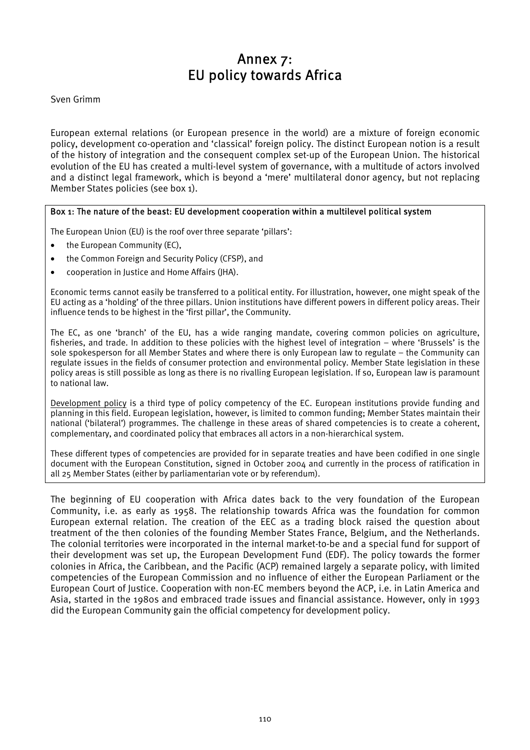# Annex 7: EU policy towards Africa

Sven Grimm

European external relations (or European presence in the world) are a mixture of foreign economic policy, development co-operation and 'classical' foreign policy. The distinct European notion is a result of the history of integration and the consequent complex set-up of the European Union. The historical evolution of the EU has created a multi-level system of governance, with a multitude of actors involved and a distinct legal framework, which is beyond a 'mere' multilateral donor agency, but not replacing Member States policies (see box 1).

#### Box 1: The nature of the beast: EU development cooperation within a multilevel political system

The European Union (EU) is the roof over three separate 'pillars':

- the European Community (EC),
- the Common Foreign and Security Policy (CFSP), and
- cooperation in Justice and Home Affairs (JHA).

Economic terms cannot easily be transferred to a political entity. For illustration, however, one might speak of the EU acting as a 'holding' of the three pillars. Union institutions have different powers in different policy areas. Their influence tends to be highest in the 'first pillar', the Community.

The EC, as one 'branch' of the EU, has a wide ranging mandate, covering common policies on agriculture, fisheries, and trade. In addition to these policies with the highest level of integration – where 'Brussels' is the sole spokesperson for all Member States and where there is only European law to regulate – the Community can regulate issues in the fields of consumer protection and environmental policy. Member State legislation in these policy areas is still possible as long as there is no rivalling European legislation. If so, European law is paramount to national law.

Development policy is a third type of policy competency of the EC. European institutions provide funding and planning in this field. European legislation, however, is limited to common funding; Member States maintain their national ('bilateral') programmes. The challenge in these areas of shared competencies is to create a coherent, complementary, and coordinated policy that embraces all actors in a non-hierarchical system.

These different types of competencies are provided for in separate treaties and have been codified in one single document with the European Constitution, signed in October 2004 and currently in the process of ratification in all 25 Member States (either by parliamentarian vote or by referendum).

The beginning of EU cooperation with Africa dates back to the very foundation of the European Community, i.e. as early as 1958. The relationship towards Africa was the foundation for common European external relation. The creation of the EEC as a trading block raised the question about treatment of the then colonies of the founding Member States France, Belgium, and the Netherlands. The colonial territories were incorporated in the internal market-to-be and a special fund for support of their development was set up, the European Development Fund (EDF). The policy towards the former colonies in Africa, the Caribbean, and the Pacific (ACP) remained largely a separate policy, with limited competencies of the European Commission and no influence of either the European Parliament or the European Court of Justice. Cooperation with non-EC members beyond the ACP, i.e. in Latin America and Asia, started in the 1980s and embraced trade issues and financial assistance. However, only in 1993 did the European Community gain the official competency for development policy.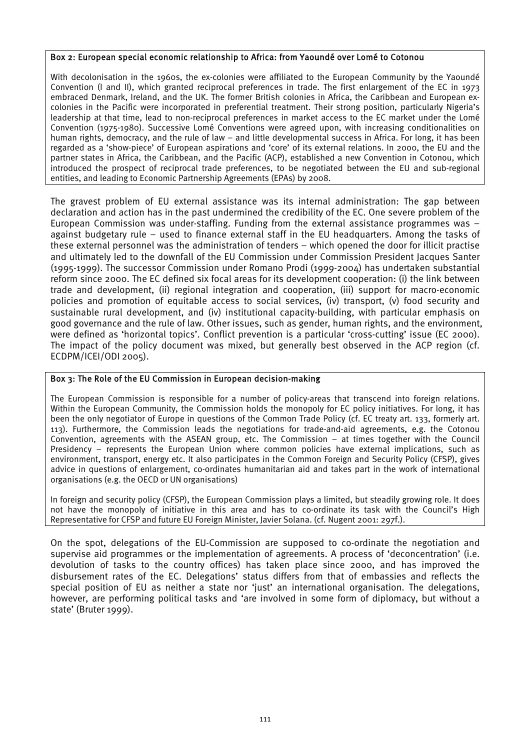#### Box 2: European special economic relationship to Africa: from Yaoundé over Lomé to Cotonou

With decolonisation in the 1960s, the ex-colonies were affiliated to the European Community by the Yaoundé Convention (I and II), which granted reciprocal preferences in trade. The first enlargement of the EC in 1973 embraced Denmark, Ireland, and the UK. The former British colonies in Africa, the Caribbean and European excolonies in the Pacific were incorporated in preferential treatment. Their strong position, particularly Nigeria's leadership at that time, lead to non-reciprocal preferences in market access to the EC market under the Lomé Convention (1975-1980). Successive Lomé Conventions were agreed upon, with increasing conditionalities on human rights, democracy, and the rule of law – and little developmental success in Africa. For long, it has been regarded as a 'show-piece' of European aspirations and 'core' of its external relations. In 2000, the EU and the partner states in Africa, the Caribbean, and the Pacific (ACP), established a new Convention in Cotonou, which introduced the prospect of reciprocal trade preferences, to be negotiated between the EU and sub-regional entities, and leading to Economic Partnership Agreements (EPAs) by 2008.

The gravest problem of EU external assistance was its internal administration: The gap between declaration and action has in the past undermined the credibility of the EC. One severe problem of the European Commission was under-staffing. Funding from the external assistance programmes was – against budgetary rule – used to finance external staff in the EU headquarters. Among the tasks of these external personnel was the administration of tenders – which opened the door for illicit practise and ultimately led to the downfall of the EU Commission under Commission President Jacques Santer (1995-1999). The successor Commission under Romano Prodi (1999-2004) has undertaken substantial reform since 2000. The EC defined six focal areas for its development cooperation: (i) the link between trade and development, (ii) regional integration and cooperation, (iii) support for macro-economic policies and promotion of equitable access to social services, (iv) transport, (v) food security and sustainable rural development, and (iv) institutional capacity-building, with particular emphasis on good governance and the rule of law. Other issues, such as gender, human rights, and the environment, were defined as 'horizontal topics'. Conflict prevention is a particular 'cross-cutting' issue (EC 2000). The impact of the policy document was mixed, but generally best observed in the ACP region (cf. ECDPM/ICEI/ODI 2005).

#### Box 3: The Role of the EU Commission in European decision-making

The European Commission is responsible for a number of policy-areas that transcend into foreign relations. Within the European Community, the Commission holds the monopoly for EC policy initiatives. For long, it has been the only negotiator of Europe in questions of the Common Trade Policy (cf. EC treaty art. 133, formerly art. 113). Furthermore, the Commission leads the negotiations for trade-and-aid agreements, e.g. the Cotonou Convention, agreements with the ASEAN group, etc. The Commission – at times together with the Council Presidency – represents the European Union where common policies have external implications, such as environment, transport, energy etc. It also participates in the Common Foreign and Security Policy (CFSP), gives advice in questions of enlargement, co-ordinates humanitarian aid and takes part in the work of international organisations (e.g. the OECD or UN organisations)

In foreign and security policy (CFSP), the European Commission plays a limited, but steadily growing role. It does not have the monopoly of initiative in this area and has to co-ordinate its task with the Council's High Representative for CFSP and future EU Foreign Minister, Javier Solana. (cf. Nugent 2001: 297f.).

On the spot, delegations of the EU-Commission are supposed to co-ordinate the negotiation and supervise aid programmes or the implementation of agreements. A process of 'deconcentration' (i.e. devolution of tasks to the country offices) has taken place since 2000, and has improved the disbursement rates of the EC. Delegations' status differs from that of embassies and reflects the special position of EU as neither a state nor 'just' an international organisation. The delegations, however, are performing political tasks and 'are involved in some form of diplomacy, but without a state' (Bruter 1999).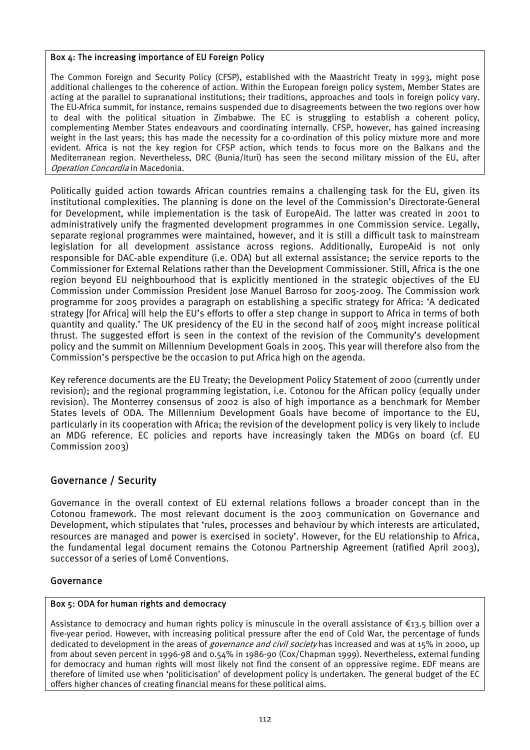#### Box 4: The increasing importance of EU Foreign Policy

The Common Foreign and Security Policy (CFSP), established with the Maastricht Treaty in 1993, might pose additional challenges to the coherence of action. Within the European foreign policy system, Member States are acting at the parallel to supranational institutions; their traditions, approaches and tools in foreign policy vary. The EU-Africa summit, for instance, remains suspended due to disagreements between the two regions over how to deal with the political situation in Zimbabwe. The EC is struggling to establish a coherent policy, complementing Member States endeavours and coordinating internally. CFSP, however, has gained increasing weight in the last years; this has made the necessity for a co-ordination of this policy mixture more and more evident. Africa is not the key region for CFSP action, which tends to focus more on the Balkans and the Mediterranean region. Nevertheless, DRC (Bunia/Ituri) has seen the second military mission of the EU, after Operation Concordia in Macedonia.

Politically guided action towards African countries remains a challenging task for the EU, given its institutional complexities. The planning is done on the level of the Commission's Directorate-General for Development, while implementation is the task of EuropeAid. The latter was created in 2001 to administratively unify the fragmented development programmes in one Commission service. Legally, separate regional programmes were maintained, however, and it is still a difficult task to mainstream legislation for all development assistance across regions. Additionally, EuropeAid is not only responsible for DAC-able expenditure (i.e. ODA) but all external assistance; the service reports to the Commissioner for External Relations rather than the Development Commissioner. Still, Africa is the one region beyond EU neighbourhood that is explicitly mentioned in the strategic objectives of the EU Commission under Commission President Jose Manuel Barroso for 2005-2009. The Commission work programme for 2005 provides a paragraph on establishing a specific strategy for Africa: 'A dedicated strategy [for Africa] will help the EU's efforts to offer a step change in support to Africa in terms of both quantity and quality.' The UK presidency of the EU in the second half of 2005 might increase political thrust. The suggested effort is seen in the context of the revision of the Community's development policy and the summit on Millennium Development Goals in 2005. This year will therefore also from the Commission's perspective be the occasion to put Africa high on the agenda.

Key reference documents are the EU Treaty; the Development Policy Statement of 2000 (currently under revision); and the regional programming legistation, i.e. Cotonou for the African policy (equally under revision). The Monterrey consensus of 2002 is also of high importance as a benchmark for Member States levels of ODA. The Millennium Development Goals have become of importance to the EU, particularly in its cooperation with Africa; the revision of the development policy is very likely to include an MDG reference. EC policies and reports have increasingly taken the MDGs on board (cf. EU Commission 2003)

# Governance / Security

Governance in the overall context of EU external relations follows a broader concept than in the Cotonou framework. The most relevant document is the 2003 communication on Governance and Development, which stipulates that 'rules, processes and behaviour by which interests are articulated, resources are managed and power is exercised in society'. However, for the EU relationship to Africa, the fundamental legal document remains the Cotonou Partnership Agreement (ratified April 2003), successor of a series of Lomé Conventions.

### Governance

#### Box 5: ODA for human rights and democracy

Assistance to democracy and human rights policy is minuscule in the overall assistance of €13.5 billion over a five-year period. However, with increasing political pressure after the end of Cold War, the percentage of funds dedicated to development in the areas of *governance and civil society* has increased and was at 15% in 2000, up from about seven percent in 1996-98 and 0.54% in 1986-90 (Cox/Chapman 1999). Nevertheless, external funding for democracy and human rights will most likely not find the consent of an oppressive regime. EDF means are therefore of limited use when 'politicisation' of development policy is undertaken. The general budget of the EC offers higher chances of creating financial means for these political aims.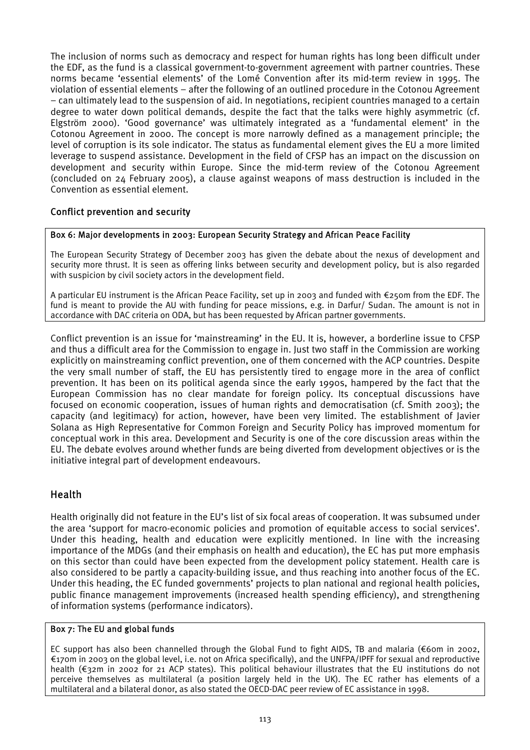The inclusion of norms such as democracy and respect for human rights has long been difficult under the EDF, as the fund is a classical government-to-government agreement with partner countries. These norms became 'essential elements' of the Lomé Convention after its mid-term review in 1995. The violation of essential elements – after the following of an outlined procedure in the Cotonou Agreement – can ultimately lead to the suspension of aid. In negotiations, recipient countries managed to a certain degree to water down political demands, despite the fact that the talks were highly asymmetric (cf. Elgström 2000). 'Good governance' was ultimately integrated as a 'fundamental element' in the Cotonou Agreement in 2000. The concept is more narrowly defined as a management principle; the level of corruption is its sole indicator. The status as fundamental element gives the EU a more limited leverage to suspend assistance. Development in the field of CFSP has an impact on the discussion on development and security within Europe. Since the mid-term review of the Cotonou Agreement (concluded on 24 February 2005), a clause against weapons of mass destruction is included in the Convention as essential element.

## Conflict prevention and security

#### Box 6: Major developments in 2003: European Security Strategy and African Peace Facility

The European Security Strategy of December 2003 has given the debate about the nexus of development and security more thrust. It is seen as offering links between security and development policy, but is also regarded with suspicion by civil society actors in the development field.

A particular EU instrument is the African Peace Facility, set up in 2003 and funded with €250m from the EDF. The fund is meant to provide the AU with funding for peace missions, e.g. in Darfur/ Sudan. The amount is not in accordance with DAC criteria on ODA, but has been requested by African partner governments.

Conflict prevention is an issue for 'mainstreaming' in the EU. It is, however, a borderline issue to CFSP and thus a difficult area for the Commission to engage in. Just two staff in the Commission are working explicitly on mainstreaming conflict prevention, one of them concerned with the ACP countries. Despite the very small number of staff, the EU has persistently tired to engage more in the area of conflict prevention. It has been on its political agenda since the early 1990s, hampered by the fact that the European Commission has no clear mandate for foreign policy. Its conceptual discussions have focused on economic cooperation, issues of human rights and democratisation (cf. Smith 2003); the capacity (and legitimacy) for action, however, have been very limited. The establishment of Javier Solana as High Representative for Common Foreign and Security Policy has improved momentum for conceptual work in this area. Development and Security is one of the core discussion areas within the EU. The debate evolves around whether funds are being diverted from development objectives or is the initiative integral part of development endeavours.

## Health

Health originally did not feature in the EU's list of six focal areas of cooperation. It was subsumed under the area 'support for macro-economic policies and promotion of equitable access to social services'. Under this heading, health and education were explicitly mentioned. In line with the increasing importance of the MDGs (and their emphasis on health and education), the EC has put more emphasis on this sector than could have been expected from the development policy statement. Health care is also considered to be partly a capacity-building issue, and thus reaching into another focus of the EC. Under this heading, the EC funded governments' projects to plan national and regional health policies, public finance management improvements (increased health spending efficiency), and strengthening of information systems (performance indicators).

### Box 7: The EU and global funds

EC support has also been channelled through the Global Fund to fight AIDS, TB and malaria (€60m in 2002, €170m in 2003 on the global level, i.e. not on Africa specifically), and the UNFPA/IPFF for sexual and reproductive health (€32m in 2002 for 21 ACP states). This political behaviour illustrates that the EU institutions do not perceive themselves as multilateral (a position largely held in the UK). The EC rather has elements of a multilateral and a bilateral donor, as also stated the OECD-DAC peer review of EC assistance in 1998.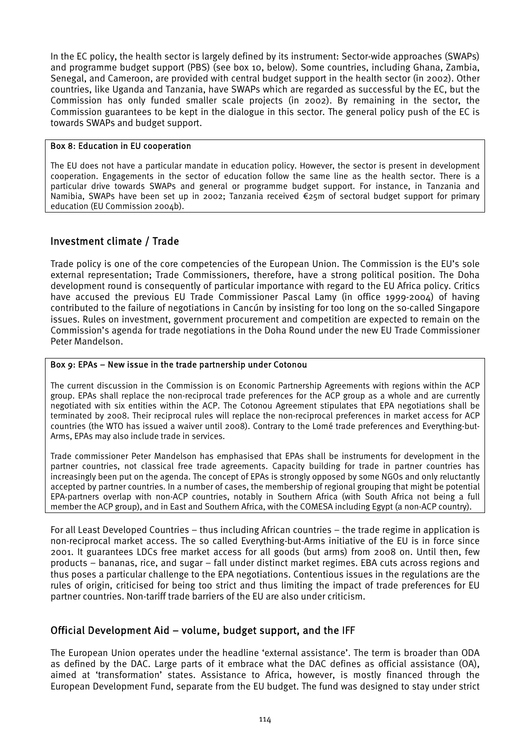In the EC policy, the health sector is largely defined by its instrument: Sector-wide approaches (SWAPs) and programme budget support (PBS) (see box 10, below). Some countries, including Ghana, Zambia, Senegal, and Cameroon, are provided with central budget support in the health sector (in 2002). Other countries, like Uganda and Tanzania, have SWAPs which are regarded as successful by the EC, but the Commission has only funded smaller scale projects (in 2002). By remaining in the sector, the Commission guarantees to be kept in the dialogue in this sector. The general policy push of the EC is towards SWAPs and budget support.

#### Box 8: Education in EU cooperation

The EU does not have a particular mandate in education policy. However, the sector is present in development cooperation. Engagements in the sector of education follow the same line as the health sector. There is a particular drive towards SWAPs and general or programme budget support. For instance, in Tanzania and Namibia, SWAPs have been set up in 2002; Tanzania received €25m of sectoral budget support for primary education (EU Commission 2004b).

# Investment climate / Trade

Trade policy is one of the core competencies of the European Union. The Commission is the EU's sole external representation; Trade Commissioners, therefore, have a strong political position. The Doha development round is consequently of particular importance with regard to the EU Africa policy. Critics have accused the previous EU Trade Commissioner Pascal Lamy (in office 1999-2004) of having contributed to the failure of negotiations in Cancún by insisting for too long on the so-called Singapore issues. Rules on investment, government procurement and competition are expected to remain on the Commission's agenda for trade negotiations in the Doha Round under the new EU Trade Commissioner Peter Mandelson.

### Box 9: EPAs – New issue in the trade partnership under Cotonou

The current discussion in the Commission is on Economic Partnership Agreements with regions within the ACP group. EPAs shall replace the non-reciprocal trade preferences for the ACP group as a whole and are currently negotiated with six entities within the ACP. The Cotonou Agreement stipulates that EPA negotiations shall be terminated by 2008. Their reciprocal rules will replace the non-reciprocal preferences in market access for ACP countries (the WTO has issued a waiver until 2008). Contrary to the Lomé trade preferences and Everything-but-Arms, EPAs may also include trade in services.

Trade commissioner Peter Mandelson has emphasised that EPAs shall be instruments for development in the partner countries, not classical free trade agreements. Capacity building for trade in partner countries has increasingly been put on the agenda. The concept of EPAs is strongly opposed by some NGOs and only reluctantly accepted by partner countries. In a number of cases, the membership of regional grouping that might be potential EPA-partners overlap with non-ACP countries, notably in Southern Africa (with South Africa not being a full member the ACP group), and in East and Southern Africa, with the COMESA including Egypt (a non-ACP country).

For all Least Developed Countries – thus including African countries – the trade regime in application is non-reciprocal market access. The so called Everything-but-Arms initiative of the EU is in force since 2001. It guarantees LDCs free market access for all goods (but arms) from 2008 on. Until then, few products – bananas, rice, and sugar – fall under distinct market regimes. EBA cuts across regions and thus poses a particular challenge to the EPA negotiations. Contentious issues in the regulations are the rules of origin, criticised for being too strict and thus limiting the impact of trade preferences for EU partner countries. Non-tariff trade barriers of the EU are also under criticism.

## Official Development Aid – volume, budget support, and the IFF

The European Union operates under the headline 'external assistance'. The term is broader than ODA as defined by the DAC. Large parts of it embrace what the DAC defines as official assistance (OA), aimed at 'transformation' states. Assistance to Africa, however, is mostly financed through the European Development Fund, separate from the EU budget. The fund was designed to stay under strict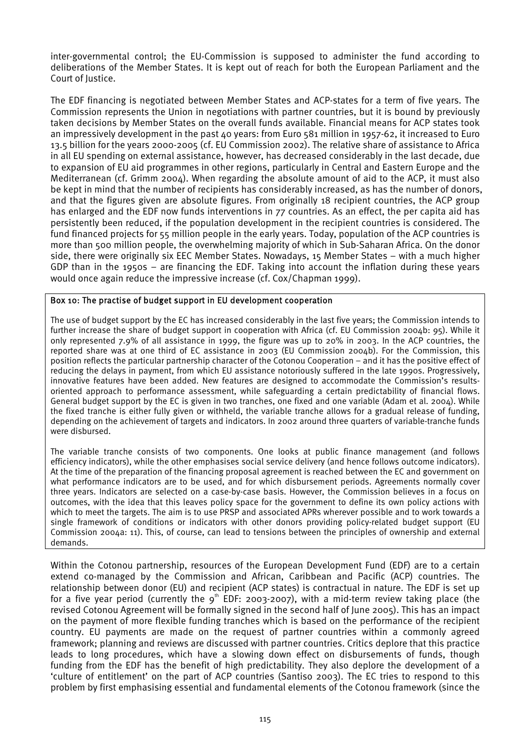inter-governmental control; the EU-Commission is supposed to administer the fund according to deliberations of the Member States. It is kept out of reach for both the European Parliament and the Court of Justice.

The EDF financing is negotiated between Member States and ACP-states for a term of five years. The Commission represents the Union in negotiations with partner countries, but it is bound by previously taken decisions by Member States on the overall funds available. Financial means for ACP states took an impressively development in the past 40 years: from Euro 581 million in 1957-62, it increased to Euro 13.5 billion for the years 2000-2005 (cf. EU Commission 2002). The relative share of assistance to Africa in all EU spending on external assistance, however, has decreased considerably in the last decade, due to expansion of EU aid programmes in other regions, particularly in Central and Eastern Europe and the Mediterranean (cf. Grimm 2004). When regarding the absolute amount of aid to the ACP, it must also be kept in mind that the number of recipients has considerably increased, as has the number of donors, and that the figures given are absolute figures. From originally 18 recipient countries, the ACP group has enlarged and the EDF now funds interventions in 77 countries. As an effect, the per capita aid has persistently been reduced, if the population development in the recipient countries is considered. The fund financed projects for 55 million people in the early years. Today, population of the ACP countries is more than 500 million people, the overwhelming majority of which in Sub-Saharan Africa. On the donor side, there were originally six EEC Member States. Nowadays, 15 Member States – with a much higher GDP than in the 1950s – are financing the EDF. Taking into account the inflation during these years would once again reduce the impressive increase (cf. Cox/Chapman 1999).

#### Box 10: The practise of budget support in EU development cooperation

The use of budget support by the EC has increased considerably in the last five years; the Commission intends to further increase the share of budget support in cooperation with Africa (cf. EU Commission 2004b: 95). While it only represented 7.9% of all assistance in 1999, the figure was up to 20% in 2003. In the ACP countries, the reported share was at one third of EC assistance in 2003 (EU Commission 2004b). For the Commission, this position reflects the particular partnership character of the Cotonou Cooperation – and it has the positive effect of reducing the delays in payment, from which EU assistance notoriously suffered in the late 1990s. Progressively, innovative features have been added. New features are designed to accommodate the Commission's resultsoriented approach to performance assessment, while safeguarding a certain predictability of financial flows. General budget support by the EC is given in two tranches, one fixed and one variable (Adam et al. 2004). While the fixed tranche is either fully given or withheld, the variable tranche allows for a gradual release of funding, depending on the achievement of targets and indicators. In 2002 around three quarters of variable-tranche funds were disbursed.

The variable tranche consists of two components. One looks at public finance management (and follows efficiency indicators), while the other emphasises social service delivery (and hence follows outcome indicators). At the time of the preparation of the financing proposal agreement is reached between the EC and government on what performance indicators are to be used, and for which disbursement periods. Agreements normally cover three years. Indicators are selected on a case-by-case basis. However, the Commission believes in a focus on outcomes, with the idea that this leaves policy space for the government to define its own policy actions with which to meet the targets. The aim is to use PRSP and associated APRs wherever possible and to work towards a single framework of conditions or indicators with other donors providing policy-related budget support (EU Commission 2004a: 11). This, of course, can lead to tensions between the principles of ownership and external demands.

Within the Cotonou partnership, resources of the European Development Fund (EDF) are to a certain extend co-managed by the Commission and African, Caribbean and Pacific (ACP) countries. The relationship between donor (EU) and recipient (ACP states) is contractual in nature. The EDF is set up for a five year period (currently the  $9<sup>th</sup>$  EDF: 2003-2007), with a mid-term review taking place (the revised Cotonou Agreement will be formally signed in the second half of June 2005). This has an impact on the payment of more flexible funding tranches which is based on the performance of the recipient country. EU payments are made on the request of partner countries within a commonly agreed framework; planning and reviews are discussed with partner countries. Critics deplore that this practice leads to long procedures, which have a slowing down effect on disbursements of funds, though funding from the EDF has the benefit of high predictability. They also deplore the development of a 'culture of entitlement' on the part of ACP countries (Santiso 2003). The EC tries to respond to this problem by first emphasising essential and fundamental elements of the Cotonou framework (since the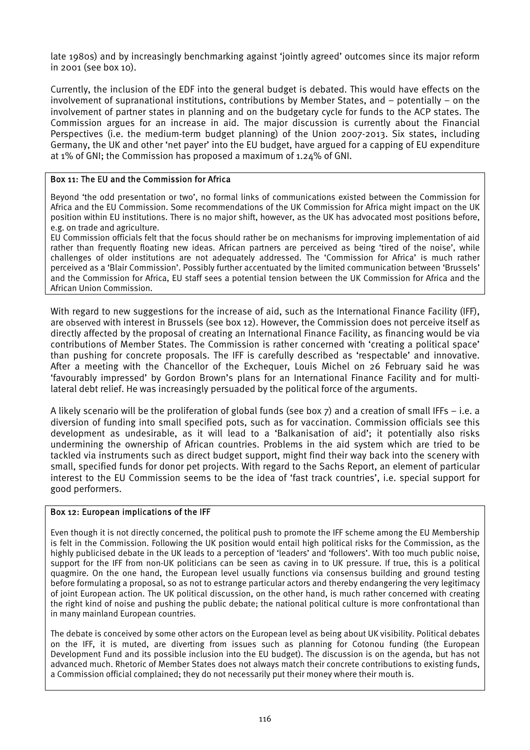late 1980s) and by increasingly benchmarking against 'jointly agreed' outcomes since its major reform in 2001 (see box 10).

Currently, the inclusion of the EDF into the general budget is debated. This would have effects on the involvement of supranational institutions, contributions by Member States, and – potentially – on the involvement of partner states in planning and on the budgetary cycle for funds to the ACP states. The Commission argues for an increase in aid. The major discussion is currently about the Financial Perspectives (i.e. the medium-term budget planning) of the Union 2007-2013. Six states, including Germany, the UK and other 'net payer' into the EU budget, have argued for a capping of EU expenditure at 1% of GNI; the Commission has proposed a maximum of 1.24% of GNI.

#### Box 11: The EU and the Commission for Africa

Beyond 'the odd presentation or two', no formal links of communications existed between the Commission for Africa and the EU Commission. Some recommendations of the UK Commission for Africa might impact on the UK position within EU institutions. There is no major shift, however, as the UK has advocated most positions before, e.g. on trade and agriculture.

EU Commission officials felt that the focus should rather be on mechanisms for improving implementation of aid rather than frequently floating new ideas. African partners are perceived as being 'tired of the noise', while challenges of older institutions are not adequately addressed. The 'Commission for Africa' is much rather perceived as a 'Blair Commission'. Possibly further accentuated by the limited communication between 'Brussels' and the Commission for Africa, EU staff sees a potential tension between the UK Commission for Africa and the African Union Commission.

With regard to new suggestions for the increase of aid, such as the International Finance Facility (IFF), are observed with interest in Brussels (see box 12). However, the Commission does not perceive itself as directly affected by the proposal of creating an International Finance Facility, as financing would be via contributions of Member States. The Commission is rather concerned with 'creating a political space' than pushing for concrete proposals. The IFF is carefully described as 'respectable' and innovative. After a meeting with the Chancellor of the Exchequer, Louis Michel on 26 February said he was 'favourably impressed' by Gordon Brown's plans for an International Finance Facility and for multilateral debt relief. He was increasingly persuaded by the political force of the arguments.

A likely scenario will be the proliferation of global funds (see box 7) and a creation of small IFFs – i.e. a diversion of funding into small specified pots, such as for vaccination. Commission officials see this development as undesirable, as it will lead to a 'Balkanisation of aid'; it potentially also risks undermining the ownership of African countries. Problems in the aid system which are tried to be tackled via instruments such as direct budget support, might find their way back into the scenery with small, specified funds for donor pet projects. With regard to the Sachs Report, an element of particular interest to the EU Commission seems to be the idea of 'fast track countries', i.e. special support for good performers.

#### Box 12: European implications of the IFF

Even though it is not directly concerned, the political push to promote the IFF scheme among the EU Membership is felt in the Commission. Following the UK position would entail high political risks for the Commission, as the highly publicised debate in the UK leads to a perception of 'leaders' and 'followers'. With too much public noise, support for the IFF from non-UK politicians can be seen as caving in to UK pressure. If true, this is a political quagmire. On the one hand, the European level usually functions via consensus building and ground testing before formulating a proposal, so as not to estrange particular actors and thereby endangering the very legitimacy of joint European action. The UK political discussion, on the other hand, is much rather concerned with creating the right kind of noise and pushing the public debate; the national political culture is more confrontational than in many mainland European countries.

The debate is conceived by some other actors on the European level as being about UK visibility. Political debates on the IFF, it is muted, are diverting from issues such as planning for Cotonou funding (the European Development Fund and its possible inclusion into the EU budget). The discussion is on the agenda, but has not advanced much. Rhetoric of Member States does not always match their concrete contributions to existing funds, a Commission official complained; they do not necessarily put their money where their mouth is.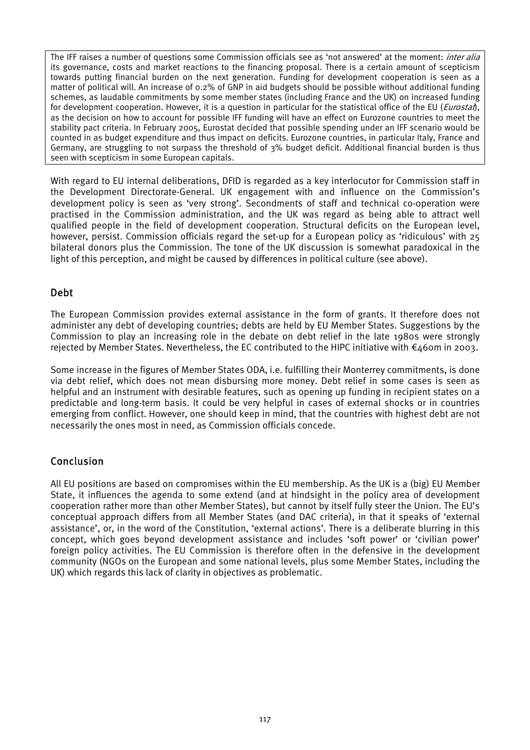The IFF raises a number of questions some Commission officials see as 'not answered' at the moment: *inter alia* its governance, costs and market reactions to the financing proposal. There is a certain amount of scepticism towards putting financial burden on the next generation. Funding for development cooperation is seen as a matter of political will. An increase of 0.2% of GNP in aid budgets should be possible without additional funding schemes, as laudable commitments by some member states (including France and the UK) on increased funding for development cooperation. However, it is a question in particular for the statistical office of the EU (*Eurostat*), as the decision on how to account for possible IFF funding will have an effect on Eurozone countries to meet the stability pact criteria. In February 2005, Eurostat decided that possible spending under an IFF scenario would be counted in as budget expenditure and thus impact on deficits. Eurozone countries, in particular Italy, France and Germany, are struggling to not surpass the threshold of 3% budget deficit. Additional financial burden is thus seen with scepticism in some European capitals.

With regard to EU internal deliberations, DFID is regarded as a key interlocutor for Commission staff in the Development Directorate-General. UK engagement with and influence on the Commission's development policy is seen as 'very strong'. Secondments of staff and technical co-operation were practised in the Commission administration, and the UK was regard as being able to attract well qualified people in the field of development cooperation. Structural deficits on the European level, however, persist. Commission officials regard the set-up for a European policy as 'ridiculous' with 25 bilateral donors plus the Commission. The tone of the UK discussion is somewhat paradoxical in the light of this perception, and might be caused by differences in political culture (see above).

## Debt

The European Commission provides external assistance in the form of grants. It therefore does not administer any debt of developing countries; debts are held by EU Member States. Suggestions by the Commission to play an increasing role in the debate on debt relief in the late 1980s were strongly rejected by Member States. Nevertheless, the EC contributed to the HIPC initiative with €460m in 2003.

Some increase in the figures of Member States ODA, i.e. fulfilling their Monterrey commitments, is done via debt relief, which does not mean disbursing more money. Debt relief in some cases is seen as helpful and an instrument with desirable features, such as opening up funding in recipient states on a predictable and long-term basis. It could be very helpful in cases of external shocks or in countries emerging from conflict. However, one should keep in mind, that the countries with highest debt are not necessarily the ones most in need, as Commission officials concede.

# Conclusion

All EU positions are based on compromises within the EU membership. As the UK is a (big) EU Member State, it influences the agenda to some extend (and at hindsight in the policy area of development cooperation rather more than other Member States), but cannot by itself fully steer the Union. The EU's conceptual approach differs from all Member States (and DAC criteria), in that it speaks of 'external assistance', or, in the word of the Constitution, 'external actions'. There is a deliberate blurring in this concept, which goes beyond development assistance and includes 'soft power' or 'civilian power' foreign policy activities. The EU Commission is therefore often in the defensive in the development community (NGOs on the European and some national levels, plus some Member States, including the UK) which regards this lack of clarity in objectives as problematic.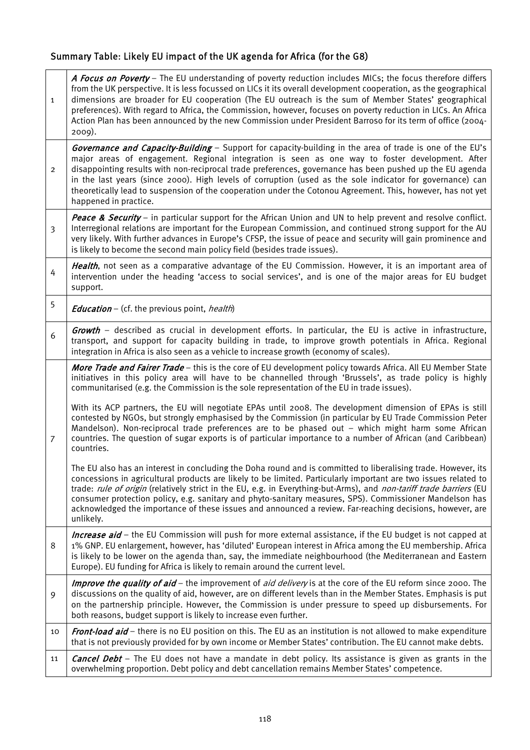# Summary Table: Likely EU impact of the UK agenda for Africa (for the G8)

 $\overline{\phantom{a}}$ 

| $\mathbf{1}$   | A Focus on Poverty - The EU understanding of poverty reduction includes MICs; the focus therefore differs<br>from the UK perspective. It is less focussed on LICs it its overall development cooperation, as the geographical<br>dimensions are broader for EU cooperation (The EU outreach is the sum of Member States' geographical<br>preferences). With regard to Africa, the Commission, however, focuses on poverty reduction in LICs. An Africa<br>Action Plan has been announced by the new Commission under President Barroso for its term of office (2004-<br>2009).              |
|----------------|---------------------------------------------------------------------------------------------------------------------------------------------------------------------------------------------------------------------------------------------------------------------------------------------------------------------------------------------------------------------------------------------------------------------------------------------------------------------------------------------------------------------------------------------------------------------------------------------|
| $\overline{2}$ | Governance and Capacity-Building - Support for capacity-building in the area of trade is one of the EU's<br>major areas of engagement. Regional integration is seen as one way to foster development. After<br>disappointing results with non-reciprocal trade preferences, governance has been pushed up the EU agenda<br>in the last years (since 2000). High levels of corruption (used as the sole indicator for governance) can<br>theoretically lead to suspension of the cooperation under the Cotonou Agreement. This, however, has not yet<br>happened in practice.                |
| 3              | Peace & Security - in particular support for the African Union and UN to help prevent and resolve conflict.<br>Interregional relations are important for the European Commission, and continued strong support for the AU<br>very likely. With further advances in Europe's CFSP, the issue of peace and security will gain prominence and<br>is likely to become the second main policy field (besides trade issues).                                                                                                                                                                      |
| 4              | Health, not seen as a comparative advantage of the EU Commission. However, it is an important area of<br>intervention under the heading 'access to social services', and is one of the major areas for EU budget<br>support.                                                                                                                                                                                                                                                                                                                                                                |
| 5              | <b>Education</b> – (cf. the previous point, health)                                                                                                                                                                                                                                                                                                                                                                                                                                                                                                                                         |
| 6              | Growth - described as crucial in development efforts. In particular, the EU is active in infrastructure,<br>transport, and support for capacity building in trade, to improve growth potentials in Africa. Regional<br>integration in Africa is also seen as a vehicle to increase growth (economy of scales).                                                                                                                                                                                                                                                                              |
|                | More Trade and Fairer Trade - this is the core of EU development policy towards Africa. All EU Member State<br>initiatives in this policy area will have to be channelled through 'Brussels', as trade policy is highly<br>communitarised (e.g. the Commission is the sole representation of the EU in trade issues).                                                                                                                                                                                                                                                                       |
| 7              | With its ACP partners, the EU will negotiate EPAs until 2008. The development dimension of EPAs is still<br>contested by NGOs, but strongly emphasised by the Commission (in particular by EU Trade Commission Peter<br>Mandelson). Non-reciprocal trade preferences are to be phased out - which might harm some African<br>countries. The question of sugar exports is of particular importance to a number of African (and Caribbean)<br>countries.                                                                                                                                      |
|                | The EU also has an interest in concluding the Doha round and is committed to liberalising trade. However, its<br>concessions in agricultural products are likely to be limited. Particularly important are two issues related to<br>trade: rule of origin (relatively strict in the EU, e.g. in Everything-but-Arms), and non-tariff trade barriers (EU<br>consumer protection policy, e.g. sanitary and phyto-sanitary measures, SPS). Commissioner Mandelson has<br>acknowledged the importance of these issues and announced a review. Far-reaching decisions, however, are<br>unlikely. |
| 8              | Increase aid - the EU Commission will push for more external assistance, if the EU budget is not capped at<br>1% GNP. EU enlargement, however, has 'diluted' European interest in Africa among the EU membership. Africa<br>is likely to be lower on the agenda than, say, the immediate neighbourhood (the Mediterranean and Eastern<br>Europe). EU funding for Africa is likely to remain around the current level.                                                                                                                                                                       |
| 9              | Improve the quality of aid – the improvement of aid delivery is at the core of the EU reform since 2000. The<br>discussions on the quality of aid, however, are on different levels than in the Member States. Emphasis is put<br>on the partnership principle. However, the Commission is under pressure to speed up disbursements. For<br>both reasons, budget support is likely to increase even further.                                                                                                                                                                                |
| 10             | Front-load aid – there is no EU position on this. The EU as an institution is not allowed to make expenditure<br>that is not previously provided for by own income or Member States' contribution. The EU cannot make debts.                                                                                                                                                                                                                                                                                                                                                                |
| 11             | <b>Cancel Debt</b> - The EU does not have a mandate in debt policy. Its assistance is given as grants in the<br>overwhelming proportion. Debt policy and debt cancellation remains Member States' competence.                                                                                                                                                                                                                                                                                                                                                                               |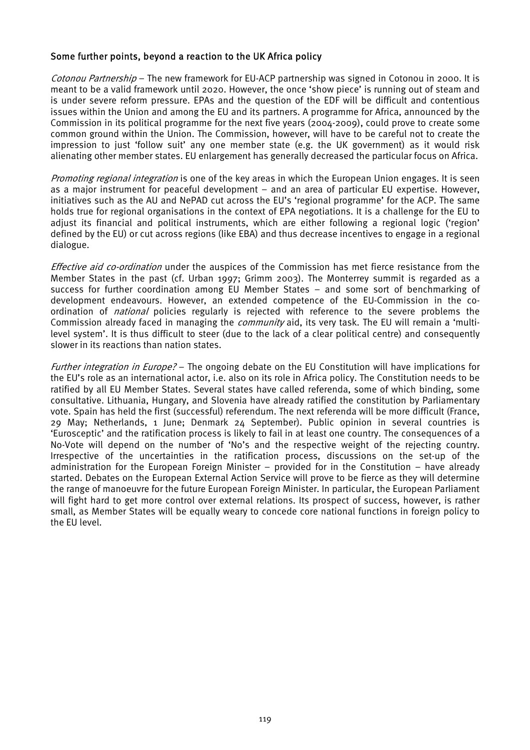## Some further points, beyond a reaction to the UK Africa policy

Cotonou Partnership – The new framework for EU-ACP partnership was signed in Cotonou in 2000. It is meant to be a valid framework until 2020. However, the once 'show piece' is running out of steam and is under severe reform pressure. EPAs and the question of the EDF will be difficult and contentious issues within the Union and among the EU and its partners. A programme for Africa, announced by the Commission in its political programme for the next five years (2004-2009), could prove to create some common ground within the Union. The Commission, however, will have to be careful not to create the impression to just 'follow suit' any one member state (e.g. the UK government) as it would risk alienating other member states. EU enlargement has generally decreased the particular focus on Africa.

Promoting regional integration is one of the key areas in which the European Union engages. It is seen as a major instrument for peaceful development – and an area of particular EU expertise. However, initiatives such as the AU and NePAD cut across the EU's 'regional programme' for the ACP. The same holds true for regional organisations in the context of EPA negotiations. It is a challenge for the EU to adjust its financial and political instruments, which are either following a regional logic ('region' defined by the EU) or cut across regions (like EBA) and thus decrease incentives to engage in a regional dialogue.

Effective aid co-ordination under the auspices of the Commission has met fierce resistance from the Member States in the past (cf. Urban 1997; Grimm 2003). The Monterrey summit is regarded as a success for further coordination among EU Member States – and some sort of benchmarking of development endeavours. However, an extended competence of the EU-Commission in the coordination of *national* policies regularly is rejected with reference to the severe problems the Commission already faced in managing the *community* aid, its very task. The EU will remain a 'multilevel system'. It is thus difficult to steer (due to the lack of a clear political centre) and consequently slower in its reactions than nation states.

Further integration in Europe? – The ongoing debate on the EU Constitution will have implications for the EU's role as an international actor, i.e. also on its role in Africa policy. The Constitution needs to be ratified by all EU Member States. Several states have called referenda, some of which binding, some consultative. Lithuania, Hungary, and Slovenia have already ratified the constitution by Parliamentary vote. Spain has held the first (successful) referendum. The next referenda will be more difficult (France, 29 May; Netherlands, 1 June; Denmark 24 September). Public opinion in several countries is 'Eurosceptic' and the ratification process is likely to fail in at least one country. The consequences of a No-Vote will depend on the number of 'No's and the respective weight of the rejecting country. Irrespective of the uncertainties in the ratification process, discussions on the set-up of the administration for the European Foreign Minister – provided for in the Constitution – have already started. Debates on the European External Action Service will prove to be fierce as they will determine the range of manoeuvre for the future European Foreign Minister. In particular, the European Parliament will fight hard to get more control over external relations. Its prospect of success, however, is rather small, as Member States will be equally weary to concede core national functions in foreign policy to the EU level.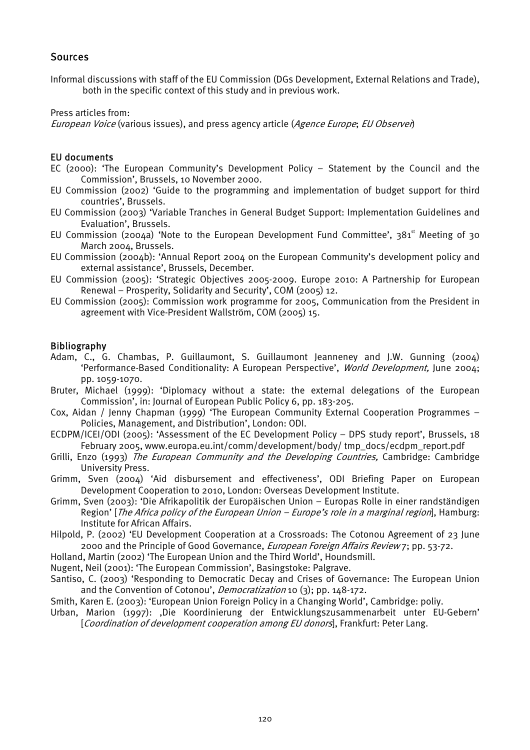## **Sources**

Informal discussions with staff of the EU Commission (DGs Development, External Relations and Trade), both in the specific context of this study and in previous work.

Press articles from:

European Voice (various issues), and press agency article (Agence Europe; EU Observen)

## EU documents

- EC (2000): 'The European Community's Development Policy Statement by the Council and the Commission', Brussels, 10 November 2000.
- EU Commission (2002) 'Guide to the programming and implementation of budget support for third countries', Brussels.
- EU Commission (2003) 'Variable Tranches in General Budget Support: Implementation Guidelines and Evaluation', Brussels.
- EU Commission (2004a) 'Note to the European Development Fund Committee',  $381<sup>st</sup>$  Meeting of 30 March 2004, Brussels.
- EU Commission (2004b): 'Annual Report 2004 on the European Community's development policy and external assistance', Brussels, December.
- EU Commission (2005): 'Strategic Objectives 2005-2009. Europe 2010: A Partnership for European Renewal – Prosperity, Solidarity and Security', COM (2005) 12.
- EU Commission (2005): Commission work programme for 2005, Communication from the President in agreement with Vice-President Wallström, COM (2005) 15.

### Bibliography

- Adam, C., G. Chambas, P. Guillaumont, S. Guillaumont Jeanneney and J.W. Gunning (2004) 'Performance-Based Conditionality: A European Perspective', World Development, June 2004; pp. 1059-1070.
- Bruter, Michael (1999): 'Diplomacy without a state: the external delegations of the European Commission', in: Journal of European Public Policy 6, pp. 183-205.
- Cox, Aidan / Jenny Chapman (1999) 'The European Community External Cooperation Programmes Policies, Management, and Distribution', London: ODI.
- ECDPM/ICEI/ODI (2005): 'Assessment of the EC Development Policy DPS study report', Brussels, 18 February 2005, www.europa.eu.int/comm/development/body/ tmp\_docs/ecdpm\_report.pdf
- Grilli, Enzo (1993) The European Community and the Developing Countries, Cambridge: Cambridge University Press.
- Grimm, Sven (2004) 'Aid disbursement and effectiveness', ODI Briefing Paper on European Development Cooperation to 2010, London: Overseas Development Institute.
- Grimm, Sven (2003): 'Die Afrikapolitik der Europäischen Union Europas Rolle in einer randständigen Region' [The Africa policy of the European Union – Europe's role in a marginal region, Hamburg: Institute for African Affairs.
- Hilpold, P. (2002) 'EU Development Cooperation at a Crossroads: The Cotonou Agreement of 23 June 2000 and the Principle of Good Governance, *European Foreign Affairs Review* 7; pp. 53-72.
- Holland, Martin (2002) 'The European Union and the Third World', Houndsmill.
- Nugent, Neil (2001): 'The European Commission', Basingstoke: Palgrave.
- Santiso, C. (2003) 'Responding to Democratic Decay and Crises of Governance: The European Union and the Convention of Cotonou', *Democratization* 10 (3): pp. 148-172.
- Smith, Karen E. (2003): 'European Union Foreign Policy in a Changing World', Cambridge: poliy.
- Urban, Marion (1997): 'Die Koordinierung der Entwicklungszusammenarbeit unter EU-Gebern' [Coordination of development cooperation among EU donors], Frankfurt: Peter Lang.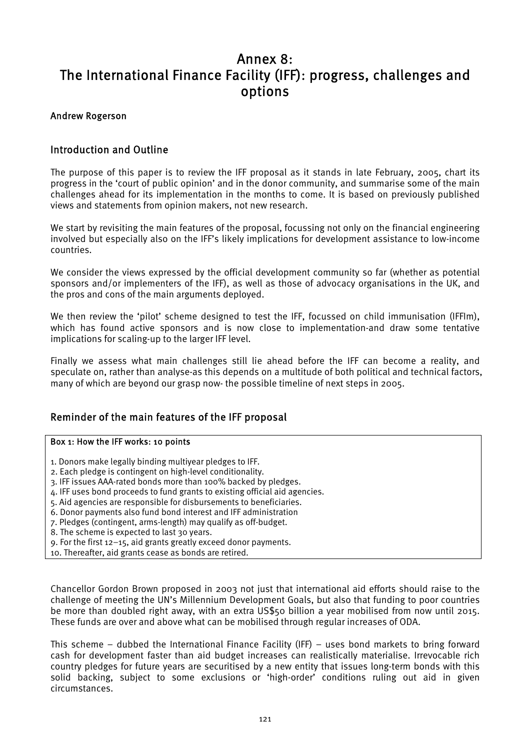# Annex 8: The International Finance Facility (IFF): progress, challenges and options

### Andrew Rogerson

## Introduction and Outline

The purpose of this paper is to review the IFF proposal as it stands in late February, 2005, chart its progress in the 'court of public opinion' and in the donor community, and summarise some of the main challenges ahead for its implementation in the months to come. It is based on previously published views and statements from opinion makers, not new research.

We start by revisiting the main features of the proposal, focussing not only on the financial engineering involved but especially also on the IFF's likely implications for development assistance to low-income countries.

We consider the views expressed by the official development community so far (whether as potential sponsors and/or implementers of the IFF), as well as those of advocacy organisations in the UK, and the pros and cons of the main arguments deployed.

We then review the 'pilot' scheme designed to test the IFF, focussed on child immunisation (IFFIm), which has found active sponsors and is now close to implementation-and draw some tentative implications for scaling-up to the larger IFF level.

Finally we assess what main challenges still lie ahead before the IFF can become a reality, and speculate on, rather than analyse-as this depends on a multitude of both political and technical factors, many of which are beyond our grasp now- the possible timeline of next steps in 2005.

# Reminder of the main features of the IFF proposal

#### Box 1: How the IFF works: 10 points

- 1. Donors make legally binding multiyear pledges to IFF.
- 2. Each pledge is contingent on high-level conditionality.
- 3. IFF issues AAA-rated bonds more than 100% backed by pledges.
- 4. IFF uses bond proceeds to fund grants to existing official aid agencies.
- 5. Aid agencies are responsible for disbursements to beneficiaries.
- 6. Donor payments also fund bond interest and IFF administration
- 7. Pledges (contingent, arms-length) may qualify as off-budget.
- 8. The scheme is expected to last 30 years.
- 9. For the first 12–15, aid grants greatly exceed donor payments.

10. Thereafter, aid grants cease as bonds are retired.

Chancellor Gordon Brown proposed in 2003 not just that international aid efforts should raise to the challenge of meeting the UN's Millennium Development Goals, but also that funding to poor countries be more than doubled right away, with an extra US\$50 billion a year mobilised from now until 2015. These funds are over and above what can be mobilised through regular increases of ODA.

This scheme – dubbed the International Finance Facility (IFF) – uses bond markets to bring forward cash for development faster than aid budget increases can realistically materialise. Irrevocable rich country pledges for future years are securitised by a new entity that issues long-term bonds with this solid backing, subject to some exclusions or 'high-order' conditions ruling out aid in given circumstances.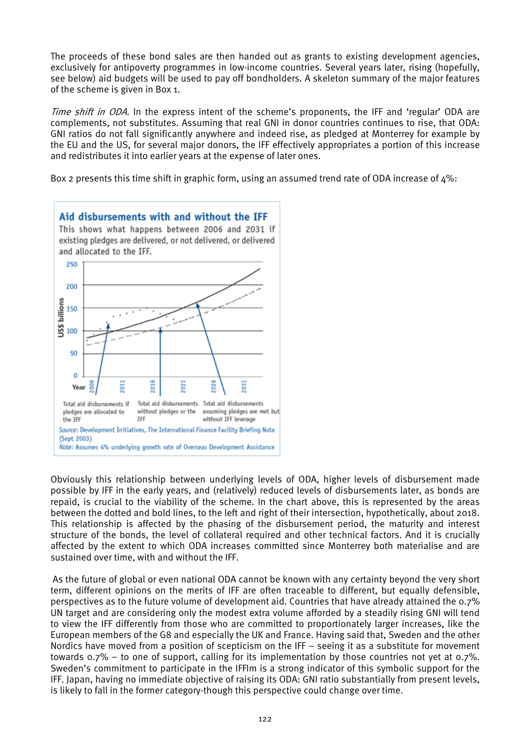The proceeds of these bond sales are then handed out as grants to existing development agencies, exclusively for antipoverty programmes in low-income countries. Several years later, rising (hopefully, see below) aid budgets will be used to pay off bondholders. A skeleton summary of the major features of the scheme is given in Box 1.

Time shift in ODA. In the express intent of the scheme's proponents, the IFF and 'regular' ODA are complements, not substitutes. Assuming that real GNI in donor countries continues to rise, that ODA: GNI ratios do not fall significantly anywhere and indeed rise, as pledged at Monterrey for example by the EU and the US, for several major donors, the IFF effectively appropriates a portion of this increase and redistributes it into earlier years at the expense of later ones.

Box 2 presents this time shift in graphic form, using an assumed trend rate of ODA increase of  $4\%$ :



Obviously this relationship between underlying levels of ODA, higher levels of disbursement made possible by IFF in the early years, and (relatively) reduced levels of disbursements later, as bonds are repaid, is crucial to the viability of the scheme. In the chart above, this is represented by the areas between the dotted and bold lines, to the left and right of their intersection, hypothetically, about 2018. This relationship is affected by the phasing of the disbursement period, the maturity and interest structure of the bonds, the level of collateral required and other technical factors. And it is crucially affected by the extent to which ODA increases committed since Monterrey both materialise and are sustained over time, with and without the IFF.

 As the future of global or even national ODA cannot be known with any certainty beyond the very short term, different opinions on the merits of IFF are often traceable to different, but equally defensible, perspectives as to the future volume of development aid. Countries that have already attained the 0.7% UN target and are considering only the modest extra volume afforded by a steadily rising GNI will tend to view the IFF differently from those who are committed to proportionately larger increases, like the European members of the G8 and especially the UK and France. Having said that, Sweden and the other Nordics have moved from a position of scepticism on the IFF – seeing it as a substitute for movement towards 0.7% – to one of support, calling for its implementation by those countries not yet at 0.7%. Sweden's commitment to participate in the IFFIm is a strong indicator of this symbolic support for the IFF. Japan, having no immediate objective of raising its ODA: GNI ratio substantially from present levels, is likely to fall in the former category-though this perspective could change over time.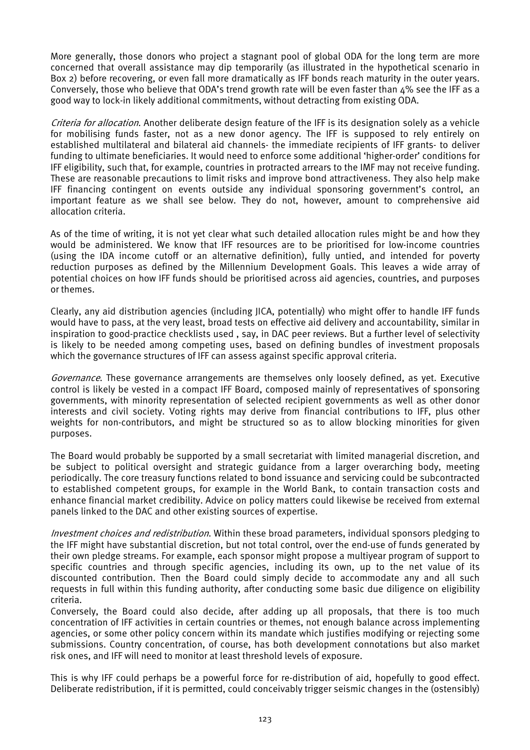More generally, those donors who project a stagnant pool of global ODA for the long term are more concerned that overall assistance may dip temporarily (as illustrated in the hypothetical scenario in Box 2) before recovering, or even fall more dramatically as IFF bonds reach maturity in the outer years. Conversely, those who believe that ODA's trend growth rate will be even faster than 4% see the IFF as a good way to lock-in likely additional commitments, without detracting from existing ODA.

Criteria for allocation. Another deliberate design feature of the IFF is its designation solely as a vehicle for mobilising funds faster, not as a new donor agency. The IFF is supposed to rely entirely on established multilateral and bilateral aid channels- the immediate recipients of IFF grants- to deliver funding to ultimate beneficiaries. It would need to enforce some additional 'higher-order' conditions for IFF eligibility, such that, for example, countries in protracted arrears to the IMF may not receive funding. These are reasonable precautions to limit risks and improve bond attractiveness. They also help make IFF financing contingent on events outside any individual sponsoring government's control, an important feature as we shall see below. They do not, however, amount to comprehensive aid allocation criteria.

As of the time of writing, it is not yet clear what such detailed allocation rules might be and how they would be administered. We know that IFF resources are to be prioritised for low-income countries (using the IDA income cutoff or an alternative definition), fully untied, and intended for poverty reduction purposes as defined by the Millennium Development Goals. This leaves a wide array of potential choices on how IFF funds should be prioritised across aid agencies, countries, and purposes or themes.

Clearly, any aid distribution agencies (including JICA, potentially) who might offer to handle IFF funds would have to pass, at the very least, broad tests on effective aid delivery and accountability, similar in inspiration to good-practice checklists used , say, in DAC peer reviews. But a further level of selectivity is likely to be needed among competing uses, based on defining bundles of investment proposals which the governance structures of IFF can assess against specific approval criteria.

Governance. These governance arrangements are themselves only loosely defined, as yet. Executive control is likely be vested in a compact IFF Board, composed mainly of representatives of sponsoring governments, with minority representation of selected recipient governments as well as other donor interests and civil society. Voting rights may derive from financial contributions to IFF, plus other weights for non-contributors, and might be structured so as to allow blocking minorities for given purposes.

The Board would probably be supported by a small secretariat with limited managerial discretion, and be subject to political oversight and strategic guidance from a larger overarching body, meeting periodically. The core treasury functions related to bond issuance and servicing could be subcontracted to established competent groups, for example in the World Bank, to contain transaction costs and enhance financial market credibility. Advice on policy matters could likewise be received from external panels linked to the DAC and other existing sources of expertise.

Investment choices and redistribution. Within these broad parameters, individual sponsors pledging to the IFF might have substantial discretion, but not total control, over the end-use of funds generated by their own pledge streams. For example, each sponsor might propose a multiyear program of support to specific countries and through specific agencies, including its own, up to the net value of its discounted contribution. Then the Board could simply decide to accommodate any and all such requests in full within this funding authority, after conducting some basic due diligence on eligibility criteria.

Conversely, the Board could also decide, after adding up all proposals, that there is too much concentration of IFF activities in certain countries or themes, not enough balance across implementing agencies, or some other policy concern within its mandate which justifies modifying or rejecting some submissions. Country concentration, of course, has both development connotations but also market risk ones, and IFF will need to monitor at least threshold levels of exposure.

This is why IFF could perhaps be a powerful force for re-distribution of aid, hopefully to good effect. Deliberate redistribution, if it is permitted, could conceivably trigger seismic changes in the (ostensibly)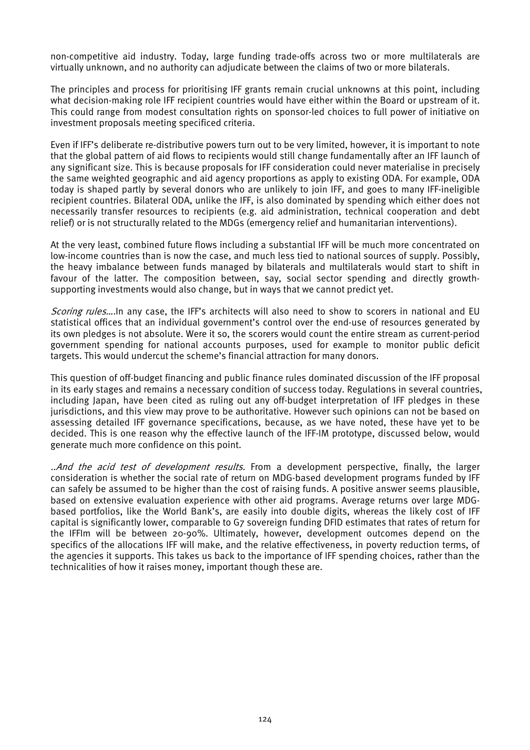non-competitive aid industry. Today, large funding trade-offs across two or more multilaterals are virtually unknown, and no authority can adjudicate between the claims of two or more bilaterals.

The principles and process for prioritising IFF grants remain crucial unknowns at this point, including what decision-making role IFF recipient countries would have either within the Board or upstream of it. This could range from modest consultation rights on sponsor-led choices to full power of initiative on investment proposals meeting specificed criteria.

Even if IFF's deliberate re-distributive powers turn out to be very limited, however, it is important to note that the global pattern of aid flows to recipients would still change fundamentally after an IFF launch of any significant size. This is because proposals for IFF consideration could never materialise in precisely the same weighted geographic and aid agency proportions as apply to existing ODA. For example, ODA today is shaped partly by several donors who are unlikely to join IFF, and goes to many IFF-ineligible recipient countries. Bilateral ODA, unlike the IFF, is also dominated by spending which either does not necessarily transfer resources to recipients (e.g. aid administration, technical cooperation and debt relief) or is not structurally related to the MDGs (emergency relief and humanitarian interventions).

At the very least, combined future flows including a substantial IFF will be much more concentrated on low-income countries than is now the case, and much less tied to national sources of supply. Possibly, the heavy imbalance between funds managed by bilaterals and multilaterals would start to shift in favour of the latter. The composition between, say, social sector spending and directly growthsupporting investments would also change, but in ways that we cannot predict yet.

Scoring rules....In any case, the IFF's architects will also need to show to scorers in national and EU statistical offices that an individual government's control over the end-use of resources generated by its own pledges is not absolute. Were it so, the scorers would count the entire stream as current-period government spending for national accounts purposes, used for example to monitor public deficit targets. This would undercut the scheme's financial attraction for many donors.

This question of off-budget financing and public finance rules dominated discussion of the IFF proposal in its early stages and remains a necessary condition of success today. Regulations in several countries, including Japan, have been cited as ruling out any off-budget interpretation of IFF pledges in these jurisdictions, and this view may prove to be authoritative. However such opinions can not be based on assessing detailed IFF governance specifications, because, as we have noted, these have yet to be decided. This is one reason why the effective launch of the IFF-IM prototype, discussed below, would generate much more confidence on this point.

..And the acid test of development results. From a development perspective, finally, the larger consideration is whether the social rate of return on MDG-based development programs funded by IFF can safely be assumed to be higher than the cost of raising funds. A positive answer seems plausible, based on extensive evaluation experience with other aid programs. Average returns over large MDGbased portfolios, like the World Bank's, are easily into double digits, whereas the likely cost of IFF capital is significantly lower, comparable to G7 sovereign funding DFID estimates that rates of return for the IFFIm will be between 20-90%. Ultimately, however, development outcomes depend on the specifics of the allocations IFF will make, and the relative effectiveness, in poverty reduction terms, of the agencies it supports. This takes us back to the importance of IFF spending choices, rather than the technicalities of how it raises money, important though these are.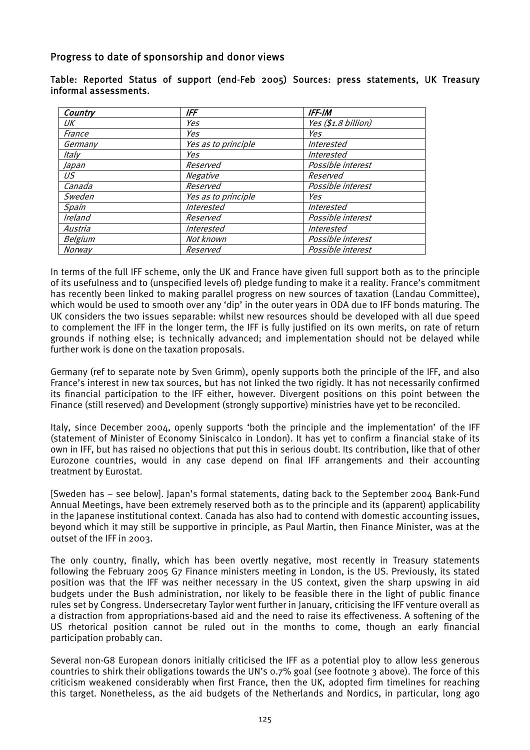## Progress to date of sponsorship and donor views

| Country | <b>IFF</b>          | IFF-IM              |
|---------|---------------------|---------------------|
| UK      | Yes                 | Yes (\$1.8 billion) |
| France  | Yes                 | Yes                 |
| Germany | Yes as to principle | Interested          |
| Italy   | Yes                 | <b>Interested</b>   |
| Japan   | Reserved            | Possible interest   |
| US      | Negative            | Reserved            |
| Canada  | Reserved            | Possible interest   |
| Sweden  | Yes as to principle | Yes                 |
| Spain   | <b>Interested</b>   | Interested          |
| Ireland | Reserved            | Possible interest   |
| Austria | <b>Interested</b>   | <b>Interested</b>   |
| Belgium | Not known           | Possible interest   |
| Norway  | Reserved            | Possible interest   |

Table: Reported Status of support (end-Feb 2005) Sources: press statements, UK Treasury informal assessments.

In terms of the full IFF scheme, only the UK and France have given full support both as to the principle of its usefulness and to (unspecified levels of) pledge funding to make it a reality. France's commitment has recently been linked to making parallel progress on new sources of taxation (Landau Committee), which would be used to smooth over any 'dip' in the outer years in ODA due to IFF bonds maturing. The UK considers the two issues separable: whilst new resources should be developed with all due speed to complement the IFF in the longer term, the IFF is fully justified on its own merits, on rate of return grounds if nothing else; is technically advanced; and implementation should not be delayed while further work is done on the taxation proposals.

Germany (ref to separate note by Sven Grimm), openly supports both the principle of the IFF, and also France's interest in new tax sources, but has not linked the two rigidly. It has not necessarily confirmed its financial participation to the IFF either, however. Divergent positions on this point between the Finance (still reserved) and Development (strongly supportive) ministries have yet to be reconciled.

Italy, since December 2004, openly supports 'both the principle and the implementation' of the IFF (statement of Minister of Economy Siniscalco in London). It has yet to confirm a financial stake of its own in IFF, but has raised no objections that put this in serious doubt. Its contribution, like that of other Eurozone countries, would in any case depend on final IFF arrangements and their accounting treatment by Eurostat.

[Sweden has – see below]. Japan's formal statements, dating back to the September 2004 Bank-Fund Annual Meetings, have been extremely reserved both as to the principle and its (apparent) applicability in the Japanese institutional context. Canada has also had to contend with domestic accounting issues, beyond which it may still be supportive in principle, as Paul Martin, then Finance Minister, was at the outset of the IFF in 2003.

The only country, finally, which has been overtly negative, most recently in Treasury statements following the February 2005 G7 Finance ministers meeting in London, is the US. Previously, its stated position was that the IFF was neither necessary in the US context, given the sharp upswing in aid budgets under the Bush administration, nor likely to be feasible there in the light of public finance rules set by Congress. Undersecretary Taylor went further in January, criticising the IFF venture overall as a distraction from appropriations-based aid and the need to raise its effectiveness. A softening of the US rhetorical position cannot be ruled out in the months to come, though an early financial participation probably can.

Several non-G8 European donors initially criticised the IFF as a potential ploy to allow less generous countries to shirk their obligations towards the UN's 0.7% goal (see footnote 3 above). The force of this criticism weakened considerably when first France, then the UK, adopted firm timelines for reaching this target. Nonetheless, as the aid budgets of the Netherlands and Nordics, in particular, long ago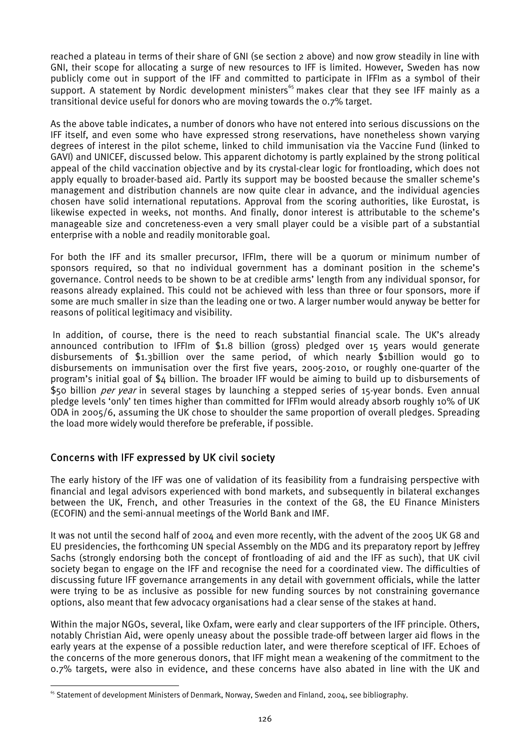reached a plateau in terms of their share of GNI (se section 2 above) and now grow steadily in line with GNI, their scope for allocating a surge of new resources to IFF is limited. However, Sweden has now publicly come out in support of the IFF and committed to participate in IFFIm as a symbol of their support. A statement by Nordic development ministers<sup>65</sup> makes clear that they see IFF mainly as a transitional device useful for donors who are moving towards the 0.7% target.

As the above table indicates, a number of donors who have not entered into serious discussions on the IFF itself, and even some who have expressed strong reservations, have nonetheless shown varying degrees of interest in the pilot scheme, linked to child immunisation via the Vaccine Fund (linked to GAVI) and UNICEF, discussed below. This apparent dichotomy is partly explained by the strong political appeal of the child vaccination objective and by its crystal-clear logic for frontloading, which does not apply equally to broader-based aid. Partly its support may be boosted because the smaller scheme's management and distribution channels are now quite clear in advance, and the individual agencies chosen have solid international reputations. Approval from the scoring authorities, like Eurostat, is likewise expected in weeks, not months. And finally, donor interest is attributable to the scheme's manageable size and concreteness-even a very small player could be a visible part of a substantial enterprise with a noble and readily monitorable goal.

For both the IFF and its smaller precursor, IFFIm, there will be a quorum or minimum number of sponsors required, so that no individual government has a dominant position in the scheme's governance. Control needs to be shown to be at credible arms' length from any individual sponsor, for reasons already explained. This could not be achieved with less than three or four sponsors, more if some are much smaller in size than the leading one or two. A larger number would anyway be better for reasons of political legitimacy and visibility.

 In addition, of course, there is the need to reach substantial financial scale. The UK's already announced contribution to IFFIm of \$1.8 billion (gross) pledged over 15 years would generate disbursements of \$1.3billion over the same period, of which nearly \$1billion would go to disbursements on immunisation over the first five years, 2005-2010, or roughly one-quarter of the program's initial goal of \$4 billion. The broader IFF would be aiming to build up to disbursements of \$50 billion *per year* in several stages by launching a stepped series of 15-year bonds. Even annual pledge levels 'only' ten times higher than committed for IFFIm would already absorb roughly 10% of UK ODA in 2005/6, assuming the UK chose to shoulder the same proportion of overall pledges. Spreading the load more widely would therefore be preferable, if possible.

# Concerns with IFF expressed by UK civil society

The early history of the IFF was one of validation of its feasibility from a fundraising perspective with financial and legal advisors experienced with bond markets, and subsequently in bilateral exchanges between the UK, French, and other Treasuries in the context of the G8, the EU Finance Ministers (ECOFIN) and the semi-annual meetings of the World Bank and IMF.

It was not until the second half of 2004 and even more recently, with the advent of the 2005 UK G8 and EU presidencies, the forthcoming UN special Assembly on the MDG and its preparatory report by Jeffrey Sachs (strongly endorsing both the concept of frontloading of aid and the IFF as such), that UK civil society began to engage on the IFF and recognise the need for a coordinated view. The difficulties of discussing future IFF governance arrangements in any detail with government officials, while the latter were trying to be as inclusive as possible for new funding sources by not constraining governance options, also meant that few advocacy organisations had a clear sense of the stakes at hand.

Within the major NGOs, several, like Oxfam, were early and clear supporters of the IFF principle. Others, notably Christian Aid, were openly uneasy about the possible trade-off between larger aid flows in the early years at the expense of a possible reduction later, and were therefore sceptical of IFF. Echoes of the concerns of the more generous donors, that IFF might mean a weakening of the commitment to the 0.7% targets, were also in evidence, and these concerns have also abated in line with the UK and

 $\overline{a}$  $65$  Statement of development Ministers of Denmark, Norway, Sweden and Finland, 2004, see bibliography.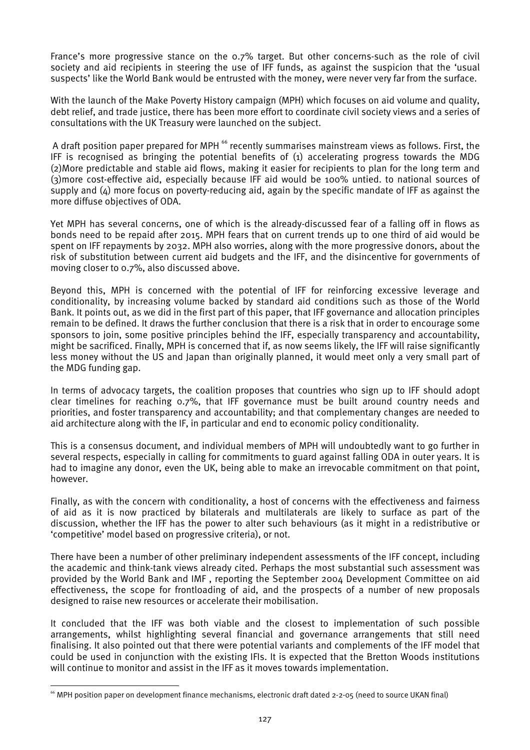France's more progressive stance on the 0.7% target. But other concerns-such as the role of civil society and aid recipients in steering the use of IFF funds, as against the suspicion that the 'usual suspects' like the World Bank would be entrusted with the money, were never very far from the surface.

With the launch of the Make Poverty History campaign (MPH) which focuses on aid volume and quality, debt relief, and trade justice, there has been more effort to coordinate civil society views and a series of consultations with the UK Treasury were launched on the subject.

A draft position paper prepared for MPH<sup>66</sup> recently summarises mainstream views as follows. First, the IFF is recognised as bringing the potential benefits of (1) accelerating progress towards the MDG (2)More predictable and stable aid flows, making it easier for recipients to plan for the long term and (3)more cost-effective aid, especially because IFF aid would be 100% untied. to national sources of supply and  $(4)$  more focus on poverty-reducing aid, again by the specific mandate of IFF as against the more diffuse objectives of ODA.

Yet MPH has several concerns, one of which is the already-discussed fear of a falling off in flows as bonds need to be repaid after 2015. MPH fears that on current trends up to one third of aid would be spent on IFF repayments by 2032. MPH also worries, along with the more progressive donors, about the risk of substitution between current aid budgets and the IFF, and the disincentive for governments of moving closer to 0.7%, also discussed above.

Beyond this, MPH is concerned with the potential of IFF for reinforcing excessive leverage and conditionality, by increasing volume backed by standard aid conditions such as those of the World Bank. It points out, as we did in the first part of this paper, that IFF governance and allocation principles remain to be defined. It draws the further conclusion that there is a risk that in order to encourage some sponsors to join, some positive principles behind the IFF, especially transparency and accountability, might be sacrificed. Finally, MPH is concerned that if, as now seems likely, the IFF will raise significantly less money without the US and Japan than originally planned, it would meet only a very small part of the MDG funding gap.

In terms of advocacy targets, the coalition proposes that countries who sign up to IFF should adopt clear timelines for reaching 0.7%, that IFF governance must be built around country needs and priorities, and foster transparency and accountability; and that complementary changes are needed to aid architecture along with the IF, in particular and end to economic policy conditionality.

This is a consensus document, and individual members of MPH will undoubtedly want to go further in several respects, especially in calling for commitments to guard against falling ODA in outer years. It is had to imagine any donor, even the UK, being able to make an irrevocable commitment on that point, however.

Finally, as with the concern with conditionality, a host of concerns with the effectiveness and fairness of aid as it is now practiced by bilaterals and multilaterals are likely to surface as part of the discussion, whether the IFF has the power to alter such behaviours (as it might in a redistributive or 'competitive' model based on progressive criteria), or not.

There have been a number of other preliminary independent assessments of the IFF concept, including the academic and think-tank views already cited. Perhaps the most substantial such assessment was provided by the World Bank and IMF , reporting the September 2004 Development Committee on aid effectiveness, the scope for frontloading of aid, and the prospects of a number of new proposals designed to raise new resources or accelerate their mobilisation.

It concluded that the IFF was both viable and the closest to implementation of such possible arrangements, whilst highlighting several financial and governance arrangements that still need finalising. It also pointed out that there were potential variants and complements of the IFF model that could be used in conjunction with the existing IFIs. It is expected that the Bretton Woods institutions will continue to monitor and assist in the IFF as it moves towards implementation.

 $\overline{a}$ <sup>66</sup> MPH position paper on development finance mechanisms, electronic draft dated 2-2-05 (need to source UKAN final)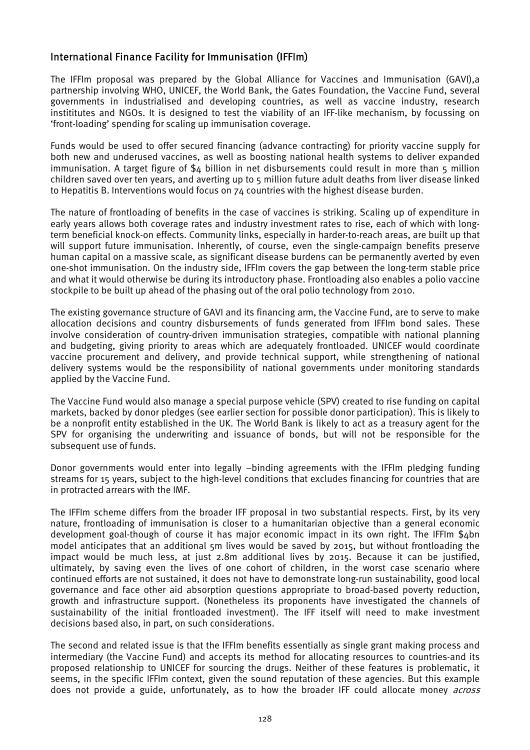## International Finance Facility for Immunisation (IFFIm)

The IFFIm proposal was prepared by the Global Alliance for Vaccines and Immunisation (GAVI),a partnership involving WHO, UNICEF, the World Bank, the Gates Foundation, the Vaccine Fund, several governments in industrialised and developing countries, as well as vaccine industry, research instititutes and NGOs. It is designed to test the viability of an IFF-like mechanism, by focussing on 'front-loading' spending for scaling up immunisation coverage.

Funds would be used to offer secured financing (advance contracting) for priority vaccine supply for both new and underused vaccines, as well as boosting national health systems to deliver expanded immunisation. A target figure of \$4 billion in net disbursements could result in more than 5 million children saved over ten years, and averting up to 5 million future adult deaths from liver disease linked to Hepatitis B. Interventions would focus on 74 countries with the highest disease burden.

The nature of frontloading of benefits in the case of vaccines is striking. Scaling up of expenditure in early years allows both coverage rates and industry investment rates to rise, each of which with longterm beneficial knock-on effects. Community links, especially in harder-to-reach areas, are built up that will support future immunisation. Inherently, of course, even the single-campaign benefits preserve human capital on a massive scale, as significant disease burdens can be permanently averted by even one-shot immunisation. On the industry side, IFFIm covers the gap between the long-term stable price and what it would otherwise be during its introductory phase. Frontloading also enables a polio vaccine stockpile to be built up ahead of the phasing out of the oral polio technology from 2010.

The existing governance structure of GAVI and its financing arm, the Vaccine Fund, are to serve to make allocation decisions and country disbursements of funds generated from IFFIm bond sales. These involve consideration of country-driven immunisation strategies, compatible with national planning and budgeting, giving priority to areas which are adequately frontloaded. UNICEF would coordinate vaccine procurement and delivery, and provide technical support, while strengthening of national delivery systems would be the responsibility of national governments under monitoring standards applied by the Vaccine Fund.

The Vaccine Fund would also manage a special purpose vehicle (SPV) created to rise funding on capital markets, backed by donor pledges (see earlier section for possible donor participation). This is likely to be a nonprofit entity established in the UK. The World Bank is likely to act as a treasury agent for the SPV for organising the underwriting and issuance of bonds, but will not be responsible for the subsequent use of funds.

Donor governments would enter into legally –binding agreements with the IFFIm pledging funding streams for 15 years, subject to the high-level conditions that excludes financing for countries that are in protracted arrears with the IMF.

The IFFIm scheme differs from the broader IFF proposal in two substantial respects. First, by its very nature, frontloading of immunisation is closer to a humanitarian objective than a general economic development goal-though of course it has major economic impact in its own right. The IFFIm \$4bn model anticipates that an additional 5m lives would be saved by 2015, but without frontloading the impact would be much less, at just 2.8m additional lives by 2015. Because it can be justified, ultimately, by saving even the lives of one cohort of children, in the worst case scenario where continued efforts are not sustained, it does not have to demonstrate long-run sustainability, good local governance and face other aid absorption questions appropriate to broad-based poverty reduction, growth and infrastructure support. (Nonetheless its proponents have investigated the channels of sustainability of the initial frontloaded investment). The IFF itself will need to make investment decisions based also, in part, on such considerations.

The second and related issue is that the IFFIm benefits essentially as single grant making process and intermediary (the Vaccine Fund) and accepts its method for allocating resources to countries-and its proposed relationship to UNICEF for sourcing the drugs. Neither of these features is problematic, it seems, in the specific IFFIm context, given the sound reputation of these agencies. But this example does not provide a guide, unfortunately, as to how the broader IFF could allocate money *across*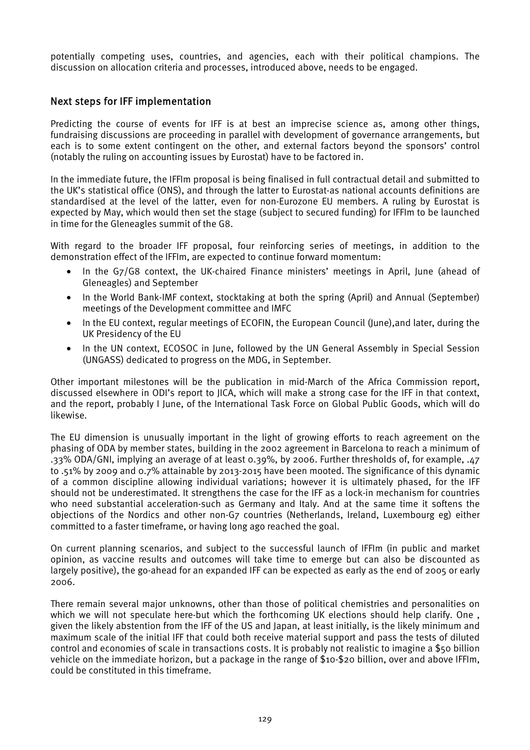potentially competing uses, countries, and agencies, each with their political champions. The discussion on allocation criteria and processes, introduced above, needs to be engaged.

## Next steps for IFF implementation

Predicting the course of events for IFF is at best an imprecise science as, among other things, fundraising discussions are proceeding in parallel with development of governance arrangements, but each is to some extent contingent on the other, and external factors beyond the sponsors' control (notably the ruling on accounting issues by Eurostat) have to be factored in.

In the immediate future, the IFFIm proposal is being finalised in full contractual detail and submitted to the UK's statistical office (ONS), and through the latter to Eurostat-as national accounts definitions are standardised at the level of the latter, even for non-Eurozone EU members. A ruling by Eurostat is expected by May, which would then set the stage (subject to secured funding) for IFFIm to be launched in time for the Gleneagles summit of the G8.

With regard to the broader IFF proposal, four reinforcing series of meetings, in addition to the demonstration effect of the IFFIm, are expected to continue forward momentum:

- In the G7/G8 context, the UK-chaired Finance ministers' meetings in April, June (ahead of Gleneagles) and September
- In the World Bank-IMF context, stocktaking at both the spring (April) and Annual (September) meetings of the Development committee and IMFC
- In the EU context, regular meetings of ECOFIN, the European Council (June),and later, during the UK Presidency of the EU
- In the UN context, ECOSOC in June, followed by the UN General Assembly in Special Session (UNGASS) dedicated to progress on the MDG, in September.

Other important milestones will be the publication in mid-March of the Africa Commission report, discussed elsewhere in ODI's report to JICA, which will make a strong case for the IFF in that context, and the report, probably I June, of the International Task Force on Global Public Goods, which will do likewise.

The EU dimension is unusually important in the light of growing efforts to reach agreement on the phasing of ODA by member states, building in the 2002 agreement in Barcelona to reach a minimum of .33% ODA/GNI, implying an average of at least 0.39%, by 2006. Further thresholds of, for example, .47 to .51% by 2009 and 0.7% attainable by 2013-2015 have been mooted. The significance of this dynamic of a common discipline allowing individual variations; however it is ultimately phased, for the IFF should not be underestimated. It strengthens the case for the IFF as a lock-in mechanism for countries who need substantial acceleration-such as Germany and Italy. And at the same time it softens the objections of the Nordics and other non-G7 countries (Netherlands, Ireland, Luxembourg eg) either committed to a faster timeframe, or having long ago reached the goal.

On current planning scenarios, and subject to the successful launch of IFFIm (in public and market opinion, as vaccine results and outcomes will take time to emerge but can also be discounted as largely positive), the go-ahead for an expanded IFF can be expected as early as the end of 2005 or early 2006.

There remain several major unknowns, other than those of political chemistries and personalities on which we will not speculate here-but which the forthcoming UK elections should help clarify. One , given the likely abstention from the IFF of the US and Japan, at least initially, is the likely minimum and maximum scale of the initial IFF that could both receive material support and pass the tests of diluted control and economies of scale in transactions costs. It is probably not realistic to imagine a \$50 billion vehicle on the immediate horizon, but a package in the range of \$10-\$20 billion, over and above IFFIm, could be constituted in this timeframe.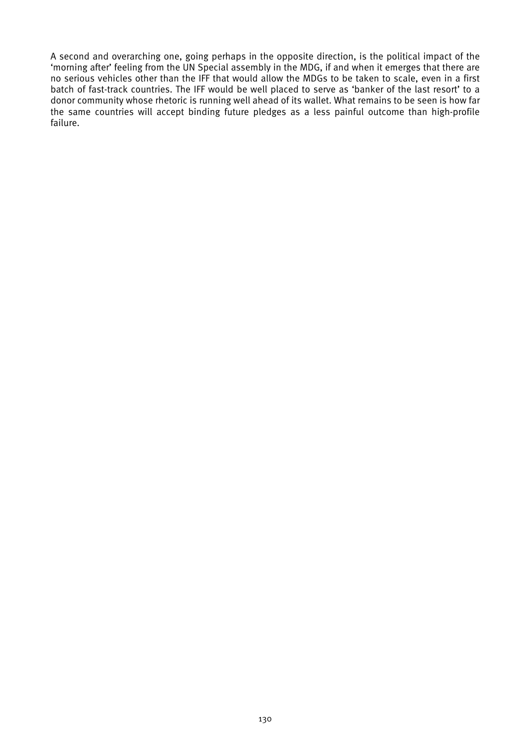A second and overarching one, going perhaps in the opposite direction, is the political impact of the 'morning after' feeling from the UN Special assembly in the MDG, if and when it emerges that there are no serious vehicles other than the IFF that would allow the MDGs to be taken to scale, even in a first batch of fast-track countries. The IFF would be well placed to serve as 'banker of the last resort' to a donor community whose rhetoric is running well ahead of its wallet. What remains to be seen is how far the same countries will accept binding future pledges as a less painful outcome than high-profile failure.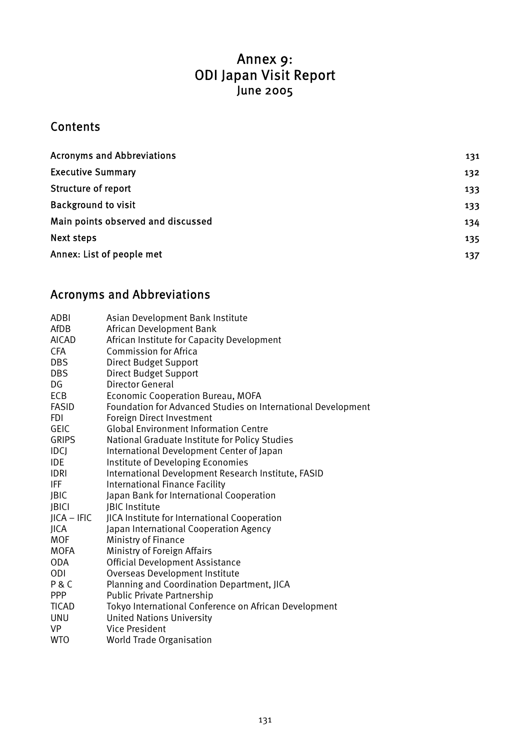# Annex 9: ODI Japan Visit Report June 2005

# **Contents**

| <b>Acronyms and Abbreviations</b>  | 131 |
|------------------------------------|-----|
| <b>Executive Summary</b>           | 132 |
| <b>Structure of report</b>         | 133 |
| <b>Background to visit</b>         | 133 |
| Main points observed and discussed | 134 |
| <b>Next steps</b>                  | 135 |
| Annex: List of people met          |     |

# Acronyms and Abbreviations

| ADBI          | Asian Development Bank Institute                             |
|---------------|--------------------------------------------------------------|
| AfDB          | African Development Bank                                     |
| <b>AICAD</b>  | African Institute for Capacity Development                   |
| <b>CFA</b>    | <b>Commission for Africa</b>                                 |
| <b>DBS</b>    | <b>Direct Budget Support</b>                                 |
| <b>DBS</b>    | Direct Budget Support                                        |
| DG            | Director General                                             |
| ECB           | Economic Cooperation Bureau, MOFA                            |
| <b>FASID</b>  | Foundation for Advanced Studies on International Development |
| <b>FDI</b>    | Foreign Direct Investment                                    |
| <b>GEIC</b>   | <b>Global Environment Information Centre</b>                 |
| <b>GRIPS</b>  | National Graduate Institute for Policy Studies               |
| <b>IDCJ</b>   | International Development Center of Japan                    |
| IDE           | Institute of Developing Economies                            |
| IDRI          | International Development Research Institute, FASID          |
| <b>IFF</b>    | <b>International Finance Facility</b>                        |
| <b>JBIC</b>   | Japan Bank for International Cooperation                     |
| <b>JBICI</b>  | <b>JBIC</b> Institute                                        |
| $JICA - IFIC$ | JICA Institute for International Cooperation                 |
| JICA          | Japan International Cooperation Agency                       |
| <b>MOF</b>    | Ministry of Finance                                          |
| <b>MOFA</b>   | Ministry of Foreign Affairs                                  |
| <b>ODA</b>    | Official Development Assistance                              |
| <b>ODI</b>    | Overseas Development Institute                               |
| P&C           | Planning and Coordination Department, JICA                   |
| <b>PPP</b>    | Public Private Partnership                                   |
| <b>TICAD</b>  | Tokyo International Conference on African Development        |
| <b>UNU</b>    | <b>United Nations University</b>                             |
| VP            | <b>Vice President</b>                                        |
| <b>WTO</b>    | <b>World Trade Organisation</b>                              |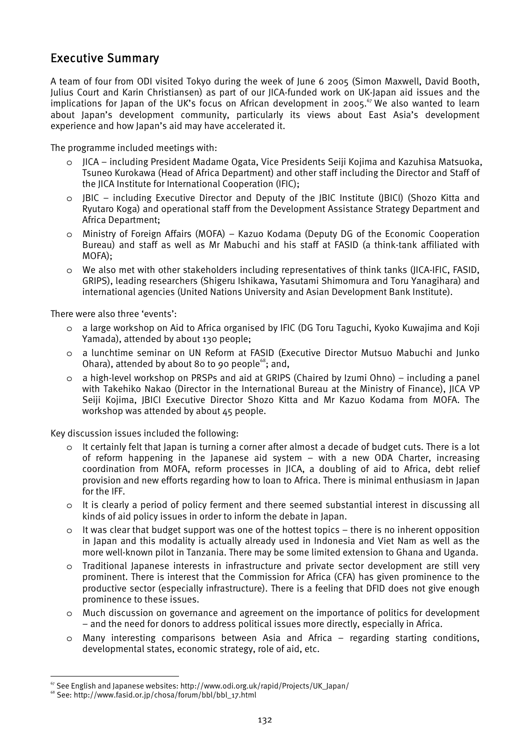# Executive Summary

A team of four from ODI visited Tokyo during the week of June 6 2005 (Simon Maxwell, David Booth, Julius Court and Karin Christiansen) as part of our JICA-funded work on UK-Japan aid issues and the implications for Japan of the UK's focus on African development in 2005.<sup> $\sigma$ </sup> We also wanted to learn about Japan's development community, particularly its views about East Asia's development experience and how Japan's aid may have accelerated it.

The programme included meetings with:

- o JICA including President Madame Ogata, Vice Presidents Seiji Kojima and Kazuhisa Matsuoka, Tsuneo Kurokawa (Head of Africa Department) and other staff including the Director and Staff of the JICA Institute for International Cooperation (IFIC);
- o JBIC including Executive Director and Deputy of the JBIC Institute (JBICI) (Shozo Kitta and Ryutaro Koga) and operational staff from the Development Assistance Strategy Department and Africa Department;
- o Ministry of Foreign Affairs (MOFA) Kazuo Kodama (Deputy DG of the Economic Cooperation Bureau) and staff as well as Mr Mabuchi and his staff at FASID (a think-tank affiliated with MOFA);
- o We also met with other stakeholders including representatives of think tanks (JICA-IFIC, FASID, GRIPS), leading researchers (Shigeru Ishikawa, Yasutami Shimomura and Toru Yanagihara) and international agencies (United Nations University and Asian Development Bank Institute).

There were also three 'events':

- o a large workshop on Aid to Africa organised by IFIC (DG Toru Taguchi, Kyoko Kuwajima and Koji Yamada), attended by about 130 people;
- o a lunchtime seminar on UN Reform at FASID (Executive Director Mutsuo Mabuchi and Junko Ohara), attended by about 80 to 90 people $^{68}$ ; and,
- o a high-level workshop on PRSPs and aid at GRIPS (Chaired by Izumi Ohno) including a panel with Takehiko Nakao (Director in the International Bureau at the Ministry of Finance), JICA VP Seiji Kojima, JBICI Executive Director Shozo Kitta and Mr Kazuo Kodama from MOFA. The workshop was attended by about 45 people.

Key discussion issues included the following:

- o It certainly felt that Japan is turning a corner after almost a decade of budget cuts. There is a lot of reform happening in the Japanese aid system – with a new ODA Charter, increasing coordination from MOFA, reform processes in JICA, a doubling of aid to Africa, debt relief provision and new efforts regarding how to loan to Africa. There is minimal enthusiasm in Japan for the IFF.
- o It is clearly a period of policy ferment and there seemed substantial interest in discussing all kinds of aid policy issues in order to inform the debate in Japan.
- $\circ$  It was clear that budget support was one of the hottest topics there is no inherent opposition in Japan and this modality is actually already used in Indonesia and Viet Nam as well as the more well-known pilot in Tanzania. There may be some limited extension to Ghana and Uganda.
- o Traditional Japanese interests in infrastructure and private sector development are still very prominent. There is interest that the Commission for Africa (CFA) has given prominence to the productive sector (especially infrastructure). There is a feeling that DFID does not give enough prominence to these issues.
- o Much discussion on governance and agreement on the importance of politics for development – and the need for donors to address political issues more directly, especially in Africa.
- o Many interesting comparisons between Asia and Africa regarding starting conditions, developmental states, economic strategy, role of aid, etc.

 $\overline{\phantom{a}}$ <sup>67</sup> See English and Japanese websites: http://www.odi.org.uk/rapid/Projects/UK\_Japan/<br><sup>68</sup> See: http://www.fasid.or.jp/chosa/forum/bbl/bbl\_17.html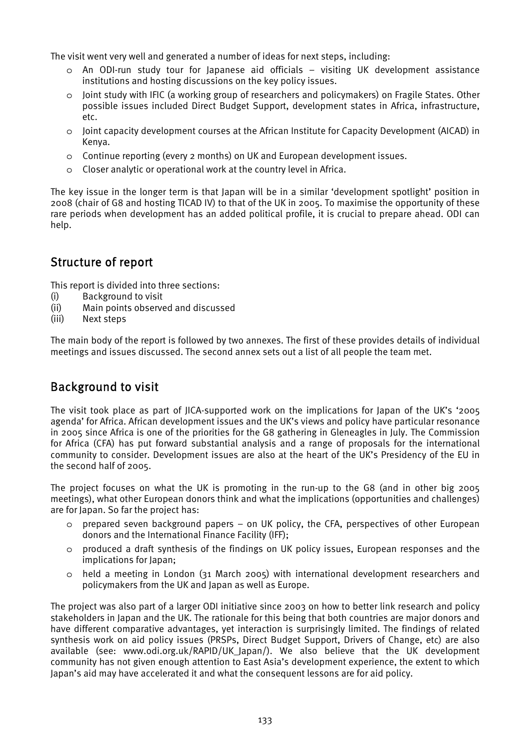The visit went very well and generated a number of ideas for next steps, including:

- o An ODI-run study tour for Japanese aid officials visiting UK development assistance institutions and hosting discussions on the key policy issues.
- o Joint study with IFIC (a working group of researchers and policymakers) on Fragile States. Other possible issues included Direct Budget Support, development states in Africa, infrastructure, etc.
- o Joint capacity development courses at the African Institute for Capacity Development (AICAD) in Kenya.
- o Continue reporting (every 2 months) on UK and European development issues.
- o Closer analytic or operational work at the country level in Africa.

The key issue in the longer term is that Japan will be in a similar 'development spotlight' position in 2008 (chair of G8 and hosting TICAD IV) to that of the UK in 2005. To maximise the opportunity of these rare periods when development has an added political profile, it is crucial to prepare ahead. ODI can help.

# Structure of report

This report is divided into three sections:

- (i) Background to visit
- (ii) Main points observed and discussed
- (iii) Next steps

The main body of the report is followed by two annexes. The first of these provides details of individual meetings and issues discussed. The second annex sets out a list of all people the team met.

# Background to visit

The visit took place as part of JICA-supported work on the implications for Japan of the UK's '2005 agenda' for Africa. African development issues and the UK's views and policy have particular resonance in 2005 since Africa is one of the priorities for the G8 gathering in Gleneagles in July. The Commission for Africa (CFA) has put forward substantial analysis and a range of proposals for the international community to consider. Development issues are also at the heart of the UK's Presidency of the EU in the second half of 2005.

The project focuses on what the UK is promoting in the run-up to the G8 (and in other big 2005 meetings), what other European donors think and what the implications (opportunities and challenges) are for Japan. So far the project has:

- o prepared seven background papers on UK policy, the CFA, perspectives of other European donors and the International Finance Facility (IFF);
- o produced a draft synthesis of the findings on UK policy issues, European responses and the implications for Japan;
- o held a meeting in London (31 March 2005) with international development researchers and policymakers from the UK and Japan as well as Europe.

The project was also part of a larger ODI initiative since 2003 on how to better link research and policy stakeholders in Japan and the UK. The rationale for this being that both countries are major donors and have different comparative advantages, yet interaction is surprisingly limited. The findings of related synthesis work on aid policy issues (PRSPs, Direct Budget Support, Drivers of Change, etc) are also available (see: www.odi.org.uk/RAPID/UK\_Japan/). We also believe that the UK development community has not given enough attention to East Asia's development experience, the extent to which Japan's aid may have accelerated it and what the consequent lessons are for aid policy.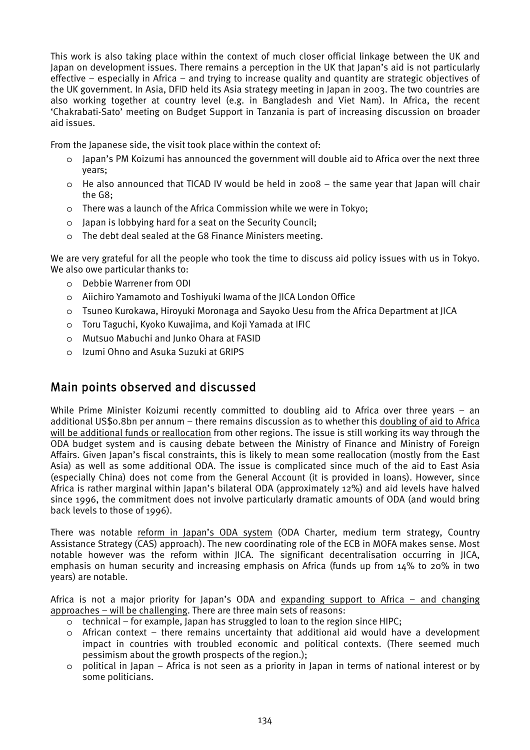This work is also taking place within the context of much closer official linkage between the UK and Japan on development issues. There remains a perception in the UK that Japan's aid is not particularly effective – especially in Africa – and trying to increase quality and quantity are strategic objectives of the UK government. In Asia, DFID held its Asia strategy meeting in Japan in 2003. The two countries are also working together at country level (e.g. in Bangladesh and Viet Nam). In Africa, the recent 'Chakrabati-Sato' meeting on Budget Support in Tanzania is part of increasing discussion on broader aid issues.

From the Japanese side, the visit took place within the context of:

- o Japan's PM Koizumi has announced the government will double aid to Africa over the next three years;
- o He also announced that TICAD IV would be held in 2008 the same year that Japan will chair the G8;
- o There was a launch of the Africa Commission while we were in Tokyo;
- o Japan is lobbying hard for a seat on the Security Council;
- o The debt deal sealed at the G8 Finance Ministers meeting.

We are very grateful for all the people who took the time to discuss aid policy issues with us in Tokyo. We also owe particular thanks to:

- o Debbie Warrener from ODI
- o Aiichiro Yamamoto and Toshiyuki Iwama of the JICA London Office
- o Tsuneo Kurokawa, Hiroyuki Moronaga and Sayoko Uesu from the Africa Department at JICA
- o Toru Taguchi, Kyoko Kuwajima, and Koji Yamada at IFIC
- o Mutsuo Mabuchi and Junko Ohara at FASID
- o Izumi Ohno and Asuka Suzuki at GRIPS

# Main points observed and discussed

While Prime Minister Koizumi recently committed to doubling aid to Africa over three years – an additional US\$0.8bn per annum – there remains discussion as to whether this doubling of aid to Africa will be additional funds or reallocation from other regions. The issue is still working its way through the ODA budget system and is causing debate between the Ministry of Finance and Ministry of Foreign Affairs. Given Japan's fiscal constraints, this is likely to mean some reallocation (mostly from the East Asia) as well as some additional ODA. The issue is complicated since much of the aid to East Asia (especially China) does not come from the General Account (it is provided in loans). However, since Africa is rather marginal within Japan's bilateral ODA (approximately 12%) and aid levels have halved since 1996, the commitment does not involve particularly dramatic amounts of ODA (and would bring back levels to those of 1996).

There was notable reform in Japan's ODA system (ODA Charter, medium term strategy, Country Assistance Strategy (CAS) approach). The new coordinating role of the ECB in MOFA makes sense. Most notable however was the reform within JICA. The significant decentralisation occurring in JICA, emphasis on human security and increasing emphasis on Africa (funds up from 14% to 20% in two years) are notable.

Africa is not a major priority for Japan's ODA and expanding support to Africa – and changing approaches – will be challenging. There are three main sets of reasons:

- o technical for example, Japan has struggled to loan to the region since HIPC;
- o African context there remains uncertainty that additional aid would have a development impact in countries with troubled economic and political contexts. (There seemed much pessimism about the growth prospects of the region.);
- o political in Japan Africa is not seen as a priority in Japan in terms of national interest or by some politicians.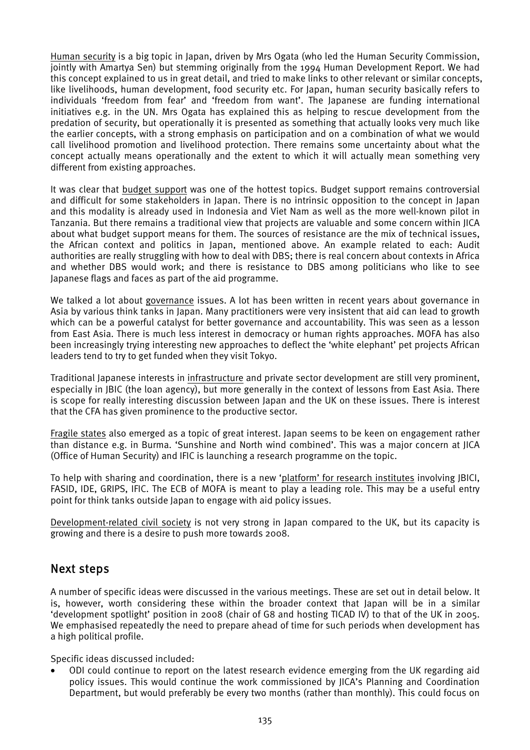Human security is a big topic in Japan, driven by Mrs Ogata (who led the Human Security Commission, jointly with Amartya Sen) but stemming originally from the 1994 Human Development Report. We had this concept explained to us in great detail, and tried to make links to other relevant or similar concepts, like livelihoods, human development, food security etc. For Japan, human security basically refers to individuals 'freedom from fear' and 'freedom from want'. The Japanese are funding international initiatives e.g. in the UN. Mrs Ogata has explained this as helping to rescue development from the predation of security, but operationally it is presented as something that actually looks very much like the earlier concepts, with a strong emphasis on participation and on a combination of what we would call livelihood promotion and livelihood protection. There remains some uncertainty about what the concept actually means operationally and the extent to which it will actually mean something very different from existing approaches.

It was clear that budget support was one of the hottest topics. Budget support remains controversial and difficult for some stakeholders in Japan. There is no intrinsic opposition to the concept in Japan and this modality is already used in Indonesia and Viet Nam as well as the more well-known pilot in Tanzania. But there remains a traditional view that projects are valuable and some concern within JICA about what budget support means for them. The sources of resistance are the mix of technical issues, the African context and politics in Japan, mentioned above. An example related to each: Audit authorities are really struggling with how to deal with DBS; there is real concern about contexts in Africa and whether DBS would work; and there is resistance to DBS among politicians who like to see Japanese flags and faces as part of the aid programme.

We talked a lot about governance issues. A lot has been written in recent years about governance in Asia by various think tanks in Japan. Many practitioners were very insistent that aid can lead to growth which can be a powerful catalyst for better governance and accountability. This was seen as a lesson from East Asia. There is much less interest in democracy or human rights approaches. MOFA has also been increasingly trying interesting new approaches to deflect the 'white elephant' pet projects African leaders tend to try to get funded when they visit Tokyo.

Traditional Japanese interests in infrastructure and private sector development are still very prominent, especially in JBIC (the loan agency), but more generally in the context of lessons from East Asia. There is scope for really interesting discussion between Japan and the UK on these issues. There is interest that the CFA has given prominence to the productive sector.

Fragile states also emerged as a topic of great interest. Japan seems to be keen on engagement rather than distance e.g. in Burma. 'Sunshine and North wind combined'. This was a major concern at JICA (Office of Human Security) and IFIC is launching a research programme on the topic.

To help with sharing and coordination, there is a new 'platform' for research institutes involving JBICI, FASID, IDE, GRIPS, IFIC. The ECB of MOFA is meant to play a leading role. This may be a useful entry point for think tanks outside Japan to engage with aid policy issues.

Development-related civil society is not very strong in Japan compared to the UK, but its capacity is growing and there is a desire to push more towards 2008.

## Next steps

A number of specific ideas were discussed in the various meetings. These are set out in detail below. It is, however, worth considering these within the broader context that Japan will be in a similar 'development spotlight' position in 2008 (chair of G8 and hosting TICAD IV) to that of the UK in 2005. We emphasised repeatedly the need to prepare ahead of time for such periods when development has a high political profile.

Specific ideas discussed included:

• ODI could continue to report on the latest research evidence emerging from the UK regarding aid policy issues. This would continue the work commissioned by JICA's Planning and Coordination Department, but would preferably be every two months (rather than monthly). This could focus on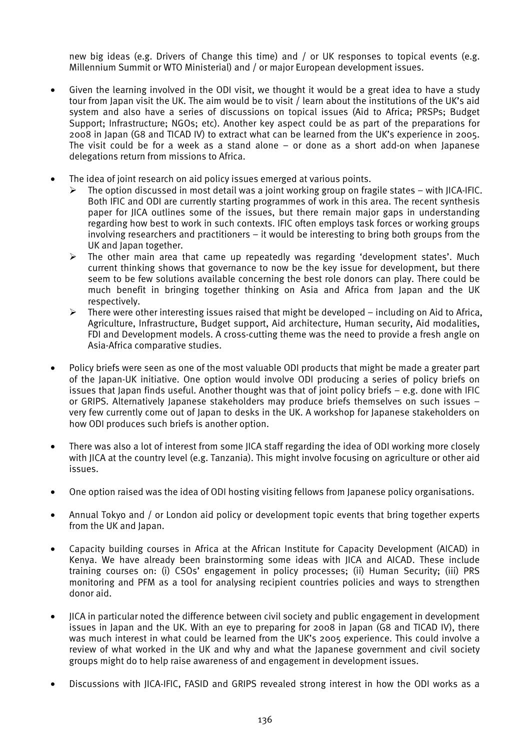new big ideas (e.g. Drivers of Change this time) and / or UK responses to topical events (e.g. Millennium Summit or WTO Ministerial) and / or major European development issues.

- Given the learning involved in the ODI visit, we thought it would be a great idea to have a study tour from Japan visit the UK. The aim would be to visit / learn about the institutions of the UK's aid system and also have a series of discussions on topical issues (Aid to Africa; PRSPs; Budget Support; Infrastructure; NGOs; etc). Another key aspect could be as part of the preparations for 2008 in Japan (G8 and TICAD IV) to extract what can be learned from the UK's experience in 2005. The visit could be for a week as a stand alone  $-$  or done as a short add-on when Japanese delegations return from missions to Africa.
- The idea of joint research on aid policy issues emerged at various points.
	- The option discussed in most detail was a joint working group on fragile states with JICA-IFIC. Both IFIC and ODI are currently starting programmes of work in this area. The recent synthesis paper for JICA outlines some of the issues, but there remain major gaps in understanding regarding how best to work in such contexts. IFIC often employs task forces or working groups involving researchers and practitioners – it would be interesting to bring both groups from the UK and Japan together.
	- $\triangleright$  The other main area that came up repeatedly was regarding 'development states'. Much current thinking shows that governance to now be the key issue for development, but there seem to be few solutions available concerning the best role donors can play. There could be much benefit in bringing together thinking on Asia and Africa from Japan and the UK respectively.
	- There were other interesting issues raised that might be developed  $-$  including on Aid to Africa, Agriculture, Infrastructure, Budget support, Aid architecture, Human security, Aid modalities, FDI and Development models. A cross-cutting theme was the need to provide a fresh angle on Asia-Africa comparative studies.
- Policy briefs were seen as one of the most valuable ODI products that might be made a greater part of the Japan-UK initiative. One option would involve ODI producing a series of policy briefs on issues that Japan finds useful. Another thought was that of joint policy briefs – e.g. done with IFIC or GRIPS. Alternatively Japanese stakeholders may produce briefs themselves on such issues – very few currently come out of Japan to desks in the UK. A workshop for Japanese stakeholders on how ODI produces such briefs is another option.
- There was also a lot of interest from some JICA staff regarding the idea of ODI working more closely with JICA at the country level (e.g. Tanzania). This might involve focusing on agriculture or other aid issues.
- One option raised was the idea of ODI hosting visiting fellows from Japanese policy organisations.
- Annual Tokyo and / or London aid policy or development topic events that bring together experts from the UK and Japan.
- Capacity building courses in Africa at the African Institute for Capacity Development (AICAD) in Kenya. We have already been brainstorming some ideas with JICA and AICAD. These include training courses on: (i) CSOs' engagement in policy processes; (ii) Human Security; (iii) PRS monitoring and PFM as a tool for analysing recipient countries policies and ways to strengthen donor aid.
- JICA in particular noted the difference between civil society and public engagement in development issues in Japan and the UK. With an eye to preparing for 2008 in Japan (G8 and TICAD IV), there was much interest in what could be learned from the UK's 2005 experience. This could involve a review of what worked in the UK and why and what the Japanese government and civil society groups might do to help raise awareness of and engagement in development issues.
- Discussions with JICA-IFIC, FASID and GRIPS revealed strong interest in how the ODI works as a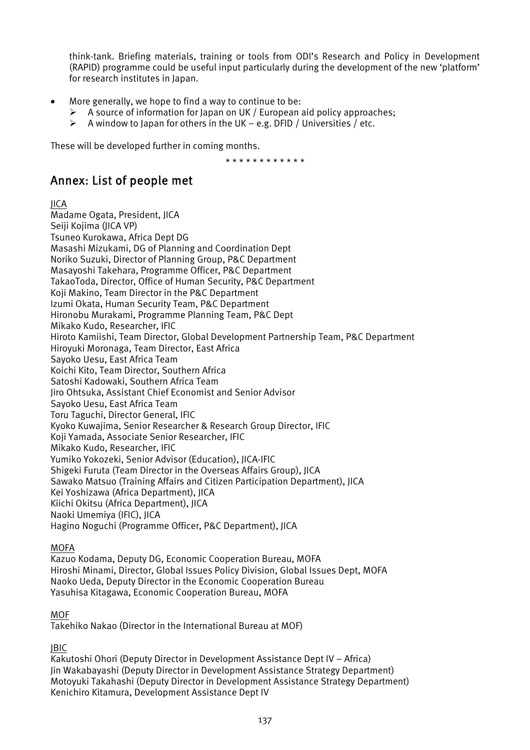think-tank. Briefing materials, training or tools from ODI's Research and Policy in Development (RAPID) programme could be useful input particularly during the development of the new 'platform' for research institutes in Japan.

- More generally, we hope to find a way to continue to be:
	- $\triangleright$  A source of information for Japan on UK / European aid policy approaches;
	- $\triangleright$  A window to Japan for others in the UK e.g. DFID / Universities / etc.

These will be developed further in coming months.

\* \* \* \* \* \* \* \* \* \* \* \*

# Annex: List of people met

### JICA

Madame Ogata, President, JICA Seiji Kojima (JICA VP) Tsuneo Kurokawa, Africa Dept DG Masashi Mizukami, DG of Planning and Coordination Dept Noriko Suzuki, Director of Planning Group, P&C Department Masayoshi Takehara, Programme Officer, P&C Department TakaoToda, Director, Office of Human Security, P&C Department Koji Makino, Team Director in the P&C Department Izumi Okata, Human Security Team, P&C Department Hironobu Murakami, Programme Planning Team, P&C Dept Mikako Kudo, Researcher, IFIC Hiroto Kamiishi, Team Director, Global Development Partnership Team, P&C Department Hiroyuki Moronaga, Team Director, East Africa Sayoko Uesu, East Africa Team Koichi Kito, Team Director, Southern Africa Satoshi Kadowaki, Southern Africa Team Jiro Ohtsuka, Assistant Chief Economist and Senior Advisor Sayoko Uesu, East Africa Team Toru Taguchi, Director General, IFIC Kyoko Kuwajima, Senior Researcher & Research Group Director, IFIC Koji Yamada, Associate Senior Researcher, IFIC Mikako Kudo, Researcher, IFIC Yumiko Yokozeki, Senior Advisor (Education), JICA-IFIC Shigeki Furuta (Team Director in the Overseas Affairs Group), JICA Sawako Matsuo (Training Affairs and Citizen Participation Department), JICA Kei Yoshizawa (Africa Department), JICA Kiichi Okitsu (Africa Department), JICA Naoki Umemiya (IFIC), JICA Hagino Noguchi (Programme Officer, P&C Department), JICA

## MOFA

Kazuo Kodama, Deputy DG, Economic Cooperation Bureau, MOFA Hiroshi Minami, Director, Global Issues Policy Division, Global Issues Dept, MOFA Naoko Ueda, Deputy Director in the Economic Cooperation Bureau Yasuhisa Kitagawa, Economic Cooperation Bureau, MOFA

## MOF

Takehiko Nakao (Director in the International Bureau at MOF)

JBIC

Kakutoshi Ohori (Deputy Director in Development Assistance Dept IV – Africa) Jin Wakabayashi (Deputy Director in Development Assistance Strategy Department) Motoyuki Takahashi (Deputy Director in Development Assistance Strategy Department) Kenichiro Kitamura, Development Assistance Dept IV